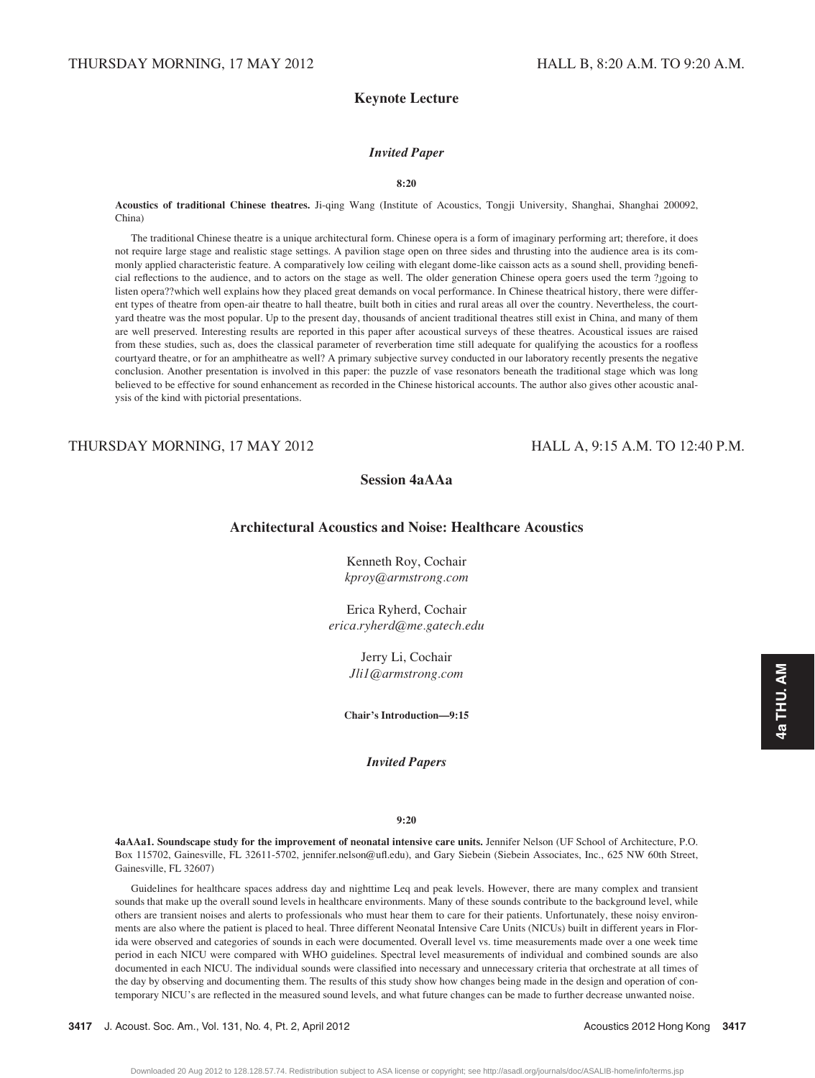# Keynote Lecture

# Invited Paper

8:20

Acoustics of traditional Chinese theatres. Ji-qing Wang (Institute of Acoustics, Tongji University, Shanghai, Shanghai 200092, China)

The traditional Chinese theatre is a unique architectural form. Chinese opera is a form of imaginary performing art; therefore, it does not require large stage and realistic stage settings. A pavilion stage open on three sides and thrusting into the audience area is its commonly applied characteristic feature. A comparatively low ceiling with elegant dome-like caisson acts as a sound shell, providing beneficial reflections to the audience, and to actors on the stage as well. The older generation Chinese opera goers used the term ?jgoing to listen opera??which well explains how they placed great demands on vocal performance. In Chinese theatrical history, there were different types of theatre from open-air theatre to hall theatre, built both in cities and rural areas all over the country. Nevertheless, the courtyard theatre was the most popular. Up to the present day, thousands of ancient traditional theatres still exist in China, and many of them are well preserved. Interesting results are reported in this paper after acoustical surveys of these theatres. Acoustical issues are raised from these studies, such as, does the classical parameter of reverberation time still adequate for qualifying the acoustics for a roofless courtyard theatre, or for an amphitheatre as well? A primary subjective survey conducted in our laboratory recently presents the negative conclusion. Another presentation is involved in this paper: the puzzle of vase resonators beneath the traditional stage which was long believed to be effective for sound enhancement as recorded in the Chinese historical accounts. The author also gives other acoustic analysis of the kind with pictorial presentations.

# THURSDAY MORNING, 17 MAY 2012 HALL A, 9:15 A.M. TO 12:40 P.M.

Session 4aAAa

# Architectural Acoustics and Noise: Healthcare Acoustics

Kenneth Roy, Cochair kproy@armstrong.com

Erica Ryherd, Cochair erica.ryherd@me.gatech.edu

> Jerry Li, Cochair Jli1@armstrong.com

Chair's Introduction—9:15

Invited Papers

9:20

4aAAa1. Soundscape study for the improvement of neonatal intensive care units. Jennifer Nelson (UF School of Architecture, P.O. Box 115702, Gainesville, FL 32611-5702, jennifer.nelson@ufl.edu), and Gary Siebein (Siebein Associates, Inc., 625 NW 60th Street, Gainesville, FL 32607)

Guidelines for healthcare spaces address day and nighttime Leq and peak levels. However, there are many complex and transient sounds that make up the overall sound levels in healthcare environments. Many of these sounds contribute to the background level, while others are transient noises and alerts to professionals who must hear them to care for their patients. Unfortunately, these noisy environments are also where the patient is placed to heal. Three different Neonatal Intensive Care Units (NICUs) built in different years in Florida were observed and categories of sounds in each were documented. Overall level vs. time measurements made over a one week time period in each NICU were compared with WHO guidelines. Spectral level measurements of individual and combined sounds are also documented in each NICU. The individual sounds were classified into necessary and unnecessary criteria that orchestrate at all times of the day by observing and documenting them. The results of this study show how changes being made in the design and operation of contemporary NICU's are reflected in the measured sound levels, and what future changes can be made to further decrease unwanted noise.

3417 J. Acoust. Soc. Am., Vol. 131, No. 4, Pt. 2, April 2012 Acoustics 2012 Hong Kong 3417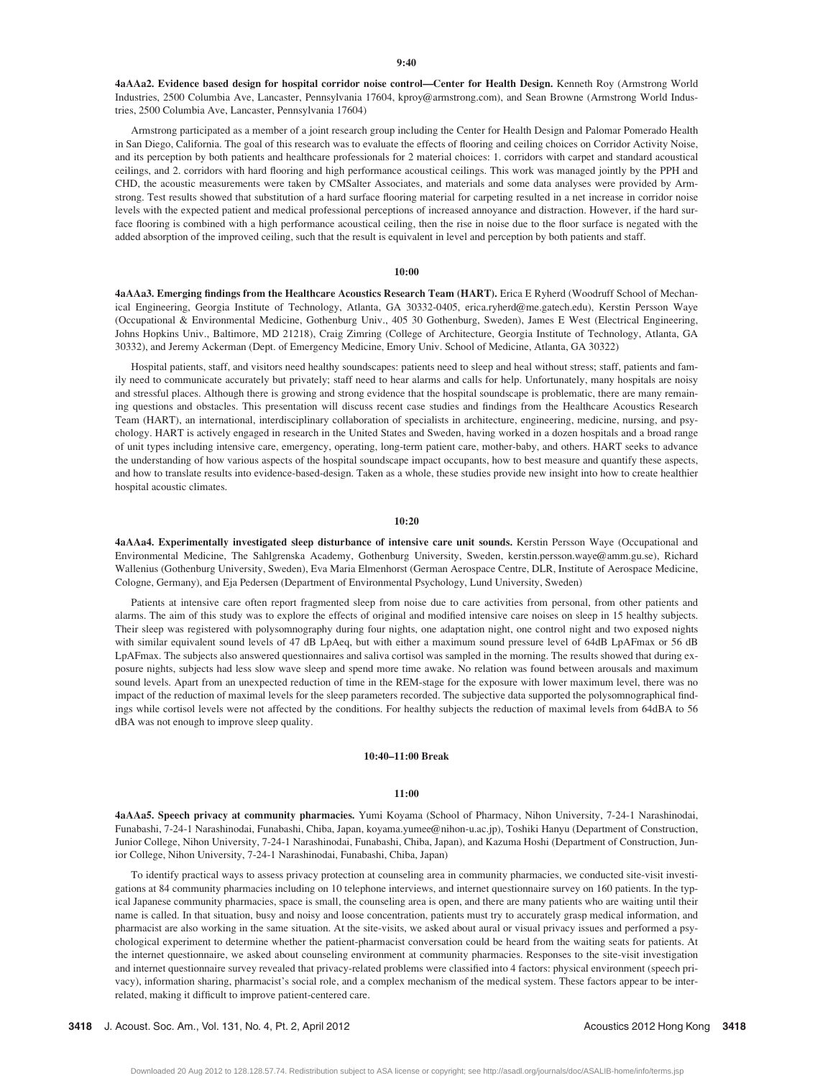4aAAa2. Evidence based design for hospital corridor noise control—Center for Health Design. Kenneth Roy (Armstrong World Industries, 2500 Columbia Ave, Lancaster, Pennsylvania 17604, kproy@armstrong.com), and Sean Browne (Armstrong World Industries, 2500 Columbia Ave, Lancaster, Pennsylvania 17604)

Armstrong participated as a member of a joint research group including the Center for Health Design and Palomar Pomerado Health in San Diego, California. The goal of this research was to evaluate the effects of flooring and ceiling choices on Corridor Activity Noise, and its perception by both patients and healthcare professionals for 2 material choices: 1. corridors with carpet and standard acoustical ceilings, and 2. corridors with hard flooring and high performance acoustical ceilings. This work was managed jointly by the PPH and CHD, the acoustic measurements were taken by CMSalter Associates, and materials and some data analyses were provided by Armstrong. Test results showed that substitution of a hard surface flooring material for carpeting resulted in a net increase in corridor noise levels with the expected patient and medical professional perceptions of increased annoyance and distraction. However, if the hard surface flooring is combined with a high performance acoustical ceiling, then the rise in noise due to the floor surface is negated with the added absorption of the improved ceiling, such that the result is equivalent in level and perception by both patients and staff.

#### $10:00$

4aAAa3. Emerging findings from the Healthcare Acoustics Research Team (HART). Erica E Ryherd (Woodruff School of Mechanical Engineering, Georgia Institute of Technology, Atlanta, GA 30332-0405, erica.ryherd@me.gatech.edu), Kerstin Persson Waye (Occupational & Environmental Medicine, Gothenburg Univ., 405 30 Gothenburg, Sweden), James E West (Electrical Engineering, Johns Hopkins Univ., Baltimore, MD 21218), Craig Zimring (College of Architecture, Georgia Institute of Technology, Atlanta, GA 30332), and Jeremy Ackerman (Dept. of Emergency Medicine, Emory Univ. School of Medicine, Atlanta, GA 30322)

Hospital patients, staff, and visitors need healthy soundscapes: patients need to sleep and heal without stress; staff, patients and family need to communicate accurately but privately; staff need to hear alarms and calls for help. Unfortunately, many hospitals are noisy and stressful places. Although there is growing and strong evidence that the hospital soundscape is problematic, there are many remaining questions and obstacles. This presentation will discuss recent case studies and findings from the Healthcare Acoustics Research Team (HART), an international, interdisciplinary collaboration of specialists in architecture, engineering, medicine, nursing, and psychology. HART is actively engaged in research in the United States and Sweden, having worked in a dozen hospitals and a broad range of unit types including intensive care, emergency, operating, long-term patient care, mother-baby, and others. HART seeks to advance the understanding of how various aspects of the hospital soundscape impact occupants, how to best measure and quantify these aspects, and how to translate results into evidence-based-design. Taken as a whole, these studies provide new insight into how to create healthier hospital acoustic climates.

### 10:20

4aAAa4. Experimentally investigated sleep disturbance of intensive care unit sounds. Kerstin Persson Waye (Occupational and Environmental Medicine, The Sahlgrenska Academy, Gothenburg University, Sweden, kerstin.persson.waye@amm.gu.se), Richard Wallenius (Gothenburg University, Sweden), Eva Maria Elmenhorst (German Aerospace Centre, DLR, Institute of Aerospace Medicine, Cologne, Germany), and Eja Pedersen (Department of Environmental Psychology, Lund University, Sweden)

Patients at intensive care often report fragmented sleep from noise due to care activities from personal, from other patients and alarms. The aim of this study was to explore the effects of original and modified intensive care noises on sleep in 15 healthy subjects. Their sleep was registered with polysomnography during four nights, one adaptation night, one control night and two exposed nights with similar equivalent sound levels of 47 dB LpAeq, but with either a maximum sound pressure level of 64dB LpAFmax or 56 dB LpAFmax. The subjects also answered questionnaires and saliva cortisol was sampled in the morning. The results showed that during exposure nights, subjects had less slow wave sleep and spend more time awake. No relation was found between arousals and maximum sound levels. Apart from an unexpected reduction of time in the REM-stage for the exposure with lower maximum level, there was no impact of the reduction of maximal levels for the sleep parameters recorded. The subjective data supported the polysomnographical findings while cortisol levels were not affected by the conditions. For healthy subjects the reduction of maximal levels from 64dBA to 56 dBA was not enough to improve sleep quality.

#### 10:40–11:00 Break

### 11:00

4aAAa5. Speech privacy at community pharmacies. Yumi Koyama (School of Pharmacy, Nihon University, 7-24-1 Narashinodai, Funabashi, 7-24-1 Narashinodai, Funabashi, Chiba, Japan, koyama.yumee@nihon-u.ac.jp), Toshiki Hanyu (Department of Construction, Junior College, Nihon University, 7-24-1 Narashinodai, Funabashi, Chiba, Japan), and Kazuma Hoshi (Department of Construction, Junior College, Nihon University, 7-24-1 Narashinodai, Funabashi, Chiba, Japan)

To identify practical ways to assess privacy protection at counseling area in community pharmacies, we conducted site-visit investigations at 84 community pharmacies including on 10 telephone interviews, and internet questionnaire survey on 160 patients. In the typical Japanese community pharmacies, space is small, the counseling area is open, and there are many patients who are waiting until their name is called. In that situation, busy and noisy and loose concentration, patients must try to accurately grasp medical information, and pharmacist are also working in the same situation. At the site-visits, we asked about aural or visual privacy issues and performed a psychological experiment to determine whether the patient-pharmacist conversation could be heard from the waiting seats for patients. At the internet questionnaire, we asked about counseling environment at community pharmacies. Responses to the site-visit investigation and internet questionnaire survey revealed that privacy-related problems were classified into 4 factors: physical environment (speech privacy), information sharing, pharmacist's social role, and a complex mechanism of the medical system. These factors appear to be interrelated, making it difficult to improve patient-centered care.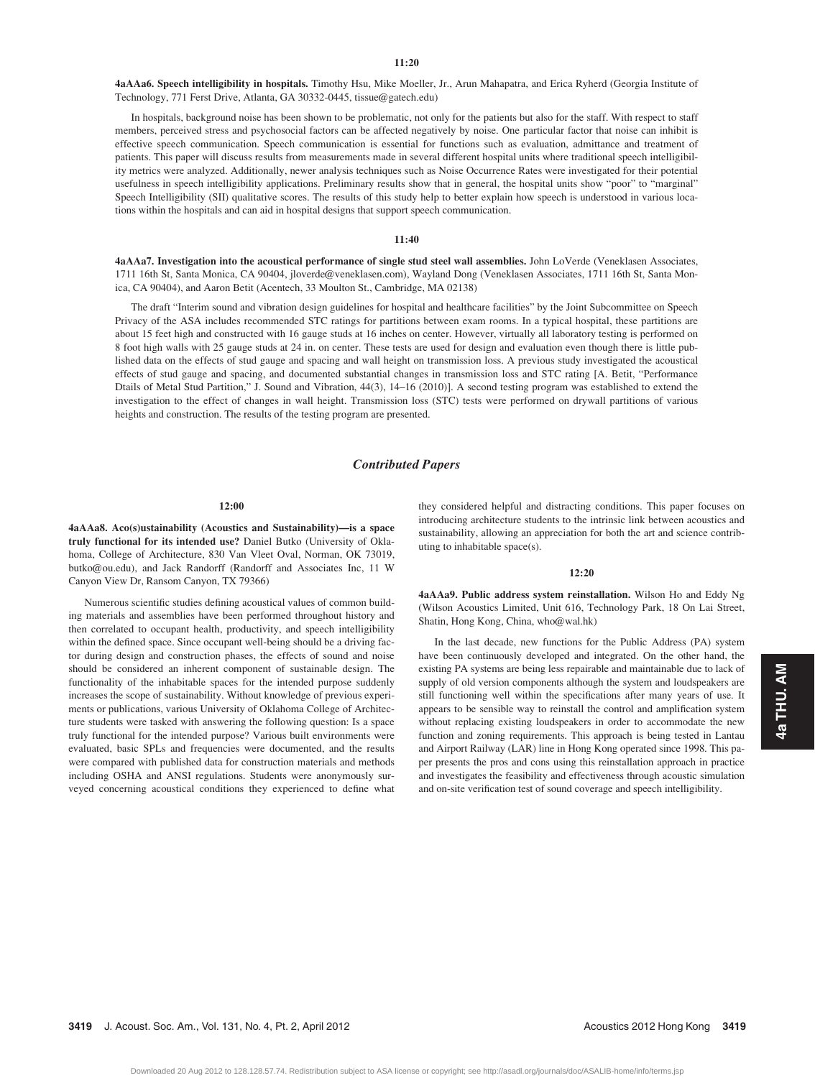4aAAa6. Speech intelligibility in hospitals. Timothy Hsu, Mike Moeller, Jr., Arun Mahapatra, and Erica Ryherd (Georgia Institute of Technology, 771 Ferst Drive, Atlanta, GA 30332-0445, tissue@gatech.edu)

In hospitals, background noise has been shown to be problematic, not only for the patients but also for the staff. With respect to staff members, perceived stress and psychosocial factors can be affected negatively by noise. One particular factor that noise can inhibit is effective speech communication. Speech communication is essential for functions such as evaluation, admittance and treatment of patients. This paper will discuss results from measurements made in several different hospital units where traditional speech intelligibility metrics were analyzed. Additionally, newer analysis techniques such as Noise Occurrence Rates were investigated for their potential usefulness in speech intelligibility applications. Preliminary results show that in general, the hospital units show "poor" to "marginal" Speech Intelligibility (SII) qualitative scores. The results of this study help to better explain how speech is understood in various locations within the hospitals and can aid in hospital designs that support speech communication.

# 11:40

4aAAa7. Investigation into the acoustical performance of single stud steel wall assemblies. John LoVerde (Veneklasen Associates, 1711 16th St, Santa Monica, CA 90404, jloverde@veneklasen.com), Wayland Dong (Veneklasen Associates, 1711 16th St, Santa Monica, CA 90404), and Aaron Betit (Acentech, 33 Moulton St., Cambridge, MA 02138)

The draft "Interim sound and vibration design guidelines for hospital and healthcare facilities" by the Joint Subcommittee on Speech Privacy of the ASA includes recommended STC ratings for partitions between exam rooms. In a typical hospital, these partitions are about 15 feet high and constructed with 16 gauge studs at 16 inches on center. However, virtually all laboratory testing is performed on 8 foot high walls with 25 gauge studs at 24 in. on center. These tests are used for design and evaluation even though there is little published data on the effects of stud gauge and spacing and wall height on transmission loss. A previous study investigated the acoustical effects of stud gauge and spacing, and documented substantial changes in transmission loss and STC rating [A. Betit, "Performance Dtails of Metal Stud Partition," J. Sound and Vibration, 44(3), 14–16 (2010)]. A second testing program was established to extend the investigation to the effect of changes in wall height. Transmission loss (STC) tests were performed on drywall partitions of various heights and construction. The results of the testing program are presented.

# Contributed Papers

### 12:00

4aAAa8. Aco(s)ustainability (Acoustics and Sustainability)—is a space truly functional for its intended use? Daniel Butko (University of Oklahoma, College of Architecture, 830 Van Vleet Oval, Norman, OK 73019, butko@ou.edu), and Jack Randorff (Randorff and Associates Inc, 11 W Canyon View Dr, Ransom Canyon, TX 79366)

Numerous scientific studies defining acoustical values of common building materials and assemblies have been performed throughout history and then correlated to occupant health, productivity, and speech intelligibility within the defined space. Since occupant well-being should be a driving factor during design and construction phases, the effects of sound and noise should be considered an inherent component of sustainable design. The functionality of the inhabitable spaces for the intended purpose suddenly increases the scope of sustainability. Without knowledge of previous experiments or publications, various University of Oklahoma College of Architecture students were tasked with answering the following question: Is a space truly functional for the intended purpose? Various built environments were evaluated, basic SPLs and frequencies were documented, and the results were compared with published data for construction materials and methods including OSHA and ANSI regulations. Students were anonymously surveyed concerning acoustical conditions they experienced to define what they considered helpful and distracting conditions. This paper focuses on introducing architecture students to the intrinsic link between acoustics and sustainability, allowing an appreciation for both the art and science contributing to inhabitable space(s).

#### 12:20

4aAAa9. Public address system reinstallation. Wilson Ho and Eddy Ng (Wilson Acoustics Limited, Unit 616, Technology Park, 18 On Lai Street, Shatin, Hong Kong, China, who@wal.hk)

In the last decade, new functions for the Public Address (PA) system have been continuously developed and integrated. On the other hand, the existing PA systems are being less repairable and maintainable due to lack of supply of old version components although the system and loudspeakers are still functioning well within the specifications after many years of use. It appears to be sensible way to reinstall the control and amplification system without replacing existing loudspeakers in order to accommodate the new function and zoning requirements. This approach is being tested in Lantau and Airport Railway (LAR) line in Hong Kong operated since 1998. This paper presents the pros and cons using this reinstallation approach in practice and investigates the feasibility and effectiveness through acoustic simulation and on-site verification test of sound coverage and speech intelligibility.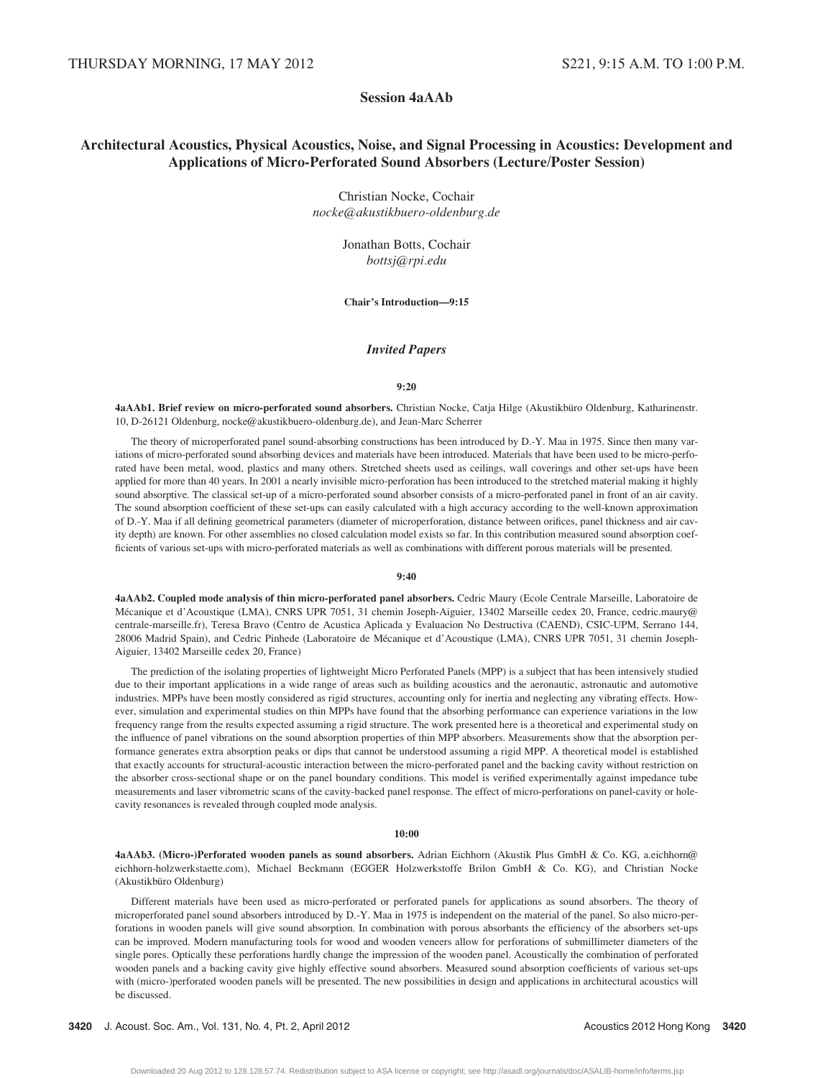# Session 4aAAb

# Architectural Acoustics, Physical Acoustics, Noise, and Signal Processing in Acoustics: Development and Applications of Micro-Perforated Sound Absorbers (Lecture/Poster Session)

Christian Nocke, Cochair nocke@akustikbuero-oldenburg.de

> Jonathan Botts, Cochair bottsj@rpi.edu

Chair's Introduction—9:15

# Invited Papers

#### 9:20

4aAAb1. Brief review on micro-perforated sound absorbers. Christian Nocke, Catja Hilge (Akustikbüro Oldenburg, Katharinenstr. 10, D-26121 Oldenburg, nocke@akustikbuero-oldenburg.de), and Jean-Marc Scherrer

The theory of microperforated panel sound-absorbing constructions has been introduced by D.-Y. Maa in 1975. Since then many variations of micro-perforated sound absorbing devices and materials have been introduced. Materials that have been used to be micro-perforated have been metal, wood, plastics and many others. Stretched sheets used as ceilings, wall coverings and other set-ups have been applied for more than 40 years. In 2001 a nearly invisible micro-perforation has been introduced to the stretched material making it highly sound absorptive. The classical set-up of a micro-perforated sound absorber consists of a micro-perforated panel in front of an air cavity. The sound absorption coefficient of these set-ups can easily calculated with a high accuracy according to the well-known approximation of D.-Y. Maa if all defining geometrical parameters (diameter of microperforation, distance between orifices, panel thickness and air cavity depth) are known. For other assemblies no closed calculation model exists so far. In this contribution measured sound absorption coefficients of various set-ups with micro-perforated materials as well as combinations with different porous materials will be presented.

### 9:40

4aAAb2. Coupled mode analysis of thin micro-perforated panel absorbers. Cedric Maury (Ecole Centrale Marseille, Laboratoire de Mécanique et d'Acoustique (LMA), CNRS UPR 7051, 31 chemin Joseph-Aiguier, 13402 Marseille cedex 20, France, cedric.maury@ centrale-marseille.fr), Teresa Bravo (Centro de Acustica Aplicada y Evaluacion No Destructiva (CAEND), CSIC-UPM, Serrano 144, 28006 Madrid Spain), and Cedric Pinhede (Laboratoire de Mécanique et d'Acoustique (LMA), CNRS UPR 7051, 31 chemin Joseph-Aiguier, 13402 Marseille cedex 20, France)

The prediction of the isolating properties of lightweight Micro Perforated Panels (MPP) is a subject that has been intensively studied due to their important applications in a wide range of areas such as building acoustics and the aeronautic, astronautic and automotive industries. MPPs have been mostly considered as rigid structures, accounting only for inertia and neglecting any vibrating effects. However, simulation and experimental studies on thin MPPs have found that the absorbing performance can experience variations in the low frequency range from the results expected assuming a rigid structure. The work presented here is a theoretical and experimental study on the influence of panel vibrations on the sound absorption properties of thin MPP absorbers. Measurements show that the absorption performance generates extra absorption peaks or dips that cannot be understood assuming a rigid MPP. A theoretical model is established that exactly accounts for structural-acoustic interaction between the micro-perforated panel and the backing cavity without restriction on the absorber cross-sectional shape or on the panel boundary conditions. This model is verified experimentally against impedance tube measurements and laser vibrometric scans of the cavity-backed panel response. The effect of micro-perforations on panel-cavity or holecavity resonances is revealed through coupled mode analysis.

### 10:00

4aAAb3. (Micro-)Perforated wooden panels as sound absorbers. Adrian Eichhorn (Akustik Plus GmbH & Co. KG, a.eichhorn@ eichhorn-holzwerkstaette.com), Michael Beckmann (EGGER Holzwerkstoffe Brilon GmbH & Co. KG), and Christian Nocke (Akustikbüro Oldenburg)

Different materials have been used as micro-perforated or perforated panels for applications as sound absorbers. The theory of microperforated panel sound absorbers introduced by D.-Y. Maa in 1975 is independent on the material of the panel. So also micro-perforations in wooden panels will give sound absorption. In combination with porous absorbants the efficiency of the absorbers set-ups can be improved. Modern manufacturing tools for wood and wooden veneers allow for perforations of submillimeter diameters of the single pores. Optically these perforations hardly change the impression of the wooden panel. Acoustically the combination of perforated wooden panels and a backing cavity give highly effective sound absorbers. Measured sound absorption coefficients of various set-ups with (micro-)perforated wooden panels will be presented. The new possibilities in design and applications in architectural acoustics will be discussed.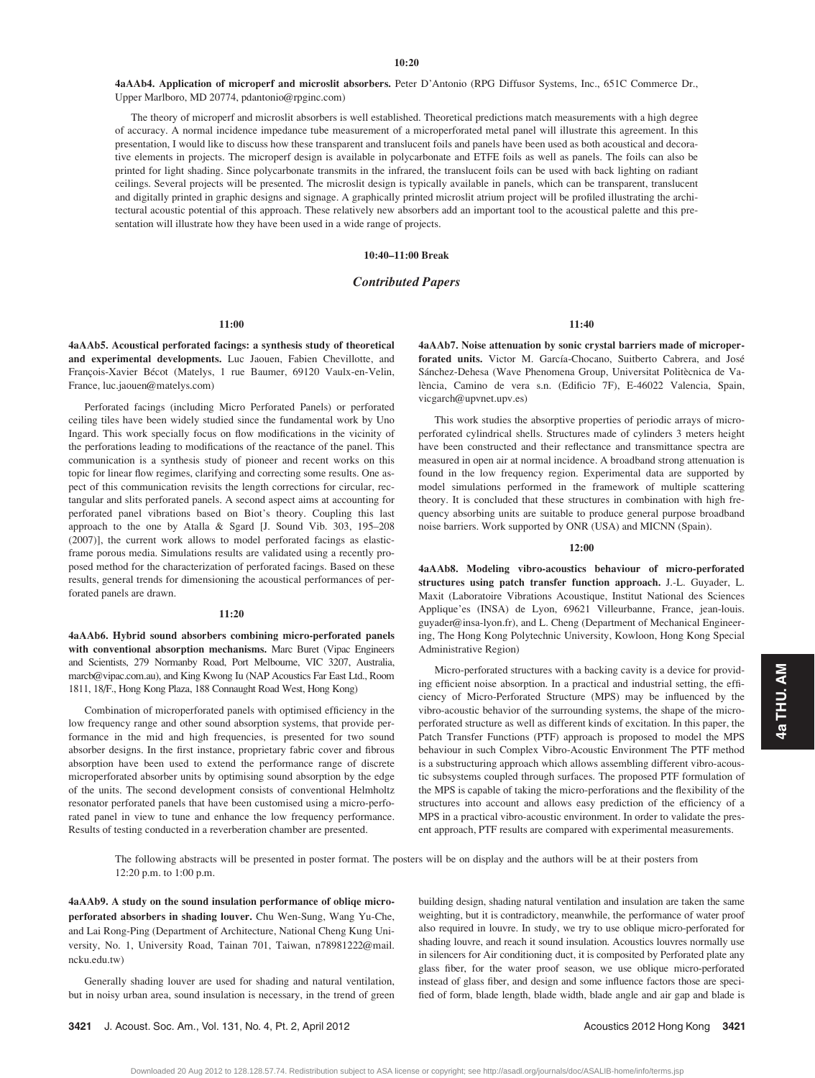4aAAb4. Application of microperf and microslit absorbers. Peter D'Antonio (RPG Diffusor Systems, Inc., 651C Commerce Dr., Upper Marlboro, MD 20774, pdantonio@rpginc.com)

The theory of microperf and microslit absorbers is well established. Theoretical predictions match measurements with a high degree of accuracy. A normal incidence impedance tube measurement of a microperforated metal panel will illustrate this agreement. In this presentation, I would like to discuss how these transparent and translucent foils and panels have been used as both acoustical and decorative elements in projects. The microperf design is available in polycarbonate and ETFE foils as well as panels. The foils can also be printed for light shading. Since polycarbonate transmits in the infrared, the translucent foils can be used with back lighting on radiant ceilings. Several projects will be presented. The microslit design is typically available in panels, which can be transparent, translucent and digitally printed in graphic designs and signage. A graphically printed microslit atrium project will be profiled illustrating the architectural acoustic potential of this approach. These relatively new absorbers add an important tool to the acoustical palette and this presentation will illustrate how they have been used in a wide range of projects.

10:40–11:00 Break

### Contributed Papers

4aAAb5. Acoustical perforated facings: a synthesis study of theoretical and experimental developments. Luc Jaouen, Fabien Chevillotte, and François-Xavier Bécot (Matelys, 1 rue Baumer, 69120 Vaulx-en-Velin, France, luc.jaouen@matelys.com)

Perforated facings (including Micro Perforated Panels) or perforated ceiling tiles have been widely studied since the fundamental work by Uno Ingard. This work specially focus on flow modifications in the vicinity of the perforations leading to modifications of the reactance of the panel. This communication is a synthesis study of pioneer and recent works on this topic for linear flow regimes, clarifying and correcting some results. One aspect of this communication revisits the length corrections for circular, rectangular and slits perforated panels. A second aspect aims at accounting for perforated panel vibrations based on Biot's theory. Coupling this last approach to the one by Atalla & Sgard [J. Sound Vib. 303, 195–208 (2007)], the current work allows to model perforated facings as elasticframe porous media. Simulations results are validated using a recently proposed method for the characterization of perforated facings. Based on these results, general trends for dimensioning the acoustical performances of perforated panels are drawn.

### 11:20

4aAAb6. Hybrid sound absorbers combining micro-perforated panels with conventional absorption mechanisms. Marc Buret (Vipac Engineers and Scientists, 279 Normanby Road, Port Melbourne, VIC 3207, Australia, marcb@vipac.com.au), and King Kwong Iu (NAP Acoustics Far East Ltd., Room 1811, 18/F., Hong Kong Plaza, 188 Connaught Road West, Hong Kong)

Combination of microperforated panels with optimised efficiency in the low frequency range and other sound absorption systems, that provide performance in the mid and high frequencies, is presented for two sound absorber designs. In the first instance, proprietary fabric cover and fibrous absorption have been used to extend the performance range of discrete microperforated absorber units by optimising sound absorption by the edge of the units. The second development consists of conventional Helmholtz resonator perforated panels that have been customised using a micro-perforated panel in view to tune and enhance the low frequency performance. Results of testing conducted in a reverberation chamber are presented.

11:40

4aAAb7. Noise attenuation by sonic crystal barriers made of microperforated units. Victor M. García-Chocano, Suitberto Cabrera, and José Sánchez-Dehesa (Wave Phenomena Group, Universitat Politècnica de València, Camino de vera s.n. (Edificio 7F), E-46022 Valencia, Spain, vicgarch@upvnet.upv.es)

This work studies the absorptive properties of periodic arrays of microperforated cylindrical shells. Structures made of cylinders 3 meters height have been constructed and their reflectance and transmittance spectra are measured in open air at normal incidence. A broadband strong attenuation is found in the low frequency region. Experimental data are supported by model simulations performed in the framework of multiple scattering theory. It is concluded that these structures in combination with high frequency absorbing units are suitable to produce general purpose broadband noise barriers. Work supported by ONR (USA) and MICNN (Spain).

### 12:00

4aAAb8. Modeling vibro-acoustics behaviour of micro-perforated structures using patch transfer function approach. J.-L. Guyader, L. Maxit (Laboratoire Vibrations Acoustique, Institut National des Sciences Applique'es (INSA) de Lyon, 69621 Villeurbanne, France, jean-louis. guyader@insa-lyon.fr), and L. Cheng (Department of Mechanical Engineering, The Hong Kong Polytechnic University, Kowloon, Hong Kong Special Administrative Region)

Micro-perforated structures with a backing cavity is a device for providing efficient noise absorption. In a practical and industrial setting, the efficiency of Micro-Perforated Structure (MPS) may be influenced by the vibro-acoustic behavior of the surrounding systems, the shape of the microperforated structure as well as different kinds of excitation. In this paper, the Patch Transfer Functions (PTF) approach is proposed to model the MPS behaviour in such Complex Vibro-Acoustic Environment The PTF method is a substructuring approach which allows assembling different vibro-acoustic subsystems coupled through surfaces. The proposed PTF formulation of the MPS is capable of taking the micro-perforations and the flexibility of the structures into account and allows easy prediction of the efficiency of a MPS in a practical vibro-acoustic environment. In order to validate the present approach, PTF results are compared with experimental measurements.

The following abstracts will be presented in poster format. The posters will be on display and the authors will be at their posters from 12:20 p.m. to 1:00 p.m.

4aAAb9. A study on the sound insulation performance of obliqe microperforated absorbers in shading louver. Chu Wen-Sung, Wang Yu-Che, and Lai Rong-Ping (Department of Architecture, National Cheng Kung University, No. 1, University Road, Tainan 701, Taiwan, n78981222@mail. ncku.edu.tw)

Generally shading louver are used for shading and natural ventilation, but in noisy urban area, sound insulation is necessary, in the trend of green building design, shading natural ventilation and insulation are taken the same weighting, but it is contradictory, meanwhile, the performance of water proof also required in louvre. In study, we try to use oblique micro-perforated for shading louvre, and reach it sound insulation. Acoustics louvres normally use in silencers for Air conditioning duct, it is composited by Perforated plate any glass fiber, for the water proof season, we use oblique micro-perforated instead of glass fiber, and design and some influence factors those are specified of form, blade length, blade width, blade angle and air gap and blade is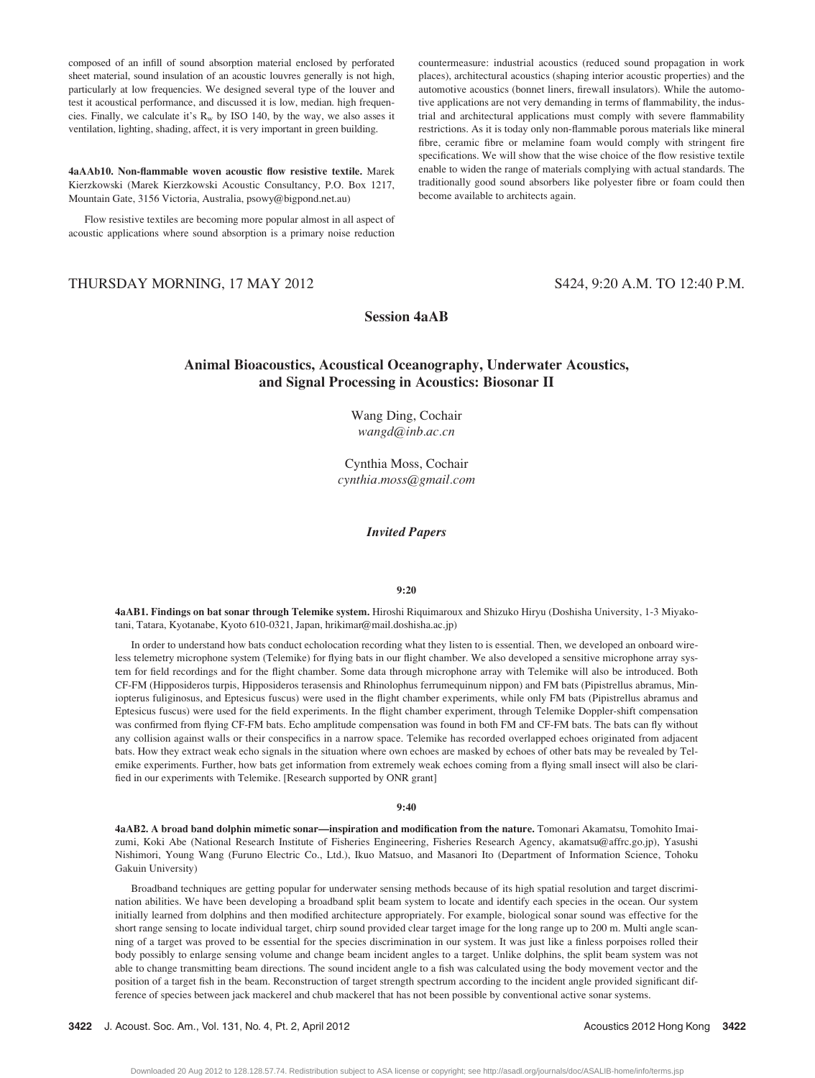composed of an infill of sound absorption material enclosed by perforated sheet material, sound insulation of an acoustic louvres generally is not high, particularly at low frequencies. We designed several type of the louver and test it acoustical performance, and discussed it is low, median. high frequencies. Finally, we calculate it's  $R_w$  by ISO 140, by the way, we also asses it ventilation, lighting, shading, affect, it is very important in green building.

4aAAb10. Non-flammable woven acoustic flow resistive textile. Marek Kierzkowski (Marek Kierzkowski Acoustic Consultancy, P.O. Box 1217, Mountain Gate, 3156 Victoria, Australia, psowy@bigpond.net.au)

Flow resistive textiles are becoming more popular almost in all aspect of acoustic applications where sound absorption is a primary noise reduction countermeasure: industrial acoustics (reduced sound propagation in work places), architectural acoustics (shaping interior acoustic properties) and the automotive acoustics (bonnet liners, firewall insulators). While the automotive applications are not very demanding in terms of flammability, the industrial and architectural applications must comply with severe flammability restrictions. As it is today only non-flammable porous materials like mineral fibre, ceramic fibre or melamine foam would comply with stringent fire specifications. We will show that the wise choice of the flow resistive textile enable to widen the range of materials complying with actual standards. The traditionally good sound absorbers like polyester fibre or foam could then become available to architects again.

# THURSDAY MORNING, 17 MAY 2012 S424, 9:20 A.M. TO 12:40 P.M.

# Session 4aAB

# Animal Bioacoustics, Acoustical Oceanography, Underwater Acoustics, and Signal Processing in Acoustics: Biosonar II

Wang Ding, Cochair wangd@inb.ac.cn

Cynthia Moss, Cochair cynthia.moss@gmail.com

Invited Papers

# 9:20

4aAB1. Findings on bat sonar through Telemike system. Hiroshi Riquimaroux and Shizuko Hiryu (Doshisha University, 1-3 Miyakotani, Tatara, Kyotanabe, Kyoto 610-0321, Japan, hrikimar@mail.doshisha.ac.jp)

In order to understand how bats conduct echolocation recording what they listen to is essential. Then, we developed an onboard wireless telemetry microphone system (Telemike) for flying bats in our flight chamber. We also developed a sensitive microphone array system for field recordings and for the flight chamber. Some data through microphone array with Telemike will also be introduced. Both CF-FM (Hipposideros turpis, Hipposideros terasensis and Rhinolophus ferrumequinum nippon) and FM bats (Pipistrellus abramus, Miniopterus fuliginosus, and Eptesicus fuscus) were used in the flight chamber experiments, while only FM bats (Pipistrellus abramus and Eptesicus fuscus) were used for the field experiments. In the flight chamber experiment, through Telemike Doppler-shift compensation was confirmed from flying CF-FM bats. Echo amplitude compensation was found in both FM and CF-FM bats. The bats can fly without any collision against walls or their conspecifics in a narrow space. Telemike has recorded overlapped echoes originated from adjacent bats. How they extract weak echo signals in the situation where own echoes are masked by echoes of other bats may be revealed by Telemike experiments. Further, how bats get information from extremely weak echoes coming from a flying small insect will also be clarified in our experiments with Telemike. [Research supported by ONR grant]

#### 9:40

4aAB2. A broad band dolphin mimetic sonar—inspiration and modification from the nature. Tomonari Akamatsu, Tomohito Imaizumi, Koki Abe (National Research Institute of Fisheries Engineering, Fisheries Research Agency, akamatsu@affrc.go.jp), Yasushi Nishimori, Young Wang (Furuno Electric Co., Ltd.), Ikuo Matsuo, and Masanori Ito (Department of Information Science, Tohoku Gakuin University)

Broadband techniques are getting popular for underwater sensing methods because of its high spatial resolution and target discrimination abilities. We have been developing a broadband split beam system to locate and identify each species in the ocean. Our system initially learned from dolphins and then modified architecture appropriately. For example, biological sonar sound was effective for the short range sensing to locate individual target, chirp sound provided clear target image for the long range up to 200 m. Multi angle scanning of a target was proved to be essential for the species discrimination in our system. It was just like a finless porpoises rolled their body possibly to enlarge sensing volume and change beam incident angles to a target. Unlike dolphins, the split beam system was not able to change transmitting beam directions. The sound incident angle to a fish was calculated using the body movement vector and the position of a target fish in the beam. Reconstruction of target strength spectrum according to the incident angle provided significant difference of species between jack mackerel and chub mackerel that has not been possible by conventional active sonar systems.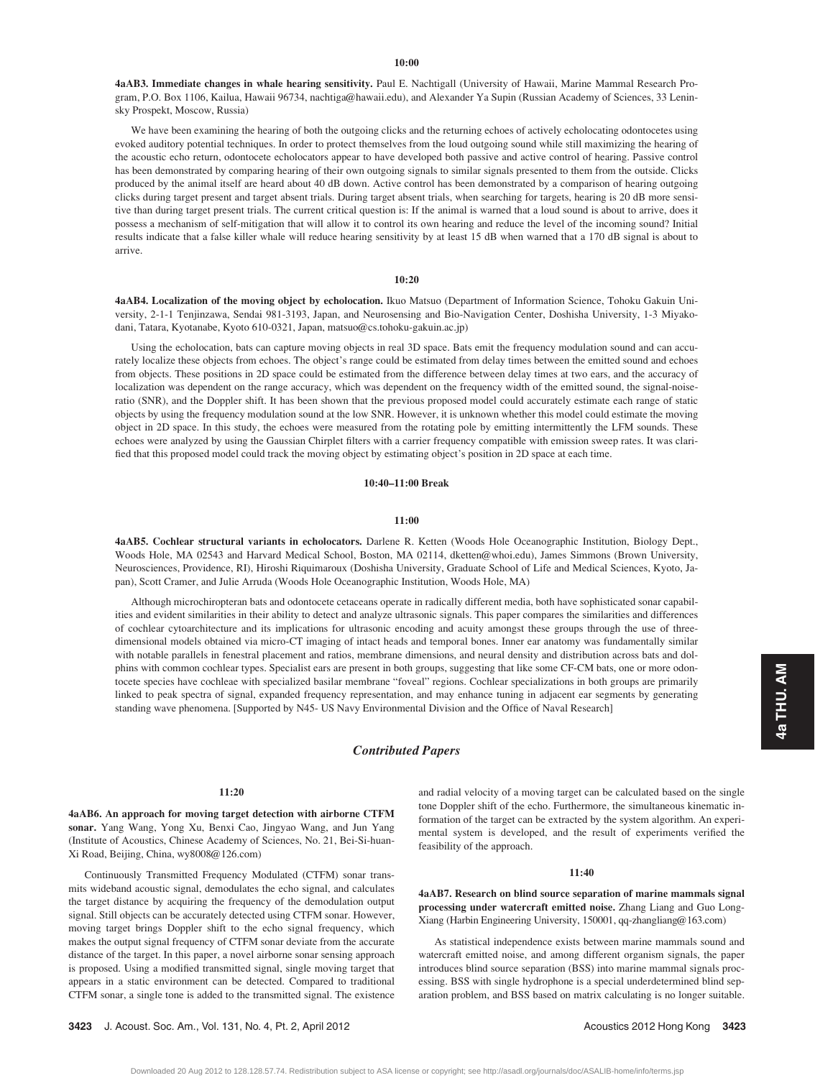### $10:00$

4aAB3. Immediate changes in whale hearing sensitivity. Paul E. Nachtigall (University of Hawaii, Marine Mammal Research Program, P.O. Box 1106, Kailua, Hawaii 96734, nachtiga@hawaii.edu), and Alexander Ya Supin (Russian Academy of Sciences, 33 Leninsky Prospekt, Moscow, Russia)

We have been examining the hearing of both the outgoing clicks and the returning echoes of actively echolocating odontocetes using evoked auditory potential techniques. In order to protect themselves from the loud outgoing sound while still maximizing the hearing of the acoustic echo return, odontocete echolocators appear to have developed both passive and active control of hearing. Passive control has been demonstrated by comparing hearing of their own outgoing signals to similar signals presented to them from the outside. Clicks produced by the animal itself are heard about 40 dB down. Active control has been demonstrated by a comparison of hearing outgoing clicks during target present and target absent trials. During target absent trials, when searching for targets, hearing is 20 dB more sensitive than during target present trials. The current critical question is: If the animal is warned that a loud sound is about to arrive, does it possess a mechanism of self-mitigation that will allow it to control its own hearing and reduce the level of the incoming sound? Initial results indicate that a false killer whale will reduce hearing sensitivity by at least 15 dB when warned that a 170 dB signal is about to arrive.

# 10:20

4aAB4. Localization of the moving object by echolocation. Ikuo Matsuo (Department of Information Science, Tohoku Gakuin University, 2-1-1 Tenjinzawa, Sendai 981-3193, Japan, and Neurosensing and Bio-Navigation Center, Doshisha University, 1-3 Miyakodani, Tatara, Kyotanabe, Kyoto 610-0321, Japan, matsuo@cs.tohoku-gakuin.ac.jp)

Using the echolocation, bats can capture moving objects in real 3D space. Bats emit the frequency modulation sound and can accurately localize these objects from echoes. The object's range could be estimated from delay times between the emitted sound and echoes from objects. These positions in 2D space could be estimated from the difference between delay times at two ears, and the accuracy of localization was dependent on the range accuracy, which was dependent on the frequency width of the emitted sound, the signal-noiseratio (SNR), and the Doppler shift. It has been shown that the previous proposed model could accurately estimate each range of static objects by using the frequency modulation sound at the low SNR. However, it is unknown whether this model could estimate the moving object in 2D space. In this study, the echoes were measured from the rotating pole by emitting intermittently the LFM sounds. These echoes were analyzed by using the Gaussian Chirplet filters with a carrier frequency compatible with emission sweep rates. It was clarified that this proposed model could track the moving object by estimating object's position in 2D space at each time.

### 10:40–11:00 Break

### 11:00

4aAB5. Cochlear structural variants in echolocators. Darlene R. Ketten (Woods Hole Oceanographic Institution, Biology Dept., Woods Hole, MA 02543 and Harvard Medical School, Boston, MA 02114, dketten@whoi.edu), James Simmons (Brown University, Neurosciences, Providence, RI), Hiroshi Riquimaroux (Doshisha University, Graduate School of Life and Medical Sciences, Kyoto, Japan), Scott Cramer, and Julie Arruda (Woods Hole Oceanographic Institution, Woods Hole, MA)

Although microchiropteran bats and odontocete cetaceans operate in radically different media, both have sophisticated sonar capabilities and evident similarities in their ability to detect and analyze ultrasonic signals. This paper compares the similarities and differences of cochlear cytoarchitecture and its implications for ultrasonic encoding and acuity amongst these groups through the use of threedimensional models obtained via micro-CT imaging of intact heads and temporal bones. Inner ear anatomy was fundamentally similar with notable parallels in fenestral placement and ratios, membrane dimensions, and neural density and distribution across bats and dolphins with common cochlear types. Specialist ears are present in both groups, suggesting that like some CF-CM bats, one or more odontocete species have cochleae with specialized basilar membrane "foveal" regions. Cochlear specializations in both groups are primarily linked to peak spectra of signal, expanded frequency representation, and may enhance tuning in adjacent ear segments by generating standing wave phenomena. [Supported by N45- US Navy Environmental Division and the Office of Naval Research]

### Contributed Papers

#### 11:20

4aAB6. An approach for moving target detection with airborne CTFM sonar. Yang Wang, Yong Xu, Benxi Cao, Jingyao Wang, and Jun Yang (Institute of Acoustics, Chinese Academy of Sciences, No. 21, Bei-Si-huan-Xi Road, Beijing, China, wy8008@126.com)

Continuously Transmitted Frequency Modulated (CTFM) sonar transmits wideband acoustic signal, demodulates the echo signal, and calculates the target distance by acquiring the frequency of the demodulation output signal. Still objects can be accurately detected using CTFM sonar. However, moving target brings Doppler shift to the echo signal frequency, which makes the output signal frequency of CTFM sonar deviate from the accurate distance of the target. In this paper, a novel airborne sonar sensing approach is proposed. Using a modified transmitted signal, single moving target that appears in a static environment can be detected. Compared to traditional CTFM sonar, a single tone is added to the transmitted signal. The existence and radial velocity of a moving target can be calculated based on the single tone Doppler shift of the echo. Furthermore, the simultaneous kinematic information of the target can be extracted by the system algorithm. An experimental system is developed, and the result of experiments verified the feasibility of the approach.

### 11:40

4aAB7. Research on blind source separation of marine mammals signal processing under watercraft emitted noise. Zhang Liang and Guo Long-Xiang (Harbin Engineering University, 150001, qq-zhangliang@163.com)

As statistical independence exists between marine mammals sound and watercraft emitted noise, and among different organism signals, the paper introduces blind source separation (BSS) into marine mammal signals processing. BSS with single hydrophone is a special underdetermined blind separation problem, and BSS based on matrix calculating is no longer suitable.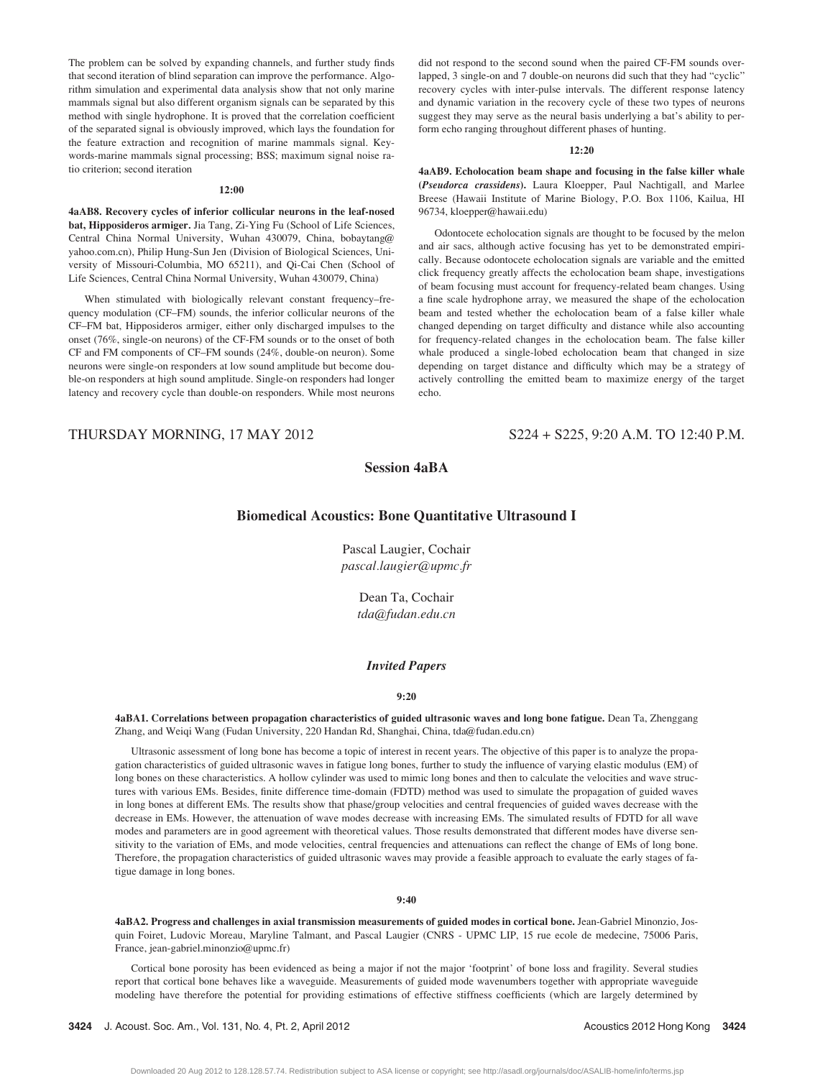The problem can be solved by expanding channels, and further study finds that second iteration of blind separation can improve the performance. Algorithm simulation and experimental data analysis show that not only marine mammals signal but also different organism signals can be separated by this method with single hydrophone. It is proved that the correlation coefficient of the separated signal is obviously improved, which lays the foundation for the feature extraction and recognition of marine mammals signal. Keywords-marine mammals signal processing; BSS; maximum signal noise ratio criterion; second iteration

### 12:00

4aAB8. Recovery cycles of inferior collicular neurons in the leaf-nosed bat, Hipposideros armiger. Jia Tang, Zi-Ying Fu (School of Life Sciences, Central China Normal University, Wuhan 430079, China, bobaytang@ yahoo.com.cn), Philip Hung-Sun Jen (Division of Biological Sciences, University of Missouri-Columbia, MO 65211), and Qi-Cai Chen (School of Life Sciences, Central China Normal University, Wuhan 430079, China)

When stimulated with biologically relevant constant frequency–frequency modulation (CF–FM) sounds, the inferior collicular neurons of the CF–FM bat, Hipposideros armiger, either only discharged impulses to the onset (76%, single-on neurons) of the CF-FM sounds or to the onset of both CF and FM components of CF–FM sounds (24%, double-on neuron). Some neurons were single-on responders at low sound amplitude but become double-on responders at high sound amplitude. Single-on responders had longer latency and recovery cycle than double-on responders. While most neurons did not respond to the second sound when the paired CF-FM sounds overlapped, 3 single-on and 7 double-on neurons did such that they had "cyclic" recovery cycles with inter-pulse intervals. The different response latency and dynamic variation in the recovery cycle of these two types of neurons suggest they may serve as the neural basis underlying a bat's ability to perform echo ranging throughout different phases of hunting.

# 12:20

4aAB9. Echolocation beam shape and focusing in the false killer whale (Pseudorca crassidens). Laura Kloepper, Paul Nachtigall, and Marlee Breese (Hawaii Institute of Marine Biology, P.O. Box 1106, Kailua, HI 96734, kloepper@hawaii.edu)

Odontocete echolocation signals are thought to be focused by the melon and air sacs, although active focusing has yet to be demonstrated empirically. Because odontocete echolocation signals are variable and the emitted click frequency greatly affects the echolocation beam shape, investigations of beam focusing must account for frequency-related beam changes. Using a fine scale hydrophone array, we measured the shape of the echolocation beam and tested whether the echolocation beam of a false killer whale changed depending on target difficulty and distance while also accounting for frequency-related changes in the echolocation beam. The false killer whale produced a single-lobed echolocation beam that changed in size depending on target distance and difficulty which may be a strategy of actively controlling the emitted beam to maximize energy of the target echo.

THURSDAY MORNING, 17 MAY 2012 S224 + S225, 9:20 A.M. TO 12:40 P.M.

# Session 4aBA

# Biomedical Acoustics: Bone Quantitative Ultrasound I

Pascal Laugier, Cochair pascal.laugier@upmc.fr

> Dean Ta, Cochair tda@fudan.edu.cn

## Invited Papers

### 9:20

4aBA1. Correlations between propagation characteristics of guided ultrasonic waves and long bone fatigue. Dean Ta, Zhenggang Zhang, and Weiqi Wang (Fudan University, 220 Handan Rd, Shanghai, China, tda@fudan.edu.cn)

Ultrasonic assessment of long bone has become a topic of interest in recent years. The objective of this paper is to analyze the propagation characteristics of guided ultrasonic waves in fatigue long bones, further to study the influence of varying elastic modulus (EM) of long bones on these characteristics. A hollow cylinder was used to mimic long bones and then to calculate the velocities and wave structures with various EMs. Besides, finite difference time-domain (FDTD) method was used to simulate the propagation of guided waves in long bones at different EMs. The results show that phase/group velocities and central frequencies of guided waves decrease with the decrease in EMs. However, the attenuation of wave modes decrease with increasing EMs. The simulated results of FDTD for all wave modes and parameters are in good agreement with theoretical values. Those results demonstrated that different modes have diverse sensitivity to the variation of EMs, and mode velocities, central frequencies and attenuations can reflect the change of EMs of long bone. Therefore, the propagation characteristics of guided ultrasonic waves may provide a feasible approach to evaluate the early stages of fatigue damage in long bones.

#### 9:40

4aBA2. Progress and challenges in axial transmission measurements of guided modes in cortical bone. Jean-Gabriel Minonzio, Josquin Foiret, Ludovic Moreau, Maryline Talmant, and Pascal Laugier (CNRS - UPMC LIP, 15 rue ecole de medecine, 75006 Paris, France, jean-gabriel.minonzio@upmc.fr)

Cortical bone porosity has been evidenced as being a major if not the major 'footprint' of bone loss and fragility. Several studies report that cortical bone behaves like a waveguide. Measurements of guided mode wavenumbers together with appropriate waveguide modeling have therefore the potential for providing estimations of effective stiffness coefficients (which are largely determined by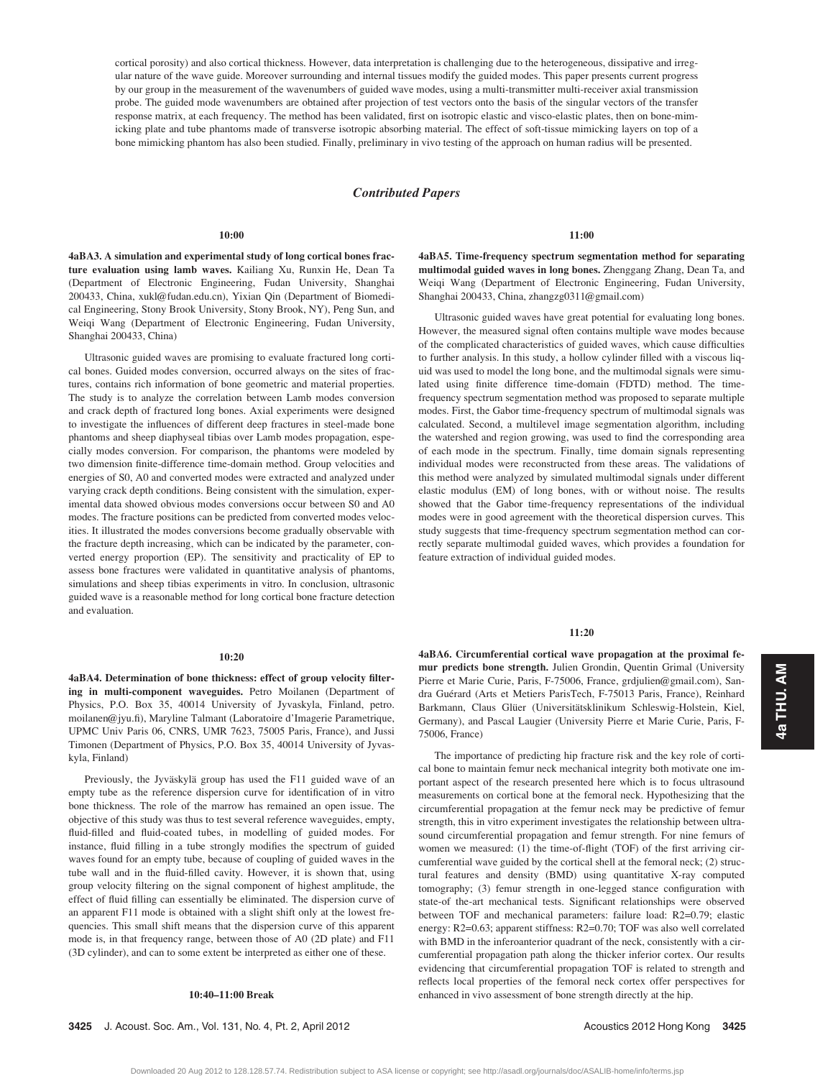cortical porosity) and also cortical thickness. However, data interpretation is challenging due to the heterogeneous, dissipative and irregular nature of the wave guide. Moreover surrounding and internal tissues modify the guided modes. This paper presents current progress by our group in the measurement of the wavenumbers of guided wave modes, using a multi-transmitter multi-receiver axial transmission probe. The guided mode wavenumbers are obtained after projection of test vectors onto the basis of the singular vectors of the transfer response matrix, at each frequency. The method has been validated, first on isotropic elastic and visco-elastic plates, then on bone-mimicking plate and tube phantoms made of transverse isotropic absorbing material. The effect of soft-tissue mimicking layers on top of a bone mimicking phantom has also been studied. Finally, preliminary in vivo testing of the approach on human radius will be presented.

### Contributed Papers

### 10:00

4aBA3. A simulation and experimental study of long cortical bones fracture evaluation using lamb waves. Kailiang Xu, Runxin He, Dean Ta (Department of Electronic Engineering, Fudan University, Shanghai 200433, China, xukl@fudan.edu.cn), Yixian Qin (Department of Biomedical Engineering, Stony Brook University, Stony Brook, NY), Peng Sun, and Weiqi Wang (Department of Electronic Engineering, Fudan University, Shanghai 200433, China)

Ultrasonic guided waves are promising to evaluate fractured long cortical bones. Guided modes conversion, occurred always on the sites of fractures, contains rich information of bone geometric and material properties. The study is to analyze the correlation between Lamb modes conversion and crack depth of fractured long bones. Axial experiments were designed to investigate the influences of different deep fractures in steel-made bone phantoms and sheep diaphyseal tibias over Lamb modes propagation, especially modes conversion. For comparison, the phantoms were modeled by two dimension finite-difference time-domain method. Group velocities and energies of S0, A0 and converted modes were extracted and analyzed under varying crack depth conditions. Being consistent with the simulation, experimental data showed obvious modes conversions occur between S0 and A0 modes. The fracture positions can be predicted from converted modes velocities. It illustrated the modes conversions become gradually observable with the fracture depth increasing, which can be indicated by the parameter, converted energy proportion (EP). The sensitivity and practicality of EP to assess bone fractures were validated in quantitative analysis of phantoms, simulations and sheep tibias experiments in vitro. In conclusion, ultrasonic guided wave is a reasonable method for long cortical bone fracture detection and evaluation.

### 10:20

4aBA4. Determination of bone thickness: effect of group velocity filtering in multi-component waveguides. Petro Moilanen (Department of Physics, P.O. Box 35, 40014 University of Jyvaskyla, Finland, petro. moilanen@jyu.fi), Maryline Talmant (Laboratoire d'Imagerie Parametrique, UPMC Univ Paris 06, CNRS, UMR 7623, 75005 Paris, France), and Jussi Timonen (Department of Physics, P.O. Box 35, 40014 University of Jyvaskyla, Finland)

Previously, the Jyväskylä group has used the F11 guided wave of an empty tube as the reference dispersion curve for identification of in vitro bone thickness. The role of the marrow has remained an open issue. The objective of this study was thus to test several reference waveguides, empty, fluid-filled and fluid-coated tubes, in modelling of guided modes. For instance, fluid filling in a tube strongly modifies the spectrum of guided waves found for an empty tube, because of coupling of guided waves in the tube wall and in the fluid-filled cavity. However, it is shown that, using group velocity filtering on the signal component of highest amplitude, the effect of fluid filling can essentially be eliminated. The dispersion curve of an apparent F11 mode is obtained with a slight shift only at the lowest frequencies. This small shift means that the dispersion curve of this apparent mode is, in that frequency range, between those of A0 (2D plate) and F11 (3D cylinder), and can to some extent be interpreted as either one of these.

### 10:40–11:00 Break

11:00

4aBA5. Time-frequency spectrum segmentation method for separating multimodal guided waves in long bones. Zhenggang Zhang, Dean Ta, and Weiqi Wang (Department of Electronic Engineering, Fudan University, Shanghai 200433, China, zhangzg0311@gmail.com)

Ultrasonic guided waves have great potential for evaluating long bones. However, the measured signal often contains multiple wave modes because of the complicated characteristics of guided waves, which cause difficulties to further analysis. In this study, a hollow cylinder filled with a viscous liquid was used to model the long bone, and the multimodal signals were simulated using finite difference time-domain (FDTD) method. The timefrequency spectrum segmentation method was proposed to separate multiple modes. First, the Gabor time-frequency spectrum of multimodal signals was calculated. Second, a multilevel image segmentation algorithm, including the watershed and region growing, was used to find the corresponding area of each mode in the spectrum. Finally, time domain signals representing individual modes were reconstructed from these areas. The validations of this method were analyzed by simulated multimodal signals under different elastic modulus (EM) of long bones, with or without noise. The results showed that the Gabor time-frequency representations of the individual modes were in good agreement with the theoretical dispersion curves. This study suggests that time-frequency spectrum segmentation method can correctly separate multimodal guided waves, which provides a foundation for feature extraction of individual guided modes.

#### 11:20

4aBA6. Circumferential cortical wave propagation at the proximal femur predicts bone strength. Julien Grondin, Quentin Grimal (University Pierre et Marie Curie, Paris, F-75006, France, grdjulien@gmail.com), Sandra Guérard (Arts et Metiers ParisTech, F-75013 Paris, France), Reinhard Barkmann, Claus Glüer (Universitätsklinikum Schleswig-Holstein, Kiel, Germany), and Pascal Laugier (University Pierre et Marie Curie, Paris, F-75006, France)

The importance of predicting hip fracture risk and the key role of cortical bone to maintain femur neck mechanical integrity both motivate one important aspect of the research presented here which is to focus ultrasound measurements on cortical bone at the femoral neck. Hypothesizing that the circumferential propagation at the femur neck may be predictive of femur strength, this in vitro experiment investigates the relationship between ultrasound circumferential propagation and femur strength. For nine femurs of women we measured: (1) the time-of-flight (TOF) of the first arriving circumferential wave guided by the cortical shell at the femoral neck; (2) structural features and density (BMD) using quantitative X-ray computed tomography; (3) femur strength in one-legged stance configuration with state-of the-art mechanical tests. Significant relationships were observed between TOF and mechanical parameters: failure load: R2=0.79; elastic energy: R2=0.63; apparent stiffness: R2=0.70; TOF was also well correlated with BMD in the inferoanterior quadrant of the neck, consistently with a circumferential propagation path along the thicker inferior cortex. Our results evidencing that circumferential propagation TOF is related to strength and reflects local properties of the femoral neck cortex offer perspectives for enhanced in vivo assessment of bone strength directly at the hip.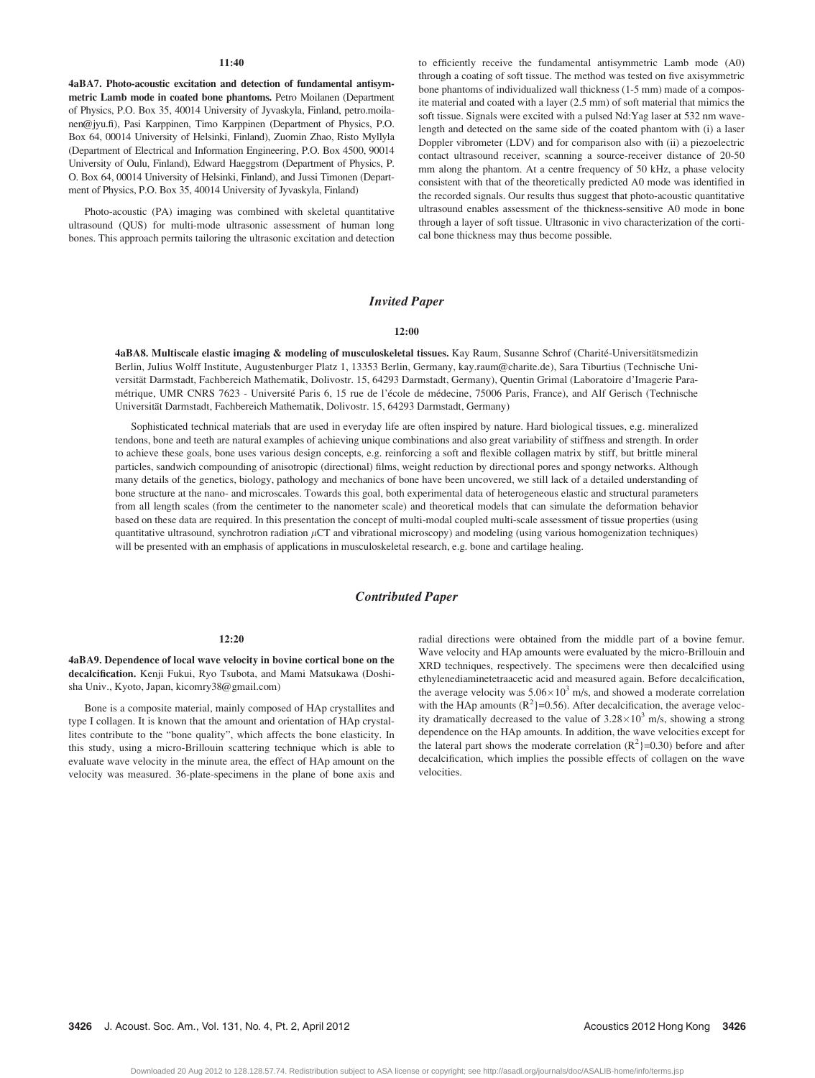### $11:40$

4aBA7. Photo-acoustic excitation and detection of fundamental antisymmetric Lamb mode in coated bone phantoms. Petro Moilanen (Department of Physics, P.O. Box 35, 40014 University of Jyvaskyla, Finland, petro.moilanen@jyu.fi), Pasi Karppinen, Timo Karppinen (Department of Physics, P.O. Box 64, 00014 University of Helsinki, Finland), Zuomin Zhao, Risto Myllyla (Department of Electrical and Information Engineering, P.O. Box 4500, 90014 University of Oulu, Finland), Edward Haeggstrom (Department of Physics, P. O. Box 64, 00014 University of Helsinki, Finland), and Jussi Timonen (Department of Physics, P.O. Box 35, 40014 University of Jyvaskyla, Finland)

Photo-acoustic (PA) imaging was combined with skeletal quantitative ultrasound (QUS) for multi-mode ultrasonic assessment of human long bones. This approach permits tailoring the ultrasonic excitation and detection to efficiently receive the fundamental antisymmetric Lamb mode (A0) through a coating of soft tissue. The method was tested on five axisymmetric bone phantoms of individualized wall thickness (1-5 mm) made of a composite material and coated with a layer (2.5 mm) of soft material that mimics the soft tissue. Signals were excited with a pulsed Nd:Yag laser at 532 nm wavelength and detected on the same side of the coated phantom with (i) a laser Doppler vibrometer (LDV) and for comparison also with (ii) a piezoelectric contact ultrasound receiver, scanning a source-receiver distance of 20-50 mm along the phantom. At a centre frequency of 50 kHz, a phase velocity consistent with that of the theoretically predicted A0 mode was identified in the recorded signals. Our results thus suggest that photo-acoustic quantitative ultrasound enables assessment of the thickness-sensitive A0 mode in bone through a layer of soft tissue. Ultrasonic in vivo characterization of the cortical bone thickness may thus become possible.

# Invited Paper

# 12:00

4aBA8. Multiscale elastic imaging & modeling of musculoskeletal tissues. Kay Raum, Susanne Schrof (Charité-Universitätsmedizin Berlin, Julius Wolff Institute, Augustenburger Platz 1, 13353 Berlin, Germany, kay.raum@charite.de), Sara Tiburtius (Technische Universität Darmstadt, Fachbereich Mathematik, Dolivostr. 15, 64293 Darmstadt, Germany), Quentin Grimal (Laboratoire d'Imagerie Paramétrique, UMR CNRS 7623 - Université Paris 6, 15 rue de l'école de médecine, 75006 Paris, France), and Alf Gerisch (Technische Universität Darmstadt, Fachbereich Mathematik, Dolivostr. 15, 64293 Darmstadt, Germany)

Sophisticated technical materials that are used in everyday life are often inspired by nature. Hard biological tissues, e.g. mineralized tendons, bone and teeth are natural examples of achieving unique combinations and also great variability of stiffness and strength. In order to achieve these goals, bone uses various design concepts, e.g. reinforcing a soft and flexible collagen matrix by stiff, but brittle mineral particles, sandwich compounding of anisotropic (directional) films, weight reduction by directional pores and spongy networks. Although many details of the genetics, biology, pathology and mechanics of bone have been uncovered, we still lack of a detailed understanding of bone structure at the nano- and microscales. Towards this goal, both experimental data of heterogeneous elastic and structural parameters from all length scales (from the centimeter to the nanometer scale) and theoretical models that can simulate the deformation behavior based on these data are required. In this presentation the concept of multi-modal coupled multi-scale assessment of tissue properties (using quantitative ultrasound, synchrotron radiation  $\mu$ CT and vibrational microscopy) and modeling (using various homogenization techniques) will be presented with an emphasis of applications in musculoskeletal research, e.g. bone and cartilage healing.

### Contributed Paper

### 12:20

4aBA9. Dependence of local wave velocity in bovine cortical bone on the decalcification. Kenji Fukui, Ryo Tsubota, and Mami Matsukawa (Doshisha Univ., Kyoto, Japan, kicomry38@gmail.com)

Bone is a composite material, mainly composed of HAp crystallites and type I collagen. It is known that the amount and orientation of HAp crystallites contribute to the "bone quality", which affects the bone elasticity. In this study, using a micro-Brillouin scattering technique which is able to evaluate wave velocity in the minute area, the effect of HAp amount on the velocity was measured. 36-plate-specimens in the plane of bone axis and radial directions were obtained from the middle part of a bovine femur. Wave velocity and HAp amounts were evaluated by the micro-Brillouin and XRD techniques, respectively. The specimens were then decalcified using ethylenediaminetetraacetic acid and measured again. Before decalcification, the average velocity was  $5.06 \times 10^3$  m/s, and showed a moderate correlation with the HAp amounts  $(R^2)$ =0.56). After decalcification, the average velocity dramatically decreased to the value of  $3.28 \times 10^3$  m/s, showing a strong dependence on the HAp amounts. In addition, the wave velocities except for the lateral part shows the moderate correlation  $(R^2)$ =0.30) before and after decalcification, which implies the possible effects of collagen on the wave velocities.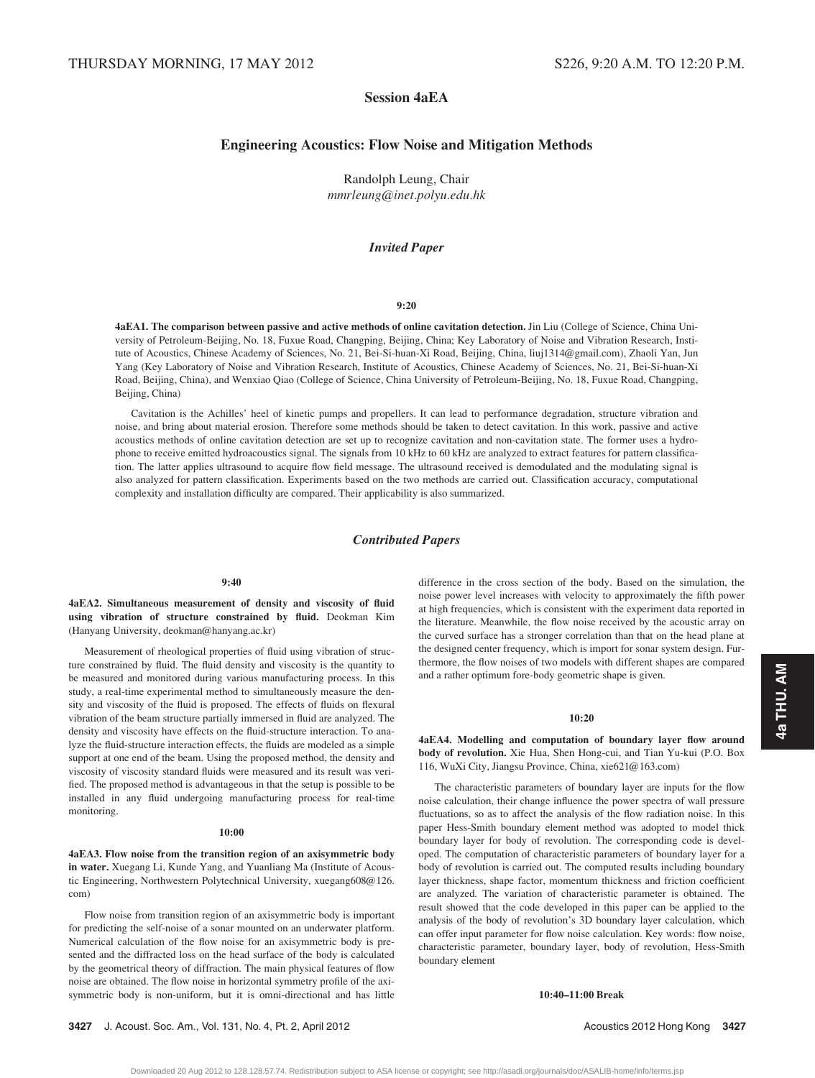# Session 4aEA

# Engineering Acoustics: Flow Noise and Mitigation Methods

Randolph Leung, Chair mmrleung@inet.polyu.edu.hk

### Invited Paper

# 9:20

4aEA1. The comparison between passive and active methods of online cavitation detection. Jin Liu (College of Science, China University of Petroleum-Beijing, No. 18, Fuxue Road, Changping, Beijing, China; Key Laboratory of Noise and Vibration Research, Institute of Acoustics, Chinese Academy of Sciences, No. 21, Bei-Si-huan-Xi Road, Beijing, China, liuj1314@gmail.com), Zhaoli Yan, Jun Yang (Key Laboratory of Noise and Vibration Research, Institute of Acoustics, Chinese Academy of Sciences, No. 21, Bei-Si-huan-Xi Road, Beijing, China), and Wenxiao Qiao (College of Science, China University of Petroleum-Beijing, No. 18, Fuxue Road, Changping, Beijing, China)

Cavitation is the Achilles' heel of kinetic pumps and propellers. It can lead to performance degradation, structure vibration and noise, and bring about material erosion. Therefore some methods should be taken to detect cavitation. In this work, passive and active acoustics methods of online cavitation detection are set up to recognize cavitation and non-cavitation state. The former uses a hydrophone to receive emitted hydroacoustics signal. The signals from 10 kHz to 60 kHz are analyzed to extract features for pattern classification. The latter applies ultrasound to acquire flow field message. The ultrasound received is demodulated and the modulating signal is also analyzed for pattern classification. Experiments based on the two methods are carried out. Classification accuracy, computational complexity and installation difficulty are compared. Their applicability is also summarized.

# Contributed Papers

### 9:40

4aEA2. Simultaneous measurement of density and viscosity of fluid using vibration of structure constrained by fluid. Deokman Kim (Hanyang University, deokman@hanyang.ac.kr)

Measurement of rheological properties of fluid using vibration of structure constrained by fluid. The fluid density and viscosity is the quantity to be measured and monitored during various manufacturing process. In this study, a real-time experimental method to simultaneously measure the density and viscosity of the fluid is proposed. The effects of fluids on flexural vibration of the beam structure partially immersed in fluid are analyzed. The density and viscosity have effects on the fluid-structure interaction. To analyze the fluid-structure interaction effects, the fluids are modeled as a simple support at one end of the beam. Using the proposed method, the density and viscosity of viscosity standard fluids were measured and its result was verified. The proposed method is advantageous in that the setup is possible to be installed in any fluid undergoing manufacturing process for real-time monitoring.

### 10:00

4aEA3. Flow noise from the transition region of an axisymmetric body in water. Xuegang Li, Kunde Yang, and Yuanliang Ma (Institute of Acoustic Engineering, Northwestern Polytechnical University, xuegang608@126. com)

Flow noise from transition region of an axisymmetric body is important for predicting the self-noise of a sonar mounted on an underwater platform. Numerical calculation of the flow noise for an axisymmetric body is presented and the diffracted loss on the head surface of the body is calculated by the geometrical theory of diffraction. The main physical features of flow noise are obtained. The flow noise in horizontal symmetry profile of the axisymmetric body is non-uniform, but it is omni-directional and has little difference in the cross section of the body. Based on the simulation, the noise power level increases with velocity to approximately the fifth power at high frequencies, which is consistent with the experiment data reported in the literature. Meanwhile, the flow noise received by the acoustic array on the curved surface has a stronger correlation than that on the head plane at the designed center frequency, which is import for sonar system design. Furthermore, the flow noises of two models with different shapes are compared and a rather optimum fore-body geometric shape is given.

#### 10:20

4aEA4. Modelling and computation of boundary layer flow around body of revolution. Xie Hua, Shen Hong-cui, and Tian Yu-kui (P.O. Box 116, WuXi City, Jiangsu Province, China, xie621@163.com)

The characteristic parameters of boundary layer are inputs for the flow noise calculation, their change influence the power spectra of wall pressure fluctuations, so as to affect the analysis of the flow radiation noise. In this paper Hess-Smith boundary element method was adopted to model thick boundary layer for body of revolution. The corresponding code is developed. The computation of characteristic parameters of boundary layer for a body of revolution is carried out. The computed results including boundary layer thickness, shape factor, momentum thickness and friction coefficient are analyzed. The variation of characteristic parameter is obtained. The result showed that the code developed in this paper can be applied to the analysis of the body of revolution's 3D boundary layer calculation, which can offer input parameter for flow noise calculation. Key words: flow noise, characteristic parameter, boundary layer, body of revolution, Hess-Smith boundary element

10:40–11:00 Break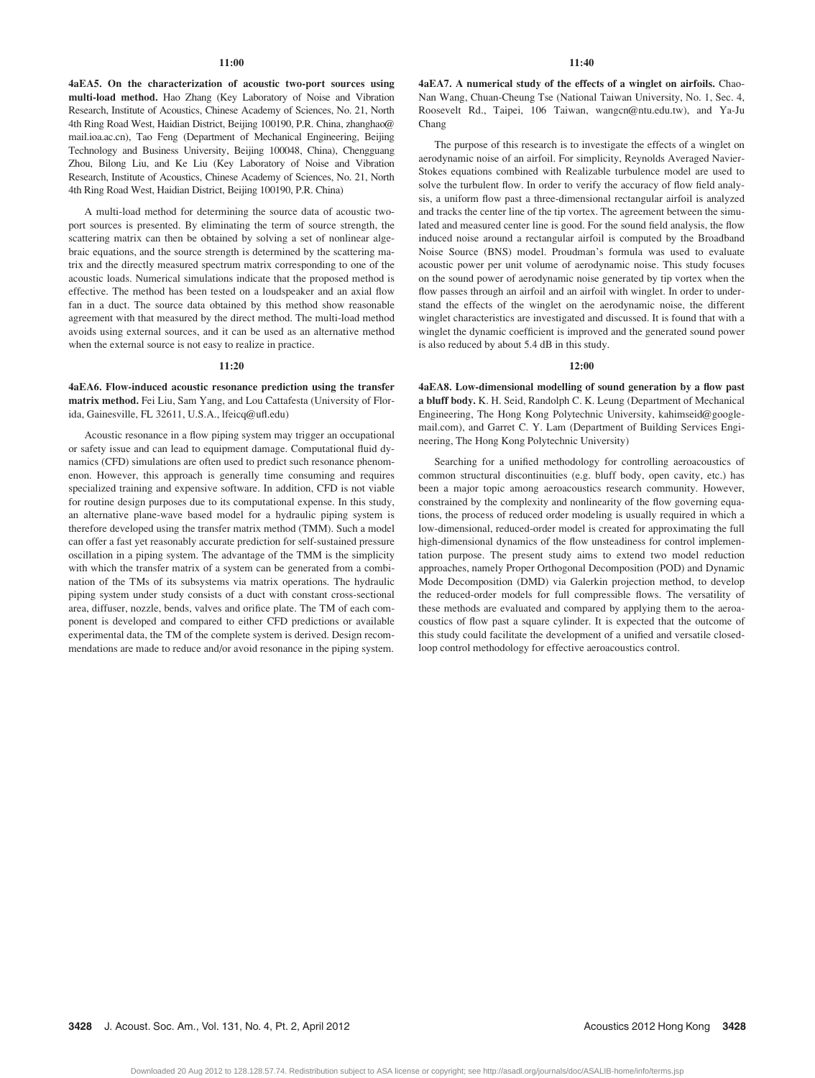#### $11:00$

4aEA5. On the characterization of acoustic two-port sources using multi-load method. Hao Zhang (Key Laboratory of Noise and Vibration Research, Institute of Acoustics, Chinese Academy of Sciences, No. 21, North 4th Ring Road West, Haidian District, Beijing 100190, P.R. China, zhanghao@ mail.ioa.ac.cn), Tao Feng (Department of Mechanical Engineering, Beijing Technology and Business University, Beijing 100048, China), Chengguang Zhou, Bilong Liu, and Ke Liu (Key Laboratory of Noise and Vibration Research, Institute of Acoustics, Chinese Academy of Sciences, No. 21, North 4th Ring Road West, Haidian District, Beijing 100190, P.R. China)

A multi-load method for determining the source data of acoustic twoport sources is presented. By eliminating the term of source strength, the scattering matrix can then be obtained by solving a set of nonlinear algebraic equations, and the source strength is determined by the scattering matrix and the directly measured spectrum matrix corresponding to one of the acoustic loads. Numerical simulations indicate that the proposed method is effective. The method has been tested on a loudspeaker and an axial flow fan in a duct. The source data obtained by this method show reasonable agreement with that measured by the direct method. The multi-load method avoids using external sources, and it can be used as an alternative method when the external source is not easy to realize in practice.

### $11:20$

### 4aEA6. Flow-induced acoustic resonance prediction using the transfer matrix method. Fei Liu, Sam Yang, and Lou Cattafesta (University of Florida, Gainesville, FL 32611, U.S.A., lfeicq@ufl.edu)

Acoustic resonance in a flow piping system may trigger an occupational or safety issue and can lead to equipment damage. Computational fluid dynamics (CFD) simulations are often used to predict such resonance phenomenon. However, this approach is generally time consuming and requires specialized training and expensive software. In addition, CFD is not viable for routine design purposes due to its computational expense. In this study, an alternative plane-wave based model for a hydraulic piping system is therefore developed using the transfer matrix method (TMM). Such a model can offer a fast yet reasonably accurate prediction for self-sustained pressure oscillation in a piping system. The advantage of the TMM is the simplicity with which the transfer matrix of a system can be generated from a combination of the TMs of its subsystems via matrix operations. The hydraulic piping system under study consists of a duct with constant cross-sectional area, diffuser, nozzle, bends, valves and orifice plate. The TM of each component is developed and compared to either CFD predictions or available experimental data, the TM of the complete system is derived. Design recommendations are made to reduce and/or avoid resonance in the piping system.

### $11:40$

4aEA7. A numerical study of the effects of a winglet on airfoils. Chao-Nan Wang, Chuan-Cheung Tse (National Taiwan University, No. 1, Sec. 4, Roosevelt Rd., Taipei, 106 Taiwan, wangcn@ntu.edu.tw), and Ya-Ju Chang

The purpose of this research is to investigate the effects of a winglet on aerodynamic noise of an airfoil. For simplicity, Reynolds Averaged Navier-Stokes equations combined with Realizable turbulence model are used to solve the turbulent flow. In order to verify the accuracy of flow field analysis, a uniform flow past a three-dimensional rectangular airfoil is analyzed and tracks the center line of the tip vortex. The agreement between the simulated and measured center line is good. For the sound field analysis, the flow induced noise around a rectangular airfoil is computed by the Broadband Noise Source (BNS) model. Proudman's formula was used to evaluate acoustic power per unit volume of aerodynamic noise. This study focuses on the sound power of aerodynamic noise generated by tip vortex when the flow passes through an airfoil and an airfoil with winglet. In order to understand the effects of the winglet on the aerodynamic noise, the different winglet characteristics are investigated and discussed. It is found that with a winglet the dynamic coefficient is improved and the generated sound power is also reduced by about 5.4 dB in this study.

### 12:00

4aEA8. Low-dimensional modelling of sound generation by a flow past a bluff body. K. H. Seid, Randolph C. K. Leung (Department of Mechanical Engineering, The Hong Kong Polytechnic University, kahimseid@googlemail.com), and Garret C. Y. Lam (Department of Building Services Engineering, The Hong Kong Polytechnic University)

Searching for a unified methodology for controlling aeroacoustics of common structural discontinuities (e.g. bluff body, open cavity, etc.) has been a major topic among aeroacoustics research community. However, constrained by the complexity and nonlinearity of the flow governing equations, the process of reduced order modeling is usually required in which a low-dimensional, reduced-order model is created for approximating the full high-dimensional dynamics of the flow unsteadiness for control implementation purpose. The present study aims to extend two model reduction approaches, namely Proper Orthogonal Decomposition (POD) and Dynamic Mode Decomposition (DMD) via Galerkin projection method, to develop the reduced-order models for full compressible flows. The versatility of these methods are evaluated and compared by applying them to the aeroacoustics of flow past a square cylinder. It is expected that the outcome of this study could facilitate the development of a unified and versatile closedloop control methodology for effective aeroacoustics control.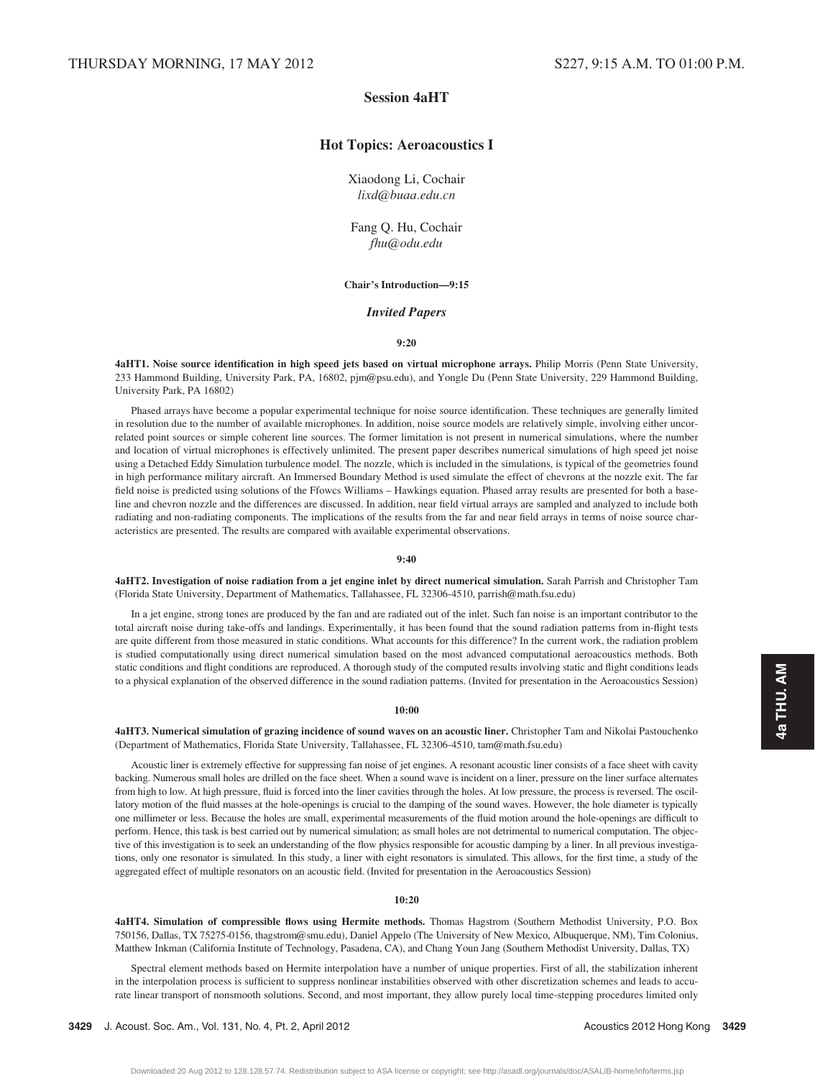# Session 4aHT

# Hot Topics: Aeroacoustics I

Xiaodong Li, Cochair lixd@buaa.edu.cn

Fang Q. Hu, Cochair fhu@odu.edu

# Chair's Introduction—9:15

# Invited Papers

### 9:20

4aHT1. Noise source identification in high speed jets based on virtual microphone arrays. Philip Morris (Penn State University, 233 Hammond Building, University Park, PA, 16802, pjm@psu.edu), and Yongle Du (Penn State University, 229 Hammond Building, University Park, PA 16802)

Phased arrays have become a popular experimental technique for noise source identification. These techniques are generally limited in resolution due to the number of available microphones. In addition, noise source models are relatively simple, involving either uncorrelated point sources or simple coherent line sources. The former limitation is not present in numerical simulations, where the number and location of virtual microphones is effectively unlimited. The present paper describes numerical simulations of high speed jet noise using a Detached Eddy Simulation turbulence model. The nozzle, which is included in the simulations, is typical of the geometries found in high performance military aircraft. An Immersed Boundary Method is used simulate the effect of chevrons at the nozzle exit. The far field noise is predicted using solutions of the Ffowcs Williams – Hawkings equation. Phased array results are presented for both a baseline and chevron nozzle and the differences are discussed. In addition, near field virtual arrays are sampled and analyzed to include both radiating and non-radiating components. The implications of the results from the far and near field arrays in terms of noise source characteristics are presented. The results are compared with available experimental observations.

### 9:40

4aHT2. Investigation of noise radiation from a jet engine inlet by direct numerical simulation. Sarah Parrish and Christopher Tam (Florida State University, Department of Mathematics, Tallahassee, FL 32306-4510, parrish@math.fsu.edu)

In a jet engine, strong tones are produced by the fan and are radiated out of the inlet. Such fan noise is an important contributor to the total aircraft noise during take-offs and landings. Experimentally, it has been found that the sound radiation patterns from in-flight tests are quite different from those measured in static conditions. What accounts for this difference? In the current work, the radiation problem is studied computationally using direct numerical simulation based on the most advanced computational aeroacoustics methods. Both static conditions and flight conditions are reproduced. A thorough study of the computed results involving static and flight conditions leads to a physical explanation of the observed difference in the sound radiation patterns. (Invited for presentation in the Aeroacoustics Session)

#### 10:00

4aHT3. Numerical simulation of grazing incidence of sound waves on an acoustic liner. Christopher Tam and Nikolai Pastouchenko (Department of Mathematics, Florida State University, Tallahassee, FL 32306-4510, tam@math.fsu.edu)

Acoustic liner is extremely effective for suppressing fan noise of jet engines. A resonant acoustic liner consists of a face sheet with cavity backing. Numerous small holes are drilled on the face sheet. When a sound wave is incident on a liner, pressure on the liner surface alternates from high to low. At high pressure, fluid is forced into the liner cavities through the holes. At low pressure, the process is reversed. The oscillatory motion of the fluid masses at the hole-openings is crucial to the damping of the sound waves. However, the hole diameter is typically one millimeter or less. Because the holes are small, experimental measurements of the fluid motion around the hole-openings are difficult to perform. Hence, this task is best carried out by numerical simulation; as small holes are not detrimental to numerical computation. The objective of this investigation is to seek an understanding of the flow physics responsible for acoustic damping by a liner. In all previous investigations, only one resonator is simulated. In this study, a liner with eight resonators is simulated. This allows, for the first time, a study of the aggregated effect of multiple resonators on an acoustic field. (Invited for presentation in the Aeroacoustics Session)

### 10:20

4aHT4. Simulation of compressible flows using Hermite methods. Thomas Hagstrom (Southern Methodist University, P.O. Box 750156, Dallas, TX 75275-0156, thagstrom@smu.edu), Daniel Appelo (The University of New Mexico, Albuquerque, NM), Tim Colonius, Matthew Inkman (California Institute of Technology, Pasadena, CA), and Chang Youn Jang (Southern Methodist University, Dallas, TX)

Spectral element methods based on Hermite interpolation have a number of unique properties. First of all, the stabilization inherent in the interpolation process is sufficient to suppress nonlinear instabilities observed with other discretization schemes and leads to accurate linear transport of nonsmooth solutions. Second, and most important, they allow purely local time-stepping procedures limited only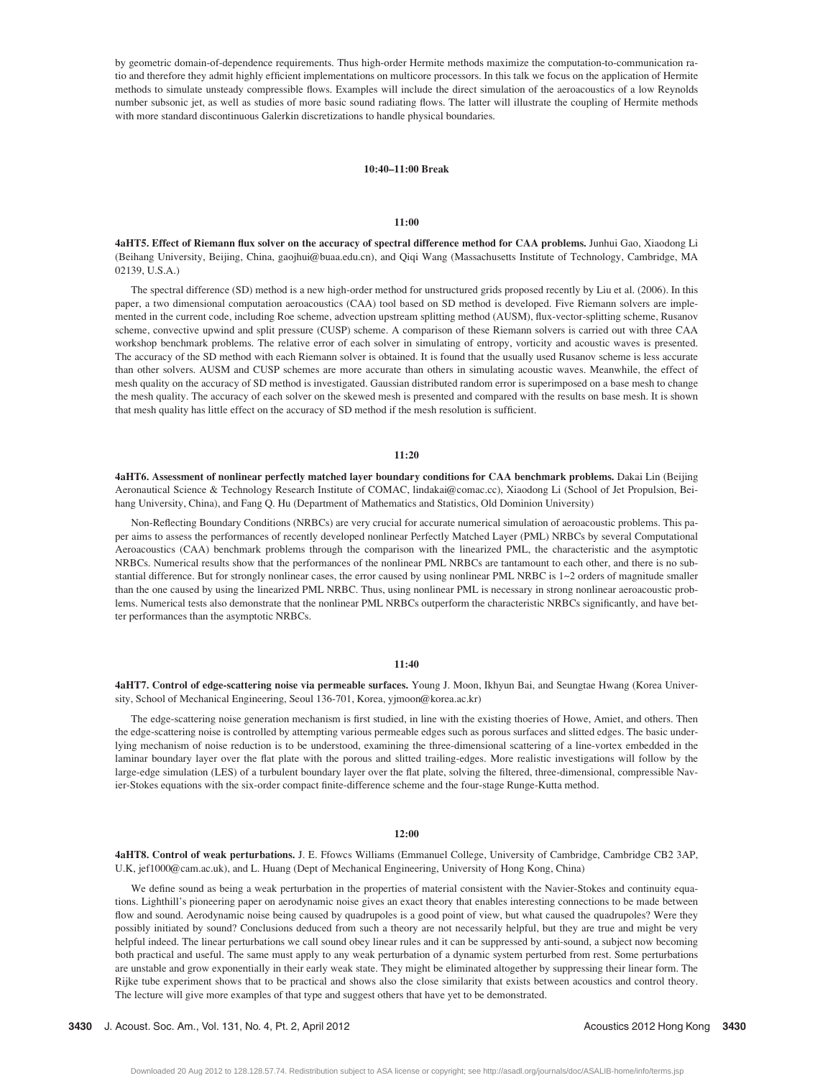by geometric domain-of-dependence requirements. Thus high-order Hermite methods maximize the computation-to-communication ratio and therefore they admit highly efficient implementations on multicore processors. In this talk we focus on the application of Hermite methods to simulate unsteady compressible flows. Examples will include the direct simulation of the aeroacoustics of a low Reynolds number subsonic jet, as well as studies of more basic sound radiating flows. The latter will illustrate the coupling of Hermite methods with more standard discontinuous Galerkin discretizations to handle physical boundaries.

# 10:40–11:00 Break

### 11:00

4aHT5. Effect of Riemann flux solver on the accuracy of spectral difference method for CAA problems. Junhui Gao, Xiaodong Li (Beihang University, Beijing, China, gaojhui@buaa.edu.cn), and Qiqi Wang (Massachusetts Institute of Technology, Cambridge, MA 02139, U.S.A.)

The spectral difference (SD) method is a new high-order method for unstructured grids proposed recently by Liu et al. (2006). In this paper, a two dimensional computation aeroacoustics (CAA) tool based on SD method is developed. Five Riemann solvers are implemented in the current code, including Roe scheme, advection upstream splitting method (AUSM), flux-vector-splitting scheme, Rusanov scheme, convective upwind and split pressure (CUSP) scheme. A comparison of these Riemann solvers is carried out with three CAA workshop benchmark problems. The relative error of each solver in simulating of entropy, vorticity and acoustic waves is presented. The accuracy of the SD method with each Riemann solver is obtained. It is found that the usually used Rusanov scheme is less accurate than other solvers. AUSM and CUSP schemes are more accurate than others in simulating acoustic waves. Meanwhile, the effect of mesh quality on the accuracy of SD method is investigated. Gaussian distributed random error is superimposed on a base mesh to change the mesh quality. The accuracy of each solver on the skewed mesh is presented and compared with the results on base mesh. It is shown that mesh quality has little effect on the accuracy of SD method if the mesh resolution is sufficient.

### 11:20

4aHT6. Assessment of nonlinear perfectly matched layer boundary conditions for CAA benchmark problems. Dakai Lin (Beijing Aeronautical Science & Technology Research Institute of COMAC, lindakai@comac.cc), Xiaodong Li (School of Jet Propulsion, Beihang University, China), and Fang Q. Hu (Department of Mathematics and Statistics, Old Dominion University)

Non-Reflecting Boundary Conditions (NRBCs) are very crucial for accurate numerical simulation of aeroacoustic problems. This paper aims to assess the performances of recently developed nonlinear Perfectly Matched Layer (PML) NRBCs by several Computational Aeroacoustics (CAA) benchmark problems through the comparison with the linearized PML, the characteristic and the asymptotic NRBCs. Numerical results show that the performances of the nonlinear PML NRBCs are tantamount to each other, and there is no substantial difference. But for strongly nonlinear cases, the error caused by using nonlinear PML NRBC is 1~2 orders of magnitude smaller than the one caused by using the linearized PML NRBC. Thus, using nonlinear PML is necessary in strong nonlinear aeroacoustic problems. Numerical tests also demonstrate that the nonlinear PML NRBCs outperform the characteristic NRBCs significantly, and have better performances than the asymptotic NRBCs.

# 11:40

4aHT7. Control of edge-scattering noise via permeable surfaces. Young J. Moon, Ikhyun Bai, and Seungtae Hwang (Korea University, School of Mechanical Engineering, Seoul 136-701, Korea, yjmoon@korea.ac.kr)

The edge-scattering noise generation mechanism is first studied, in line with the existing thoeries of Howe, Amiet, and others. Then the edge-scattering noise is controlled by attempting various permeable edges such as porous surfaces and slitted edges. The basic underlying mechanism of noise reduction is to be understood, examining the three-dimensional scattering of a line-vortex embedded in the laminar boundary layer over the flat plate with the porous and slitted trailing-edges. More realistic investigations will follow by the large-edge simulation (LES) of a turbulent boundary layer over the flat plate, solving the filtered, three-dimensional, compressible Navier-Stokes equations with the six-order compact finite-difference scheme and the four-stage Runge-Kutta method.

### 12:00

4aHT8. Control of weak perturbations. J. E. Ffowcs Williams (Emmanuel College, University of Cambridge, Cambridge CB2 3AP, U.K, jef1000@cam.ac.uk), and L. Huang (Dept of Mechanical Engineering, University of Hong Kong, China)

We define sound as being a weak perturbation in the properties of material consistent with the Navier-Stokes and continuity equations. Lighthill's pioneering paper on aerodynamic noise gives an exact theory that enables interesting connections to be made between flow and sound. Aerodynamic noise being caused by quadrupoles is a good point of view, but what caused the quadrupoles? Were they possibly initiated by sound? Conclusions deduced from such a theory are not necessarily helpful, but they are true and might be very helpful indeed. The linear perturbations we call sound obey linear rules and it can be suppressed by anti-sound, a subject now becoming both practical and useful. The same must apply to any weak perturbation of a dynamic system perturbed from rest. Some perturbations are unstable and grow exponentially in their early weak state. They might be eliminated altogether by suppressing their linear form. The Rijke tube experiment shows that to be practical and shows also the close similarity that exists between acoustics and control theory. The lecture will give more examples of that type and suggest others that have yet to be demonstrated.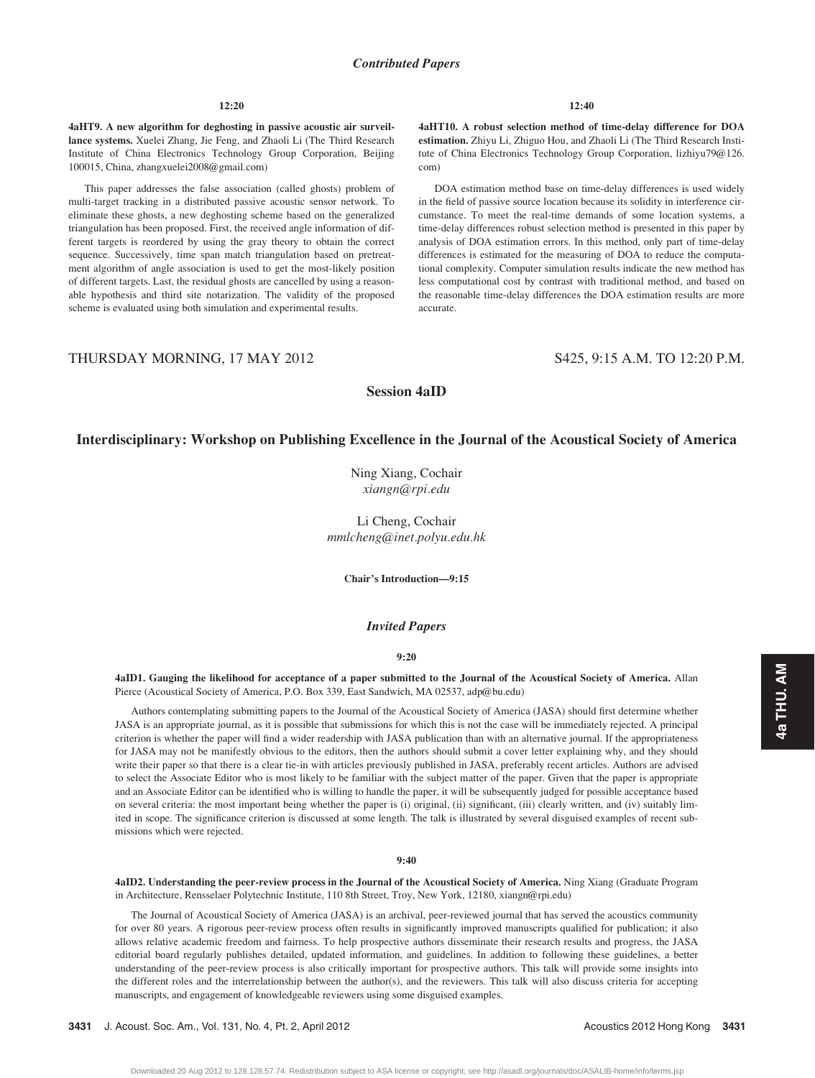### 12:20

4aHT9. A new algorithm for deghosting in passive acoustic air surveillance systems. Xuelei Zhang, Jie Feng, and Zhaoli Li (The Third Research Institute of China Electronics Technology Group Corporation, Beijing 100015, China, zhangxuelei2008@gmail.com)

This paper addresses the false association (called ghosts) problem of multi-target tracking in a distributed passive acoustic sensor network. To eliminate these ghosts, a new deghosting scheme based on the generalized triangulation has been proposed. First, the received angle information of different targets is reordered by using the gray theory to obtain the correct sequence. Successively, time span match triangulation based on pretreatment algorithm of angle association is used to get the most-likely position of different targets. Last, the residual ghosts are cancelled by using a reasonable hypothesis and third site notarization. The validity of the proposed scheme is evaluated using both simulation and experimental results.

# THURSDAY MORNING, 17 MAY 2012 S425, 9:15 A.M. TO 12:20 P.M.

### 12:40

4aHT10. A robust selection method of time-delay difference for DOA estimation. Zhiyu Li, Zhiguo Hou, and Zhaoli Li (The Third Research Institute of China Electronics Technology Group Corporation, lizhiyu79@126. com)

DOA estimation method base on time-delay differences is used widely in the field of passive source location because its solidity in interference circumstance. To meet the real-time demands of some location systems, a time-delay differences robust selection method is presented in this paper by analysis of DOA estimation errors. In this method, only part of time-delay differences is estimated for the measuring of DOA to reduce the computational complexity. Computer simulation results indicate the new method has less computational cost by contrast with traditional method, and based on the reasonable time-delay differences the DOA estimation results are more accurate.

# Session 4aID

# Interdisciplinary: Workshop on Publishing Excellence in the Journal of the Acoustical Society of America

Ning Xiang, Cochair xiangn@rpi.edu

Li Cheng, Cochair mmlcheng@inet.polyu.edu.hk

Chair's Introduction—9:15

# Invited Papers

### 9:20

4aID1. Gauging the likelihood for acceptance of a paper submitted to the Journal of the Acoustical Society of America. Allan Pierce (Acoustical Society of America, P.O. Box 339, East Sandwich, MA 02537, adp@bu.edu)

Authors contemplating submitting papers to the Journal of the Acoustical Society of America (JASA) should first determine whether JASA is an appropriate journal, as it is possible that submissions for which this is not the case will be immediately rejected. A principal criterion is whether the paper will find a wider readership with JASA publication than with an alternative journal. If the appropriateness for JASA may not be manifestly obvious to the editors, then the authors should submit a cover letter explaining why, and they should write their paper so that there is a clear tie-in with articles previously published in JASA, preferably recent articles. Authors are advised to select the Associate Editor who is most likely to be familiar with the subject matter of the paper. Given that the paper is appropriate and an Associate Editor can be identified who is willing to handle the paper, it will be subsequently judged for possible acceptance based on several criteria: the most important being whether the paper is (i) original, (ii) significant, (iii) clearly written, and (iv) suitably limited in scope. The significance criterion is discussed at some length. The talk is illustrated by several disguised examples of recent submissions which were rejected.

#### 9:40

4aID2. Understanding the peer-review process in the Journal of the Acoustical Society of America. Ning Xiang (Graduate Program in Architecture, Rensselaer Polytechnic Institute, 110 8th Street, Troy, New York, 12180, xiangn@rpi.edu)

The Journal of Acoustical Society of America (JASA) is an archival, peer-reviewed journal that has served the acoustics community for over 80 years. A rigorous peer-review process often results in significantly improved manuscripts qualified for publication; it also allows relative academic freedom and fairness. To help prospective authors disseminate their research results and progress, the JASA editorial board regularly publishes detailed, updated information, and guidelines. In addition to following these guidelines, a better understanding of the peer-review process is also critically important for prospective authors. This talk will provide some insights into the different roles and the interrelationship between the author(s), and the reviewers. This talk will also discuss criteria for accepting manuscripts, and engagement of knowledgeable reviewers using some disguised examples.

4a THU. AM

4a THU. AM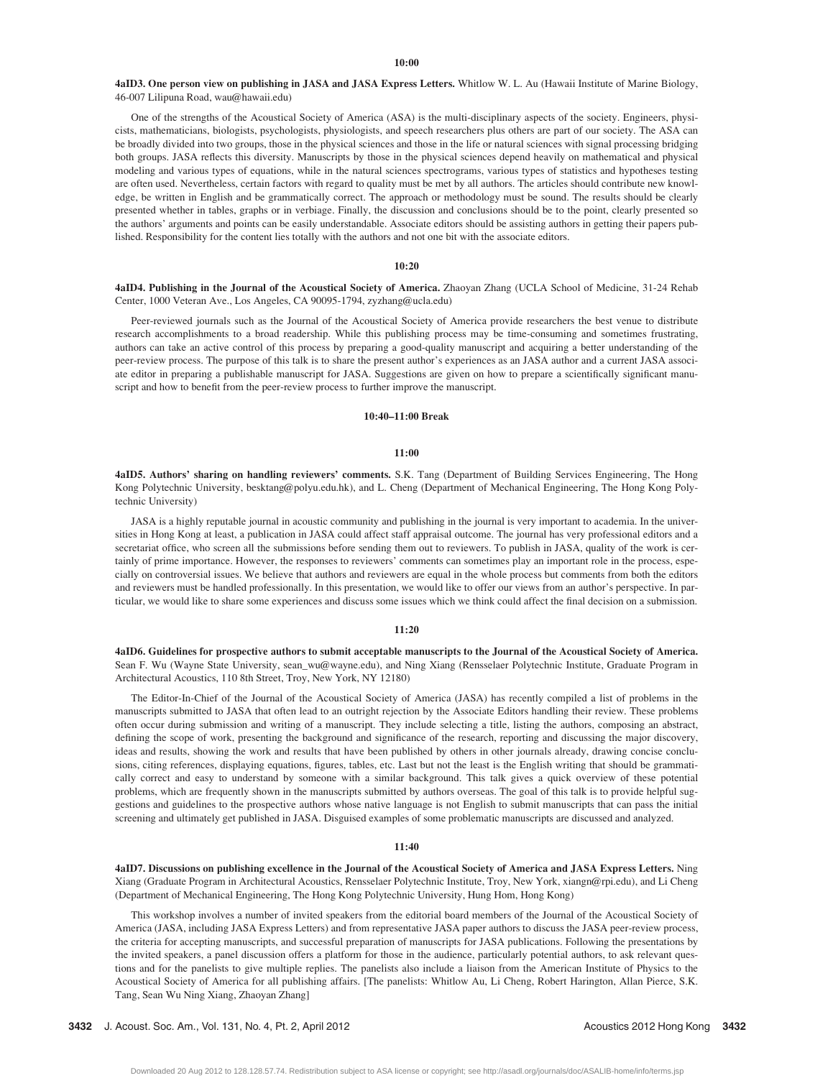### $10:00$

### 4aID3. One person view on publishing in JASA and JASA Express Letters. Whitlow W. L. Au (Hawaii Institute of Marine Biology, 46-007 Lilipuna Road, wau@hawaii.edu)

One of the strengths of the Acoustical Society of America (ASA) is the multi-disciplinary aspects of the society. Engineers, physicists, mathematicians, biologists, psychologists, physiologists, and speech researchers plus others are part of our society. The ASA can be broadly divided into two groups, those in the physical sciences and those in the life or natural sciences with signal processing bridging both groups. JASA reflects this diversity. Manuscripts by those in the physical sciences depend heavily on mathematical and physical modeling and various types of equations, while in the natural sciences spectrograms, various types of statistics and hypotheses testing are often used. Nevertheless, certain factors with regard to quality must be met by all authors. The articles should contribute new knowledge, be written in English and be grammatically correct. The approach or methodology must be sound. The results should be clearly presented whether in tables, graphs or in verbiage. Finally, the discussion and conclusions should be to the point, clearly presented so the authors' arguments and points can be easily understandable. Associate editors should be assisting authors in getting their papers published. Responsibility for the content lies totally with the authors and not one bit with the associate editors.

# 10:20

4aID4. Publishing in the Journal of the Acoustical Society of America. Zhaoyan Zhang (UCLA School of Medicine, 31-24 Rehab Center, 1000 Veteran Ave., Los Angeles, CA 90095-1794, zyzhang@ucla.edu)

Peer-reviewed journals such as the Journal of the Acoustical Society of America provide researchers the best venue to distribute research accomplishments to a broad readership. While this publishing process may be time-consuming and sometimes frustrating, authors can take an active control of this process by preparing a good-quality manuscript and acquiring a better understanding of the peer-review process. The purpose of this talk is to share the present author's experiences as an JASA author and a current JASA associate editor in preparing a publishable manuscript for JASA. Suggestions are given on how to prepare a scientifically significant manuscript and how to benefit from the peer-review process to further improve the manuscript.

### 10:40–11:00 Break

### 11:00

4aID5. Authors' sharing on handling reviewers' comments. S.K. Tang (Department of Building Services Engineering, The Hong Kong Polytechnic University, besktang@polyu.edu.hk), and L. Cheng (Department of Mechanical Engineering, The Hong Kong Polytechnic University)

JASA is a highly reputable journal in acoustic community and publishing in the journal is very important to academia. In the universities in Hong Kong at least, a publication in JASA could affect staff appraisal outcome. The journal has very professional editors and a secretariat office, who screen all the submissions before sending them out to reviewers. To publish in JASA, quality of the work is certainly of prime importance. However, the responses to reviewers' comments can sometimes play an important role in the process, especially on controversial issues. We believe that authors and reviewers are equal in the whole process but comments from both the editors and reviewers must be handled professionally. In this presentation, we would like to offer our views from an author's perspective. In particular, we would like to share some experiences and discuss some issues which we think could affect the final decision on a submission.

### 11:20

4aID6. Guidelines for prospective authors to submit acceptable manuscripts to the Journal of the Acoustical Society of America. Sean F. Wu (Wayne State University, sean\_wu@wayne.edu), and Ning Xiang (Rensselaer Polytechnic Institute, Graduate Program in Architectural Acoustics, 110 8th Street, Troy, New York, NY 12180)

The Editor-In-Chief of the Journal of the Acoustical Society of America (JASA) has recently compiled a list of problems in the manuscripts submitted to JASA that often lead to an outright rejection by the Associate Editors handling their review. These problems often occur during submission and writing of a manuscript. They include selecting a title, listing the authors, composing an abstract, defining the scope of work, presenting the background and significance of the research, reporting and discussing the major discovery, ideas and results, showing the work and results that have been published by others in other journals already, drawing concise conclusions, citing references, displaying equations, figures, tables, etc. Last but not the least is the English writing that should be grammatically correct and easy to understand by someone with a similar background. This talk gives a quick overview of these potential problems, which are frequently shown in the manuscripts submitted by authors overseas. The goal of this talk is to provide helpful suggestions and guidelines to the prospective authors whose native language is not English to submit manuscripts that can pass the initial screening and ultimately get published in JASA. Disguised examples of some problematic manuscripts are discussed and analyzed.

### 11:40

4aID7. Discussions on publishing excellence in the Journal of the Acoustical Society of America and JASA Express Letters. Ning Xiang (Graduate Program in Architectural Acoustics, Rensselaer Polytechnic Institute, Troy, New York, xiangn@rpi.edu), and Li Cheng (Department of Mechanical Engineering, The Hong Kong Polytechnic University, Hung Hom, Hong Kong)

This workshop involves a number of invited speakers from the editorial board members of the Journal of the Acoustical Society of America (JASA, including JASA Express Letters) and from representative JASA paper authors to discuss the JASA peer-review process, the criteria for accepting manuscripts, and successful preparation of manuscripts for JASA publications. Following the presentations by the invited speakers, a panel discussion offers a platform for those in the audience, particularly potential authors, to ask relevant questions and for the panelists to give multiple replies. The panelists also include a liaison from the American Institute of Physics to the Acoustical Society of America for all publishing affairs. [The panelists: Whitlow Au, Li Cheng, Robert Harington, Allan Pierce, S.K. Tang, Sean Wu Ning Xiang, Zhaoyan Zhang]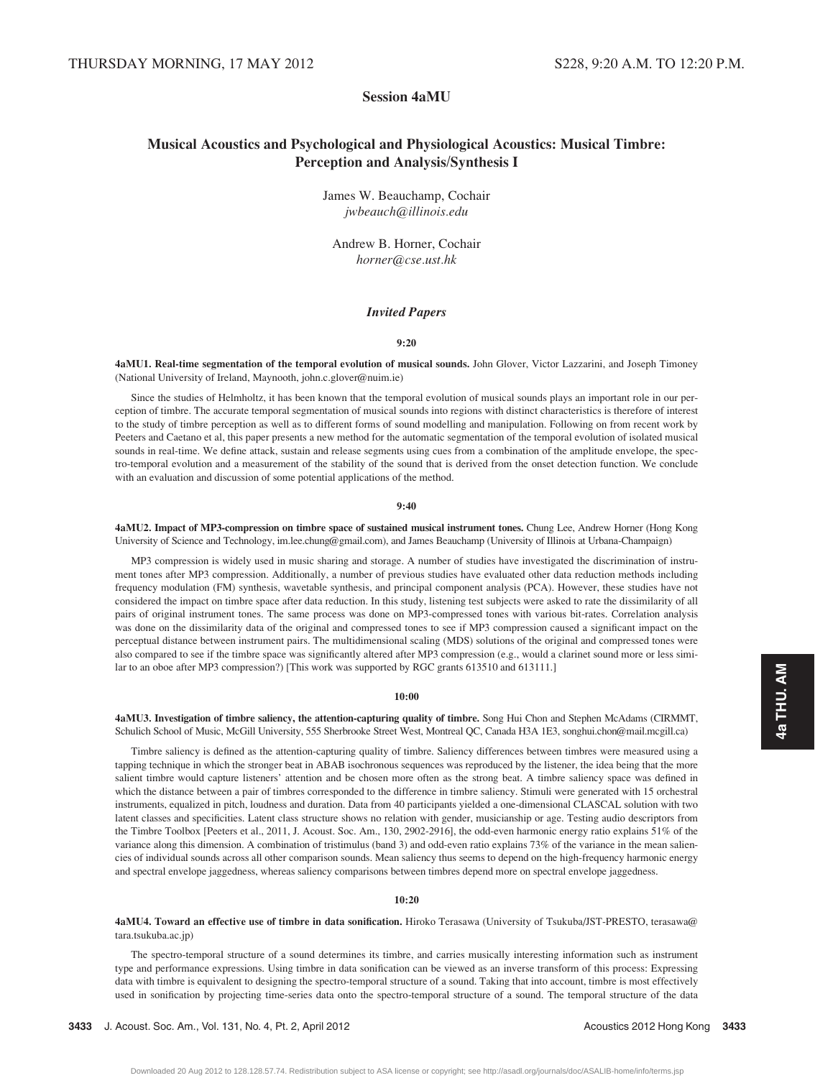# Session 4aMU

# Musical Acoustics and Psychological and Physiological Acoustics: Musical Timbre: Perception and Analysis/Synthesis I

James W. Beauchamp, Cochair jwbeauch@illinois.edu

Andrew B. Horner, Cochair horner@cse.ust.hk

# Invited Papers

### 9:20

4aMU1. Real-time segmentation of the temporal evolution of musical sounds. John Glover, Victor Lazzarini, and Joseph Timoney (National University of Ireland, Maynooth, john.c.glover@nuim.ie)

Since the studies of Helmholtz, it has been known that the temporal evolution of musical sounds plays an important role in our perception of timbre. The accurate temporal segmentation of musical sounds into regions with distinct characteristics is therefore of interest to the study of timbre perception as well as to different forms of sound modelling and manipulation. Following on from recent work by Peeters and Caetano et al, this paper presents a new method for the automatic segmentation of the temporal evolution of isolated musical sounds in real-time. We define attack, sustain and release segments using cues from a combination of the amplitude envelope, the spectro-temporal evolution and a measurement of the stability of the sound that is derived from the onset detection function. We conclude with an evaluation and discussion of some potential applications of the method.

#### 9:40

4aMU2. Impact of MP3-compression on timbre space of sustained musical instrument tones. Chung Lee, Andrew Horner (Hong Kong University of Science and Technology, im.lee.chung@gmail.com), and James Beauchamp (University of Illinois at Urbana-Champaign)

MP3 compression is widely used in music sharing and storage. A number of studies have investigated the discrimination of instrument tones after MP3 compression. Additionally, a number of previous studies have evaluated other data reduction methods including frequency modulation (FM) synthesis, wavetable synthesis, and principal component analysis (PCA). However, these studies have not considered the impact on timbre space after data reduction. In this study, listening test subjects were asked to rate the dissimilarity of all pairs of original instrument tones. The same process was done on MP3-compressed tones with various bit-rates. Correlation analysis was done on the dissimilarity data of the original and compressed tones to see if MP3 compression caused a significant impact on the perceptual distance between instrument pairs. The multidimensional scaling (MDS) solutions of the original and compressed tones were also compared to see if the timbre space was significantly altered after MP3 compression (e.g., would a clarinet sound more or less similar to an oboe after MP3 compression?) [This work was supported by RGC grants 613510 and 613111.]

### 10:00

4aMU3. Investigation of timbre saliency, the attention-capturing quality of timbre. Song Hui Chon and Stephen McAdams (CIRMMT, Schulich School of Music, McGill University, 555 Sherbrooke Street West, Montreal QC, Canada H3A 1E3, songhui.chon@mail.mcgill.ca)

Timbre saliency is defined as the attention-capturing quality of timbre. Saliency differences between timbres were measured using a tapping technique in which the stronger beat in ABAB isochronous sequences was reproduced by the listener, the idea being that the more salient timbre would capture listeners' attention and be chosen more often as the strong beat. A timbre saliency space was defined in which the distance between a pair of timbres corresponded to the difference in timbre saliency. Stimuli were generated with 15 orchestral instruments, equalized in pitch, loudness and duration. Data from 40 participants yielded a one-dimensional CLASCAL solution with two latent classes and specificities. Latent class structure shows no relation with gender, musicianship or age. Testing audio descriptors from the Timbre Toolbox [Peeters et al., 2011, J. Acoust. Soc. Am., 130, 2902-2916], the odd-even harmonic energy ratio explains 51% of the variance along this dimension. A combination of tristimulus (band 3) and odd-even ratio explains 73% of the variance in the mean saliencies of individual sounds across all other comparison sounds. Mean saliency thus seems to depend on the high-frequency harmonic energy and spectral envelope jaggedness, whereas saliency comparisons between timbres depend more on spectral envelope jaggedness.

#### 10:20

4aMU4. Toward an effective use of timbre in data sonification. Hiroko Terasawa (University of Tsukuba/JST-PRESTO, terasawa@ tara.tsukuba.ac.jp)

The spectro-temporal structure of a sound determines its timbre, and carries musically interesting information such as instrument type and performance expressions. Using timbre in data sonification can be viewed as an inverse transform of this process: Expressing data with timbre is equivalent to designing the spectro-temporal structure of a sound. Taking that into account, timbre is most effectively used in sonification by projecting time-series data onto the spectro-temporal structure of a sound. The temporal structure of the data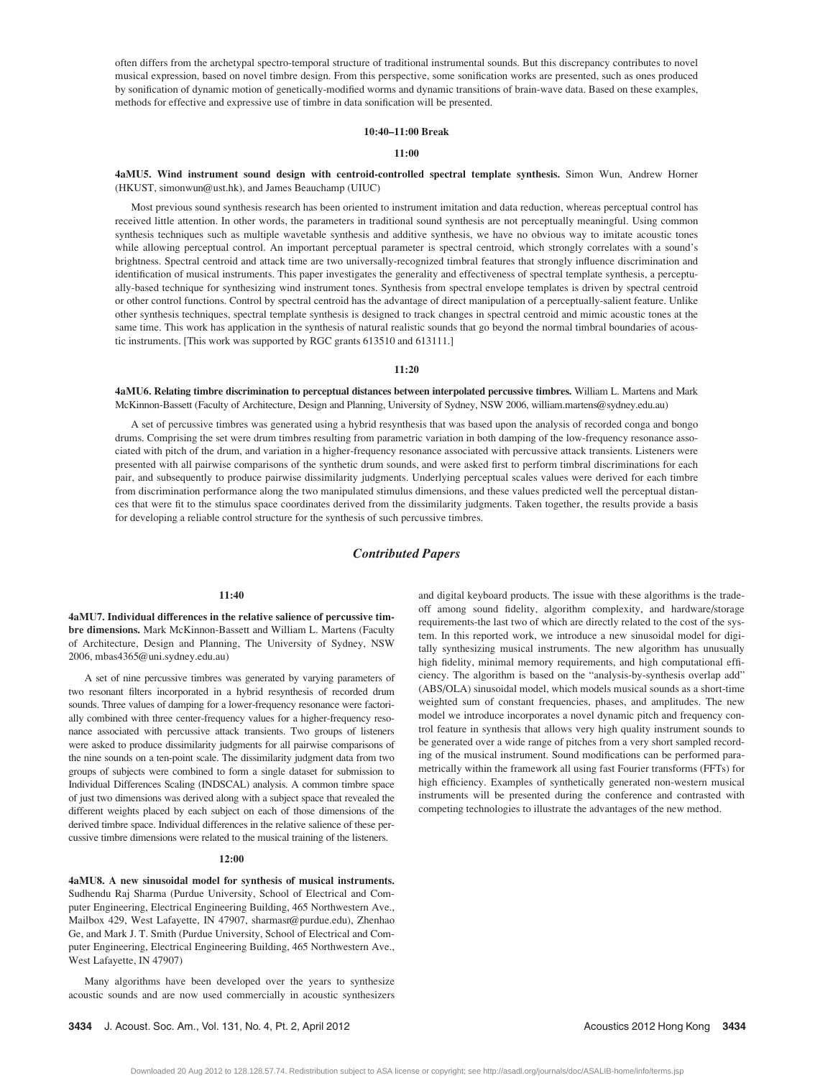often differs from the archetypal spectro-temporal structure of traditional instrumental sounds. But this discrepancy contributes to novel musical expression, based on novel timbre design. From this perspective, some sonification works are presented, such as ones produced by sonification of dynamic motion of genetically-modified worms and dynamic transitions of brain-wave data. Based on these examples, methods for effective and expressive use of timbre in data sonification will be presented.

### 10:40–11:00 Break

# 11:00

4aMU5. Wind instrument sound design with centroid-controlled spectral template synthesis. Simon Wun, Andrew Horner (HKUST, simonwun@ust.hk), and James Beauchamp (UIUC)

Most previous sound synthesis research has been oriented to instrument imitation and data reduction, whereas perceptual control has received little attention. In other words, the parameters in traditional sound synthesis are not perceptually meaningful. Using common synthesis techniques such as multiple wavetable synthesis and additive synthesis, we have no obvious way to imitate acoustic tones while allowing perceptual control. An important perceptual parameter is spectral centroid, which strongly correlates with a sound's brightness. Spectral centroid and attack time are two universally-recognized timbral features that strongly influence discrimination and identification of musical instruments. This paper investigates the generality and effectiveness of spectral template synthesis, a perceptually-based technique for synthesizing wind instrument tones. Synthesis from spectral envelope templates is driven by spectral centroid or other control functions. Control by spectral centroid has the advantage of direct manipulation of a perceptually-salient feature. Unlike other synthesis techniques, spectral template synthesis is designed to track changes in spectral centroid and mimic acoustic tones at the same time. This work has application in the synthesis of natural realistic sounds that go beyond the normal timbral boundaries of acoustic instruments. [This work was supported by RGC grants 613510 and 613111.]

### 11:20

4aMU6. Relating timbre discrimination to perceptual distances between interpolated percussive timbres. William L. Martens and Mark McKinnon-Bassett (Faculty of Architecture, Design and Planning, University of Sydney, NSW 2006, william.martens@sydney.edu.au)

A set of percussive timbres was generated using a hybrid resynthesis that was based upon the analysis of recorded conga and bongo drums. Comprising the set were drum timbres resulting from parametric variation in both damping of the low-frequency resonance associated with pitch of the drum, and variation in a higher-frequency resonance associated with percussive attack transients. Listeners were presented with all pairwise comparisons of the synthetic drum sounds, and were asked first to perform timbral discriminations for each pair, and subsequently to produce pairwise dissimilarity judgments. Underlying perceptual scales values were derived for each timbre from discrimination performance along the two manipulated stimulus dimensions, and these values predicted well the perceptual distances that were fit to the stimulus space coordinates derived from the dissimilarity judgments. Taken together, the results provide a basis for developing a reliable control structure for the synthesis of such percussive timbres.

# Contributed Papers

### 11:40

4aMU7. Individual differences in the relative salience of percussive timbre dimensions. Mark McKinnon-Bassett and William L. Martens (Faculty of Architecture, Design and Planning, The University of Sydney, NSW 2006, mbas4365@uni.sydney.edu.au)

A set of nine percussive timbres was generated by varying parameters of two resonant filters incorporated in a hybrid resynthesis of recorded drum sounds. Three values of damping for a lower-frequency resonance were factorially combined with three center-frequency values for a higher-frequency resonance associated with percussive attack transients. Two groups of listeners were asked to produce dissimilarity judgments for all pairwise comparisons of the nine sounds on a ten-point scale. The dissimilarity judgment data from two groups of subjects were combined to form a single dataset for submission to Individual Differences Scaling (INDSCAL) analysis. A common timbre space of just two dimensions was derived along with a subject space that revealed the different weights placed by each subject on each of those dimensions of the derived timbre space. Individual differences in the relative salience of these percussive timbre dimensions were related to the musical training of the listeners.

### 12:00

4aMU8. A new sinusoidal model for synthesis of musical instruments. Sudhendu Raj Sharma (Purdue University, School of Electrical and Computer Engineering, Electrical Engineering Building, 465 Northwestern Ave., Mailbox 429, West Lafayette, IN 47907, sharmasr@purdue.edu), Zhenhao Ge, and Mark J. T. Smith (Purdue University, School of Electrical and Computer Engineering, Electrical Engineering Building, 465 Northwestern Ave., West Lafayette, IN 47907)

Many algorithms have been developed over the years to synthesize acoustic sounds and are now used commercially in acoustic synthesizers and digital keyboard products. The issue with these algorithms is the tradeoff among sound fidelity, algorithm complexity, and hardware/storage requirements-the last two of which are directly related to the cost of the system. In this reported work, we introduce a new sinusoidal model for digitally synthesizing musical instruments. The new algorithm has unusually high fidelity, minimal memory requirements, and high computational efficiency. The algorithm is based on the "analysis-by-synthesis overlap add" (ABS/OLA) sinusoidal model, which models musical sounds as a short-time weighted sum of constant frequencies, phases, and amplitudes. The new model we introduce incorporates a novel dynamic pitch and frequency control feature in synthesis that allows very high quality instrument sounds to be generated over a wide range of pitches from a very short sampled recording of the musical instrument. Sound modifications can be performed parametrically within the framework all using fast Fourier transforms (FFTs) for high efficiency. Examples of synthetically generated non-western musical instruments will be presented during the conference and contrasted with competing technologies to illustrate the advantages of the new method.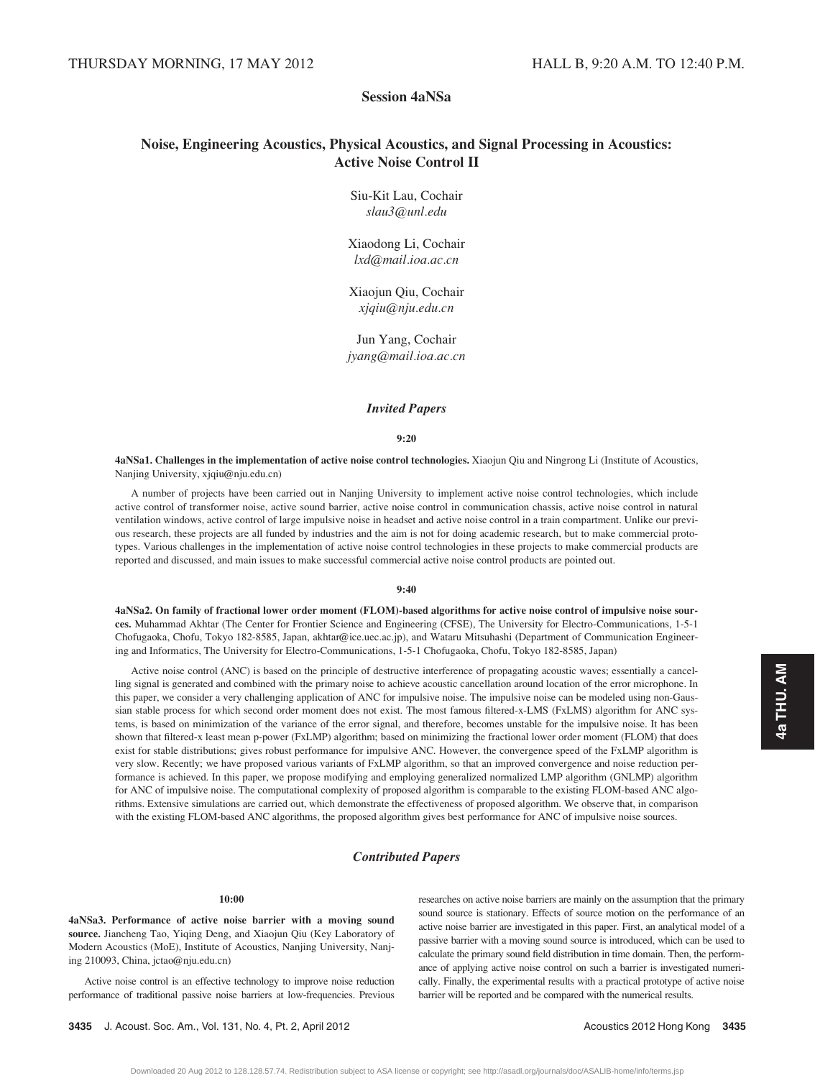# Session 4aNSa

# Noise, Engineering Acoustics, Physical Acoustics, and Signal Processing in Acoustics: Active Noise Control II

Siu-Kit Lau, Cochair slau3@unl.edu

Xiaodong Li, Cochair lxd@mail.ioa.ac.cn

Xiaojun Qiu, Cochair xjqiu@nju.edu.cn

Jun Yang, Cochair jyang@mail.ioa.ac.cn

# Invited Papers

9:20

4aNSa1. Challenges in the implementation of active noise control technologies. Xiaojun Qiu and Ningrong Li (Institute of Acoustics, Nanjing University, xjqiu@nju.edu.cn)

A number of projects have been carried out in Nanjing University to implement active noise control technologies, which include active control of transformer noise, active sound barrier, active noise control in communication chassis, active noise control in natural ventilation windows, active control of large impulsive noise in headset and active noise control in a train compartment. Unlike our previous research, these projects are all funded by industries and the aim is not for doing academic research, but to make commercial prototypes. Various challenges in the implementation of active noise control technologies in these projects to make commercial products are reported and discussed, and main issues to make successful commercial active noise control products are pointed out.

### 9:40

4aNSa2. On family of fractional lower order moment (FLOM)-based algorithms for active noise control of impulsive noise sources. Muhammad Akhtar (The Center for Frontier Science and Engineering (CFSE), The University for Electro-Communications, 1-5-1 Chofugaoka, Chofu, Tokyo 182-8585, Japan, akhtar@ice.uec.ac.jp), and Wataru Mitsuhashi (Department of Communication Engineering and Informatics, The University for Electro-Communications, 1-5-1 Chofugaoka, Chofu, Tokyo 182-8585, Japan)

Active noise control (ANC) is based on the principle of destructive interference of propagating acoustic waves; essentially a cancelling signal is generated and combined with the primary noise to achieve acoustic cancellation around location of the error microphone. In this paper, we consider a very challenging application of ANC for impulsive noise. The impulsive noise can be modeled using non-Gaussian stable process for which second order moment does not exist. The most famous filtered-x-LMS (FxLMS) algorithm for ANC systems, is based on minimization of the variance of the error signal, and therefore, becomes unstable for the impulsive noise. It has been shown that filtered-x least mean p-power (FxLMP) algorithm; based on minimizing the fractional lower order moment (FLOM) that does exist for stable distributions; gives robust performance for impulsive ANC. However, the convergence speed of the FxLMP algorithm is very slow. Recently; we have proposed various variants of FxLMP algorithm, so that an improved convergence and noise reduction performance is achieved. In this paper, we propose modifying and employing generalized normalized LMP algorithm (GNLMP) algorithm for ANC of impulsive noise. The computational complexity of proposed algorithm is comparable to the existing FLOM-based ANC algorithms. Extensive simulations are carried out, which demonstrate the effectiveness of proposed algorithm. We observe that, in comparison with the existing FLOM-based ANC algorithms, the proposed algorithm gives best performance for ANC of impulsive noise sources.

# Contributed Papers

### 10:00

4aNSa3. Performance of active noise barrier with a moving sound source. Jiancheng Tao, Yiqing Deng, and Xiaojun Qiu (Key Laboratory of Modern Acoustics (MoE), Institute of Acoustics, Nanjing University, Nanjing 210093, China, jctao@nju.edu.cn)

Active noise control is an effective technology to improve noise reduction performance of traditional passive noise barriers at low-frequencies. Previous researches on active noise barriers are mainly on the assumption that the primary sound source is stationary. Effects of source motion on the performance of an active noise barrier are investigated in this paper. First, an analytical model of a passive barrier with a moving sound source is introduced, which can be used to calculate the primary sound field distribution in time domain. Then, the performance of applying active noise control on such a barrier is investigated numerically. Finally, the experimental results with a practical prototype of active noise barrier will be reported and be compared with the numerical results.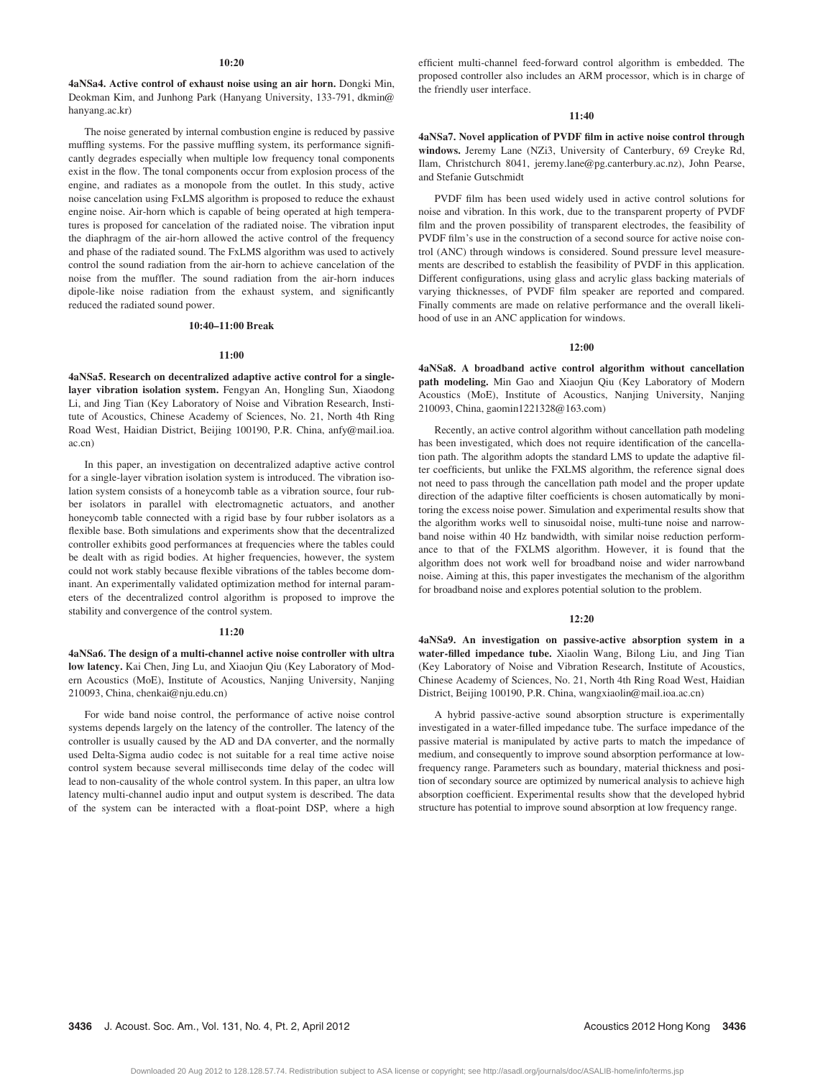### $10:20$

4aNSa4. Active control of exhaust noise using an air horn. Dongki Min, Deokman Kim, and Junhong Park (Hanyang University, 133-791, dkmin@ hanyang.ac.kr)

The noise generated by internal combustion engine is reduced by passive muffling systems. For the passive muffling system, its performance significantly degrades especially when multiple low frequency tonal components exist in the flow. The tonal components occur from explosion process of the engine, and radiates as a monopole from the outlet. In this study, active noise cancelation using FxLMS algorithm is proposed to reduce the exhaust engine noise. Air-horn which is capable of being operated at high temperatures is proposed for cancelation of the radiated noise. The vibration input the diaphragm of the air-horn allowed the active control of the frequency and phase of the radiated sound. The FxLMS algorithm was used to actively control the sound radiation from the air-horn to achieve cancelation of the noise from the muffler. The sound radiation from the air-horn induces dipole-like noise radiation from the exhaust system, and significantly reduced the radiated sound power.

#### 10:40–11:00 Break

### 11:00

4aNSa5. Research on decentralized adaptive active control for a singlelayer vibration isolation system. Fengyan An, Hongling Sun, Xiaodong Li, and Jing Tian (Key Laboratory of Noise and Vibration Research, Institute of Acoustics, Chinese Academy of Sciences, No. 21, North 4th Ring Road West, Haidian District, Beijing 100190, P.R. China, anfy@mail.ioa. ac.cn)

In this paper, an investigation on decentralized adaptive active control for a single-layer vibration isolation system is introduced. The vibration isolation system consists of a honeycomb table as a vibration source, four rubber isolators in parallel with electromagnetic actuators, and another honeycomb table connected with a rigid base by four rubber isolators as a flexible base. Both simulations and experiments show that the decentralized controller exhibits good performances at frequencies where the tables could be dealt with as rigid bodies. At higher frequencies, however, the system could not work stably because flexible vibrations of the tables become dominant. An experimentally validated optimization method for internal parameters of the decentralized control algorithm is proposed to improve the stability and convergence of the control system.

#### 11:20

4aNSa6. The design of a multi-channel active noise controller with ultra low latency. Kai Chen, Jing Lu, and Xiaojun Qiu (Key Laboratory of Modern Acoustics (MoE), Institute of Acoustics, Nanjing University, Nanjing 210093, China, chenkai@nju.edu.cn)

For wide band noise control, the performance of active noise control systems depends largely on the latency of the controller. The latency of the controller is usually caused by the AD and DA converter, and the normally used Delta-Sigma audio codec is not suitable for a real time active noise control system because several milliseconds time delay of the codec will lead to non-causality of the whole control system. In this paper, an ultra low latency multi-channel audio input and output system is described. The data of the system can be interacted with a float-point DSP, where a high efficient multi-channel feed-forward control algorithm is embedded. The proposed controller also includes an ARM processor, which is in charge of the friendly user interface.

### 11:40

4aNSa7. Novel application of PVDF film in active noise control through windows. Jeremy Lane (NZi3, University of Canterbury, 69 Creyke Rd, Ilam, Christchurch 8041, jeremy.lane@pg.canterbury.ac.nz), John Pearse, and Stefanie Gutschmidt

PVDF film has been used widely used in active control solutions for noise and vibration. In this work, due to the transparent property of PVDF film and the proven possibility of transparent electrodes, the feasibility of PVDF film's use in the construction of a second source for active noise control (ANC) through windows is considered. Sound pressure level measurements are described to establish the feasibility of PVDF in this application. Different configurations, using glass and acrylic glass backing materials of varying thicknesses, of PVDF film speaker are reported and compared. Finally comments are made on relative performance and the overall likelihood of use in an ANC application for windows.

### 12:00

4aNSa8. A broadband active control algorithm without cancellation path modeling. Min Gao and Xiaojun Qiu (Key Laboratory of Modern Acoustics (MoE), Institute of Acoustics, Nanjing University, Nanjing 210093, China, gaomin1221328@163.com)

Recently, an active control algorithm without cancellation path modeling has been investigated, which does not require identification of the cancellation path. The algorithm adopts the standard LMS to update the adaptive filter coefficients, but unlike the FXLMS algorithm, the reference signal does not need to pass through the cancellation path model and the proper update direction of the adaptive filter coefficients is chosen automatically by monitoring the excess noise power. Simulation and experimental results show that the algorithm works well to sinusoidal noise, multi-tune noise and narrowband noise within 40 Hz bandwidth, with similar noise reduction performance to that of the FXLMS algorithm. However, it is found that the algorithm does not work well for broadband noise and wider narrowband noise. Aiming at this, this paper investigates the mechanism of the algorithm for broadband noise and explores potential solution to the problem.

### 12:20

4aNSa9. An investigation on passive-active absorption system in a water-filled impedance tube. Xiaolin Wang, Bilong Liu, and Jing Tian (Key Laboratory of Noise and Vibration Research, Institute of Acoustics, Chinese Academy of Sciences, No. 21, North 4th Ring Road West, Haidian District, Beijing 100190, P.R. China, wangxiaolin@mail.ioa.ac.cn)

A hybrid passive-active sound absorption structure is experimentally investigated in a water-filled impedance tube. The surface impedance of the passive material is manipulated by active parts to match the impedance of medium, and consequently to improve sound absorption performance at lowfrequency range. Parameters such as boundary, material thickness and position of secondary source are optimized by numerical analysis to achieve high absorption coefficient. Experimental results show that the developed hybrid structure has potential to improve sound absorption at low frequency range.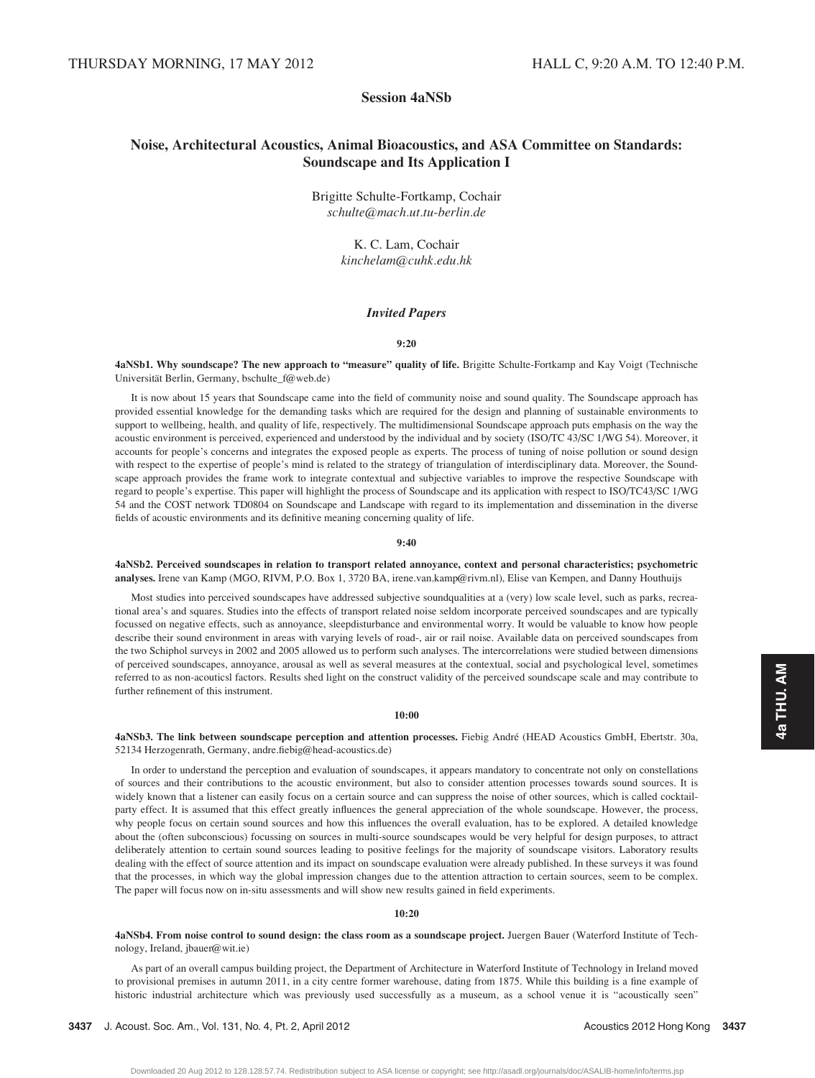# Session 4aNSb

# Noise, Architectural Acoustics, Animal Bioacoustics, and ASA Committee on Standards: Soundscape and Its Application I

Brigitte Schulte-Fortkamp, Cochair schulte@mach.ut.tu-berlin.de

> K. C. Lam, Cochair kinchelam@cuhk.edu.hk

# Invited Papers

#### 9:20

4aNSb1. Why soundscape? The new approach to "measure" quality of life. Brigitte Schulte-Fortkamp and Kay Voigt (Technische Universität Berlin, Germany, bschulte\_f@web.de)

It is now about 15 years that Soundscape came into the field of community noise and sound quality. The Soundscape approach has provided essential knowledge for the demanding tasks which are required for the design and planning of sustainable environments to support to wellbeing, health, and quality of life, respectively. The multidimensional Soundscape approach puts emphasis on the way the acoustic environment is perceived, experienced and understood by the individual and by society (ISO/TC 43/SC 1/WG 54). Moreover, it accounts for people's concerns and integrates the exposed people as experts. The process of tuning of noise pollution or sound design with respect to the expertise of people's mind is related to the strategy of triangulation of interdisciplinary data. Moreover, the Soundscape approach provides the frame work to integrate contextual and subjective variables to improve the respective Soundscape with regard to people's expertise. This paper will highlight the process of Soundscape and its application with respect to ISO/TC43/SC 1/WG 54 and the COST network TD0804 on Soundscape and Landscape with regard to its implementation and dissemination in the diverse fields of acoustic environments and its definitive meaning concerning quality of life.

#### 9:40

4aNSb2. Perceived soundscapes in relation to transport related annoyance, context and personal characteristics; psychometric analyses. Irene van Kamp (MGO, RIVM, P.O. Box 1, 3720 BA, irene.van.kamp@rivm.nl), Elise van Kempen, and Danny Houthuijs

Most studies into perceived soundscapes have addressed subjective soundqualities at a (very) low scale level, such as parks, recreational area's and squares. Studies into the effects of transport related noise seldom incorporate perceived soundscapes and are typically focussed on negative effects, such as annoyance, sleepdisturbance and environmental worry. It would be valuable to know how people describe their sound environment in areas with varying levels of road-, air or rail noise. Available data on perceived soundscapes from the two Schiphol surveys in 2002 and 2005 allowed us to perform such analyses. The intercorrelations were studied between dimensions of perceived soundscapes, annoyance, arousal as well as several measures at the contextual, social and psychological level, sometimes referred to as non-acouticsl factors. Results shed light on the construct validity of the perceived soundscape scale and may contribute to further refinement of this instrument.

### 10:00

4aNSb3. The link between soundscape perception and attention processes. Fiebig Andre´ (HEAD Acoustics GmbH, Ebertstr. 30a, 52134 Herzogenrath, Germany, andre.fiebig@head-acoustics.de)

In order to understand the perception and evaluation of soundscapes, it appears mandatory to concentrate not only on constellations of sources and their contributions to the acoustic environment, but also to consider attention processes towards sound sources. It is widely known that a listener can easily focus on a certain source and can suppress the noise of other sources, which is called cocktailparty effect. It is assumed that this effect greatly influences the general appreciation of the whole soundscape. However, the process, why people focus on certain sound sources and how this influences the overall evaluation, has to be explored. A detailed knowledge about the (often subconscious) focussing on sources in multi-source soundscapes would be very helpful for design purposes, to attract deliberately attention to certain sound sources leading to positive feelings for the majority of soundscape visitors. Laboratory results dealing with the effect of source attention and its impact on soundscape evaluation were already published. In these surveys it was found that the processes, in which way the global impression changes due to the attention attraction to certain sources, seem to be complex. The paper will focus now on in-situ assessments and will show new results gained in field experiments.

### 10:20

4aNSb4. From noise control to sound design: the class room as a soundscape project. Juergen Bauer (Waterford Institute of Technology, Ireland, jbauer@wit.ie)

As part of an overall campus building project, the Department of Architecture in Waterford Institute of Technology in Ireland moved to provisional premises in autumn 2011, in a city centre former warehouse, dating from 1875. While this building is a fine example of historic industrial architecture which was previously used successfully as a museum, as a school venue it is "acoustically seen"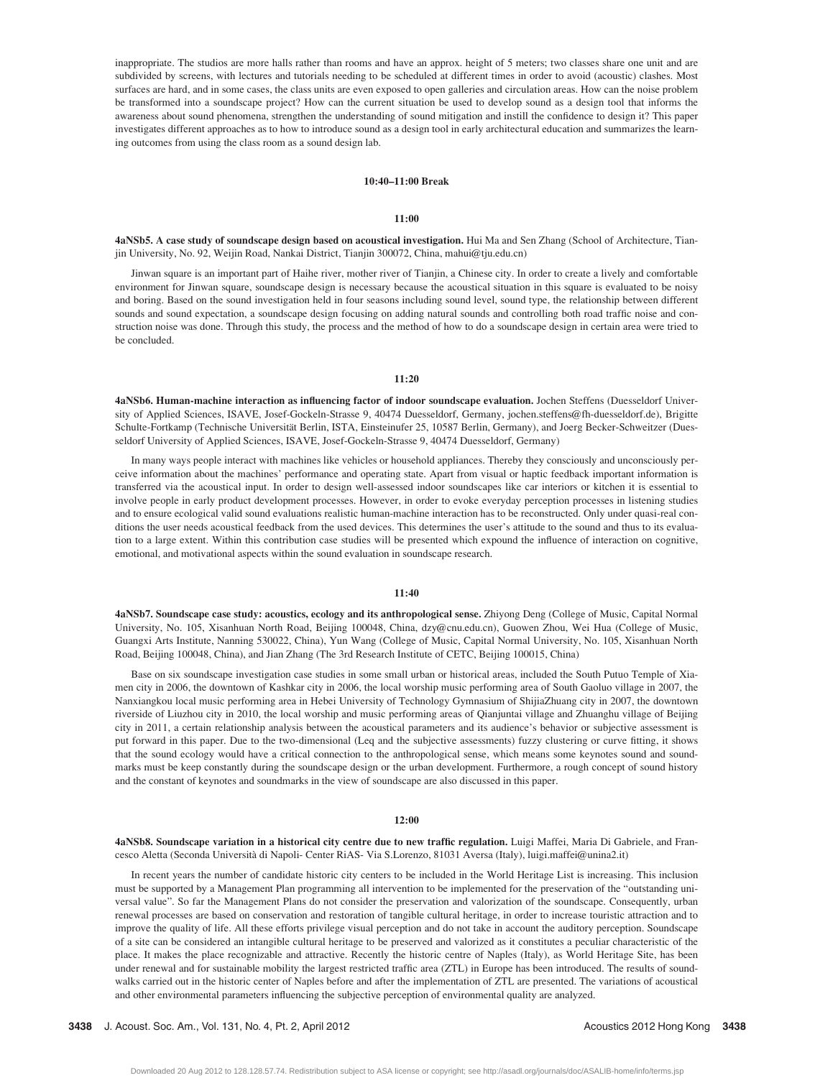inappropriate. The studios are more halls rather than rooms and have an approx. height of 5 meters; two classes share one unit and are subdivided by screens, with lectures and tutorials needing to be scheduled at different times in order to avoid (acoustic) clashes. Most surfaces are hard, and in some cases, the class units are even exposed to open galleries and circulation areas. How can the noise problem be transformed into a soundscape project? How can the current situation be used to develop sound as a design tool that informs the awareness about sound phenomena, strengthen the understanding of sound mitigation and instill the confidence to design it? This paper investigates different approaches as to how to introduce sound as a design tool in early architectural education and summarizes the learning outcomes from using the class room as a sound design lab.

### 10:40–11:00 Break

### 11:00

4aNSb5. A case study of soundscape design based on acoustical investigation. Hui Ma and Sen Zhang (School of Architecture, Tianjin University, No. 92, Weijin Road, Nankai District, Tianjin 300072, China, mahui@tju.edu.cn)

Jinwan square is an important part of Haihe river, mother river of Tianjin, a Chinese city. In order to create a lively and comfortable environment for Jinwan square, soundscape design is necessary because the acoustical situation in this square is evaluated to be noisy and boring. Based on the sound investigation held in four seasons including sound level, sound type, the relationship between different sounds and sound expectation, a soundscape design focusing on adding natural sounds and controlling both road traffic noise and construction noise was done. Through this study, the process and the method of how to do a soundscape design in certain area were tried to be concluded.

#### 11:20

4aNSb6. Human-machine interaction as influencing factor of indoor soundscape evaluation. Jochen Steffens (Duesseldorf University of Applied Sciences, ISAVE, Josef-Gockeln-Strasse 9, 40474 Duesseldorf, Germany, jochen.steffens@fh-duesseldorf.de), Brigitte Schulte-Fortkamp (Technische Universität Berlin, ISTA, Einsteinufer 25, 10587 Berlin, Germany), and Joerg Becker-Schweitzer (Duesseldorf University of Applied Sciences, ISAVE, Josef-Gockeln-Strasse 9, 40474 Duesseldorf, Germany)

In many ways people interact with machines like vehicles or household appliances. Thereby they consciously and unconsciously perceive information about the machines' performance and operating state. Apart from visual or haptic feedback important information is transferred via the acoustical input. In order to design well-assessed indoor soundscapes like car interiors or kitchen it is essential to involve people in early product development processes. However, in order to evoke everyday perception processes in listening studies and to ensure ecological valid sound evaluations realistic human-machine interaction has to be reconstructed. Only under quasi-real conditions the user needs acoustical feedback from the used devices. This determines the user's attitude to the sound and thus to its evaluation to a large extent. Within this contribution case studies will be presented which expound the influence of interaction on cognitive, emotional, and motivational aspects within the sound evaluation in soundscape research.

### 11:40

4aNSb7. Soundscape case study: acoustics, ecology and its anthropological sense. Zhiyong Deng (College of Music, Capital Normal University, No. 105, Xisanhuan North Road, Beijing 100048, China, dzy@cnu.edu.cn), Guowen Zhou, Wei Hua (College of Music, Guangxi Arts Institute, Nanning 530022, China), Yun Wang (College of Music, Capital Normal University, No. 105, Xisanhuan North Road, Beijing 100048, China), and Jian Zhang (The 3rd Research Institute of CETC, Beijing 100015, China)

Base on six soundscape investigation case studies in some small urban or historical areas, included the South Putuo Temple of Xiamen city in 2006, the downtown of Kashkar city in 2006, the local worship music performing area of South Gaoluo village in 2007, the Nanxiangkou local music performing area in Hebei University of Technology Gymnasium of ShijiaZhuang city in 2007, the downtown riverside of Liuzhou city in 2010, the local worship and music performing areas of Qianjuntai village and Zhuanghu village of Beijing city in 2011, a certain relationship analysis between the acoustical parameters and its audience's behavior or subjective assessment is put forward in this paper. Due to the two-dimensional (Leq and the subjective assessments) fuzzy clustering or curve fitting, it shows that the sound ecology would have a critical connection to the anthropological sense, which means some keynotes sound and soundmarks must be keep constantly during the soundscape design or the urban development. Furthermore, a rough concept of sound history and the constant of keynotes and soundmarks in the view of soundscape are also discussed in this paper.

### 12:00

4aNSb8. Soundscape variation in a historical city centre due to new traffic regulation. Luigi Maffei, Maria Di Gabriele, and Francesco Aletta (Seconda Universita` di Napoli- Center RiAS- Via S.Lorenzo, 81031 Aversa (Italy), luigi.maffei@unina2.it)

In recent years the number of candidate historic city centers to be included in the World Heritage List is increasing. This inclusion must be supported by a Management Plan programming all intervention to be implemented for the preservation of the "outstanding universal value". So far the Management Plans do not consider the preservation and valorization of the soundscape. Consequently, urban renewal processes are based on conservation and restoration of tangible cultural heritage, in order to increase touristic attraction and to improve the quality of life. All these efforts privilege visual perception and do not take in account the auditory perception. Soundscape of a site can be considered an intangible cultural heritage to be preserved and valorized as it constitutes a peculiar characteristic of the place. It makes the place recognizable and attractive. Recently the historic centre of Naples (Italy), as World Heritage Site, has been under renewal and for sustainable mobility the largest restricted traffic area (ZTL) in Europe has been introduced. The results of soundwalks carried out in the historic center of Naples before and after the implementation of ZTL are presented. The variations of acoustical and other environmental parameters influencing the subjective perception of environmental quality are analyzed.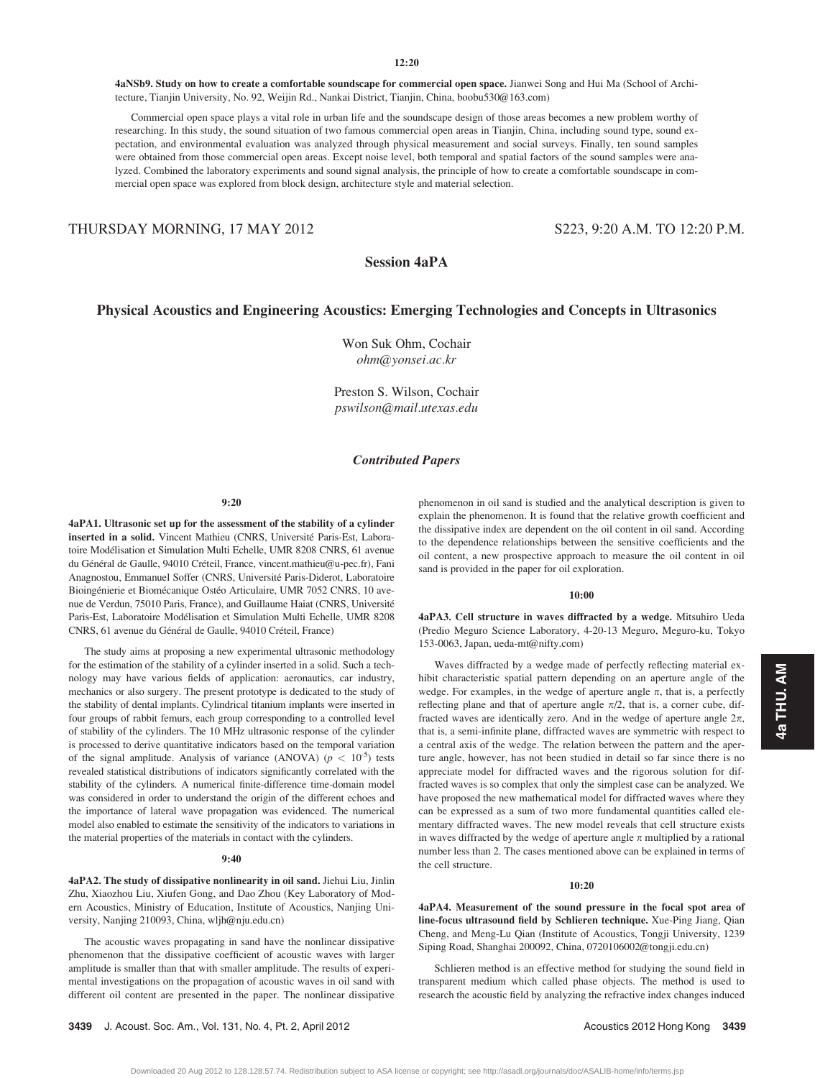4aNSb9. Study on how to create a comfortable soundscape for commercial open space. Jianwei Song and Hui Ma (School of Architecture, Tianjin University, No. 92, Weijin Rd., Nankai District, Tianjin, China, boobu530@163.com)

Commercial open space plays a vital role in urban life and the soundscape design of those areas becomes a new problem worthy of researching. In this study, the sound situation of two famous commercial open areas in Tianjin, China, including sound type, sound expectation, and environmental evaluation was analyzed through physical measurement and social surveys. Finally, ten sound samples were obtained from those commercial open areas. Except noise level, both temporal and spatial factors of the sound samples were analyzed. Combined the laboratory experiments and sound signal analysis, the principle of how to create a comfortable soundscape in commercial open space was explored from block design, architecture style and material selection.

THURSDAY MORNING, 17 MAY 2012 S223, 9:20 A.M. TO 12:20 P.M.

# Session 4aPA

# Physical Acoustics and Engineering Acoustics: Emerging Technologies and Concepts in Ultrasonics

Won Suk Ohm, Cochair ohm@yonsei.ac.kr

Preston S. Wilson, Cochair pswilson@mail.utexas.edu

# Contributed Papers

## 9:20

4aPA1. Ultrasonic set up for the assessment of the stability of a cylinder inserted in a solid. Vincent Mathieu (CNRS, Université Paris-Est, Laboratoire Modélisation et Simulation Multi Echelle, UMR 8208 CNRS, 61 avenue du Général de Gaulle, 94010 Créteil, France, vincent.mathieu@u-pec.fr), Fani Anagnostou, Emmanuel Soffer (CNRS, Université Paris-Diderot, Laboratoire Bioingénierie et Biomécanique Ostéo Articulaire, UMR 7052 CNRS, 10 avenue de Verdun, 75010 Paris, France), and Guillaume Haiat (CNRS, Universite´ Paris-Est, Laboratoire Modélisation et Simulation Multi Echelle, UMR 8208 CNRS, 61 avenue du Général de Gaulle, 94010 Créteil, France)

The study aims at proposing a new experimental ultrasonic methodology for the estimation of the stability of a cylinder inserted in a solid. Such a technology may have various fields of application: aeronautics, car industry, mechanics or also surgery. The present prototype is dedicated to the study of the stability of dental implants. Cylindrical titanium implants were inserted in four groups of rabbit femurs, each group corresponding to a controlled level of stability of the cylinders. The 10 MHz ultrasonic response of the cylinder is processed to derive quantitative indicators based on the temporal variation of the signal amplitude. Analysis of variance (ANOVA) ( $p < 10^{-5}$ ) tests revealed statistical distributions of indicators significantly correlated with the stability of the cylinders. A numerical finite-difference time-domain model was considered in order to understand the origin of the different echoes and the importance of lateral wave propagation was evidenced. The numerical model also enabled to estimate the sensitivity of the indicators to variations in the material properties of the materials in contact with the cylinders.

### 9:40

4aPA2. The study of dissipative nonlinearity in oil sand. Jiehui Liu, Jinlin Zhu, Xiaozhou Liu, Xiufen Gong, and Dao Zhou (Key Laboratory of Modern Acoustics, Ministry of Education, Institute of Acoustics, Nanjing University, Nanjing 210093, China, wljh@nju.edu.cn)

The acoustic waves propagating in sand have the nonlinear dissipative phenomenon that the dissipative coefficient of acoustic waves with larger amplitude is smaller than that with smaller amplitude. The results of experimental investigations on the propagation of acoustic waves in oil sand with different oil content are presented in the paper. The nonlinear dissipative phenomenon in oil sand is studied and the analytical description is given to explain the phenomenon. It is found that the relative growth coefficient and the dissipative index are dependent on the oil content in oil sand. According to the dependence relationships between the sensitive coefficients and the oil content, a new prospective approach to measure the oil content in oil sand is provided in the paper for oil exploration.

#### 10:00

4aPA3. Cell structure in waves diffracted by a wedge. Mitsuhiro Ueda (Predio Meguro Science Laboratory, 4-20-13 Meguro, Meguro-ku, Tokyo 153-0063, Japan, ueda-mt@nifty.com)

Waves diffracted by a wedge made of perfectly reflecting material exhibit characteristic spatial pattern depending on an aperture angle of the wedge. For examples, in the wedge of aperture angle  $\pi$ , that is, a perfectly reflecting plane and that of aperture angle  $\pi/2$ , that is, a corner cube, diffracted waves are identically zero. And in the wedge of aperture angle  $2\pi$ , that is, a semi-infinite plane, diffracted waves are symmetric with respect to a central axis of the wedge. The relation between the pattern and the aperture angle, however, has not been studied in detail so far since there is no appreciate model for diffracted waves and the rigorous solution for diffracted waves is so complex that only the simplest case can be analyzed. We have proposed the new mathematical model for diffracted waves where they can be expressed as a sum of two more fundamental quantities called elementary diffracted waves. The new model reveals that cell structure exists in waves diffracted by the wedge of aperture angle  $\pi$  multiplied by a rational number less than 2. The cases mentioned above can be explained in terms of the cell structure.

### 10:20

4aPA4. Measurement of the sound pressure in the focal spot area of line-focus ultrasound field by Schlieren technique. Xue-Ping Jiang, Qian Cheng, and Meng-Lu Qian (Institute of Acoustics, Tongji University, 1239 Siping Road, Shanghai 200092, China, 0720106002@tongji.edu.cn)

Schlieren method is an effective method for studying the sound field in transparent medium which called phase objects. The method is used to research the acoustic field by analyzing the refractive index changes induced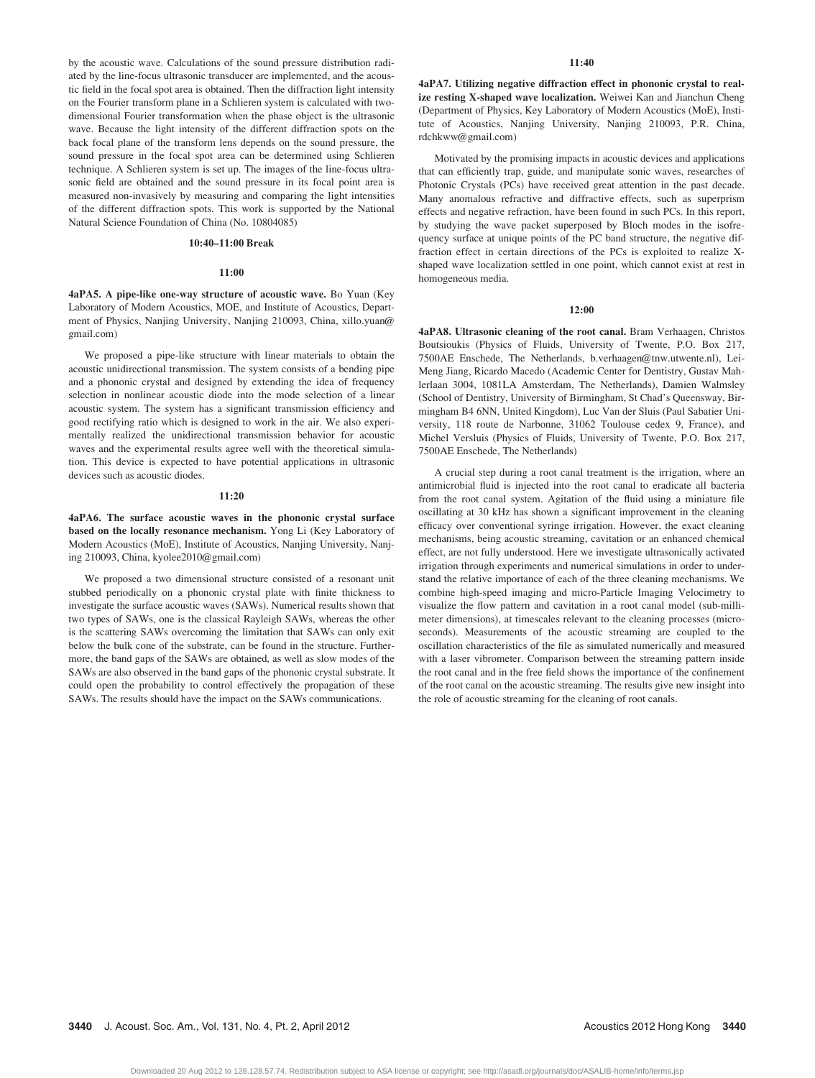by the acoustic wave. Calculations of the sound pressure distribution radiated by the line-focus ultrasonic transducer are implemented, and the acoustic field in the focal spot area is obtained. Then the diffraction light intensity on the Fourier transform plane in a Schlieren system is calculated with twodimensional Fourier transformation when the phase object is the ultrasonic wave. Because the light intensity of the different diffraction spots on the back focal plane of the transform lens depends on the sound pressure, the sound pressure in the focal spot area can be determined using Schlieren technique. A Schlieren system is set up. The images of the line-focus ultrasonic field are obtained and the sound pressure in its focal point area is measured non-invasively by measuring and comparing the light intensities of the different diffraction spots. This work is supported by the National Natural Science Foundation of China (No. 10804085)

### 10:40–11:00 Break

### 11:00

4aPA5. A pipe-like one-way structure of acoustic wave. Bo Yuan (Key Laboratory of Modern Acoustics, MOE, and Institute of Acoustics, Department of Physics, Nanjing University, Nanjing 210093, China, xillo.yuan@ gmail.com)

We proposed a pipe-like structure with linear materials to obtain the acoustic unidirectional transmission. The system consists of a bending pipe and a phononic crystal and designed by extending the idea of frequency selection in nonlinear acoustic diode into the mode selection of a linear acoustic system. The system has a significant transmission efficiency and good rectifying ratio which is designed to work in the air. We also experimentally realized the unidirectional transmission behavior for acoustic waves and the experimental results agree well with the theoretical simulation. This device is expected to have potential applications in ultrasonic devices such as acoustic diodes.

### 11:20

4aPA6. The surface acoustic waves in the phononic crystal surface based on the locally resonance mechanism. Yong Li (Key Laboratory of Modern Acoustics (MoE), Institute of Acoustics, Nanjing University, Nanjing 210093, China, kyolee2010@gmail.com)

We proposed a two dimensional structure consisted of a resonant unit stubbed periodically on a phononic crystal plate with finite thickness to investigate the surface acoustic waves (SAWs). Numerical results shown that two types of SAWs, one is the classical Rayleigh SAWs, whereas the other is the scattering SAWs overcoming the limitation that SAWs can only exit below the bulk cone of the substrate, can be found in the structure. Furthermore, the band gaps of the SAWs are obtained, as well as slow modes of the SAWs are also observed in the band gaps of the phononic crystal substrate. It could open the probability to control effectively the propagation of these SAWs. The results should have the impact on the SAWs communications.

### $11:40$

4aPA7. Utilizing negative diffraction effect in phononic crystal to realize resting X-shaped wave localization. Weiwei Kan and Jianchun Cheng (Department of Physics, Key Laboratory of Modern Acoustics (MoE), Institute of Acoustics, Nanjing University, Nanjing 210093, P.R. China, rdchkww@gmail.com)

Motivated by the promising impacts in acoustic devices and applications that can efficiently trap, guide, and manipulate sonic waves, researches of Photonic Crystals (PCs) have received great attention in the past decade. Many anomalous refractive and diffractive effects, such as superprism effects and negative refraction, have been found in such PCs. In this report, by studying the wave packet superposed by Bloch modes in the isofrequency surface at unique points of the PC band structure, the negative diffraction effect in certain directions of the PCs is exploited to realize Xshaped wave localization settled in one point, which cannot exist at rest in homogeneous media.

### 12:00

4aPA8. Ultrasonic cleaning of the root canal. Bram Verhaagen, Christos Boutsioukis (Physics of Fluids, University of Twente, P.O. Box 217, 7500AE Enschede, The Netherlands, b.verhaagen@tnw.utwente.nl), Lei-Meng Jiang, Ricardo Macedo (Academic Center for Dentistry, Gustav Mahlerlaan 3004, 1081LA Amsterdam, The Netherlands), Damien Walmsley (School of Dentistry, University of Birmingham, St Chad's Queensway, Birmingham B4 6NN, United Kingdom), Luc Van der Sluis (Paul Sabatier University, 118 route de Narbonne, 31062 Toulouse cedex 9, France), and Michel Versluis (Physics of Fluids, University of Twente, P.O. Box 217, 7500AE Enschede, The Netherlands)

A crucial step during a root canal treatment is the irrigation, where an antimicrobial fluid is injected into the root canal to eradicate all bacteria from the root canal system. Agitation of the fluid using a miniature file oscillating at 30 kHz has shown a significant improvement in the cleaning efficacy over conventional syringe irrigation. However, the exact cleaning mechanisms, being acoustic streaming, cavitation or an enhanced chemical effect, are not fully understood. Here we investigate ultrasonically activated irrigation through experiments and numerical simulations in order to understand the relative importance of each of the three cleaning mechanisms. We combine high-speed imaging and micro-Particle Imaging Velocimetry to visualize the flow pattern and cavitation in a root canal model (sub-millimeter dimensions), at timescales relevant to the cleaning processes (microseconds). Measurements of the acoustic streaming are coupled to the oscillation characteristics of the file as simulated numerically and measured with a laser vibrometer. Comparison between the streaming pattern inside the root canal and in the free field shows the importance of the confinement of the root canal on the acoustic streaming. The results give new insight into the role of acoustic streaming for the cleaning of root canals.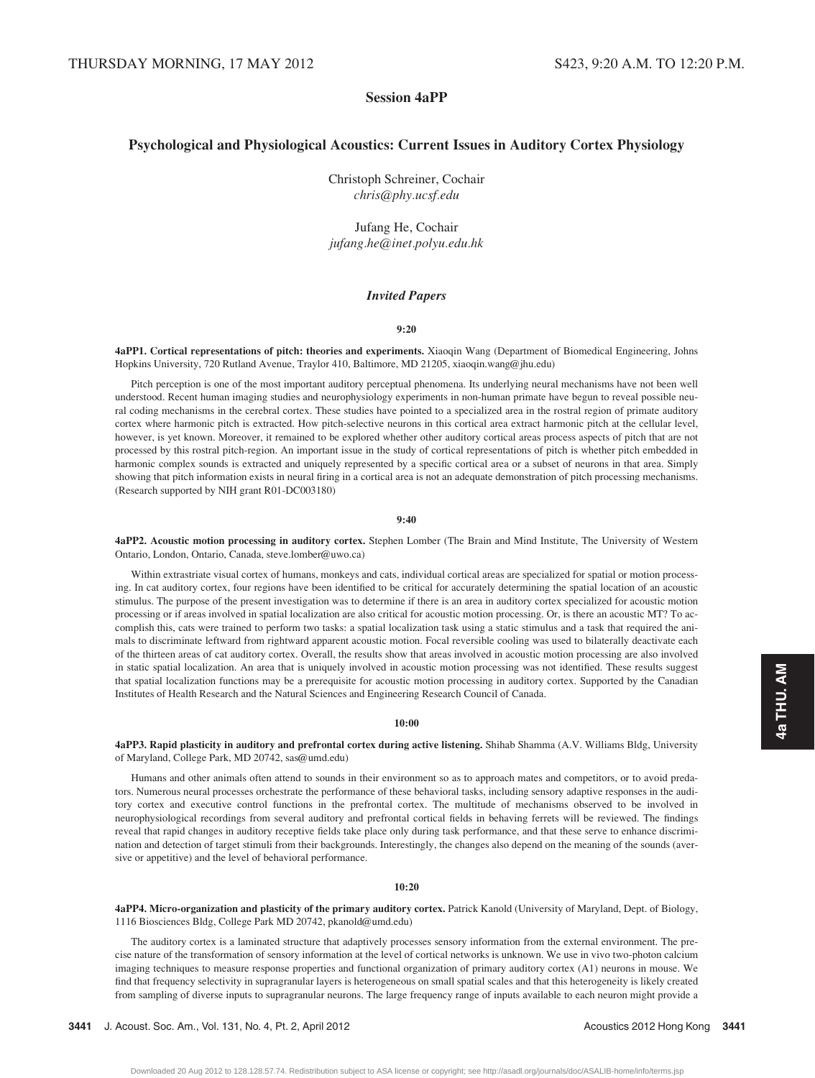# Session 4aPP

# Psychological and Physiological Acoustics: Current Issues in Auditory Cortex Physiology

Christoph Schreiner, Cochair chris@phy.ucsf.edu

Jufang He, Cochair jufang.he@inet.polyu.edu.hk

# Invited Papers

# 9:20

4aPP1. Cortical representations of pitch: theories and experiments. Xiaoqin Wang (Department of Biomedical Engineering, Johns Hopkins University, 720 Rutland Avenue, Traylor 410, Baltimore, MD 21205, xiaoqin.wang@jhu.edu)

Pitch perception is one of the most important auditory perceptual phenomena. Its underlying neural mechanisms have not been well understood. Recent human imaging studies and neurophysiology experiments in non-human primate have begun to reveal possible neural coding mechanisms in the cerebral cortex. These studies have pointed to a specialized area in the rostral region of primate auditory cortex where harmonic pitch is extracted. How pitch-selective neurons in this cortical area extract harmonic pitch at the cellular level, however, is yet known. Moreover, it remained to be explored whether other auditory cortical areas process aspects of pitch that are not processed by this rostral pitch-region. An important issue in the study of cortical representations of pitch is whether pitch embedded in harmonic complex sounds is extracted and uniquely represented by a specific cortical area or a subset of neurons in that area. Simply showing that pitch information exists in neural firing in a cortical area is not an adequate demonstration of pitch processing mechanisms. (Research supported by NIH grant R01-DC003180)

#### 9:40

4aPP2. Acoustic motion processing in auditory cortex. Stephen Lomber (The Brain and Mind Institute, The University of Western Ontario, London, Ontario, Canada, steve.lomber@uwo.ca)

Within extrastriate visual cortex of humans, monkeys and cats, individual cortical areas are specialized for spatial or motion processing. In cat auditory cortex, four regions have been identified to be critical for accurately determining the spatial location of an acoustic stimulus. The purpose of the present investigation was to determine if there is an area in auditory cortex specialized for acoustic motion processing or if areas involved in spatial localization are also critical for acoustic motion processing. Or, is there an acoustic MT? To accomplish this, cats were trained to perform two tasks: a spatial localization task using a static stimulus and a task that required the animals to discriminate leftward from rightward apparent acoustic motion. Focal reversible cooling was used to bilaterally deactivate each of the thirteen areas of cat auditory cortex. Overall, the results show that areas involved in acoustic motion processing are also involved in static spatial localization. An area that is uniquely involved in acoustic motion processing was not identified. These results suggest that spatial localization functions may be a prerequisite for acoustic motion processing in auditory cortex. Supported by the Canadian Institutes of Health Research and the Natural Sciences and Engineering Research Council of Canada.

#### 10:00

4aPP3. Rapid plasticity in auditory and prefrontal cortex during active listening. Shihab Shamma (A.V. Williams Bldg, University of Maryland, College Park, MD 20742, sas@umd.edu)

Humans and other animals often attend to sounds in their environment so as to approach mates and competitors, or to avoid predators. Numerous neural processes orchestrate the performance of these behavioral tasks, including sensory adaptive responses in the auditory cortex and executive control functions in the prefrontal cortex. The multitude of mechanisms observed to be involved in neurophysiological recordings from several auditory and prefrontal cortical fields in behaving ferrets will be reviewed. The findings reveal that rapid changes in auditory receptive fields take place only during task performance, and that these serve to enhance discrimination and detection of target stimuli from their backgrounds. Interestingly, the changes also depend on the meaning of the sounds (aversive or appetitive) and the level of behavioral performance.

### 10:20

4aPP4. Micro-organization and plasticity of the primary auditory cortex. Patrick Kanold (University of Maryland, Dept. of Biology, 1116 Biosciences Bldg, College Park MD 20742, pkanold@umd.edu)

The auditory cortex is a laminated structure that adaptively processes sensory information from the external environment. The precise nature of the transformation of sensory information at the level of cortical networks is unknown. We use in vivo two-photon calcium imaging techniques to measure response properties and functional organization of primary auditory cortex (A1) neurons in mouse. We find that frequency selectivity in supragranular layers is heterogeneous on small spatial scales and that this heterogeneity is likely created from sampling of diverse inputs to supragranular neurons. The large frequency range of inputs available to each neuron might provide a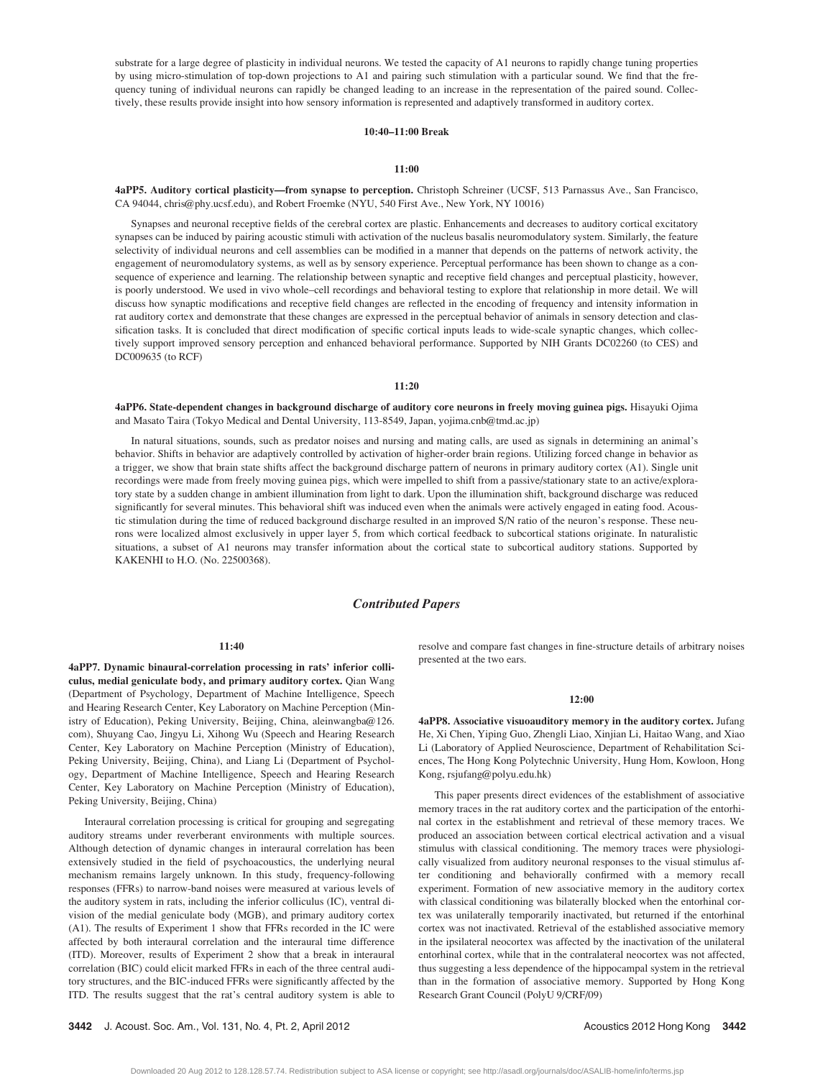substrate for a large degree of plasticity in individual neurons. We tested the capacity of A1 neurons to rapidly change tuning properties by using micro-stimulation of top-down projections to A1 and pairing such stimulation with a particular sound. We find that the frequency tuning of individual neurons can rapidly be changed leading to an increase in the representation of the paired sound. Collectively, these results provide insight into how sensory information is represented and adaptively transformed in auditory cortex.

# 10:40–11:00 Break

# 11:00

4aPP5. Auditory cortical plasticity—from synapse to perception. Christoph Schreiner (UCSF, 513 Parnassus Ave., San Francisco, CA 94044, chris@phy.ucsf.edu), and Robert Froemke (NYU, 540 First Ave., New York, NY 10016)

Synapses and neuronal receptive fields of the cerebral cortex are plastic. Enhancements and decreases to auditory cortical excitatory synapses can be induced by pairing acoustic stimuli with activation of the nucleus basalis neuromodulatory system. Similarly, the feature selectivity of individual neurons and cell assemblies can be modified in a manner that depends on the patterns of network activity, the engagement of neuromodulatory systems, as well as by sensory experience. Perceptual performance has been shown to change as a consequence of experience and learning. The relationship between synaptic and receptive field changes and perceptual plasticity, however, is poorly understood. We used in vivo whole–cell recordings and behavioral testing to explore that relationship in more detail. We will discuss how synaptic modifications and receptive field changes are reflected in the encoding of frequency and intensity information in rat auditory cortex and demonstrate that these changes are expressed in the perceptual behavior of animals in sensory detection and classification tasks. It is concluded that direct modification of specific cortical inputs leads to wide-scale synaptic changes, which collectively support improved sensory perception and enhanced behavioral performance. Supported by NIH Grants DC02260 (to CES) and DC009635 (to RCF)

### $11:20$

4aPP6. State-dependent changes in background discharge of auditory core neurons in freely moving guinea pigs. Hisayuki Ojima and Masato Taira (Tokyo Medical and Dental University, 113-8549, Japan, yojima.cnb@tmd.ac.jp)

In natural situations, sounds, such as predator noises and nursing and mating calls, are used as signals in determining an animal's behavior. Shifts in behavior are adaptively controlled by activation of higher-order brain regions. Utilizing forced change in behavior as a trigger, we show that brain state shifts affect the background discharge pattern of neurons in primary auditory cortex (A1). Single unit recordings were made from freely moving guinea pigs, which were impelled to shift from a passive/stationary state to an active/exploratory state by a sudden change in ambient illumination from light to dark. Upon the illumination shift, background discharge was reduced significantly for several minutes. This behavioral shift was induced even when the animals were actively engaged in eating food. Acoustic stimulation during the time of reduced background discharge resulted in an improved S/N ratio of the neuron's response. These neurons were localized almost exclusively in upper layer 5, from which cortical feedback to subcortical stations originate. In naturalistic situations, a subset of A1 neurons may transfer information about the cortical state to subcortical auditory stations. Supported by KAKENHI to H.O. (No. 22500368).

# Contributed Papers

### 11:40

4aPP7. Dynamic binaural-correlation processing in rats' inferior colliculus, medial geniculate body, and primary auditory cortex. Qian Wang (Department of Psychology, Department of Machine Intelligence, Speech and Hearing Research Center, Key Laboratory on Machine Perception (Ministry of Education), Peking University, Beijing, China, aleinwangba@126. com), Shuyang Cao, Jingyu Li, Xihong Wu (Speech and Hearing Research Center, Key Laboratory on Machine Perception (Ministry of Education), Peking University, Beijing, China), and Liang Li (Department of Psychology, Department of Machine Intelligence, Speech and Hearing Research Center, Key Laboratory on Machine Perception (Ministry of Education), Peking University, Beijing, China)

Interaural correlation processing is critical for grouping and segregating auditory streams under reverberant environments with multiple sources. Although detection of dynamic changes in interaural correlation has been extensively studied in the field of psychoacoustics, the underlying neural mechanism remains largely unknown. In this study, frequency-following responses (FFRs) to narrow-band noises were measured at various levels of the auditory system in rats, including the inferior colliculus (IC), ventral division of the medial geniculate body (MGB), and primary auditory cortex (A1). The results of Experiment 1 show that FFRs recorded in the IC were affected by both interaural correlation and the interaural time difference (ITD). Moreover, results of Experiment 2 show that a break in interaural correlation (BIC) could elicit marked FFRs in each of the three central auditory structures, and the BIC-induced FFRs were significantly affected by the ITD. The results suggest that the rat's central auditory system is able to resolve and compare fast changes in fine-structure details of arbitrary noises presented at the two ears.

## $12:00$

4aPP8. Associative visuoauditory memory in the auditory cortex. Jufang He, Xi Chen, Yiping Guo, Zhengli Liao, Xinjian Li, Haitao Wang, and Xiao Li (Laboratory of Applied Neuroscience, Department of Rehabilitation Sciences, The Hong Kong Polytechnic University, Hung Hom, Kowloon, Hong Kong, rsjufang@polyu.edu.hk)

This paper presents direct evidences of the establishment of associative memory traces in the rat auditory cortex and the participation of the entorhinal cortex in the establishment and retrieval of these memory traces. We produced an association between cortical electrical activation and a visual stimulus with classical conditioning. The memory traces were physiologically visualized from auditory neuronal responses to the visual stimulus after conditioning and behaviorally confirmed with a memory recall experiment. Formation of new associative memory in the auditory cortex with classical conditioning was bilaterally blocked when the entorhinal cortex was unilaterally temporarily inactivated, but returned if the entorhinal cortex was not inactivated. Retrieval of the established associative memory in the ipsilateral neocortex was affected by the inactivation of the unilateral entorhinal cortex, while that in the contralateral neocortex was not affected, thus suggesting a less dependence of the hippocampal system in the retrieval than in the formation of associative memory. Supported by Hong Kong Research Grant Council (PolyU 9/CRF/09)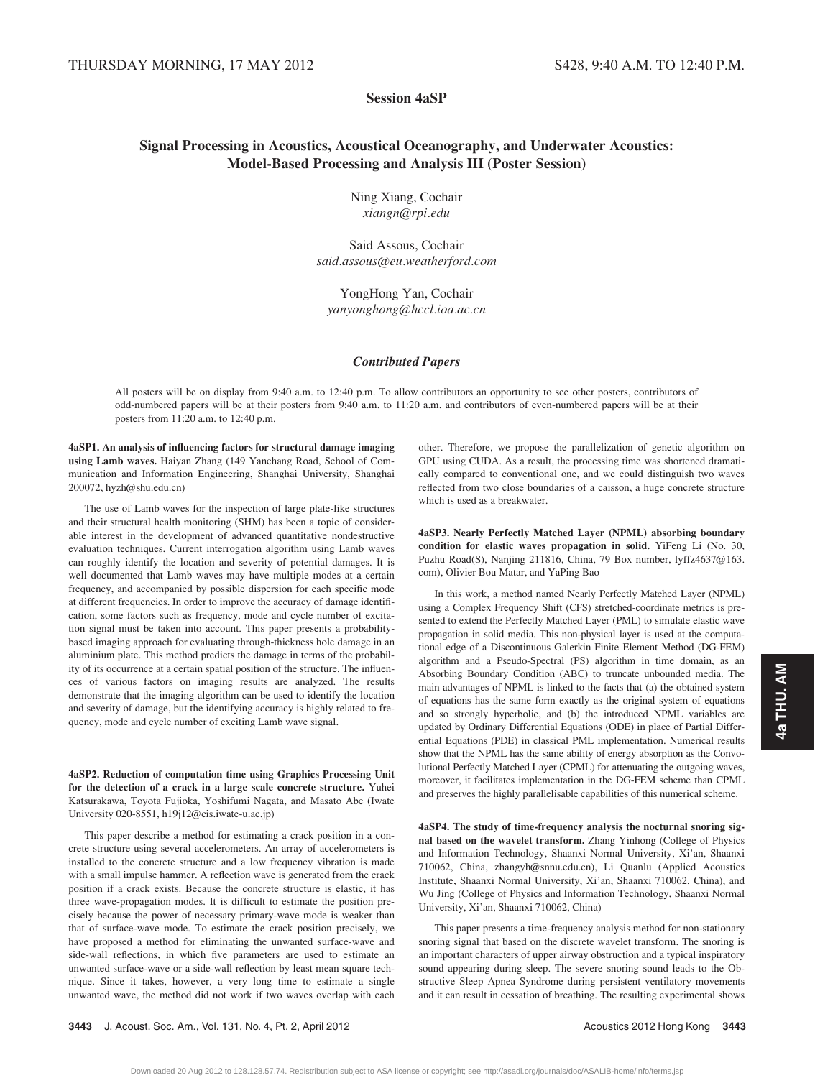# Session 4aSP

# Signal Processing in Acoustics, Acoustical Oceanography, and Underwater Acoustics: Model-Based Processing and Analysis III (Poster Session)

Ning Xiang, Cochair xiangn@rpi.edu

Said Assous, Cochair said.assous@eu.weatherford.com

YongHong Yan, Cochair yanyonghong@hccl.ioa.ac.cn

## Contributed Papers

All posters will be on display from 9:40 a.m. to 12:40 p.m. To allow contributors an opportunity to see other posters, contributors of odd-numbered papers will be at their posters from 9:40 a.m. to 11:20 a.m. and contributors of even-numbered papers will be at their posters from 11:20 a.m. to 12:40 p.m.

4aSP1. An analysis of influencing factors for structural damage imaging using Lamb waves. Haiyan Zhang (149 Yanchang Road, School of Communication and Information Engineering, Shanghai University, Shanghai 200072, hyzh@shu.edu.cn)

The use of Lamb waves for the inspection of large plate-like structures and their structural health monitoring (SHM) has been a topic of considerable interest in the development of advanced quantitative nondestructive evaluation techniques. Current interrogation algorithm using Lamb waves can roughly identify the location and severity of potential damages. It is well documented that Lamb waves may have multiple modes at a certain frequency, and accompanied by possible dispersion for each specific mode at different frequencies. In order to improve the accuracy of damage identification, some factors such as frequency, mode and cycle number of excitation signal must be taken into account. This paper presents a probabilitybased imaging approach for evaluating through-thickness hole damage in an aluminium plate. This method predicts the damage in terms of the probability of its occurrence at a certain spatial position of the structure. The influences of various factors on imaging results are analyzed. The results demonstrate that the imaging algorithm can be used to identify the location and severity of damage, but the identifying accuracy is highly related to frequency, mode and cycle number of exciting Lamb wave signal.

4aSP2. Reduction of computation time using Graphics Processing Unit for the detection of a crack in a large scale concrete structure. Yuhei Katsurakawa, Toyota Fujioka, Yoshifumi Nagata, and Masato Abe (Iwate University 020-8551, h19j12@cis.iwate-u.ac.jp)

This paper describe a method for estimating a crack position in a concrete structure using several accelerometers. An array of accelerometers is installed to the concrete structure and a low frequency vibration is made with a small impulse hammer. A reflection wave is generated from the crack position if a crack exists. Because the concrete structure is elastic, it has three wave-propagation modes. It is difficult to estimate the position precisely because the power of necessary primary-wave mode is weaker than that of surface-wave mode. To estimate the crack position precisely, we have proposed a method for eliminating the unwanted surface-wave and side-wall reflections, in which five parameters are used to estimate an unwanted surface-wave or a side-wall reflection by least mean square technique. Since it takes, however, a very long time to estimate a single unwanted wave, the method did not work if two waves overlap with each other. Therefore, we propose the parallelization of genetic algorithm on GPU using CUDA. As a result, the processing time was shortened dramatically compared to conventional one, and we could distinguish two waves reflected from two close boundaries of a caisson, a huge concrete structure which is used as a breakwater.

4aSP3. Nearly Perfectly Matched Layer (NPML) absorbing boundary condition for elastic waves propagation in solid. YiFeng Li (No. 30, Puzhu Road(S), Nanjing 211816, China, 79 Box number, lyffz4637@163. com), Olivier Bou Matar, and YaPing Bao

In this work, a method named Nearly Perfectly Matched Layer (NPML) using a Complex Frequency Shift (CFS) stretched-coordinate metrics is presented to extend the Perfectly Matched Layer (PML) to simulate elastic wave propagation in solid media. This non-physical layer is used at the computational edge of a Discontinuous Galerkin Finite Element Method (DG-FEM) algorithm and a Pseudo-Spectral (PS) algorithm in time domain, as an Absorbing Boundary Condition (ABC) to truncate unbounded media. The main advantages of NPML is linked to the facts that (a) the obtained system of equations has the same form exactly as the original system of equations and so strongly hyperbolic, and (b) the introduced NPML variables are updated by Ordinary Differential Equations (ODE) in place of Partial Differential Equations (PDE) in classical PML implementation. Numerical results show that the NPML has the same ability of energy absorption as the Convolutional Perfectly Matched Layer (CPML) for attenuating the outgoing waves, moreover, it facilitates implementation in the DG-FEM scheme than CPML and preserves the highly parallelisable capabilities of this numerical scheme.

4aSP4. The study of time-frequency analysis the nocturnal snoring signal based on the wavelet transform. Zhang Yinhong (College of Physics and Information Technology, Shaanxi Normal University, Xi'an, Shaanxi 710062, China, zhangyh@snnu.edu.cn), Li Quanlu (Applied Acoustics Institute, Shaanxi Normal University, Xi'an, Shaanxi 710062, China), and Wu Jing (College of Physics and Information Technology, Shaanxi Normal University, Xi'an, Shaanxi 710062, China)

This paper presents a time-frequency analysis method for non-stationary snoring signal that based on the discrete wavelet transform. The snoring is an important characters of upper airway obstruction and a typical inspiratory sound appearing during sleep. The severe snoring sound leads to the Obstructive Sleep Apnea Syndrome during persistent ventilatory movements and it can result in cessation of breathing. The resulting experimental shows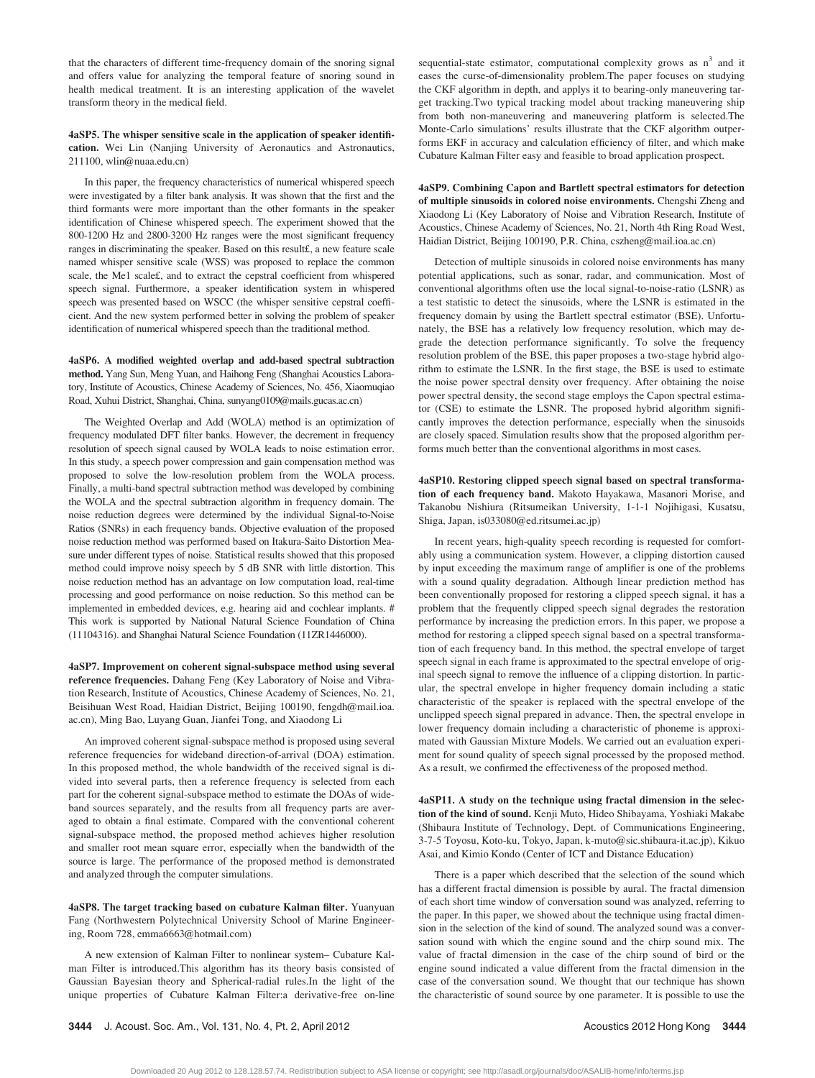that the characters of different time-frequency domain of the snoring signal and offers value for analyzing the temporal feature of snoring sound in health medical treatment. It is an interesting application of the wavelet transform theory in the medical field.

4aSP5. The whisper sensitive scale in the application of speaker identification. Wei Lin (Nanjing University of Aeronautics and Astronautics, 211100, wlin@nuaa.edu.cn)

In this paper, the frequency characteristics of numerical whispered speech were investigated by a filter bank analysis. It was shown that the first and the third formants were more important than the other formants in the speaker identification of Chinese whispered speech. The experiment showed that the 800-1200 Hz and 2800-3200 Hz ranges were the most significant frequency ranges in discriminating the speaker. Based on this result£, a new feature scale named whisper sensitive scale (WSS) was proposed to replace the common scale, the Me1 scale£, and to extract the cepstral coefficient from whispered speech signal. Furthermore, a speaker identification system in whispered speech was presented based on WSCC (the whisper sensitive cepstral coefficient. And the new system performed better in solving the problem of speaker identification of numerical whispered speech than the traditional method.

4aSP6. A modified weighted overlap and add-based spectral subtraction method. Yang Sun, Meng Yuan, and Haihong Feng (Shanghai Acoustics Laboratory, Institute of Acoustics, Chinese Academy of Sciences, No. 456, Xiaomuqiao Road, Xuhui District, Shanghai, China, sunyang0109@mails.gucas.ac.cn)

The Weighted Overlap and Add (WOLA) method is an optimization of frequency modulated DFT filter banks. However, the decrement in frequency resolution of speech signal caused by WOLA leads to noise estimation error. In this study, a speech power compression and gain compensation method was proposed to solve the low-resolution problem from the WOLA process. Finally, a multi-band spectral subtraction method was developed by combining the WOLA and the spectral subtraction algorithm in frequency domain. The noise reduction degrees were determined by the individual Signal-to-Noise Ratios (SNRs) in each frequency bands. Objective evaluation of the proposed noise reduction method was performed based on Itakura-Saito Distortion Measure under different types of noise. Statistical results showed that this proposed method could improve noisy speech by 5 dB SNR with little distortion. This noise reduction method has an advantage on low computation load, real-time processing and good performance on noise reduction. So this method can be implemented in embedded devices, e.g. hearing aid and cochlear implants. # This work is supported by National Natural Science Foundation of China (11104316). and Shanghai Natural Science Foundation (11ZR1446000).

4aSP7. Improvement on coherent signal-subspace method using several reference frequencies. Dahang Feng (Key Laboratory of Noise and Vibration Research, Institute of Acoustics, Chinese Academy of Sciences, No. 21, Beisihuan West Road, Haidian District, Beijing 100190, fengdh@mail.ioa. ac.cn), Ming Bao, Luyang Guan, Jianfei Tong, and Xiaodong Li

An improved coherent signal-subspace method is proposed using several reference frequencies for wideband direction-of-arrival (DOA) estimation. In this proposed method, the whole bandwidth of the received signal is divided into several parts, then a reference frequency is selected from each part for the coherent signal-subspace method to estimate the DOAs of wideband sources separately, and the results from all frequency parts are averaged to obtain a final estimate. Compared with the conventional coherent signal-subspace method, the proposed method achieves higher resolution and smaller root mean square error, especially when the bandwidth of the source is large. The performance of the proposed method is demonstrated and analyzed through the computer simulations.

4aSP8. The target tracking based on cubature Kalman filter. Yuanyuan Fang (Northwestern Polytechnical University School of Marine Engineering, Room 728, emma6663@hotmail.com)

A new extension of Kalman Filter to nonlinear system– Cubature Kalman Filter is introduced.This algorithm has its theory basis consisted of Gaussian Bayesian theory and Spherical-radial rules.In the light of the unique properties of Cubature Kalman Filter:a derivative-free on-line sequential-state estimator, computational complexity grows as  $n<sup>3</sup>$  and it eases the curse-of-dimensionality problem.The paper focuses on studying the CKF algorithm in depth, and applys it to bearing-only maneuvering target tracking.Two typical tracking model about tracking maneuvering ship from both non-maneuvering and maneuvering platform is selected.The Monte-Carlo simulations' results illustrate that the CKF algorithm outperforms EKF in accuracy and calculation efficiency of filter, and which make Cubature Kalman Filter easy and feasible to broad application prospect.

4aSP9. Combining Capon and Bartlett spectral estimators for detection of multiple sinusoids in colored noise environments. Chengshi Zheng and Xiaodong Li (Key Laboratory of Noise and Vibration Research, Institute of Acoustics, Chinese Academy of Sciences, No. 21, North 4th Ring Road West, Haidian District, Beijing 100190, P.R. China, cszheng@mail.ioa.ac.cn)

Detection of multiple sinusoids in colored noise environments has many potential applications, such as sonar, radar, and communication. Most of conventional algorithms often use the local signal-to-noise-ratio (LSNR) as a test statistic to detect the sinusoids, where the LSNR is estimated in the frequency domain by using the Bartlett spectral estimator (BSE). Unfortunately, the BSE has a relatively low frequency resolution, which may degrade the detection performance significantly. To solve the frequency resolution problem of the BSE, this paper proposes a two-stage hybrid algorithm to estimate the LSNR. In the first stage, the BSE is used to estimate the noise power spectral density over frequency. After obtaining the noise power spectral density, the second stage employs the Capon spectral estimator (CSE) to estimate the LSNR. The proposed hybrid algorithm significantly improves the detection performance, especially when the sinusoids are closely spaced. Simulation results show that the proposed algorithm performs much better than the conventional algorithms in most cases.

4aSP10. Restoring clipped speech signal based on spectral transformation of each frequency band. Makoto Hayakawa, Masanori Morise, and Takanobu Nishiura (Ritsumeikan University, 1-1-1 Nojihigasi, Kusatsu, Shiga, Japan, is033080@ed.ritsumei.ac.jp)

In recent years, high-quality speech recording is requested for comfortably using a communication system. However, a clipping distortion caused by input exceeding the maximum range of amplifier is one of the problems with a sound quality degradation. Although linear prediction method has been conventionally proposed for restoring a clipped speech signal, it has a problem that the frequently clipped speech signal degrades the restoration performance by increasing the prediction errors. In this paper, we propose a method for restoring a clipped speech signal based on a spectral transformation of each frequency band. In this method, the spectral envelope of target speech signal in each frame is approximated to the spectral envelope of original speech signal to remove the influence of a clipping distortion. In particular, the spectral envelope in higher frequency domain including a static characteristic of the speaker is replaced with the spectral envelope of the unclipped speech signal prepared in advance. Then, the spectral envelope in lower frequency domain including a characteristic of phoneme is approximated with Gaussian Mixture Models. We carried out an evaluation experiment for sound quality of speech signal processed by the proposed method. As a result, we confirmed the effectiveness of the proposed method.

4aSP11. A study on the technique using fractal dimension in the selection of the kind of sound. Kenji Muto, Hideo Shibayama, Yoshiaki Makabe (Shibaura Institute of Technology, Dept. of Communications Engineering, 3-7-5 Toyosu, Koto-ku, Tokyo, Japan, k-muto@sic.shibaura-it.ac.jp), Kikuo Asai, and Kimio Kondo (Center of ICT and Distance Education)

There is a paper which described that the selection of the sound which has a different fractal dimension is possible by aural. The fractal dimension of each short time window of conversation sound was analyzed, referring to the paper. In this paper, we showed about the technique using fractal dimension in the selection of the kind of sound. The analyzed sound was a conversation sound with which the engine sound and the chirp sound mix. The value of fractal dimension in the case of the chirp sound of bird or the engine sound indicated a value different from the fractal dimension in the case of the conversation sound. We thought that our technique has shown the characteristic of sound source by one parameter. It is possible to use the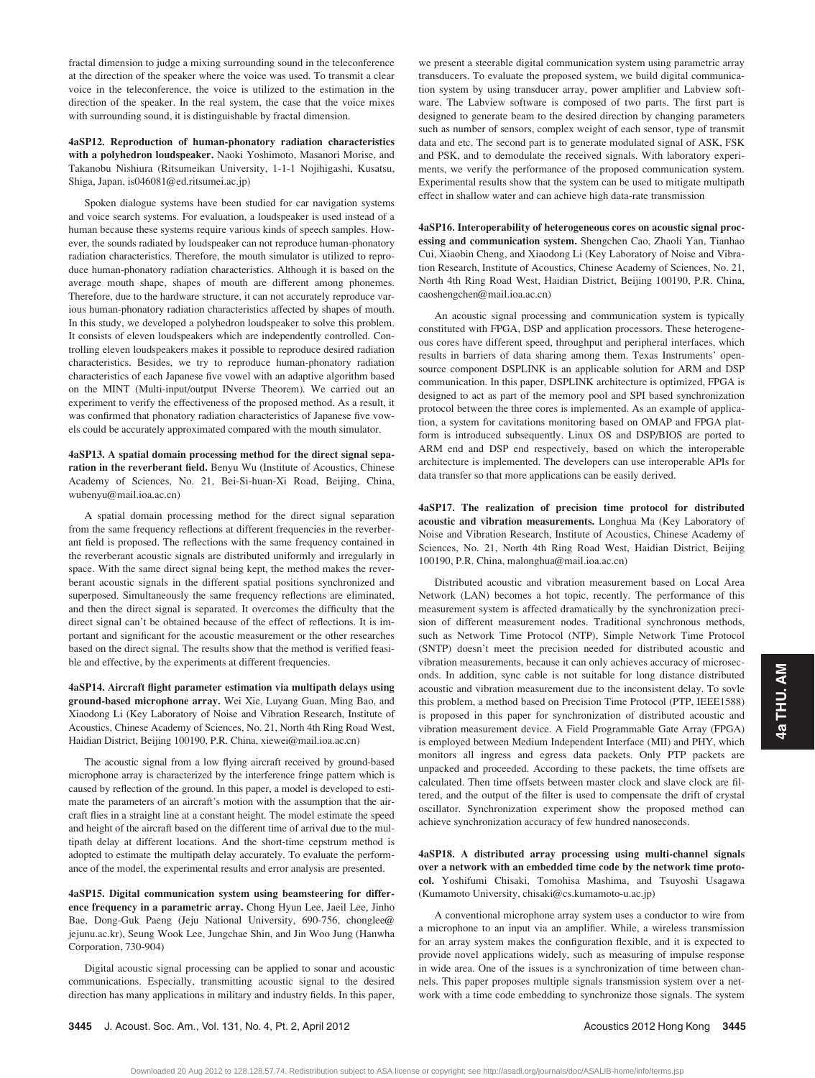fractal dimension to judge a mixing surrounding sound in the teleconference at the direction of the speaker where the voice was used. To transmit a clear voice in the teleconference, the voice is utilized to the estimation in the direction of the speaker. In the real system, the case that the voice mixes with surrounding sound, it is distinguishable by fractal dimension.

# 4aSP12. Reproduction of human-phonatory radiation characteristics with a polyhedron loudspeaker. Naoki Yoshimoto, Masanori Morise, and Takanobu Nishiura (Ritsumeikan University, 1-1-1 Nojihigashi, Kusatsu, Shiga, Japan, is046081@ed.ritsumei.ac.jp)

Spoken dialogue systems have been studied for car navigation systems and voice search systems. For evaluation, a loudspeaker is used instead of a human because these systems require various kinds of speech samples. However, the sounds radiated by loudspeaker can not reproduce human-phonatory radiation characteristics. Therefore, the mouth simulator is utilized to reproduce human-phonatory radiation characteristics. Although it is based on the average mouth shape, shapes of mouth are different among phonemes. Therefore, due to the hardware structure, it can not accurately reproduce various human-phonatory radiation characteristics affected by shapes of mouth. In this study, we developed a polyhedron loudspeaker to solve this problem. It consists of eleven loudspeakers which are independently controlled. Controlling eleven loudspeakers makes it possible to reproduce desired radiation characteristics. Besides, we try to reproduce human-phonatory radiation characteristics of each Japanese five vowel with an adaptive algorithm based on the MINT (Multi-input/output INverse Theorem). We carried out an experiment to verify the effectiveness of the proposed method. As a result, it was confirmed that phonatory radiation characteristics of Japanese five vowels could be accurately approximated compared with the mouth simulator.

4aSP13. A spatial domain processing method for the direct signal separation in the reverberant field. Benyu Wu (Institute of Acoustics, Chinese Academy of Sciences, No. 21, Bei-Si-huan-Xi Road, Beijing, China, wubenyu@mail.ioa.ac.cn)

A spatial domain processing method for the direct signal separation from the same frequency reflections at different frequencies in the reverberant field is proposed. The reflections with the same frequency contained in the reverberant acoustic signals are distributed uniformly and irregularly in space. With the same direct signal being kept, the method makes the reverberant acoustic signals in the different spatial positions synchronized and superposed. Simultaneously the same frequency reflections are eliminated, and then the direct signal is separated. It overcomes the difficulty that the direct signal can't be obtained because of the effect of reflections. It is important and significant for the acoustic measurement or the other researches based on the direct signal. The results show that the method is verified feasible and effective, by the experiments at different frequencies.

4aSP14. Aircraft flight parameter estimation via multipath delays using ground-based microphone array. Wei Xie, Luyang Guan, Ming Bao, and Xiaodong Li (Key Laboratory of Noise and Vibration Research, Institute of Acoustics, Chinese Academy of Sciences, No. 21, North 4th Ring Road West, Haidian District, Beijing 100190, P.R. China, xiewei@mail.ioa.ac.cn)

The acoustic signal from a low flying aircraft received by ground-based microphone array is characterized by the interference fringe pattern which is caused by reflection of the ground. In this paper, a model is developed to estimate the parameters of an aircraft's motion with the assumption that the aircraft flies in a straight line at a constant height. The model estimate the speed and height of the aircraft based on the different time of arrival due to the multipath delay at different locations. And the short-time cepstrum method is adopted to estimate the multipath delay accurately. To evaluate the performance of the model, the experimental results and error analysis are presented.

4aSP15. Digital communication system using beamsteering for difference frequency in a parametric array. Chong Hyun Lee, Jaeil Lee, Jinho Bae, Dong-Guk Paeng (Jeju National University, 690-756, chonglee@ jejunu.ac.kr), Seung Wook Lee, Jungchae Shin, and Jin Woo Jung (Hanwha Corporation, 730-904)

Digital acoustic signal processing can be applied to sonar and acoustic communications. Especially, transmitting acoustic signal to the desired direction has many applications in military and industry fields. In this paper, we present a steerable digital communication system using parametric array transducers. To evaluate the proposed system, we build digital communication system by using transducer array, power amplifier and Labview software. The Labview software is composed of two parts. The first part is designed to generate beam to the desired direction by changing parameters such as number of sensors, complex weight of each sensor, type of transmit data and etc. The second part is to generate modulated signal of ASK, FSK and PSK, and to demodulate the received signals. With laboratory experiments, we verify the performance of the proposed communication system. Experimental results show that the system can be used to mitigate multipath effect in shallow water and can achieve high data-rate transmission

4aSP16. Interoperability of heterogeneous cores on acoustic signal processing and communication system. Shengchen Cao, Zhaoli Yan, Tianhao Cui, Xiaobin Cheng, and Xiaodong Li (Key Laboratory of Noise and Vibration Research, Institute of Acoustics, Chinese Academy of Sciences, No. 21, North 4th Ring Road West, Haidian District, Beijing 100190, P.R. China, caoshengchen@mail.ioa.ac.cn)

An acoustic signal processing and communication system is typically constituted with FPGA, DSP and application processors. These heterogeneous cores have different speed, throughput and peripheral interfaces, which results in barriers of data sharing among them. Texas Instruments' opensource component DSPLINK is an applicable solution for ARM and DSP communication. In this paper, DSPLINK architecture is optimized, FPGA is designed to act as part of the memory pool and SPI based synchronization protocol between the three cores is implemented. As an example of application, a system for cavitations monitoring based on OMAP and FPGA platform is introduced subsequently. Linux OS and DSP/BIOS are ported to ARM end and DSP end respectively, based on which the interoperable architecture is implemented. The developers can use interoperable APIs for data transfer so that more applications can be easily derived.

4aSP17. The realization of precision time protocol for distributed acoustic and vibration measurements. Longhua Ma (Key Laboratory of Noise and Vibration Research, Institute of Acoustics, Chinese Academy of Sciences, No. 21, North 4th Ring Road West, Haidian District, Beijing 100190, P.R. China, malonghua@mail.ioa.ac.cn)

Distributed acoustic and vibration measurement based on Local Area Network (LAN) becomes a hot topic, recently. The performance of this measurement system is affected dramatically by the synchronization precision of different measurement nodes. Traditional synchronous methods, such as Network Time Protocol (NTP), Simple Network Time Protocol (SNTP) doesn't meet the precision needed for distributed acoustic and vibration measurements, because it can only achieves accuracy of microseconds. In addition, sync cable is not suitable for long distance distributed acoustic and vibration measurement due to the inconsistent delay. To sovle this problem, a method based on Precision Time Protocol (PTP, IEEE1588) is proposed in this paper for synchronization of distributed acoustic and vibration measurement device. A Field Programmable Gate Array (FPGA) is employed between Medium Independent Interface (MII) and PHY, which monitors all ingress and egress data packets. Only PTP packets are unpacked and proceeded. According to these packets, the time offsets are calculated. Then time offsets between master clock and slave clock are filtered, and the output of the filter is used to compensate the drift of crystal oscillator. Synchronization experiment show the proposed method can achieve synchronization accuracy of few hundred nanoseconds.

4aSP18. A distributed array processing using multi-channel signals over a network with an embedded time code by the network time protocol. Yoshifumi Chisaki, Tomohisa Mashima, and Tsuyoshi Usagawa (Kumamoto University, chisaki@cs.kumamoto-u.ac.jp)

A conventional microphone array system uses a conductor to wire from a microphone to an input via an amplifier. While, a wireless transmission for an array system makes the configuration flexible, and it is expected to provide novel applications widely, such as measuring of impulse response in wide area. One of the issues is a synchronization of time between channels. This paper proposes multiple signals transmission system over a network with a time code embedding to synchronize those signals. The system

4a THU. AM

1a THU. AM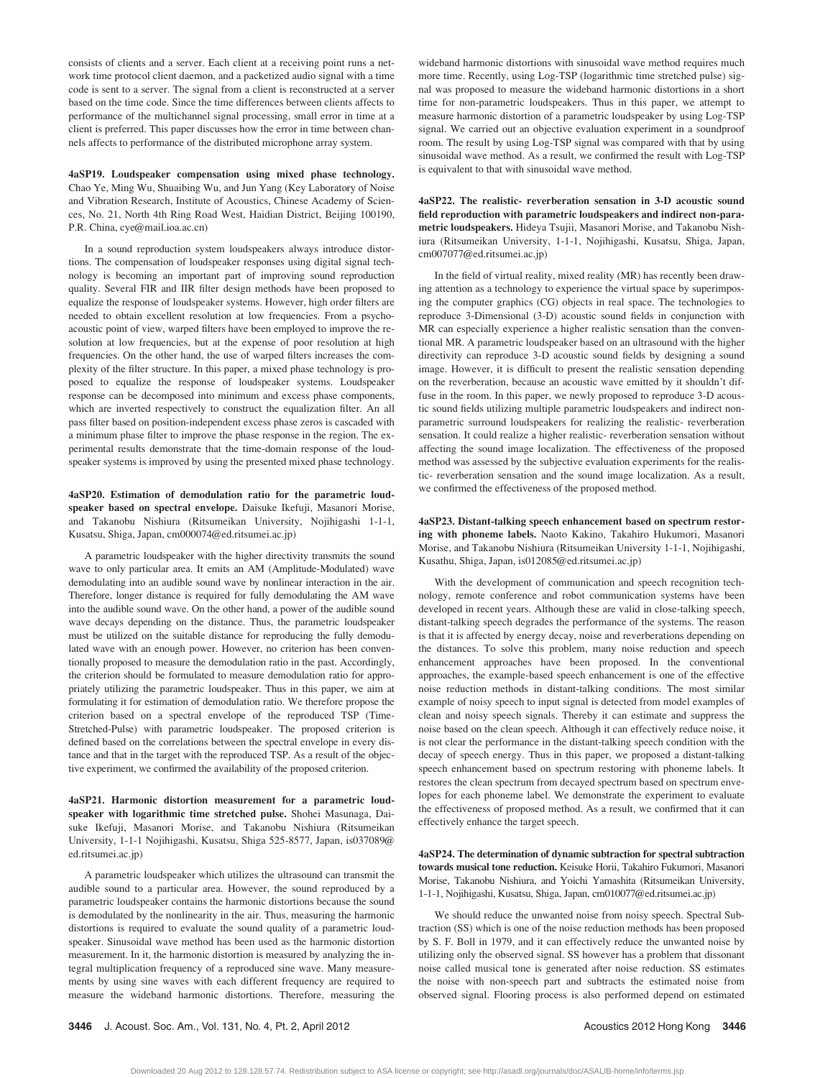consists of clients and a server. Each client at a receiving point runs a network time protocol client daemon, and a packetized audio signal with a time code is sent to a server. The signal from a client is reconstructed at a server based on the time code. Since the time differences between clients affects to performance of the multichannel signal processing, small error in time at a client is preferred. This paper discusses how the error in time between channels affects to performance of the distributed microphone array system.

4aSP19. Loudspeaker compensation using mixed phase technology. Chao Ye, Ming Wu, Shuaibing Wu, and Jun Yang (Key Laboratory of Noise and Vibration Research, Institute of Acoustics, Chinese Academy of Sciences, No. 21, North 4th Ring Road West, Haidian District, Beijing 100190, P.R. China, cye@mail.ioa.ac.cn)

In a sound reproduction system loudspeakers always introduce distortions. The compensation of loudspeaker responses using digital signal technology is becoming an important part of improving sound reproduction quality. Several FIR and IIR filter design methods have been proposed to equalize the response of loudspeaker systems. However, high order filters are needed to obtain excellent resolution at low frequencies. From a psychoacoustic point of view, warped filters have been employed to improve the resolution at low frequencies, but at the expense of poor resolution at high frequencies. On the other hand, the use of warped filters increases the complexity of the filter structure. In this paper, a mixed phase technology is proposed to equalize the response of loudspeaker systems. Loudspeaker response can be decomposed into minimum and excess phase components, which are inverted respectively to construct the equalization filter. An all pass filter based on position-independent excess phase zeros is cascaded with a minimum phase filter to improve the phase response in the region. The experimental results demonstrate that the time-domain response of the loudspeaker systems is improved by using the presented mixed phase technology.

4aSP20. Estimation of demodulation ratio for the parametric loudspeaker based on spectral envelope. Daisuke Ikefuji, Masanori Morise, and Takanobu Nishiura (Ritsumeikan University, Nojihigashi 1-1-1, Kusatsu, Shiga, Japan, cm000074@ed.ritsumei.ac.jp)

A parametric loudspeaker with the higher directivity transmits the sound wave to only particular area. It emits an AM (Amplitude-Modulated) wave demodulating into an audible sound wave by nonlinear interaction in the air. Therefore, longer distance is required for fully demodulating the AM wave into the audible sound wave. On the other hand, a power of the audible sound wave decays depending on the distance. Thus, the parametric loudspeaker must be utilized on the suitable distance for reproducing the fully demodulated wave with an enough power. However, no criterion has been conventionally proposed to measure the demodulation ratio in the past. Accordingly, the criterion should be formulated to measure demodulation ratio for appropriately utilizing the parametric loudspeaker. Thus in this paper, we aim at formulating it for estimation of demodulation ratio. We therefore propose the criterion based on a spectral envelope of the reproduced TSP (Time-Stretched-Pulse) with parametric loudspeaker. The proposed criterion is defined based on the correlations between the spectral envelope in every distance and that in the target with the reproduced TSP. As a result of the objective experiment, we confirmed the availability of the proposed criterion.

4aSP21. Harmonic distortion measurement for a parametric loudspeaker with logarithmic time stretched pulse. Shohei Masunaga, Daisuke Ikefuji, Masanori Morise, and Takanobu Nishiura (Ritsumeikan University, 1-1-1 Nojihigashi, Kusatsu, Shiga 525-8577, Japan, is037089@ ed.ritsumei.ac.jp)

A parametric loudspeaker which utilizes the ultrasound can transmit the audible sound to a particular area. However, the sound reproduced by a parametric loudspeaker contains the harmonic distortions because the sound is demodulated by the nonlinearity in the air. Thus, measuring the harmonic distortions is required to evaluate the sound quality of a parametric loudspeaker. Sinusoidal wave method has been used as the harmonic distortion measurement. In it, the harmonic distortion is measured by analyzing the integral multiplication frequency of a reproduced sine wave. Many measurements by using sine waves with each different frequency are required to measure the wideband harmonic distortions. Therefore, measuring the wideband harmonic distortions with sinusoidal wave method requires much more time. Recently, using Log-TSP (logarithmic time stretched pulse) signal was proposed to measure the wideband harmonic distortions in a short time for non-parametric loudspeakers. Thus in this paper, we attempt to measure harmonic distortion of a parametric loudspeaker by using Log-TSP signal. We carried out an objective evaluation experiment in a soundproof room. The result by using Log-TSP signal was compared with that by using sinusoidal wave method. As a result, we confirmed the result with Log-TSP is equivalent to that with sinusoidal wave method.

4aSP22. The realistic- reverberation sensation in 3-D acoustic sound field reproduction with parametric loudspeakers and indirect non-parametric loudspeakers. Hideya Tsujii, Masanori Morise, and Takanobu Nishiura (Ritsumeikan University, 1-1-1, Nojihigashi, Kusatsu, Shiga, Japan, cm007077@ed.ritsumei.ac.jp)

In the field of virtual reality, mixed reality (MR) has recently been drawing attention as a technology to experience the virtual space by superimposing the computer graphics (CG) objects in real space. The technologies to reproduce 3-Dimensional (3-D) acoustic sound fields in conjunction with MR can especially experience a higher realistic sensation than the conventional MR. A parametric loudspeaker based on an ultrasound with the higher directivity can reproduce 3-D acoustic sound fields by designing a sound image. However, it is difficult to present the realistic sensation depending on the reverberation, because an acoustic wave emitted by it shouldn't diffuse in the room. In this paper, we newly proposed to reproduce 3-D acoustic sound fields utilizing multiple parametric loudspeakers and indirect nonparametric surround loudspeakers for realizing the realistic- reverberation sensation. It could realize a higher realistic- reverberation sensation without affecting the sound image localization. The effectiveness of the proposed method was assessed by the subjective evaluation experiments for the realistic- reverberation sensation and the sound image localization. As a result, we confirmed the effectiveness of the proposed method.

4aSP23. Distant-talking speech enhancement based on spectrum restoring with phoneme labels. Naoto Kakino, Takahiro Hukumori, Masanori Morise, and Takanobu Nishiura (Ritsumeikan University 1-1-1, Nojihigashi, Kusathu, Shiga, Japan, is012085@ed.ritsumei.ac.jp)

With the development of communication and speech recognition technology, remote conference and robot communication systems have been developed in recent years. Although these are valid in close-talking speech, distant-talking speech degrades the performance of the systems. The reason is that it is affected by energy decay, noise and reverberations depending on the distances. To solve this problem, many noise reduction and speech enhancement approaches have been proposed. In the conventional approaches, the example-based speech enhancement is one of the effective noise reduction methods in distant-talking conditions. The most similar example of noisy speech to input signal is detected from model examples of clean and noisy speech signals. Thereby it can estimate and suppress the noise based on the clean speech. Although it can effectively reduce noise, it is not clear the performance in the distant-talking speech condition with the decay of speech energy. Thus in this paper, we proposed a distant-talking speech enhancement based on spectrum restoring with phoneme labels. It restores the clean spectrum from decayed spectrum based on spectrum envelopes for each phoneme label. We demonstrate the experiment to evaluate the effectiveness of proposed method. As a result, we confirmed that it can effectively enhance the target speech.

4aSP24. The determination of dynamic subtraction for spectral subtraction towards musical tone reduction. Keisuke Horii, Takahiro Fukumori, Masanori Morise, Takanobu Nishiura, and Yoichi Yamashita (Ritsumeikan University, 1-1-1, Nojihigashi, Kusatsu, Shiga, Japan, cm010077@ed.ritsumei.ac.jp)

We should reduce the unwanted noise from noisy speech. Spectral Subtraction (SS) which is one of the noise reduction methods has been proposed by S. F. Boll in 1979, and it can effectively reduce the unwanted noise by utilizing only the observed signal. SS however has a problem that dissonant noise called musical tone is generated after noise reduction. SS estimates the noise with non-speech part and subtracts the estimated noise from observed signal. Flooring process is also performed depend on estimated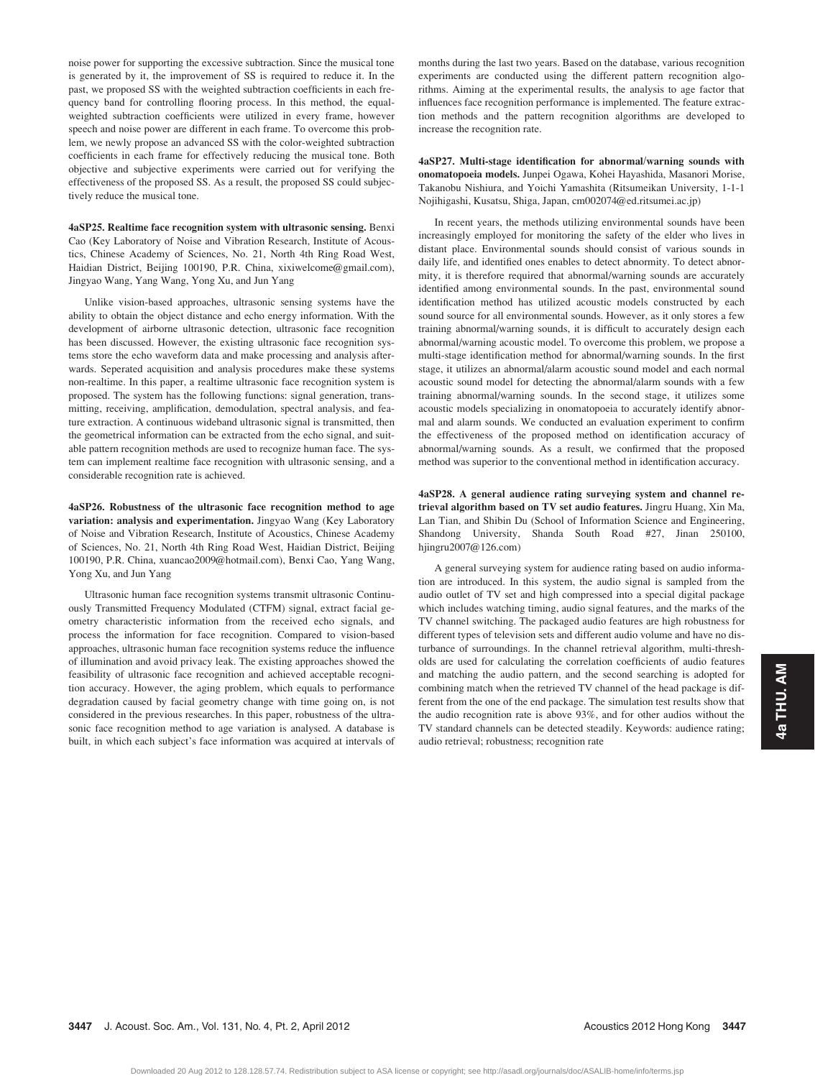noise power for supporting the excessive subtraction. Since the musical tone is generated by it, the improvement of SS is required to reduce it. In the past, we proposed SS with the weighted subtraction coefficients in each frequency band for controlling flooring process. In this method, the equalweighted subtraction coefficients were utilized in every frame, however speech and noise power are different in each frame. To overcome this problem, we newly propose an advanced SS with the color-weighted subtraction coefficients in each frame for effectively reducing the musical tone. Both objective and subjective experiments were carried out for verifying the effectiveness of the proposed SS. As a result, the proposed SS could subjectively reduce the musical tone.

4aSP25. Realtime face recognition system with ultrasonic sensing. Benxi Cao (Key Laboratory of Noise and Vibration Research, Institute of Acoustics, Chinese Academy of Sciences, No. 21, North 4th Ring Road West, Haidian District, Beijing 100190, P.R. China, xixiwelcome@gmail.com), Jingyao Wang, Yang Wang, Yong Xu, and Jun Yang

Unlike vision-based approaches, ultrasonic sensing systems have the ability to obtain the object distance and echo energy information. With the development of airborne ultrasonic detection, ultrasonic face recognition has been discussed. However, the existing ultrasonic face recognition systems store the echo waveform data and make processing and analysis afterwards. Seperated acquisition and analysis procedures make these systems non-realtime. In this paper, a realtime ultrasonic face recognition system is proposed. The system has the following functions: signal generation, transmitting, receiving, amplification, demodulation, spectral analysis, and feature extraction. A continuous wideband ultrasonic signal is transmitted, then the geometrical information can be extracted from the echo signal, and suitable pattern recognition methods are used to recognize human face. The system can implement realtime face recognition with ultrasonic sensing, and a considerable recognition rate is achieved.

4aSP26. Robustness of the ultrasonic face recognition method to age variation: analysis and experimentation. Jingyao Wang (Key Laboratory of Noise and Vibration Research, Institute of Acoustics, Chinese Academy of Sciences, No. 21, North 4th Ring Road West, Haidian District, Beijing 100190, P.R. China, xuancao2009@hotmail.com), Benxi Cao, Yang Wang, Yong Xu, and Jun Yang

Ultrasonic human face recognition systems transmit ultrasonic Continuously Transmitted Frequency Modulated (CTFM) signal, extract facial geometry characteristic information from the received echo signals, and process the information for face recognition. Compared to vision-based approaches, ultrasonic human face recognition systems reduce the influence of illumination and avoid privacy leak. The existing approaches showed the feasibility of ultrasonic face recognition and achieved acceptable recognition accuracy. However, the aging problem, which equals to performance degradation caused by facial geometry change with time going on, is not considered in the previous researches. In this paper, robustness of the ultrasonic face recognition method to age variation is analysed. A database is built, in which each subject's face information was acquired at intervals of

months during the last two years. Based on the database, various recognition experiments are conducted using the different pattern recognition algorithms. Aiming at the experimental results, the analysis to age factor that influences face recognition performance is implemented. The feature extraction methods and the pattern recognition algorithms are developed to increase the recognition rate.

4aSP27. Multi-stage identification for abnormal/warning sounds with onomatopoeia models. Junpei Ogawa, Kohei Hayashida, Masanori Morise, Takanobu Nishiura, and Yoichi Yamashita (Ritsumeikan University, 1-1-1 Nojihigashi, Kusatsu, Shiga, Japan, cm002074@ed.ritsumei.ac.jp)

In recent years, the methods utilizing environmental sounds have been increasingly employed for monitoring the safety of the elder who lives in distant place. Environmental sounds should consist of various sounds in daily life, and identified ones enables to detect abnormity. To detect abnormity, it is therefore required that abnormal/warning sounds are accurately identified among environmental sounds. In the past, environmental sound identification method has utilized acoustic models constructed by each sound source for all environmental sounds. However, as it only stores a few training abnormal/warning sounds, it is difficult to accurately design each abnormal/warning acoustic model. To overcome this problem, we propose a multi-stage identification method for abnormal/warning sounds. In the first stage, it utilizes an abnormal/alarm acoustic sound model and each normal acoustic sound model for detecting the abnormal/alarm sounds with a few training abnormal/warning sounds. In the second stage, it utilizes some acoustic models specializing in onomatopoeia to accurately identify abnormal and alarm sounds. We conducted an evaluation experiment to confirm the effectiveness of the proposed method on identification accuracy of abnormal/warning sounds. As a result, we confirmed that the proposed method was superior to the conventional method in identification accuracy.

4aSP28. A general audience rating surveying system and channel retrieval algorithm based on TV set audio features. Jingru Huang, Xin Ma, Lan Tian, and Shibin Du (School of Information Science and Engineering, Shandong University, Shanda South Road #27, Jinan 250100, hjingru2007@126.com)

A general surveying system for audience rating based on audio information are introduced. In this system, the audio signal is sampled from the audio outlet of TV set and high compressed into a special digital package which includes watching timing, audio signal features, and the marks of the TV channel switching. The packaged audio features are high robustness for different types of television sets and different audio volume and have no disturbance of surroundings. In the channel retrieval algorithm, multi-thresholds are used for calculating the correlation coefficients of audio features and matching the audio pattern, and the second searching is adopted for combining match when the retrieved TV channel of the head package is different from the one of the end package. The simulation test results show that the audio recognition rate is above 93%, and for other audios without the TV standard channels can be detected steadily. Keywords: audience rating; audio retrieval; robustness; recognition rate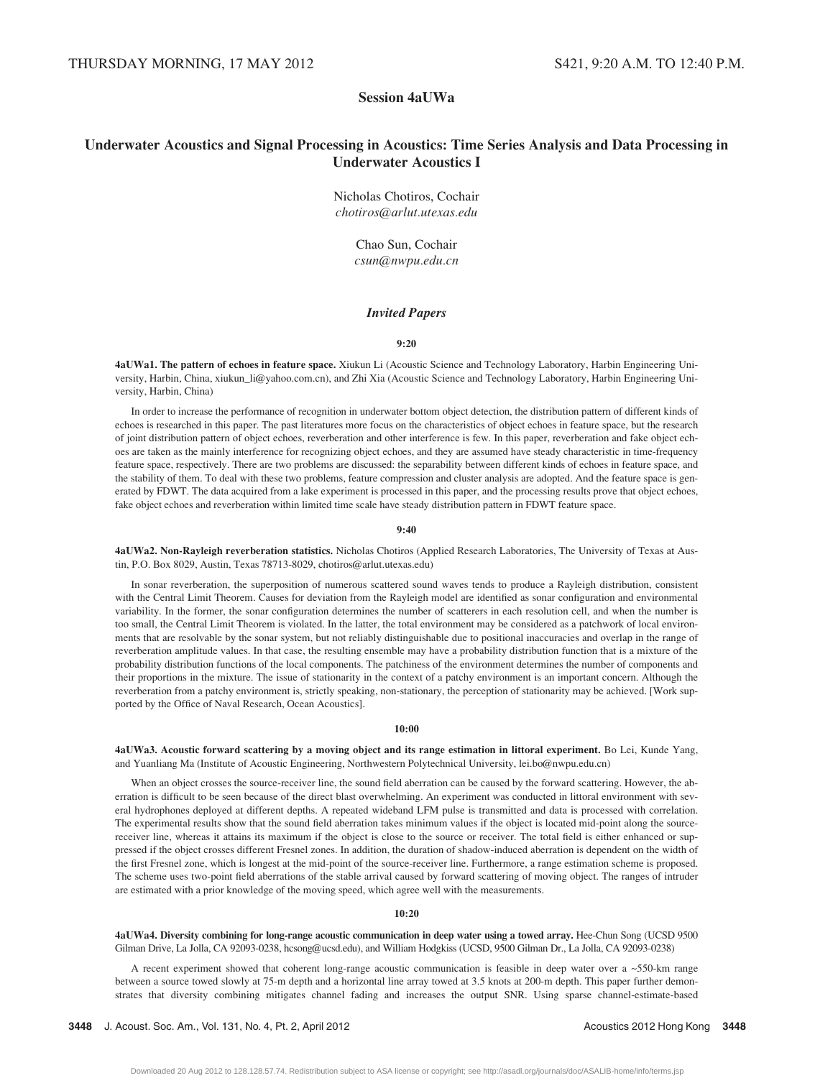# Session 4aUWa

# Underwater Acoustics and Signal Processing in Acoustics: Time Series Analysis and Data Processing in Underwater Acoustics I

Nicholas Chotiros, Cochair chotiros@arlut.utexas.edu

> Chao Sun, Cochair csun@nwpu.edu.cn

# Invited Papers

### 9:20

4aUWa1. The pattern of echoes in feature space. Xiukun Li (Acoustic Science and Technology Laboratory, Harbin Engineering University, Harbin, China, xiukun\_li@yahoo.com.cn), and Zhi Xia (Acoustic Science and Technology Laboratory, Harbin Engineering University, Harbin, China)

In order to increase the performance of recognition in underwater bottom object detection, the distribution pattern of different kinds of echoes is researched in this paper. The past literatures more focus on the characteristics of object echoes in feature space, but the research of joint distribution pattern of object echoes, reverberation and other interference is few. In this paper, reverberation and fake object echoes are taken as the mainly interference for recognizing object echoes, and they are assumed have steady characteristic in time-frequency feature space, respectively. There are two problems are discussed: the separability between different kinds of echoes in feature space, and the stability of them. To deal with these two problems, feature compression and cluster analysis are adopted. And the feature space is generated by FDWT. The data acquired from a lake experiment is processed in this paper, and the processing results prove that object echoes, fake object echoes and reverberation within limited time scale have steady distribution pattern in FDWT feature space.

#### 9:40

4aUWa2. Non-Rayleigh reverberation statistics. Nicholas Chotiros (Applied Research Laboratories, The University of Texas at Austin, P.O. Box 8029, Austin, Texas 78713-8029, chotiros@arlut.utexas.edu)

In sonar reverberation, the superposition of numerous scattered sound waves tends to produce a Rayleigh distribution, consistent with the Central Limit Theorem. Causes for deviation from the Rayleigh model are identified as sonar configuration and environmental variability. In the former, the sonar configuration determines the number of scatterers in each resolution cell, and when the number is too small, the Central Limit Theorem is violated. In the latter, the total environment may be considered as a patchwork of local environments that are resolvable by the sonar system, but not reliably distinguishable due to positional inaccuracies and overlap in the range of reverberation amplitude values. In that case, the resulting ensemble may have a probability distribution function that is a mixture of the probability distribution functions of the local components. The patchiness of the environment determines the number of components and their proportions in the mixture. The issue of stationarity in the context of a patchy environment is an important concern. Although the reverberation from a patchy environment is, strictly speaking, non-stationary, the perception of stationarity may be achieved. [Work supported by the Office of Naval Research, Ocean Acoustics].

### 10:00

4aUWa3. Acoustic forward scattering by a moving object and its range estimation in littoral experiment. Bo Lei, Kunde Yang, and Yuanliang Ma (Institute of Acoustic Engineering, Northwestern Polytechnical University, lei.bo@nwpu.edu.cn)

When an object crosses the source-receiver line, the sound field aberration can be caused by the forward scattering. However, the aberration is difficult to be seen because of the direct blast overwhelming. An experiment was conducted in littoral environment with several hydrophones deployed at different depths. A repeated wideband LFM pulse is transmitted and data is processed with correlation. The experimental results show that the sound field aberration takes minimum values if the object is located mid-point along the sourcereceiver line, whereas it attains its maximum if the object is close to the source or receiver. The total field is either enhanced or suppressed if the object crosses different Fresnel zones. In addition, the duration of shadow-induced aberration is dependent on the width of the first Fresnel zone, which is longest at the mid-point of the source-receiver line. Furthermore, a range estimation scheme is proposed. The scheme uses two-point field aberrations of the stable arrival caused by forward scattering of moving object. The ranges of intruder are estimated with a prior knowledge of the moving speed, which agree well with the measurements.

### 10:20

4aUWa4. Diversity combining for long-range acoustic communication in deep water using a towed array. Hee-Chun Song (UCSD 9500 Gilman Drive, La Jolla, CA 92093-0238, hcsong@ucsd.edu), and William Hodgkiss (UCSD, 9500 Gilman Dr., La Jolla, CA 92093-0238)

A recent experiment showed that coherent long-range acoustic communication is feasible in deep water over a ~550-km range between a source towed slowly at 75-m depth and a horizontal line array towed at 3.5 knots at 200-m depth. This paper further demonstrates that diversity combining mitigates channel fading and increases the output SNR. Using sparse channel-estimate-based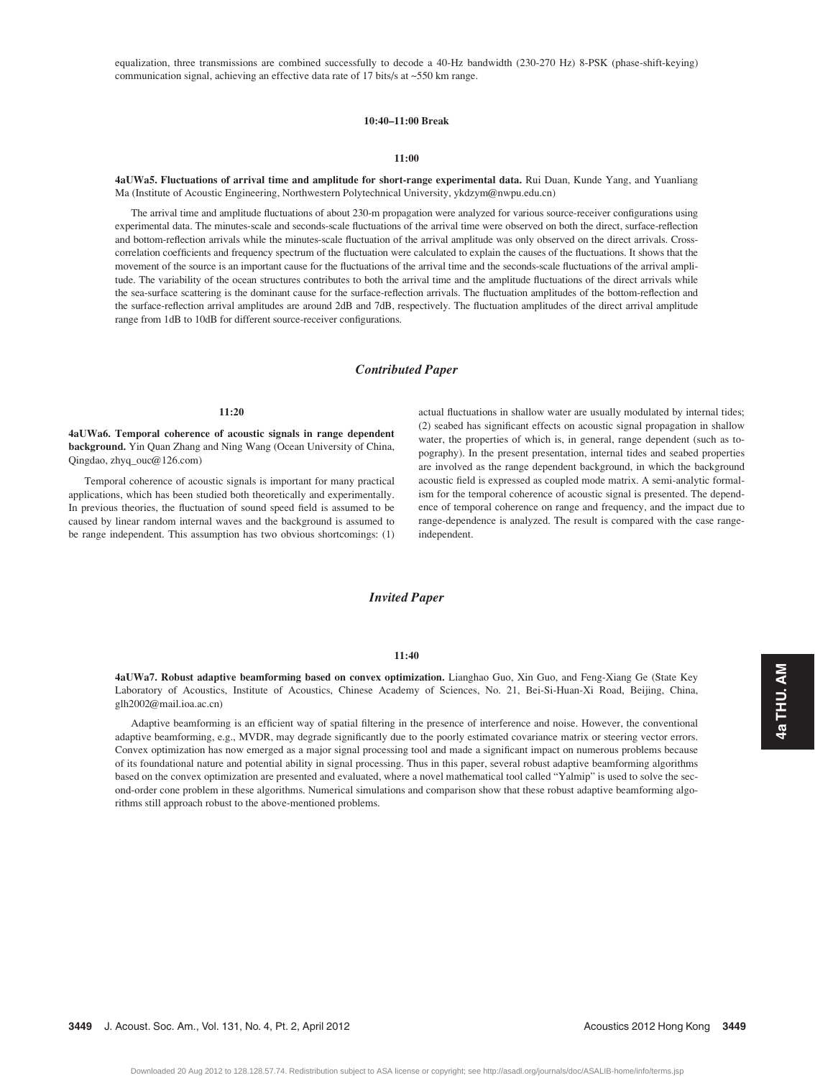equalization, three transmissions are combined successfully to decode a 40-Hz bandwidth (230-270 Hz) 8-PSK (phase-shift-keying) communication signal, achieving an effective data rate of 17 bits/s at ~550 km range.

### 10:40–11:00 Break

### 11:00

### 4aUWa5. Fluctuations of arrival time and amplitude for short-range experimental data. Rui Duan, Kunde Yang, and Yuanliang Ma (Institute of Acoustic Engineering, Northwestern Polytechnical University, ykdzym@nwpu.edu.cn)

The arrival time and amplitude fluctuations of about 230-m propagation were analyzed for various source-receiver configurations using experimental data. The minutes-scale and seconds-scale fluctuations of the arrival time were observed on both the direct, surface-reflection and bottom-reflection arrivals while the minutes-scale fluctuation of the arrival amplitude was only observed on the direct arrivals. Crosscorrelation coefficients and frequency spectrum of the fluctuation were calculated to explain the causes of the fluctuations. It shows that the movement of the source is an important cause for the fluctuations of the arrival time and the seconds-scale fluctuations of the arrival amplitude. The variability of the ocean structures contributes to both the arrival time and the amplitude fluctuations of the direct arrivals while the sea-surface scattering is the dominant cause for the surface-reflection arrivals. The fluctuation amplitudes of the bottom-reflection and the surface-reflection arrival amplitudes are around 2dB and 7dB, respectively. The fluctuation amplitudes of the direct arrival amplitude range from 1dB to 10dB for different source-receiver configurations.

# Contributed Paper

### $11:20$

4aUWa6. Temporal coherence of acoustic signals in range dependent background. Yin Quan Zhang and Ning Wang (Ocean University of China, Qingdao, zhyq\_ouc@126.com)

Temporal coherence of acoustic signals is important for many practical applications, which has been studied both theoretically and experimentally. In previous theories, the fluctuation of sound speed field is assumed to be caused by linear random internal waves and the background is assumed to be range independent. This assumption has two obvious shortcomings: (1) actual fluctuations in shallow water are usually modulated by internal tides; (2) seabed has significant effects on acoustic signal propagation in shallow water, the properties of which is, in general, range dependent (such as topography). In the present presentation, internal tides and seabed properties are involved as the range dependent background, in which the background acoustic field is expressed as coupled mode matrix. A semi-analytic formalism for the temporal coherence of acoustic signal is presented. The dependence of temporal coherence on range and frequency, and the impact due to range-dependence is analyzed. The result is compared with the case rangeindependent.

# Invited Paper

### 11:40

4aUWa7. Robust adaptive beamforming based on convex optimization. Lianghao Guo, Xin Guo, and Feng-Xiang Ge (State Key Laboratory of Acoustics, Institute of Acoustics, Chinese Academy of Sciences, No. 21, Bei-Si-Huan-Xi Road, Beijing, China, glh2002@mail.ioa.ac.cn)

Adaptive beamforming is an efficient way of spatial filtering in the presence of interference and noise. However, the conventional adaptive beamforming, e.g., MVDR, may degrade significantly due to the poorly estimated covariance matrix or steering vector errors. Convex optimization has now emerged as a major signal processing tool and made a significant impact on numerous problems because of its foundational nature and potential ability in signal processing. Thus in this paper, several robust adaptive beamforming algorithms based on the convex optimization are presented and evaluated, where a novel mathematical tool called "Yalmip" is used to solve the second-order cone problem in these algorithms. Numerical simulations and comparison show that these robust adaptive beamforming algorithms still approach robust to the above-mentioned problems.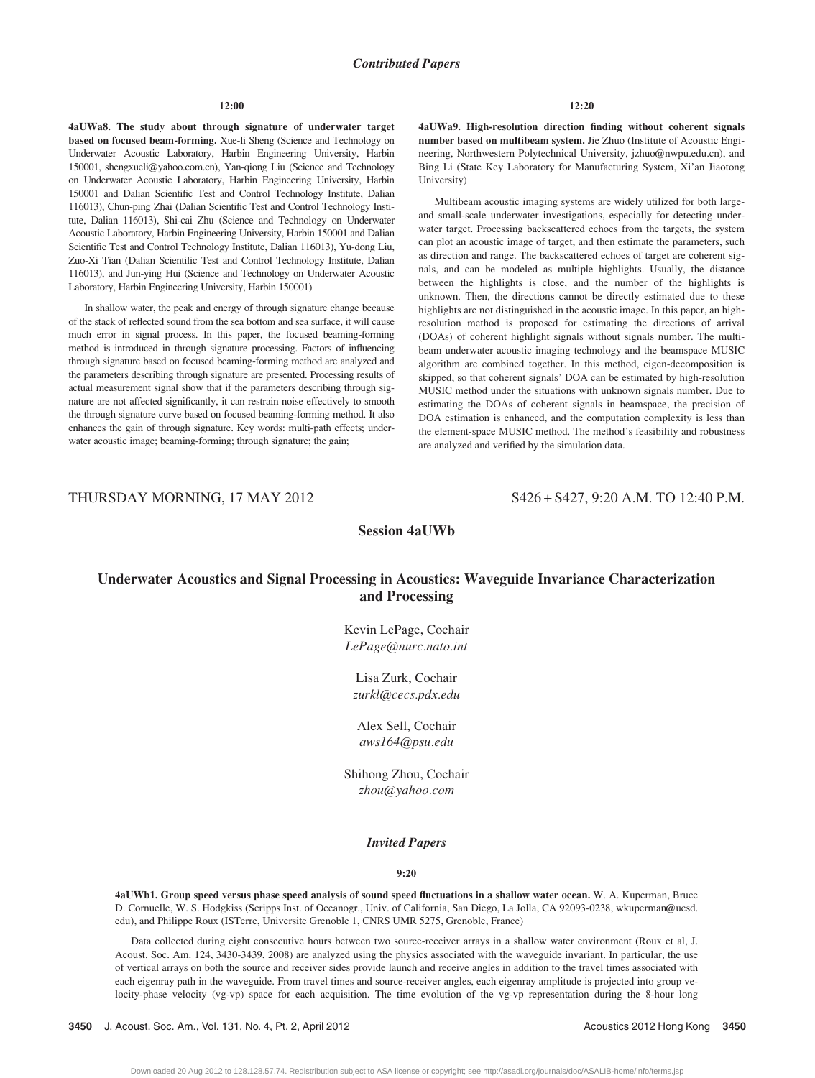### $12:00$

4aUWa8. The study about through signature of underwater target based on focused beam-forming. Xue-li Sheng (Science and Technology on Underwater Acoustic Laboratory, Harbin Engineering University, Harbin 150001, shengxueli@yahoo.com.cn), Yan-qiong Liu (Science and Technology on Underwater Acoustic Laboratory, Harbin Engineering University, Harbin 150001 and Dalian Scientific Test and Control Technology Institute, Dalian 116013), Chun-ping Zhai (Dalian Scientific Test and Control Technology Institute, Dalian 116013), Shi-cai Zhu (Science and Technology on Underwater Acoustic Laboratory, Harbin Engineering University, Harbin 150001 and Dalian Scientific Test and Control Technology Institute, Dalian 116013), Yu-dong Liu, Zuo-Xi Tian (Dalian Scientific Test and Control Technology Institute, Dalian 116013), and Jun-ying Hui (Science and Technology on Underwater Acoustic Laboratory, Harbin Engineering University, Harbin 150001)

In shallow water, the peak and energy of through signature change because of the stack of reflected sound from the sea bottom and sea surface, it will cause much error in signal process. In this paper, the focused beaming-forming method is introduced in through signature processing. Factors of influencing through signature based on focused beaming-forming method are analyzed and the parameters describing through signature are presented. Processing results of actual measurement signal show that if the parameters describing through signature are not affected significantly, it can restrain noise effectively to smooth the through signature curve based on focused beaming-forming method. It also enhances the gain of through signature. Key words: multi-path effects; underwater acoustic image; beaming-forming; through signature; the gain;

### 12:20

4aUWa9. High-resolution direction finding without coherent signals number based on multibeam system. Jie Zhuo (Institute of Acoustic Engineering, Northwestern Polytechnical University, jzhuo@nwpu.edu.cn), and Bing Li (State Key Laboratory for Manufacturing System, Xi'an Jiaotong University)

Multibeam acoustic imaging systems are widely utilized for both largeand small-scale underwater investigations, especially for detecting underwater target. Processing backscattered echoes from the targets, the system can plot an acoustic image of target, and then estimate the parameters, such as direction and range. The backscattered echoes of target are coherent signals, and can be modeled as multiple highlights. Usually, the distance between the highlights is close, and the number of the highlights is unknown. Then, the directions cannot be directly estimated due to these highlights are not distinguished in the acoustic image. In this paper, an highresolution method is proposed for estimating the directions of arrival (DOAs) of coherent highlight signals without signals number. The multibeam underwater acoustic imaging technology and the beamspace MUSIC algorithm are combined together. In this method, eigen-decomposition is skipped, so that coherent signals' DOA can be estimated by high-resolution MUSIC method under the situations with unknown signals number. Due to estimating the DOAs of coherent signals in beamspace, the precision of DOA estimation is enhanced, and the computation complexity is less than the element-space MUSIC method. The method's feasibility and robustness are analyzed and verified by the simulation data.

THURSDAY MORNING, 17 MAY 2012 S426 + S427, 9:20 A.M. TO 12:40 P.M.

# Session 4aUWb

# Underwater Acoustics and Signal Processing in Acoustics: Waveguide Invariance Characterization and Processing

Kevin LePage, Cochair LePage@nurc.nato.int

Lisa Zurk, Cochair zurkl@cecs.pdx.edu

Alex Sell, Cochair aws164@psu.edu

Shihong Zhou, Cochair zhou@yahoo.com

# Invited Papers

### 9:20

4aUWb1. Group speed versus phase speed analysis of sound speed fluctuations in a shallow water ocean. W. A. Kuperman, Bruce D. Cornuelle, W. S. Hodgkiss (Scripps Inst. of Oceanogr., Univ. of California, San Diego, La Jolla, CA 92093-0238, wkuperman@ucsd. edu), and Philippe Roux (ISTerre, Universite Grenoble 1, CNRS UMR 5275, Grenoble, France)

Data collected during eight consecutive hours between two source-receiver arrays in a shallow water environment (Roux et al, J. Acoust. Soc. Am. 124, 3430-3439, 2008) are analyzed using the physics associated with the waveguide invariant. In particular, the use of vertical arrays on both the source and receiver sides provide launch and receive angles in addition to the travel times associated with each eigenray path in the waveguide. From travel times and source-receiver angles, each eigenray amplitude is projected into group velocity-phase velocity (vg-vp) space for each acquisition. The time evolution of the vg-vp representation during the 8-hour long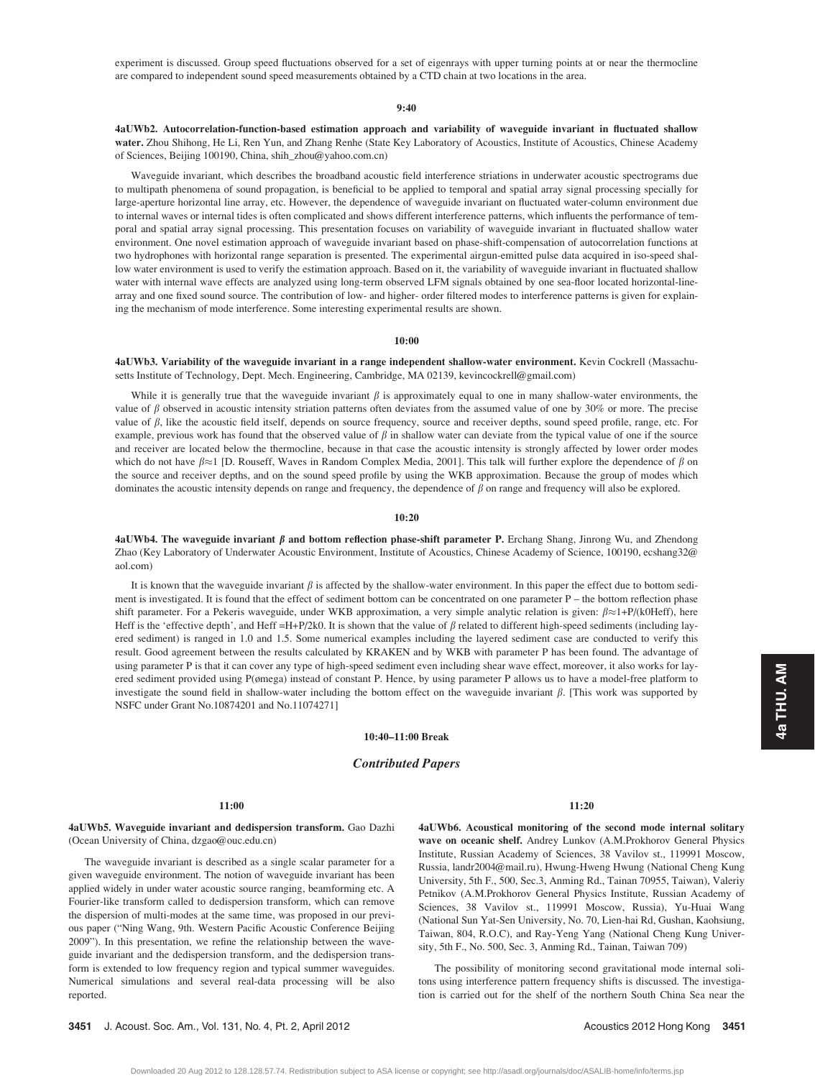experiment is discussed. Group speed fluctuations observed for a set of eigenrays with upper turning points at or near the thermocline are compared to independent sound speed measurements obtained by a CTD chain at two locations in the area.

#### 9:40

4aUWb2. Autocorrelation-function-based estimation approach and variability of waveguide invariant in fluctuated shallow water. Zhou Shihong, He Li, Ren Yun, and Zhang Renhe (State Key Laboratory of Acoustics, Institute of Acoustics, Chinese Academy of Sciences, Beijing 100190, China, shih\_zhou@yahoo.com.cn)

Waveguide invariant, which describes the broadband acoustic field interference striations in underwater acoustic spectrograms due to multipath phenomena of sound propagation, is beneficial to be applied to temporal and spatial array signal processing specially for large-aperture horizontal line array, etc. However, the dependence of waveguide invariant on fluctuated water-column environment due to internal waves or internal tides is often complicated and shows different interference patterns, which influents the performance of temporal and spatial array signal processing. This presentation focuses on variability of waveguide invariant in fluctuated shallow water environment. One novel estimation approach of waveguide invariant based on phase-shift-compensation of autocorrelation functions at two hydrophones with horizontal range separation is presented. The experimental airgun-emitted pulse data acquired in iso-speed shallow water environment is used to verify the estimation approach. Based on it, the variability of waveguide invariant in fluctuated shallow water with internal wave effects are analyzed using long-term observed LFM signals obtained by one sea-floor located horizontal-linearray and one fixed sound source. The contribution of low- and higher- order filtered modes to interference patterns is given for explaining the mechanism of mode interference. Some interesting experimental results are shown.

### 10:00

4aUWb3. Variability of the waveguide invariant in a range independent shallow-water environment. Kevin Cockrell (Massachusetts Institute of Technology, Dept. Mech. Engineering, Cambridge, MA 02139, kevincockrell@gmail.com)

While it is generally true that the waveguide invariant  $\beta$  is approximately equal to one in many shallow-water environments, the value of  $\beta$  observed in acoustic intensity striation patterns often deviates from the assumed value of one by 30% or more. The precise value of  $\beta$ , like the acoustic field itself, depends on source frequency, source and receiver depths, sound speed profile, range, etc. For example, previous work has found that the observed value of  $\beta$  in shallow water can deviate from the typical value of one if the source and receiver are located below the thermocline, because in that case the acoustic intensity is strongly affected by lower order modes which do not have  $\beta \approx 1$  [D. Rouseff, Waves in Random Complex Media, 2001]. This talk will further explore the dependence of  $\beta$  on the source and receiver depths, and on the sound speed profile by using the WKB approximation. Because the group of modes which dominates the acoustic intensity depends on range and frequency, the dependence of  $\beta$  on range and frequency will also be explored.

### 10:20

4aUWb4. The waveguide invariant  $\beta$  and bottom reflection phase-shift parameter P. Erchang Shang, Jinrong Wu, and Zhendong Zhao (Key Laboratory of Underwater Acoustic Environment, Institute of Acoustics, Chinese Academy of Science, 100190, ecshang32@ aol.com)

It is known that the waveguide invariant  $\beta$  is affected by the shallow-water environment. In this paper the effect due to bottom sediment is investigated. It is found that the effect of sediment bottom can be concentrated on one parameter P – the bottom reflection phase shift parameter. For a Pekeris waveguide, under WKB approximation, a very simple analytic relation is given:  $\beta \approx 1+P/(k0Heff)$ , here Heff is the 'effective depth', and Heff =H+P/2k0. It is shown that the value of  $\beta$  related to different high-speed sediments (including layered sediment) is ranged in 1.0 and 1.5. Some numerical examples including the layered sediment case are conducted to verify this result. Good agreement between the results calculated by KRAKEN and by WKB with parameter P has been found. The advantage of using parameter P is that it can cover any type of high-speed sediment even including shear wave effect, moreover, it also works for layered sediment provided using P(ømega) instead of constant P. Hence, by using parameter P allows us to have a model-free platform to investigate the sound field in shallow-water including the bottom effect on the waveguide invariant  $\beta$ . [This work was supported by NSFC under Grant No.10874201 and No.11074271]

### 10:40–11:00 Break

### Contributed Papers

## 11:00

4aUWb5. Waveguide invariant and dedispersion transform. Gao Dazhi (Ocean University of China, dzgao@ouc.edu.cn)

The waveguide invariant is described as a single scalar parameter for a given waveguide environment. The notion of waveguide invariant has been applied widely in under water acoustic source ranging, beamforming etc. A Fourier-like transform called to dedispersion transform, which can remove the dispersion of multi-modes at the same time, was proposed in our previous paper ("Ning Wang, 9th. Western Pacific Acoustic Conference Beijing 2009"). In this presentation, we refine the relationship between the waveguide invariant and the dedispersion transform, and the dedispersion transform is extended to low frequency region and typical summer waveguides. Numerical simulations and several real-data processing will be also reported.

# 11:20

4aUWb6. Acoustical monitoring of the second mode internal solitary wave on oceanic shelf. Andrey Lunkov (A.M.Prokhorov General Physics Institute, Russian Academy of Sciences, 38 Vavilov st., 119991 Moscow, Russia, landr2004@mail.ru), Hwung-Hweng Hwung (National Cheng Kung University, 5th F., 500, Sec.3, Anming Rd., Tainan 70955, Taiwan), Valeriy Petnikov (A.M.Prokhorov General Physics Institute, Russian Academy of Sciences, 38 Vavilov st., 119991 Moscow, Russia), Yu-Huai Wang (National Sun Yat-Sen University, No. 70, Lien-hai Rd, Gushan, Kaohsiung, Taiwan, 804, R.O.C), and Ray-Yeng Yang (National Cheng Kung University, 5th F., No. 500, Sec. 3, Anming Rd., Tainan, Taiwan 709)

The possibility of monitoring second gravitational mode internal solitons using interference pattern frequency shifts is discussed. The investigation is carried out for the shelf of the northern South China Sea near the 4a THU. AM

1a THU. AM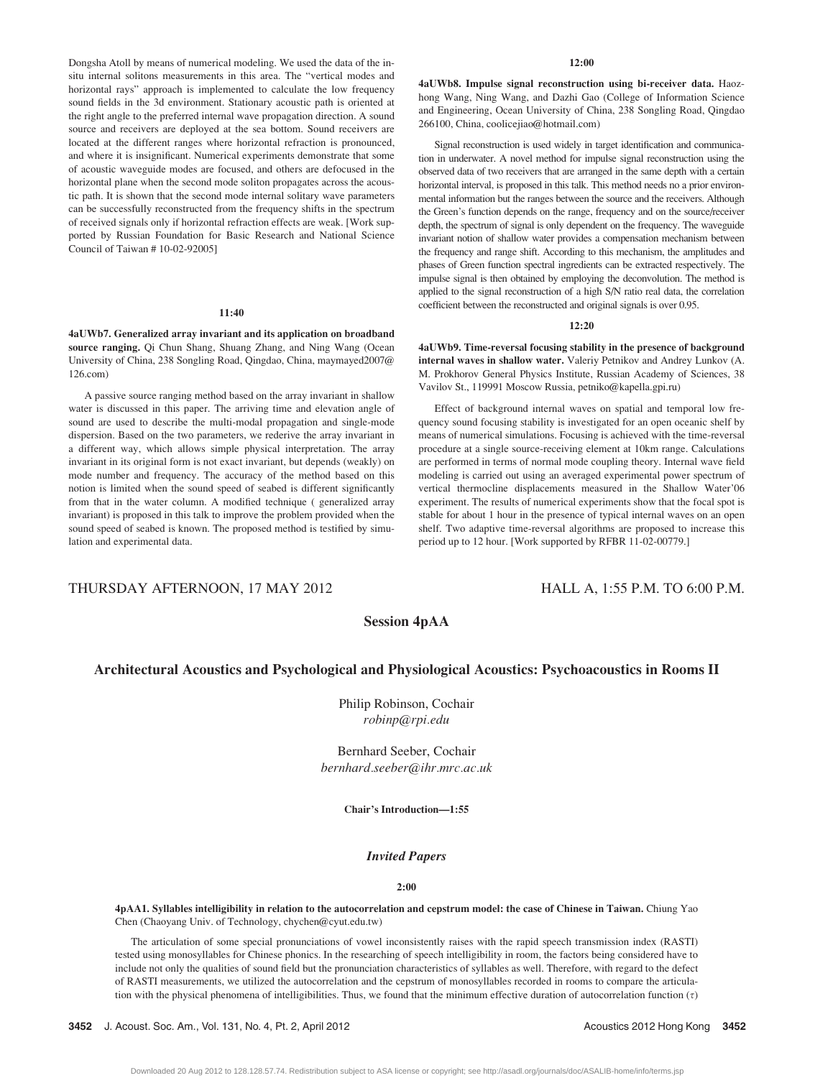Dongsha Atoll by means of numerical modeling. We used the data of the insitu internal solitons measurements in this area. The "vertical modes and horizontal rays" approach is implemented to calculate the low frequency sound fields in the 3d environment. Stationary acoustic path is oriented at the right angle to the preferred internal wave propagation direction. A sound source and receivers are deployed at the sea bottom. Sound receivers are located at the different ranges where horizontal refraction is pronounced, and where it is insignificant. Numerical experiments demonstrate that some of acoustic waveguide modes are focused, and others are defocused in the horizontal plane when the second mode soliton propagates across the acoustic path. It is shown that the second mode internal solitary wave parameters can be successfully reconstructed from the frequency shifts in the spectrum of received signals only if horizontal refraction effects are weak. [Work supported by Russian Foundation for Basic Research and National Science Council of Taiwan # 10-02-92005]

### 11:40

4aUWb7. Generalized array invariant and its application on broadband source ranging. Qi Chun Shang, Shuang Zhang, and Ning Wang (Ocean University of China, 238 Songling Road, Qingdao, China, maymayed2007@ 126.com)

A passive source ranging method based on the array invariant in shallow water is discussed in this paper. The arriving time and elevation angle of sound are used to describe the multi-modal propagation and single-mode dispersion. Based on the two parameters, we rederive the array invariant in a different way, which allows simple physical interpretation. The array invariant in its original form is not exact invariant, but depends (weakly) on mode number and frequency. The accuracy of the method based on this notion is limited when the sound speed of seabed is different significantly from that in the water column. A modified technique ( generalized array invariant) is proposed in this talk to improve the problem provided when the sound speed of seabed is known. The proposed method is testified by simulation and experimental data.

# THURSDAY AFTERNOON, 17 MAY 2012 HALL A, 1:55 P.M. TO 6:00 P.M.

# $12:00$

4aUWb8. Impulse signal reconstruction using bi-receiver data. Haozhong Wang, Ning Wang, and Dazhi Gao (College of Information Science and Engineering, Ocean University of China, 238 Songling Road, Qingdao 266100, China, coolicejiao@hotmail.com)

Signal reconstruction is used widely in target identification and communication in underwater. A novel method for impulse signal reconstruction using the observed data of two receivers that are arranged in the same depth with a certain horizontal interval, is proposed in this talk. This method needs no a prior environmental information but the ranges between the source and the receivers. Although the Green's function depends on the range, frequency and on the source/receiver depth, the spectrum of signal is only dependent on the frequency. The waveguide invariant notion of shallow water provides a compensation mechanism between the frequency and range shift. According to this mechanism, the amplitudes and phases of Green function spectral ingredients can be extracted respectively. The impulse signal is then obtained by employing the deconvolution. The method is applied to the signal reconstruction of a high S/N ratio real data, the correlation coefficient between the reconstructed and original signals is over 0.95.

### $12:20$

4aUWb9. Time-reversal focusing stability in the presence of background internal waves in shallow water. Valeriy Petnikov and Andrey Lunkov (A. M. Prokhorov General Physics Institute, Russian Academy of Sciences, 38 Vavilov St., 119991 Moscow Russia, petniko@kapella.gpi.ru)

Effect of background internal waves on spatial and temporal low frequency sound focusing stability is investigated for an open oceanic shelf by means of numerical simulations. Focusing is achieved with the time-reversal procedure at a single source-receiving element at 10km range. Calculations are performed in terms of normal mode coupling theory. Internal wave field modeling is carried out using an averaged experimental power spectrum of vertical thermocline displacements measured in the Shallow Water'06 experiment. The results of numerical experiments show that the focal spot is stable for about 1 hour in the presence of typical internal waves on an open shelf. Two adaptive time-reversal algorithms are proposed to increase this period up to 12 hour. [Work supported by RFBR 11-02-00779.]

# Session 4pAA

# Architectural Acoustics and Psychological and Physiological Acoustics: Psychoacoustics in Rooms II

Philip Robinson, Cochair robinp@rpi.edu

Bernhard Seeber, Cochair bernhard.seeber@ihr.mrc.ac.uk

Chair's Introduction—1:55

# Invited Papers

### 2:00

4pAA1. Syllables intelligibility in relation to the autocorrelation and cepstrum model: the case of Chinese in Taiwan. Chiung Yao Chen (Chaoyang Univ. of Technology, chychen@cyut.edu.tw)

The articulation of some special pronunciations of vowel inconsistently raises with the rapid speech transmission index (RASTI) tested using monosyllables for Chinese phonics. In the researching of speech intelligibility in room, the factors being considered have to include not only the qualities of sound field but the pronunciation characteristics of syllables as well. Therefore, with regard to the defect of RASTI measurements, we utilized the autocorrelation and the cepstrum of monosyllables recorded in rooms to compare the articulation with the physical phenomena of intelligibilities. Thus, we found that the minimum effective duration of autocorrelation function  $(τ)$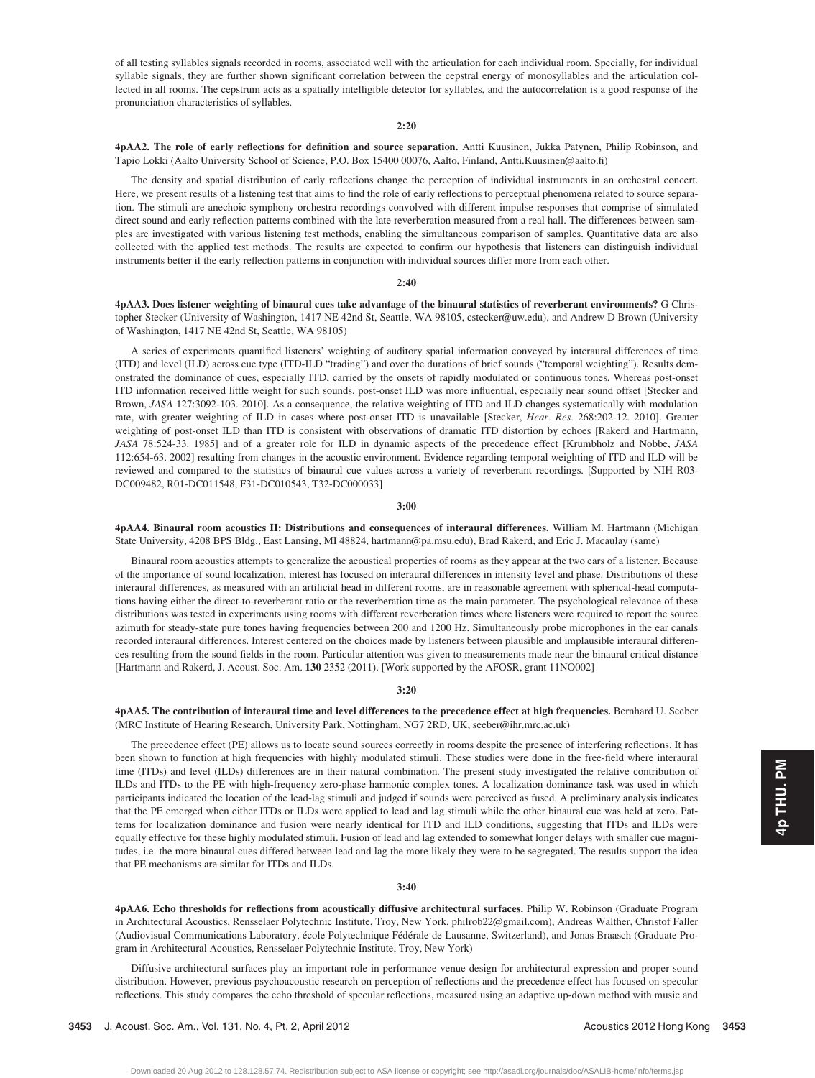of all testing syllables signals recorded in rooms, associated well with the articulation for each individual room. Specially, for individual syllable signals, they are further shown significant correlation between the cepstral energy of monosyllables and the articulation collected in all rooms. The cepstrum acts as a spatially intelligible detector for syllables, and the autocorrelation is a good response of the pronunciation characteristics of syllables.

## 2:20

4pAA2. The role of early reflections for definition and source separation. Antti Kuusinen, Jukka Pätynen, Philip Robinson, and Tapio Lokki (Aalto University School of Science, P.O. Box 15400 00076, Aalto, Finland, Antti.Kuusinen@aalto.fi)

The density and spatial distribution of early reflections change the perception of individual instruments in an orchestral concert. Here, we present results of a listening test that aims to find the role of early reflections to perceptual phenomena related to source separation. The stimuli are anechoic symphony orchestra recordings convolved with different impulse responses that comprise of simulated direct sound and early reflection patterns combined with the late reverberation measured from a real hall. The differences between samples are investigated with various listening test methods, enabling the simultaneous comparison of samples. Quantitative data are also collected with the applied test methods. The results are expected to confirm our hypothesis that listeners can distinguish individual instruments better if the early reflection patterns in conjunction with individual sources differ more from each other.

#### 2:40

4pAA3. Does listener weighting of binaural cues take advantage of the binaural statistics of reverberant environments? G Christopher Stecker (University of Washington, 1417 NE 42nd St, Seattle, WA 98105, cstecker@uw.edu), and Andrew D Brown (University of Washington, 1417 NE 42nd St, Seattle, WA 98105)

A series of experiments quantified listeners' weighting of auditory spatial information conveyed by interaural differences of time (ITD) and level (ILD) across cue type (ITD-ILD "trading") and over the durations of brief sounds ("temporal weighting"). Results demonstrated the dominance of cues, especially ITD, carried by the onsets of rapidly modulated or continuous tones. Whereas post-onset ITD information received little weight for such sounds, post-onset ILD was more influential, especially near sound offset [Stecker and Brown, JASA 127:3092-103. 2010]. As a consequence, the relative weighting of ITD and ILD changes systematically with modulation rate, with greater weighting of ILD in cases where post-onset ITD is unavailable [Stecker, *Hear. Res.* 268:202-12. 2010]. Greater weighting of post-onset ILD than ITD is consistent with observations of dramatic ITD distortion by echoes [Rakerd and Hartmann, JASA 78:524-33. 1985] and of a greater role for ILD in dynamic aspects of the precedence effect [Krumbholz and Nobbe, JASA 112:654-63. 2002] resulting from changes in the acoustic environment. Evidence regarding temporal weighting of ITD and ILD will be reviewed and compared to the statistics of binaural cue values across a variety of reverberant recordings. [Supported by NIH R03- DC009482, R01-DC011548, F31-DC010543, T32-DC000033]

#### 3:00

4pAA4. Binaural room acoustics II: Distributions and consequences of interaural differences. William M. Hartmann (Michigan State University, 4208 BPS Bldg., East Lansing, MI 48824, hartmann@pa.msu.edu), Brad Rakerd, and Eric J. Macaulay (same)

Binaural room acoustics attempts to generalize the acoustical properties of rooms as they appear at the two ears of a listener. Because of the importance of sound localization, interest has focused on interaural differences in intensity level and phase. Distributions of these interaural differences, as measured with an artificial head in different rooms, are in reasonable agreement with spherical-head computations having either the direct-to-reverberant ratio or the reverberation time as the main parameter. The psychological relevance of these distributions was tested in experiments using rooms with different reverberation times where listeners were required to report the source azimuth for steady-state pure tones having frequencies between 200 and 1200 Hz. Simultaneously probe microphones in the ear canals recorded interaural differences. Interest centered on the choices made by listeners between plausible and implausible interaural differences resulting from the sound fields in the room. Particular attention was given to measurements made near the binaural critical distance [Hartmann and Rakerd, J. Acoust. Soc. Am. 130 2352 (2011). [Work supported by the AFOSR, grant 11NO002]

## 3:20

4pAA5. The contribution of interaural time and level differences to the precedence effect at high frequencies. Bernhard U. Seeber (MRC Institute of Hearing Research, University Park, Nottingham, NG7 2RD, UK, seeber@ihr.mrc.ac.uk)

The precedence effect (PE) allows us to locate sound sources correctly in rooms despite the presence of interfering reflections. It has been shown to function at high frequencies with highly modulated stimuli. These studies were done in the free-field where interaural time (ITDs) and level (ILDs) differences are in their natural combination. The present study investigated the relative contribution of ILDs and ITDs to the PE with high-frequency zero-phase harmonic complex tones. A localization dominance task was used in which participants indicated the location of the lead-lag stimuli and judged if sounds were perceived as fused. A preliminary analysis indicates that the PE emerged when either ITDs or ILDs were applied to lead and lag stimuli while the other binaural cue was held at zero. Patterns for localization dominance and fusion were nearly identical for ITD and ILD conditions, suggesting that ITDs and ILDs were equally effective for these highly modulated stimuli. Fusion of lead and lag extended to somewhat longer delays with smaller cue magnitudes, i.e. the more binaural cues differed between lead and lag the more likely they were to be segregated. The results support the idea that PE mechanisms are similar for ITDs and ILDs.

4pAA6. Echo thresholds for reflections from acoustically diffusive architectural surfaces. Philip W. Robinson (Graduate Program in Architectural Acoustics, Rensselaer Polytechnic Institute, Troy, New York, philrob22@gmail.com), Andreas Walther, Christof Faller (Audiovisual Communications Laboratory, école Polytechnique Fédérale de Lausanne, Switzerland), and Jonas Braasch (Graduate Program in Architectural Acoustics, Rensselaer Polytechnic Institute, Troy, New York)

Diffusive architectural surfaces play an important role in performance venue design for architectural expression and proper sound distribution. However, previous psychoacoustic research on perception of reflections and the precedence effect has focused on specular reflections. This study compares the echo threshold of specular reflections, measured using an adaptive up-down method with music and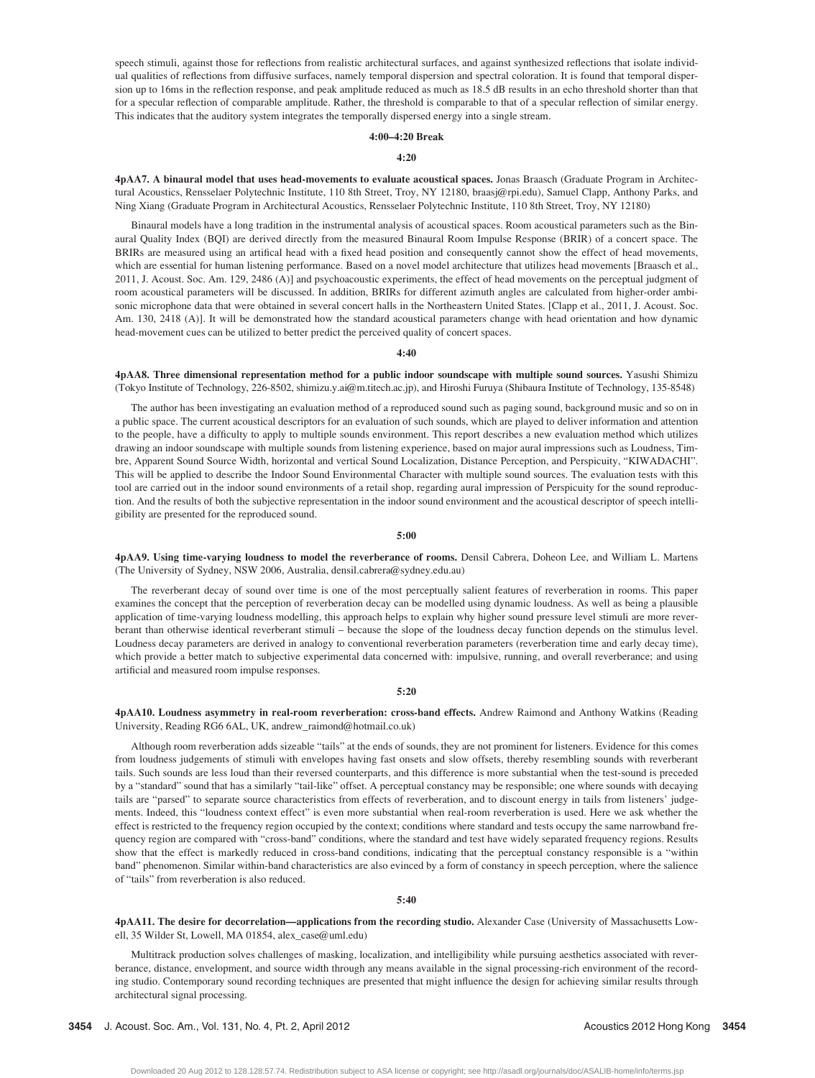speech stimuli, against those for reflections from realistic architectural surfaces, and against synthesized reflections that isolate individual qualities of reflections from diffusive surfaces, namely temporal dispersion and spectral coloration. It is found that temporal dispersion up to 16ms in the reflection response, and peak amplitude reduced as much as 18.5 dB results in an echo threshold shorter than that for a specular reflection of comparable amplitude. Rather, the threshold is comparable to that of a specular reflection of similar energy. This indicates that the auditory system integrates the temporally dispersed energy into a single stream.

## 4:00–4:20 Break

## 4:20

4pAA7. A binaural model that uses head-movements to evaluate acoustical spaces. Jonas Braasch (Graduate Program in Architectural Acoustics, Rensselaer Polytechnic Institute, 110 8th Street, Troy, NY 12180, braasj@rpi.edu), Samuel Clapp, Anthony Parks, and Ning Xiang (Graduate Program in Architectural Acoustics, Rensselaer Polytechnic Institute, 110 8th Street, Troy, NY 12180)

Binaural models have a long tradition in the instrumental analysis of acoustical spaces. Room acoustical parameters such as the Binaural Quality Index (BQI) are derived directly from the measured Binaural Room Impulse Response (BRIR) of a concert space. The BRIRs are measured using an artifical head with a fixed head position and consequently cannot show the effect of head movements, which are essential for human listening performance. Based on a novel model architecture that utilizes head movements [Braasch et al., 2011, J. Acoust. Soc. Am. 129, 2486 (A)] and psychoacoustic experiments, the effect of head movements on the perceptual judgment of room acoustical parameters will be discussed. In addition, BRIRs for different azimuth angles are calculated from higher-order ambisonic microphone data that were obtained in several concert halls in the Northeastern United States. [Clapp et al., 2011, J. Acoust. Soc. Am. 130, 2418 (A)]. It will be demonstrated how the standard acoustical parameters change with head orientation and how dynamic head-movement cues can be utilized to better predict the perceived quality of concert spaces.

#### 4:40

4pAA8. Three dimensional representation method for a public indoor soundscape with multiple sound sources. Yasushi Shimizu (Tokyo Institute of Technology, 226-8502, shimizu.y.ai@m.titech.ac.jp), and Hiroshi Furuya (Shibaura Institute of Technology, 135-8548)

The author has been investigating an evaluation method of a reproduced sound such as paging sound, background music and so on in a public space. The current acoustical descriptors for an evaluation of such sounds, which are played to deliver information and attention to the people, have a difficulty to apply to multiple sounds environment. This report describes a new evaluation method which utilizes drawing an indoor soundscape with multiple sounds from listening experience, based on major aural impressions such as Loudness, Timbre, Apparent Sound Source Width, horizontal and vertical Sound Localization, Distance Perception, and Perspicuity, "KIWADACHI". This will be applied to describe the Indoor Sound Environmental Character with multiple sound sources. The evaluation tests with this tool are carried out in the indoor sound environments of a retail shop, regarding aural impression of Perspicuity for the sound reproduction. And the results of both the subjective representation in the indoor sound environment and the acoustical descriptor of speech intelligibility are presented for the reproduced sound.

## 5:00

4pAA9. Using time-varying loudness to model the reverberance of rooms. Densil Cabrera, Doheon Lee, and William L. Martens (The University of Sydney, NSW 2006, Australia, densil.cabrera@sydney.edu.au)

The reverberant decay of sound over time is one of the most perceptually salient features of reverberation in rooms. This paper examines the concept that the perception of reverberation decay can be modelled using dynamic loudness. As well as being a plausible application of time-varying loudness modelling, this approach helps to explain why higher sound pressure level stimuli are more reverberant than otherwise identical reverberant stimuli – because the slope of the loudness decay function depends on the stimulus level. Loudness decay parameters are derived in analogy to conventional reverberation parameters (reverberation time and early decay time), which provide a better match to subjective experimental data concerned with: impulsive, running, and overall reverberance; and using artificial and measured room impulse responses.

## 5:20

4pAA10. Loudness asymmetry in real-room reverberation: cross-band effects. Andrew Raimond and Anthony Watkins (Reading University, Reading RG6 6AL, UK, andrew\_raimond@hotmail.co.uk)

Although room reverberation adds sizeable "tails" at the ends of sounds, they are not prominent for listeners. Evidence for this comes from loudness judgements of stimuli with envelopes having fast onsets and slow offsets, thereby resembling sounds with reverberant tails. Such sounds are less loud than their reversed counterparts, and this difference is more substantial when the test-sound is preceded by a "standard" sound that has a similarly "tail-like" offset. A perceptual constancy may be responsible; one where sounds with decaying tails are "parsed" to separate source characteristics from effects of reverberation, and to discount energy in tails from listeners' judgements. Indeed, this "loudness context effect" is even more substantial when real-room reverberation is used. Here we ask whether the effect is restricted to the frequency region occupied by the context; conditions where standard and tests occupy the same narrowband frequency region are compared with "cross-band" conditions, where the standard and test have widely separated frequency regions. Results show that the effect is markedly reduced in cross-band conditions, indicating that the perceptual constancy responsible is a "within band" phenomenon. Similar within-band characteristics are also evinced by a form of constancy in speech perception, where the salience of "tails" from reverberation is also reduced.

#### 5:40

4pAA11. The desire for decorrelation—applications from the recording studio. Alexander Case (University of Massachusetts Lowell, 35 Wilder St, Lowell, MA 01854, alex\_case@uml.edu)

Multitrack production solves challenges of masking, localization, and intelligibility while pursuing aesthetics associated with reverberance, distance, envelopment, and source width through any means available in the signal processing-rich environment of the recording studio. Contemporary sound recording techniques are presented that might influence the design for achieving similar results through architectural signal processing.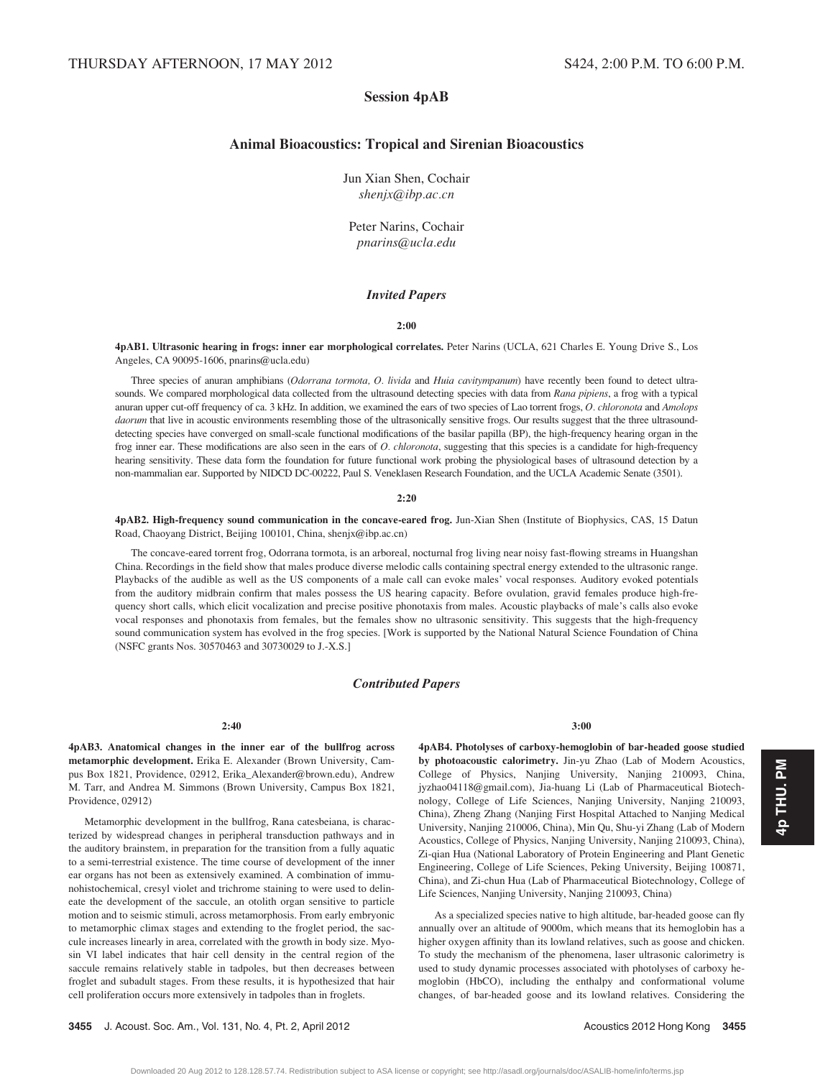# Session 4pAB

# Animal Bioacoustics: Tropical and Sirenian Bioacoustics

Jun Xian Shen, Cochair shenjx@ibp.ac.cn

Peter Narins, Cochair pnarins@ucla.edu

## Invited Papers

## 2:00

4pAB1. Ultrasonic hearing in frogs: inner ear morphological correlates. Peter Narins (UCLA, 621 Charles E. Young Drive S., Los Angeles, CA 90095-1606, pnarins@ucla.edu)

Three species of anuran amphibians (Odorrana tormota, O. livida and Huia cavitympanum) have recently been found to detect ultrasounds. We compared morphological data collected from the ultrasound detecting species with data from Rana pipiens, a frog with a typical anuran upper cut-off frequency of ca. 3 kHz. In addition, we examined the ears of two species of Lao torrent frogs, O. chloronota and Amolops daorum that live in acoustic environments resembling those of the ultrasonically sensitive frogs. Our results suggest that the three ultrasounddetecting species have converged on small-scale functional modifications of the basilar papilla (BP), the high-frequency hearing organ in the frog inner ear. These modifications are also seen in the ears of O. chloronota, suggesting that this species is a candidate for high-frequency hearing sensitivity. These data form the foundation for future functional work probing the physiological bases of ultrasound detection by a non-mammalian ear. Supported by NIDCD DC-00222, Paul S. Veneklasen Research Foundation, and the UCLA Academic Senate (3501).

#### 2:20

4pAB2. High-frequency sound communication in the concave-eared frog. Jun-Xian Shen (Institute of Biophysics, CAS, 15 Datun Road, Chaoyang District, Beijing 100101, China, shenjx@ibp.ac.cn)

The concave-eared torrent frog, Odorrana tormota, is an arboreal, nocturnal frog living near noisy fast-flowing streams in Huangshan China. Recordings in the field show that males produce diverse melodic calls containing spectral energy extended to the ultrasonic range. Playbacks of the audible as well as the US components of a male call can evoke males' vocal responses. Auditory evoked potentials from the auditory midbrain confirm that males possess the US hearing capacity. Before ovulation, gravid females produce high-frequency short calls, which elicit vocalization and precise positive phonotaxis from males. Acoustic playbacks of male's calls also evoke vocal responses and phonotaxis from females, but the females show no ultrasonic sensitivity. This suggests that the high-frequency sound communication system has evolved in the frog species. [Work is supported by the National Natural Science Foundation of China (NSFC grants Nos. 30570463 and 30730029 to J.-X.S.]

## Contributed Papers

## 2:40

4pAB3. Anatomical changes in the inner ear of the bullfrog across metamorphic development. Erika E. Alexander (Brown University, Campus Box 1821, Providence, 02912, Erika\_Alexander@brown.edu), Andrew M. Tarr, and Andrea M. Simmons (Brown University, Campus Box 1821, Providence, 02912)

Metamorphic development in the bullfrog, Rana catesbeiana, is characterized by widespread changes in peripheral transduction pathways and in the auditory brainstem, in preparation for the transition from a fully aquatic to a semi-terrestrial existence. The time course of development of the inner ear organs has not been as extensively examined. A combination of immunohistochemical, cresyl violet and trichrome staining to were used to delineate the development of the saccule, an otolith organ sensitive to particle motion and to seismic stimuli, across metamorphosis. From early embryonic to metamorphic climax stages and extending to the froglet period, the saccule increases linearly in area, correlated with the growth in body size. Myosin VI label indicates that hair cell density in the central region of the saccule remains relatively stable in tadpoles, but then decreases between froglet and subadult stages. From these results, it is hypothesized that hair cell proliferation occurs more extensively in tadpoles than in froglets.

## 3:00

4pAB4. Photolyses of carboxy-hemoglobin of bar-headed goose studied by photoacoustic calorimetry. Jin-yu Zhao (Lab of Modern Acoustics, College of Physics, Nanjing University, Nanjing 210093, China, jyzhao04118@gmail.com), Jia-huang Li (Lab of Pharmaceutical Biotechnology, College of Life Sciences, Nanjing University, Nanjing 210093, China), Zheng Zhang (Nanjing First Hospital Attached to Nanjing Medical University, Nanjing 210006, China), Min Qu, Shu-yi Zhang (Lab of Modern Acoustics, College of Physics, Nanjing University, Nanjing 210093, China), Zi-qian Hua (National Laboratory of Protein Engineering and Plant Genetic Engineering, College of Life Sciences, Peking University, Beijing 100871, China), and Zi-chun Hua (Lab of Pharmaceutical Biotechnology, College of Life Sciences, Nanjing University, Nanjing 210093, China)

As a specialized species native to high altitude, bar-headed goose can fly annually over an altitude of 9000m, which means that its hemoglobin has a higher oxygen affinity than its lowland relatives, such as goose and chicken. To study the mechanism of the phenomena, laser ultrasonic calorimetry is used to study dynamic processes associated with photolyses of carboxy hemoglobin (HbCO), including the enthalpy and conformational volume changes, of bar-headed goose and its lowland relatives. Considering the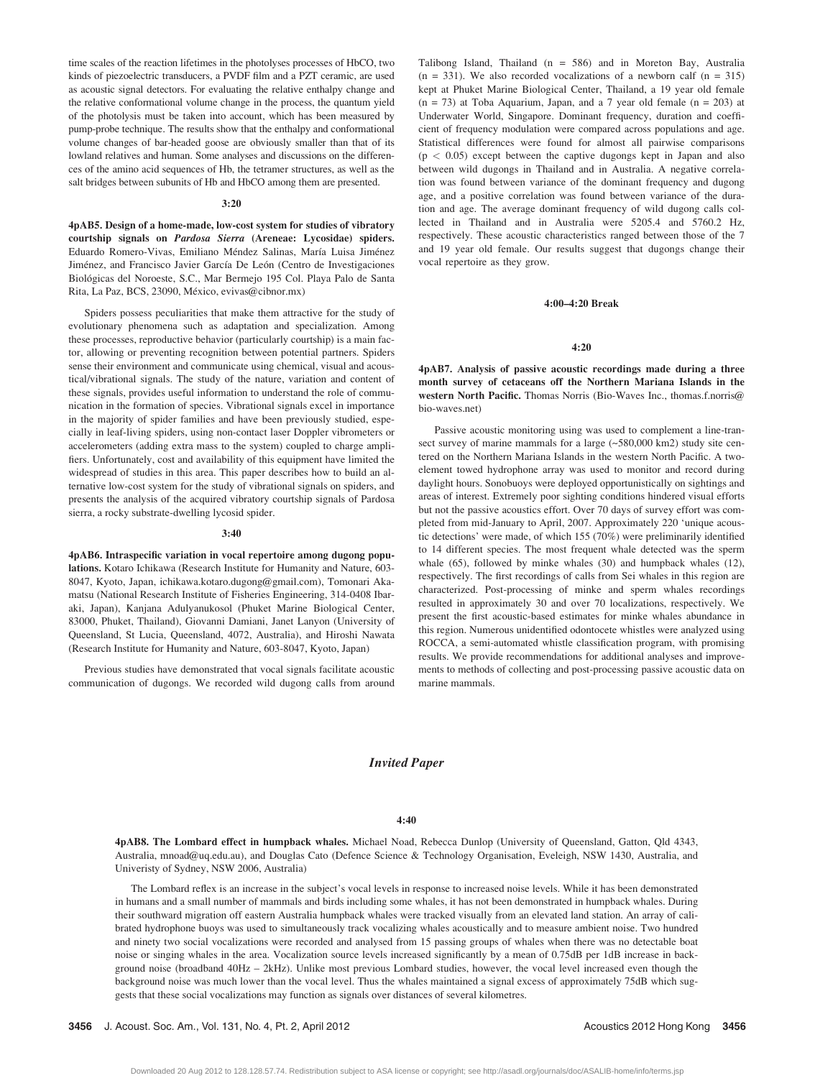time scales of the reaction lifetimes in the photolyses processes of HbCO, two kinds of piezoelectric transducers, a PVDF film and a PZT ceramic, are used as acoustic signal detectors. For evaluating the relative enthalpy change and the relative conformational volume change in the process, the quantum yield of the photolysis must be taken into account, which has been measured by pump-probe technique. The results show that the enthalpy and conformational volume changes of bar-headed goose are obviously smaller than that of its lowland relatives and human. Some analyses and discussions on the differences of the amino acid sequences of Hb, the tetramer structures, as well as the salt bridges between subunits of Hb and HbCO among them are presented.

## 3:20

4pAB5. Design of a home-made, low-cost system for studies of vibratory courtship signals on Pardosa Sierra (Areneae: Lycosidae) spiders. Eduardo Romero-Vivas, Emiliano Méndez Salinas, María Luisa Jiménez Jiménez, and Francisco Javier García De León (Centro de Investigaciones Biológicas del Noroeste, S.C., Mar Bermejo 195 Col. Playa Palo de Santa Rita, La Paz, BCS, 23090, México, evivas@cibnor.mx)

Spiders possess peculiarities that make them attractive for the study of evolutionary phenomena such as adaptation and specialization. Among these processes, reproductive behavior (particularly courtship) is a main factor, allowing or preventing recognition between potential partners. Spiders sense their environment and communicate using chemical, visual and acoustical/vibrational signals. The study of the nature, variation and content of these signals, provides useful information to understand the role of communication in the formation of species. Vibrational signals excel in importance in the majority of spider families and have been previously studied, especially in leaf-living spiders, using non-contact laser Doppler vibrometers or accelerometers (adding extra mass to the system) coupled to charge amplifiers. Unfortunately, cost and availability of this equipment have limited the widespread of studies in this area. This paper describes how to build an alternative low-cost system for the study of vibrational signals on spiders, and presents the analysis of the acquired vibratory courtship signals of Pardosa sierra, a rocky substrate-dwelling lycosid spider.

#### 3:40

4pAB6. Intraspecific variation in vocal repertoire among dugong populations. Kotaro Ichikawa (Research Institute for Humanity and Nature, 603- 8047, Kyoto, Japan, ichikawa.kotaro.dugong@gmail.com), Tomonari Akamatsu (National Research Institute of Fisheries Engineering, 314-0408 Ibaraki, Japan), Kanjana Adulyanukosol (Phuket Marine Biological Center, 83000, Phuket, Thailand), Giovanni Damiani, Janet Lanyon (University of Queensland, St Lucia, Queensland, 4072, Australia), and Hiroshi Nawata (Research Institute for Humanity and Nature, 603-8047, Kyoto, Japan)

Previous studies have demonstrated that vocal signals facilitate acoustic communication of dugongs. We recorded wild dugong calls from around Talibong Island, Thailand (n = 586) and in Moreton Bay, Australia  $(n = 331)$ . We also recorded vocalizations of a newborn calf  $(n = 315)$ kept at Phuket Marine Biological Center, Thailand, a 19 year old female  $(n = 73)$  at Toba Aquarium, Japan, and a 7 year old female  $(n = 203)$  at Underwater World, Singapore. Dominant frequency, duration and coefficient of frequency modulation were compared across populations and age. Statistical differences were found for almost all pairwise comparisons  $(p < 0.05)$  except between the captive dugongs kept in Japan and also between wild dugongs in Thailand and in Australia. A negative correlation was found between variance of the dominant frequency and dugong age, and a positive correlation was found between variance of the duration and age. The average dominant frequency of wild dugong calls collected in Thailand and in Australia were 5205.4 and 5760.2 Hz, respectively. These acoustic characteristics ranged between those of the 7 and 19 year old female. Our results suggest that dugongs change their vocal repertoire as they grow.

## 4:00–4:20 Break

## 4:20

4pAB7. Analysis of passive acoustic recordings made during a three month survey of cetaceans off the Northern Mariana Islands in the western North Pacific. Thomas Norris (Bio-Waves Inc., thomas.f.norris@ bio-waves.net)

Passive acoustic monitoring using was used to complement a line-transect survey of marine mammals for a large (~580,000 km2) study site centered on the Northern Mariana Islands in the western North Pacific. A twoelement towed hydrophone array was used to monitor and record during daylight hours. Sonobuoys were deployed opportunistically on sightings and areas of interest. Extremely poor sighting conditions hindered visual efforts but not the passive acoustics effort. Over 70 days of survey effort was completed from mid-January to April, 2007. Approximately 220 'unique acoustic detections' were made, of which 155 (70%) were preliminarily identified to 14 different species. The most frequent whale detected was the sperm whale (65), followed by minke whales (30) and humpback whales (12), respectively. The first recordings of calls from Sei whales in this region are characterized. Post-processing of minke and sperm whales recordings resulted in approximately 30 and over 70 localizations, respectively. We present the first acoustic-based estimates for minke whales abundance in this region. Numerous unidentified odontocete whistles were analyzed using ROCCA, a semi-automated whistle classification program, with promising results. We provide recommendations for additional analyses and improvements to methods of collecting and post-processing passive acoustic data on marine mammals.

## Invited Paper

## 4:40

4pAB8. The Lombard effect in humpback whales. Michael Noad, Rebecca Dunlop (University of Queensland, Gatton, Qld 4343, Australia, mnoad@uq.edu.au), and Douglas Cato (Defence Science & Technology Organisation, Eveleigh, NSW 1430, Australia, and Univeristy of Sydney, NSW 2006, Australia)

The Lombard reflex is an increase in the subject's vocal levels in response to increased noise levels. While it has been demonstrated in humans and a small number of mammals and birds including some whales, it has not been demonstrated in humpback whales. During their southward migration off eastern Australia humpback whales were tracked visually from an elevated land station. An array of calibrated hydrophone buoys was used to simultaneously track vocalizing whales acoustically and to measure ambient noise. Two hundred and ninety two social vocalizations were recorded and analysed from 15 passing groups of whales when there was no detectable boat noise or singing whales in the area. Vocalization source levels increased significantly by a mean of 0.75dB per 1dB increase in background noise (broadband 40Hz – 2kHz). Unlike most previous Lombard studies, however, the vocal level increased even though the background noise was much lower than the vocal level. Thus the whales maintained a signal excess of approximately 75dB which suggests that these social vocalizations may function as signals over distances of several kilometres.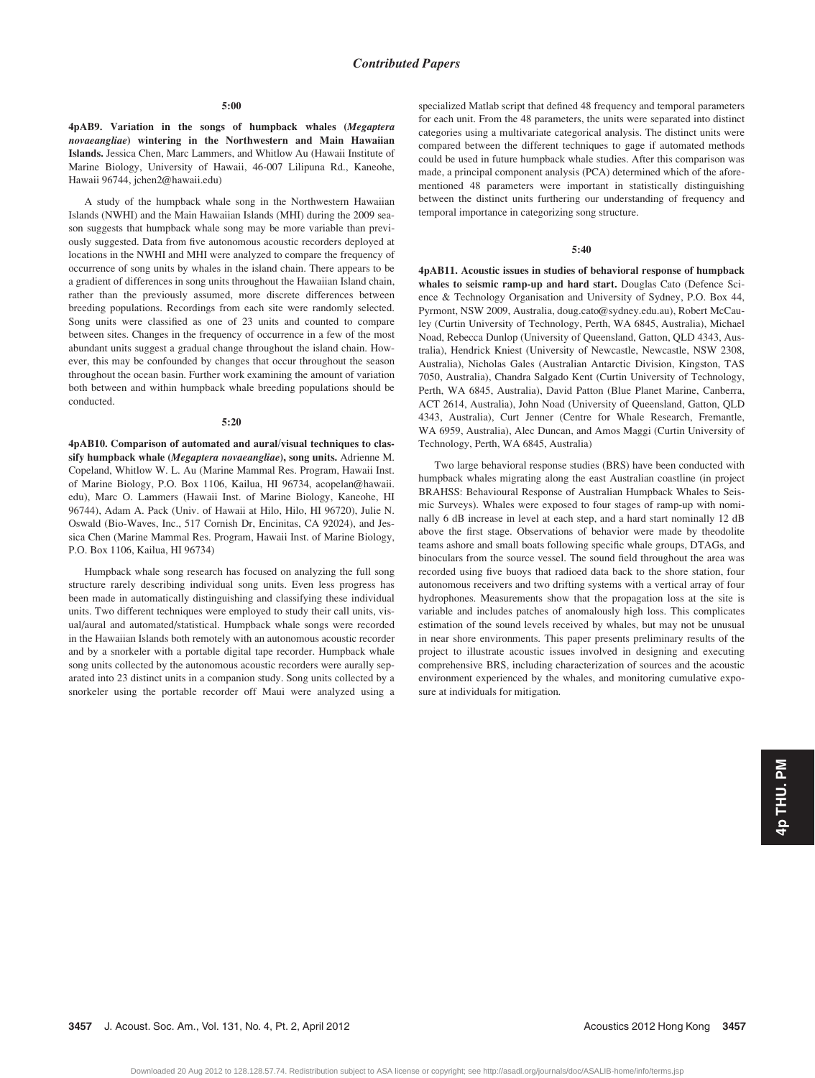## 5:00

4pAB9. Variation in the songs of humpback whales (Megaptera novaeangliae) wintering in the Northwestern and Main Hawaiian Islands. Jessica Chen, Marc Lammers, and Whitlow Au (Hawaii Institute of Marine Biology, University of Hawaii, 46-007 Lilipuna Rd., Kaneohe, Hawaii 96744, jchen2@hawaii.edu)

A study of the humpback whale song in the Northwestern Hawaiian Islands (NWHI) and the Main Hawaiian Islands (MHI) during the 2009 season suggests that humpback whale song may be more variable than previously suggested. Data from five autonomous acoustic recorders deployed at locations in the NWHI and MHI were analyzed to compare the frequency of occurrence of song units by whales in the island chain. There appears to be a gradient of differences in song units throughout the Hawaiian Island chain, rather than the previously assumed, more discrete differences between breeding populations. Recordings from each site were randomly selected. Song units were classified as one of 23 units and counted to compare between sites. Changes in the frequency of occurrence in a few of the most abundant units suggest a gradual change throughout the island chain. However, this may be confounded by changes that occur throughout the season throughout the ocean basin. Further work examining the amount of variation both between and within humpback whale breeding populations should be conducted.

#### 5:20

4pAB10. Comparison of automated and aural/visual techniques to classify humpback whale (Megaptera novaeangliae), song units. Adrienne M. Copeland, Whitlow W. L. Au (Marine Mammal Res. Program, Hawaii Inst. of Marine Biology, P.O. Box 1106, Kailua, HI 96734, acopelan@hawaii. edu), Marc O. Lammers (Hawaii Inst. of Marine Biology, Kaneohe, HI 96744), Adam A. Pack (Univ. of Hawaii at Hilo, Hilo, HI 96720), Julie N. Oswald (Bio-Waves, Inc., 517 Cornish Dr, Encinitas, CA 92024), and Jessica Chen (Marine Mammal Res. Program, Hawaii Inst. of Marine Biology, P.O. Box 1106, Kailua, HI 96734)

Humpback whale song research has focused on analyzing the full song structure rarely describing individual song units. Even less progress has been made in automatically distinguishing and classifying these individual units. Two different techniques were employed to study their call units, visual/aural and automated/statistical. Humpback whale songs were recorded in the Hawaiian Islands both remotely with an autonomous acoustic recorder and by a snorkeler with a portable digital tape recorder. Humpback whale song units collected by the autonomous acoustic recorders were aurally separated into 23 distinct units in a companion study. Song units collected by a snorkeler using the portable recorder off Maui were analyzed using a specialized Matlab script that defined 48 frequency and temporal parameters for each unit. From the 48 parameters, the units were separated into distinct categories using a multivariate categorical analysis. The distinct units were compared between the different techniques to gage if automated methods could be used in future humpback whale studies. After this comparison was made, a principal component analysis (PCA) determined which of the aforementioned 48 parameters were important in statistically distinguishing between the distinct units furthering our understanding of frequency and temporal importance in categorizing song structure.

## 5:40

4pAB11. Acoustic issues in studies of behavioral response of humpback whales to seismic ramp-up and hard start. Douglas Cato (Defence Science & Technology Organisation and University of Sydney, P.O. Box 44, Pyrmont, NSW 2009, Australia, doug.cato@sydney.edu.au), Robert McCauley (Curtin University of Technology, Perth, WA 6845, Australia), Michael Noad, Rebecca Dunlop (University of Queensland, Gatton, QLD 4343, Australia), Hendrick Kniest (University of Newcastle, Newcastle, NSW 2308, Australia), Nicholas Gales (Australian Antarctic Division, Kingston, TAS 7050, Australia), Chandra Salgado Kent (Curtin University of Technology, Perth, WA 6845, Australia), David Patton (Blue Planet Marine, Canberra, ACT 2614, Australia), John Noad (University of Queensland, Gatton, QLD 4343, Australia), Curt Jenner (Centre for Whale Research, Fremantle, WA 6959, Australia), Alec Duncan, and Amos Maggi (Curtin University of Technology, Perth, WA 6845, Australia)

Two large behavioral response studies (BRS) have been conducted with humpback whales migrating along the east Australian coastline (in project BRAHSS: Behavioural Response of Australian Humpback Whales to Seismic Surveys). Whales were exposed to four stages of ramp-up with nominally 6 dB increase in level at each step, and a hard start nominally 12 dB above the first stage. Observations of behavior were made by theodolite teams ashore and small boats following specific whale groups, DTAGs, and binoculars from the source vessel. The sound field throughout the area was recorded using five buoys that radioed data back to the shore station, four autonomous receivers and two drifting systems with a vertical array of four hydrophones. Measurements show that the propagation loss at the site is variable and includes patches of anomalously high loss. This complicates estimation of the sound levels received by whales, but may not be unusual in near shore environments. This paper presents preliminary results of the project to illustrate acoustic issues involved in designing and executing comprehensive BRS, including characterization of sources and the acoustic environment experienced by the whales, and monitoring cumulative exposure at individuals for mitigation.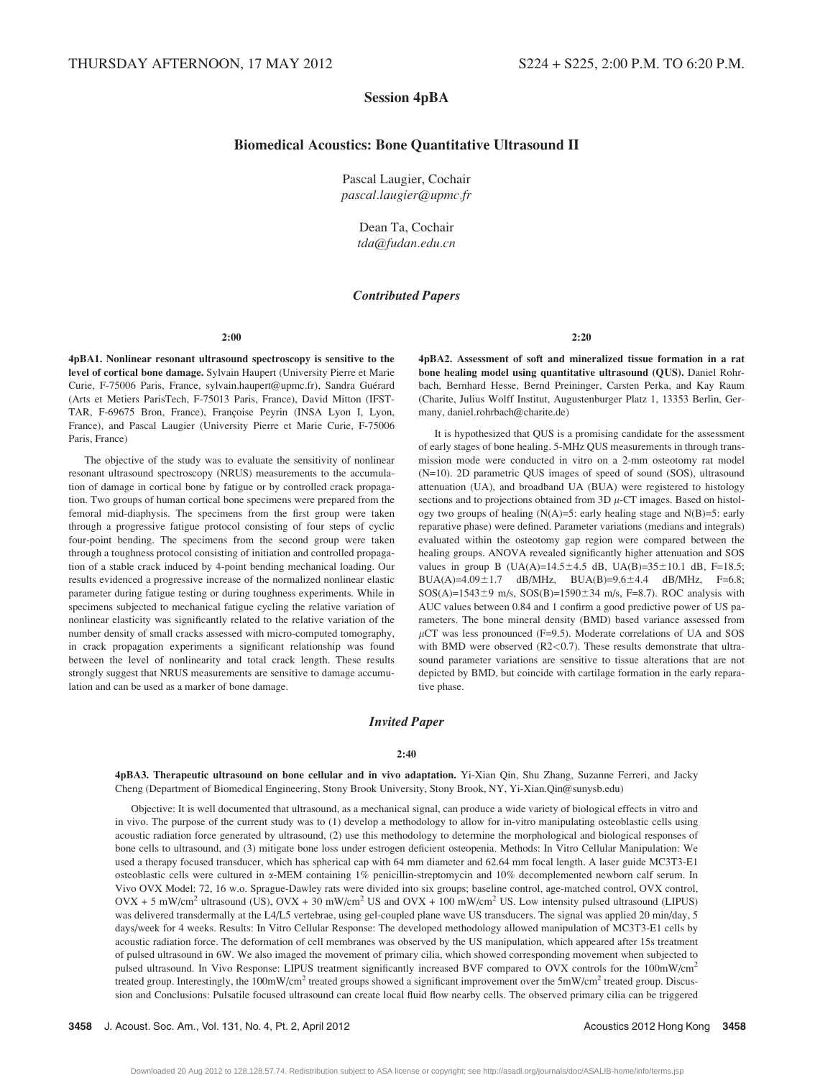# Session 4pBA

## Biomedical Acoustics: Bone Quantitative Ultrasound II

Pascal Laugier, Cochair pascal.laugier@upmc.fr

> Dean Ta, Cochair tda@fudan.edu.cn

## Contributed Papers

2:00

4pBA1. Nonlinear resonant ultrasound spectroscopy is sensitive to the level of cortical bone damage. Sylvain Haupert (University Pierre et Marie Curie, F-75006 Paris, France, sylvain.haupert@upmc.fr), Sandra Guérard (Arts et Metiers ParisTech, F-75013 Paris, France), David Mitton (IFST-TAR, F-69675 Bron, France), Françoise Peyrin (INSA Lyon I, Lyon, France), and Pascal Laugier (University Pierre et Marie Curie, F-75006 Paris, France)

The objective of the study was to evaluate the sensitivity of nonlinear resonant ultrasound spectroscopy (NRUS) measurements to the accumulation of damage in cortical bone by fatigue or by controlled crack propagation. Two groups of human cortical bone specimens were prepared from the femoral mid-diaphysis. The specimens from the first group were taken through a progressive fatigue protocol consisting of four steps of cyclic four-point bending. The specimens from the second group were taken through a toughness protocol consisting of initiation and controlled propagation of a stable crack induced by 4-point bending mechanical loading. Our results evidenced a progressive increase of the normalized nonlinear elastic parameter during fatigue testing or during toughness experiments. While in specimens subjected to mechanical fatigue cycling the relative variation of nonlinear elasticity was significantly related to the relative variation of the number density of small cracks assessed with micro-computed tomography, in crack propagation experiments a significant relationship was found between the level of nonlinearity and total crack length. These results strongly suggest that NRUS measurements are sensitive to damage accumulation and can be used as a marker of bone damage.

2:20

4pBA2. Assessment of soft and mineralized tissue formation in a rat bone healing model using quantitative ultrasound (QUS). Daniel Rohrbach, Bernhard Hesse, Bernd Preininger, Carsten Perka, and Kay Raum (Charite, Julius Wolff Institut, Augustenburger Platz 1, 13353 Berlin, Germany, daniel.rohrbach@charite.de)

It is hypothesized that QUS is a promising candidate for the assessment of early stages of bone healing. 5-MHz QUS measurements in through transmission mode were conducted in vitro on a 2-mm osteotomy rat model (N=10). 2D parametric QUS images of speed of sound (SOS), ultrasound attenuation (UA), and broadband UA (BUA) were registered to histology sections and to projections obtained from  $3D \mu$ -CT images. Based on histology two groups of healing  $(N(A)=5$ : early healing stage and  $N(B)=5$ : early reparative phase) were defined. Parameter variations (medians and integrals) evaluated within the osteotomy gap region were compared between the healing groups. ANOVA revealed significantly higher attenuation and SOS values in group B (UA(A)=14.5±4.5 dB, UA(B)=35±10.1 dB, F=18.5;  $BUA(A)=4.09\pm1.7$  dB/MHz,  $BUA(B)=9.6\pm4.4$  dB/MHz, F=6.8;  $SOS(A)=1543\pm9$  m/s,  $SOS(B)=1590\pm34$  m/s, F=8.7). ROC analysis with AUC values between 0.84 and 1 confirm a good predictive power of US parameters. The bone mineral density (BMD) based variance assessed from  $\mu$ CT was less pronounced (F=9.5). Moderate correlations of UA and SOS with BMD were observed (R2<0.7). These results demonstrate that ultrasound parameter variations are sensitive to tissue alterations that are not depicted by BMD, but coincide with cartilage formation in the early reparative phase.

## Invited Paper

## 2:40

4pBA3. Therapeutic ultrasound on bone cellular and in vivo adaptation. Yi-Xian Qin, Shu Zhang, Suzanne Ferreri, and Jacky Cheng (Department of Biomedical Engineering, Stony Brook University, Stony Brook, NY, Yi-Xian.Qin@sunysb.edu)

Objective: It is well documented that ultrasound, as a mechanical signal, can produce a wide variety of biological effects in vitro and in vivo. The purpose of the current study was to (1) develop a methodology to allow for in-vitro manipulating osteoblastic cells using acoustic radiation force generated by ultrasound, (2) use this methodology to determine the morphological and biological responses of bone cells to ultrasound, and (3) mitigate bone loss under estrogen deficient osteopenia. Methods: In Vitro Cellular Manipulation: We used a therapy focused transducer, which has spherical cap with 64 mm diameter and 62.64 mm focal length. A laser guide MC3T3-E1 osteoblastic cells were cultured in a-MEM containing 1% penicillin-streptomycin and 10% decomplemented newborn calf serum. In Vivo OVX Model: 72, 16 w.o. Sprague-Dawley rats were divided into six groups; baseline control, age-matched control, OVX control, OVX + 5 mW/cm2 ultrasound (US), OVX + 30 mW/cm2 US and OVX + 100 mW/cm2 US. Low intensity pulsed ultrasound (LIPUS) was delivered transdermally at the L4/L5 vertebrae, using gel-coupled plane wave US transducers. The signal was applied 20 min/day, 5 days/week for 4 weeks. Results: In Vitro Cellular Response: The developed methodology allowed manipulation of MC3T3-E1 cells by acoustic radiation force. The deformation of cell membranes was observed by the US manipulation, which appeared after 15s treatment of pulsed ultrasound in 6W. We also imaged the movement of primary cilia, which showed corresponding movement when subjected to pulsed ultrasound. In Vivo Response: LIPUS treatment significantly increased BVF compared to OVX controls for the 100mW/cm2 treated group. Interestingly, the 100mW/cm<sup>2</sup> treated groups showed a significant improvement over the 5mW/cm<sup>2</sup> treated group. Discussion and Conclusions: Pulsatile focused ultrasound can create local fluid flow nearby cells. The observed primary cilia can be triggered

3458 J. Acoust. Soc. Am., Vol. 131, No. 4, Pt. 2, April 2012 Acoustics 2012 Hong Kong 3458 Acoustics 2012 Hong Kong 3458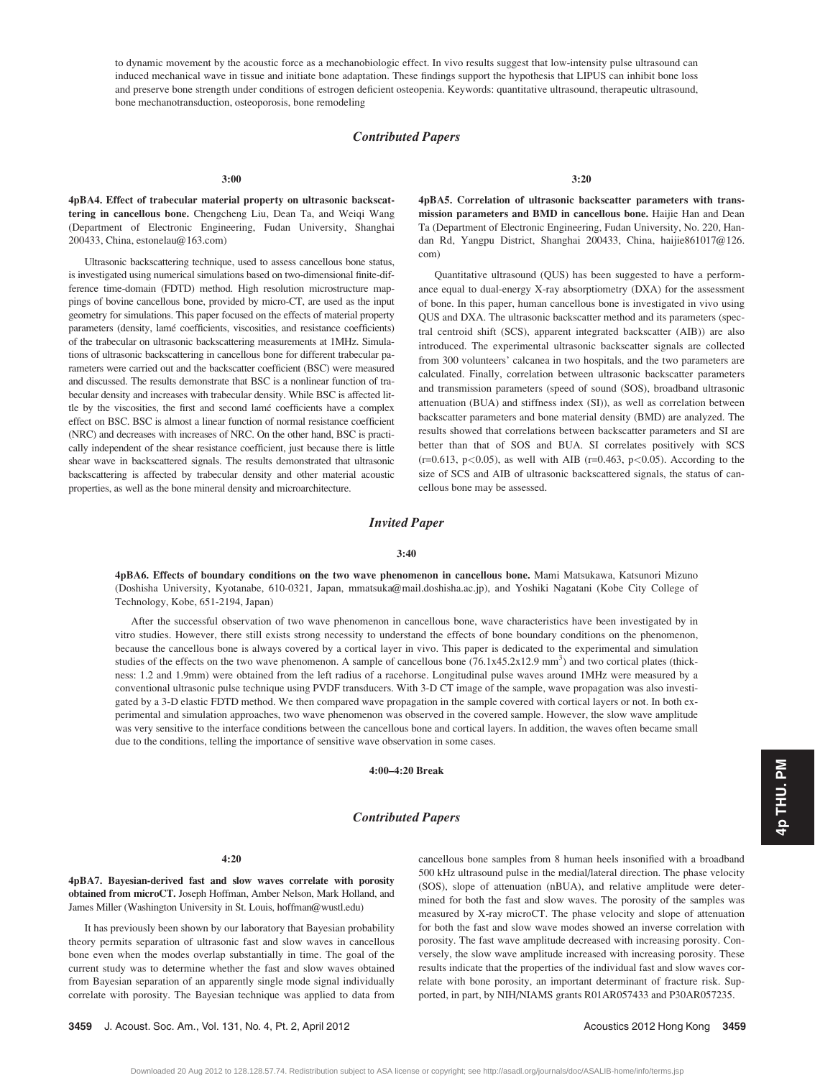to dynamic movement by the acoustic force as a mechanobiologic effect. In vivo results suggest that low-intensity pulse ultrasound can induced mechanical wave in tissue and initiate bone adaptation. These findings support the hypothesis that LIPUS can inhibit bone loss and preserve bone strength under conditions of estrogen deficient osteopenia. Keywords: quantitative ultrasound, therapeutic ultrasound, bone mechanotransduction, osteoporosis, bone remodeling

## Contributed Papers

4pBA4. Effect of trabecular material property on ultrasonic backscattering in cancellous bone. Chengcheng Liu, Dean Ta, and Weiqi Wang (Department of Electronic Engineering, Fudan University, Shanghai 200433, China, estonelau@163.com)

Ultrasonic backscattering technique, used to assess cancellous bone status, is investigated using numerical simulations based on two-dimensional finite-difference time-domain (FDTD) method. High resolution microstructure mappings of bovine cancellous bone, provided by micro-CT, are used as the input geometry for simulations. This paper focused on the effects of material property parameters (density, lamé coefficients, viscosities, and resistance coefficients) of the trabecular on ultrasonic backscattering measurements at 1MHz. Simulations of ultrasonic backscattering in cancellous bone for different trabecular parameters were carried out and the backscatter coefficient (BSC) were measured and discussed. The results demonstrate that BSC is a nonlinear function of trabecular density and increases with trabecular density. While BSC is affected little by the viscosities, the first and second lame´ coefficients have a complex effect on BSC. BSC is almost a linear function of normal resistance coefficient (NRC) and decreases with increases of NRC. On the other hand, BSC is practically independent of the shear resistance coefficient, just because there is little shear wave in backscattered signals. The results demonstrated that ultrasonic backscattering is affected by trabecular density and other material acoustic properties, as well as the bone mineral density and microarchitecture.

## 3:20

4pBA5. Correlation of ultrasonic backscatter parameters with transmission parameters and BMD in cancellous bone. Haijie Han and Dean Ta (Department of Electronic Engineering, Fudan University, No. 220, Handan Rd, Yangpu District, Shanghai 200433, China, haijie861017@126. com)

Quantitative ultrasound (QUS) has been suggested to have a performance equal to dual-energy X-ray absorptiometry (DXA) for the assessment of bone. In this paper, human cancellous bone is investigated in vivo using QUS and DXA. The ultrasonic backscatter method and its parameters (spectral centroid shift (SCS), apparent integrated backscatter (AIB)) are also introduced. The experimental ultrasonic backscatter signals are collected from 300 volunteers' calcanea in two hospitals, and the two parameters are calculated. Finally, correlation between ultrasonic backscatter parameters and transmission parameters (speed of sound (SOS), broadband ultrasonic attenuation (BUA) and stiffness index (SI)), as well as correlation between backscatter parameters and bone material density (BMD) are analyzed. The results showed that correlations between backscatter parameters and SI are better than that of SOS and BUA. SI correlates positively with SCS  $(r=0.613, p<0.05)$ , as well with AIB  $(r=0.463, p<0.05)$ . According to the size of SCS and AIB of ultrasonic backscattered signals, the status of cancellous bone may be assessed.

## Invited Paper

## 3:40

4pBA6. Effects of boundary conditions on the two wave phenomenon in cancellous bone. Mami Matsukawa, Katsunori Mizuno (Doshisha University, Kyotanabe, 610-0321, Japan, mmatsuka@mail.doshisha.ac.jp), and Yoshiki Nagatani (Kobe City College of Technology, Kobe, 651-2194, Japan)

After the successful observation of two wave phenomenon in cancellous bone, wave characteristics have been investigated by in vitro studies. However, there still exists strong necessity to understand the effects of bone boundary conditions on the phenomenon, because the cancellous bone is always covered by a cortical layer in vivo. This paper is dedicated to the experimental and simulation studies of the effects on the two wave phenomenon. A sample of cancellous bone  $(76.1x45.2x12.9 \text{ mm}^3)$  and two cortical plates (thickness: 1.2 and 1.9mm) were obtained from the left radius of a racehorse. Longitudinal pulse waves around 1MHz were measured by a conventional ultrasonic pulse technique using PVDF transducers. With 3-D CT image of the sample, wave propagation was also investigated by a 3-D elastic FDTD method. We then compared wave propagation in the sample covered with cortical layers or not. In both experimental and simulation approaches, two wave phenomenon was observed in the covered sample. However, the slow wave amplitude was very sensitive to the interface conditions between the cancellous bone and cortical layers. In addition, the waves often became small due to the conditions, telling the importance of sensitive wave observation in some cases.

4:00–4:20 Break

## Contributed Papers

## 4:20

4pBA7. Bayesian-derived fast and slow waves correlate with porosity obtained from microCT. Joseph Hoffman, Amber Nelson, Mark Holland, and James Miller (Washington University in St. Louis, hoffman@wustl.edu)

It has previously been shown by our laboratory that Bayesian probability theory permits separation of ultrasonic fast and slow waves in cancellous bone even when the modes overlap substantially in time. The goal of the current study was to determine whether the fast and slow waves obtained from Bayesian separation of an apparently single mode signal individually correlate with porosity. The Bayesian technique was applied to data from cancellous bone samples from 8 human heels insonified with a broadband 500 kHz ultrasound pulse in the medial/lateral direction. The phase velocity (SOS), slope of attenuation (nBUA), and relative amplitude were determined for both the fast and slow waves. The porosity of the samples was measured by X-ray microCT. The phase velocity and slope of attenuation for both the fast and slow wave modes showed an inverse correlation with porosity. The fast wave amplitude decreased with increasing porosity. Conversely, the slow wave amplitude increased with increasing porosity. These results indicate that the properties of the individual fast and slow waves correlate with bone porosity, an important determinant of fracture risk. Supported, in part, by NIH/NIAMS grants R01AR057433 and P30AR057235.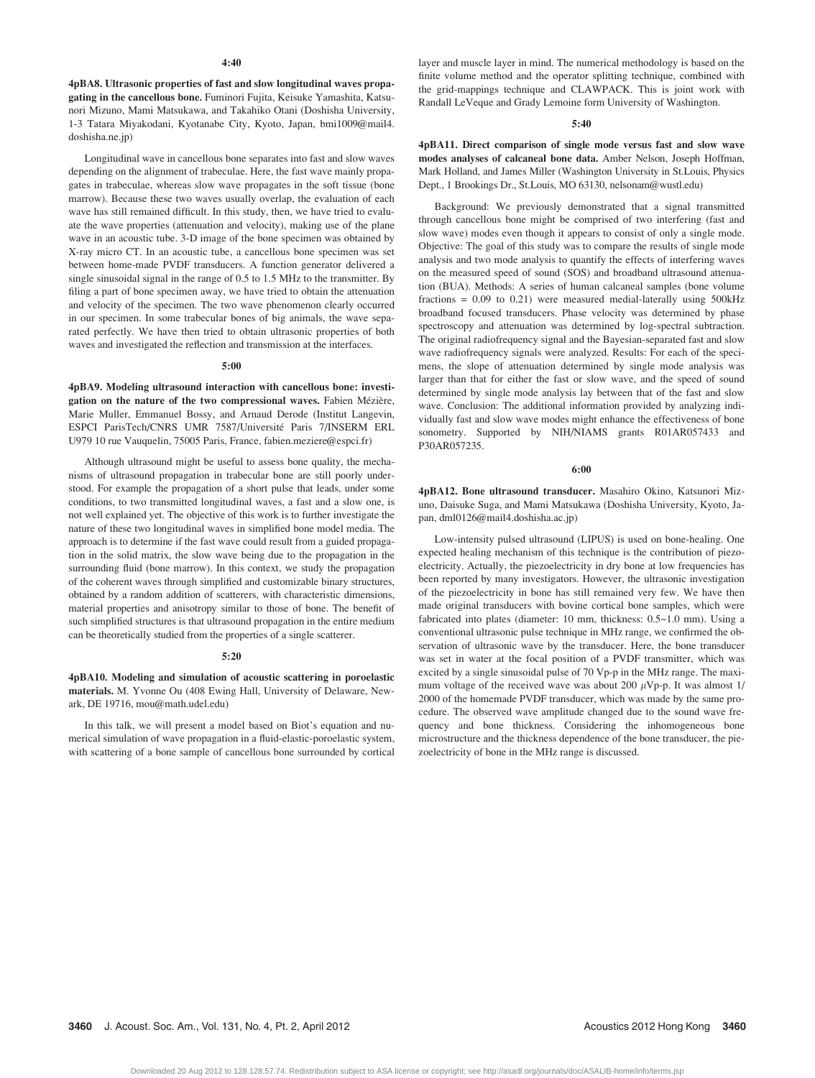4pBA8. Ultrasonic properties of fast and slow longitudinal waves propagating in the cancellous bone. Fuminori Fujita, Keisuke Yamashita, Katsunori Mizuno, Mami Matsukawa, and Takahiko Otani (Doshisha University, 1-3 Tatara Miyakodani, Kyotanabe City, Kyoto, Japan, bmi1009@mail4. doshisha.ne.jp)

Longitudinal wave in cancellous bone separates into fast and slow waves depending on the alignment of trabeculae. Here, the fast wave mainly propagates in trabeculae, whereas slow wave propagates in the soft tissue (bone marrow). Because these two waves usually overlap, the evaluation of each wave has still remained difficult. In this study, then, we have tried to evaluate the wave properties (attenuation and velocity), making use of the plane wave in an acoustic tube. 3-D image of the bone specimen was obtained by X-ray micro CT. In an acoustic tube, a cancellous bone specimen was set between home-made PVDF transducers. A function generator delivered a single sinusoidal signal in the range of 0.5 to 1.5 MHz to the transmitter. By filing a part of bone specimen away, we have tried to obtain the attenuation and velocity of the specimen. The two wave phenomenon clearly occurred in our specimen. In some trabecular bones of big animals, the wave separated perfectly. We have then tried to obtain ultrasonic properties of both waves and investigated the reflection and transmission at the interfaces.

## 5:00

4pBA9. Modeling ultrasound interaction with cancellous bone: investigation on the nature of the two compressional waves. Fabien Mézière, Marie Muller, Emmanuel Bossy, and Arnaud Derode (Institut Langevin, ESPCI ParisTech/CNRS UMR 7587/Université Paris 7/INSERM ERL U979 10 rue Vauquelin, 75005 Paris, France, fabien.meziere@espci.fr)

Although ultrasound might be useful to assess bone quality, the mechanisms of ultrasound propagation in trabecular bone are still poorly understood. For example the propagation of a short pulse that leads, under some conditions, to two transmitted longitudinal waves, a fast and a slow one, is not well explained yet. The objective of this work is to further investigate the nature of these two longitudinal waves in simplified bone model media. The approach is to determine if the fast wave could result from a guided propagation in the solid matrix, the slow wave being due to the propagation in the surrounding fluid (bone marrow). In this context, we study the propagation of the coherent waves through simplified and customizable binary structures, obtained by a random addition of scatterers, with characteristic dimensions, material properties and anisotropy similar to those of bone. The benefit of such simplified structures is that ultrasound propagation in the entire medium can be theoretically studied from the properties of a single scatterer.

#### 5:20

4pBA10. Modeling and simulation of acoustic scattering in poroelastic materials. M. Yvonne Ou (408 Ewing Hall, University of Delaware, Newark, DE 19716, mou@math.udel.edu)

In this talk, we will present a model based on Biot's equation and numerical simulation of wave propagation in a fluid-elastic-poroelastic system, with scattering of a bone sample of cancellous bone surrounded by cortical layer and muscle layer in mind. The numerical methodology is based on the finite volume method and the operator splitting technique, combined with the grid-mappings technique and CLAWPACK. This is joint work with Randall LeVeque and Grady Lemoine form University of Washington.

#### 5:40

4pBA11. Direct comparison of single mode versus fast and slow wave modes analyses of calcaneal bone data. Amber Nelson, Joseph Hoffman, Mark Holland, and James Miller (Washington University in St.Louis, Physics Dept., 1 Brookings Dr., St.Louis, MO 63130, nelsonam@wustl.edu)

Background: We previously demonstrated that a signal transmitted through cancellous bone might be comprised of two interfering (fast and slow wave) modes even though it appears to consist of only a single mode. Objective: The goal of this study was to compare the results of single mode analysis and two mode analysis to quantify the effects of interfering waves on the measured speed of sound (SOS) and broadband ultrasound attenuation (BUA). Methods: A series of human calcaneal samples (bone volume fractions = 0.09 to 0.21) were measured medial-laterally using 500kHz broadband focused transducers. Phase velocity was determined by phase spectroscopy and attenuation was determined by log-spectral subtraction. The original radiofrequency signal and the Bayesian-separated fast and slow wave radiofrequency signals were analyzed. Results: For each of the specimens, the slope of attenuation determined by single mode analysis was larger than that for either the fast or slow wave, and the speed of sound determined by single mode analysis lay between that of the fast and slow wave. Conclusion: The additional information provided by analyzing individually fast and slow wave modes might enhance the effectiveness of bone sonometry. Supported by NIH/NIAMS grants R01AR057433 and P30AR057235.

#### 6:00

4pBA12. Bone ultrasound transducer. Masahiro Okino, Katsunori Mizuno, Daisuke Suga, and Mami Matsukawa (Doshisha University, Kyoto, Japan, dml0126@mail4.doshisha.ac.jp)

Low-intensity pulsed ultrasound (LIPUS) is used on bone-healing. One expected healing mechanism of this technique is the contribution of piezoelectricity. Actually, the piezoelectricity in dry bone at low frequencies has been reported by many investigators. However, the ultrasonic investigation of the piezoelectricity in bone has still remained very few. We have then made original transducers with bovine cortical bone samples, which were fabricated into plates (diameter: 10 mm, thickness: 0.5~1.0 mm). Using a conventional ultrasonic pulse technique in MHz range, we confirmed the observation of ultrasonic wave by the transducer. Here, the bone transducer was set in water at the focal position of a PVDF transmitter, which was excited by a single sinusoidal pulse of 70 Vp-p in the MHz range. The maximum voltage of the received wave was about 200  $\mu Vp$ -p. It was almost 1/ 2000 of the homemade PVDF transducer, which was made by the same procedure. The observed wave amplitude changed due to the sound wave frequency and bone thickness. Considering the inhomogeneous bone microstructure and the thickness dependence of the bone transducer, the piezoelectricity of bone in the MHz range is discussed.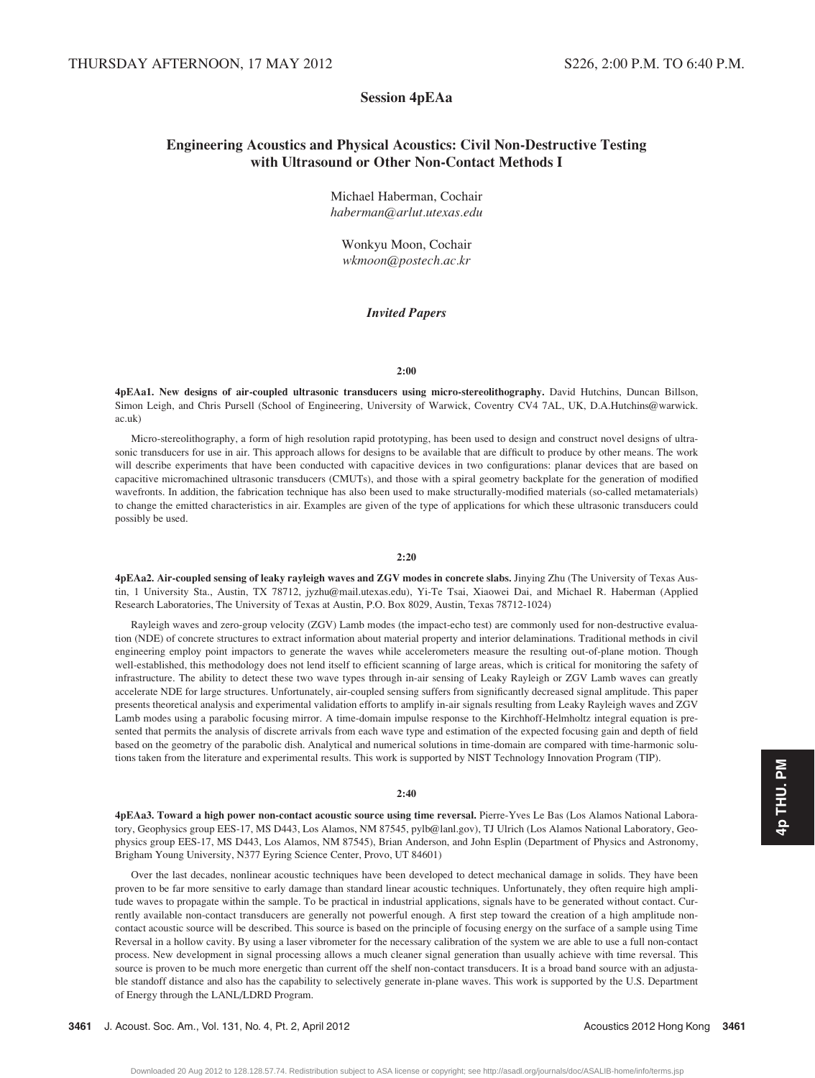# Session 4pEAa

# Engineering Acoustics and Physical Acoustics: Civil Non-Destructive Testing with Ultrasound or Other Non-Contact Methods I

Michael Haberman, Cochair haberman@arlut.utexas.edu

Wonkyu Moon, Cochair wkmoon@postech.ac.kr

## Invited Papers

#### 2:00

4pEAa1. New designs of air-coupled ultrasonic transducers using micro-stereolithography. David Hutchins, Duncan Billson, Simon Leigh, and Chris Pursell (School of Engineering, University of Warwick, Coventry CV4 7AL, UK, D.A.Hutchins@warwick. ac.uk)

Micro-stereolithography, a form of high resolution rapid prototyping, has been used to design and construct novel designs of ultrasonic transducers for use in air. This approach allows for designs to be available that are difficult to produce by other means. The work will describe experiments that have been conducted with capacitive devices in two configurations: planar devices that are based on capacitive micromachined ultrasonic transducers (CMUTs), and those with a spiral geometry backplate for the generation of modified wavefronts. In addition, the fabrication technique has also been used to make structurally-modified materials (so-called metamaterials) to change the emitted characteristics in air. Examples are given of the type of applications for which these ultrasonic transducers could possibly be used.

## 2:20

4pEAa2. Air-coupled sensing of leaky rayleigh waves and ZGV modes in concrete slabs. Jinying Zhu (The University of Texas Austin, 1 University Sta., Austin, TX 78712, jyzhu@mail.utexas.edu), Yi-Te Tsai, Xiaowei Dai, and Michael R. Haberman (Applied Research Laboratories, The University of Texas at Austin, P.O. Box 8029, Austin, Texas 78712-1024)

Rayleigh waves and zero-group velocity (ZGV) Lamb modes (the impact-echo test) are commonly used for non-destructive evaluation (NDE) of concrete structures to extract information about material property and interior delaminations. Traditional methods in civil engineering employ point impactors to generate the waves while accelerometers measure the resulting out-of-plane motion. Though well-established, this methodology does not lend itself to efficient scanning of large areas, which is critical for monitoring the safety of infrastructure. The ability to detect these two wave types through in-air sensing of Leaky Rayleigh or ZGV Lamb waves can greatly accelerate NDE for large structures. Unfortunately, air-coupled sensing suffers from significantly decreased signal amplitude. This paper presents theoretical analysis and experimental validation efforts to amplify in-air signals resulting from Leaky Rayleigh waves and ZGV Lamb modes using a parabolic focusing mirror. A time-domain impulse response to the Kirchhoff-Helmholtz integral equation is presented that permits the analysis of discrete arrivals from each wave type and estimation of the expected focusing gain and depth of field based on the geometry of the parabolic dish. Analytical and numerical solutions in time-domain are compared with time-harmonic solutions taken from the literature and experimental results. This work is supported by NIST Technology Innovation Program (TIP).

#### 2:40

4pEAa3. Toward a high power non-contact acoustic source using time reversal. Pierre-Yves Le Bas (Los Alamos National Laboratory, Geophysics group EES-17, MS D443, Los Alamos, NM 87545, pylb@lanl.gov), TJ Ulrich (Los Alamos National Laboratory, Geophysics group EES-17, MS D443, Los Alamos, NM 87545), Brian Anderson, and John Esplin (Department of Physics and Astronomy, Brigham Young University, N377 Eyring Science Center, Provo, UT 84601)

Over the last decades, nonlinear acoustic techniques have been developed to detect mechanical damage in solids. They have been proven to be far more sensitive to early damage than standard linear acoustic techniques. Unfortunately, they often require high amplitude waves to propagate within the sample. To be practical in industrial applications, signals have to be generated without contact. Currently available non-contact transducers are generally not powerful enough. A first step toward the creation of a high amplitude noncontact acoustic source will be described. This source is based on the principle of focusing energy on the surface of a sample using Time Reversal in a hollow cavity. By using a laser vibrometer for the necessary calibration of the system we are able to use a full non-contact process. New development in signal processing allows a much cleaner signal generation than usually achieve with time reversal. This source is proven to be much more energetic than current off the shelf non-contact transducers. It is a broad band source with an adjustable standoff distance and also has the capability to selectively generate in-plane waves. This work is supported by the U.S. Department of Energy through the LANL/LDRD Program.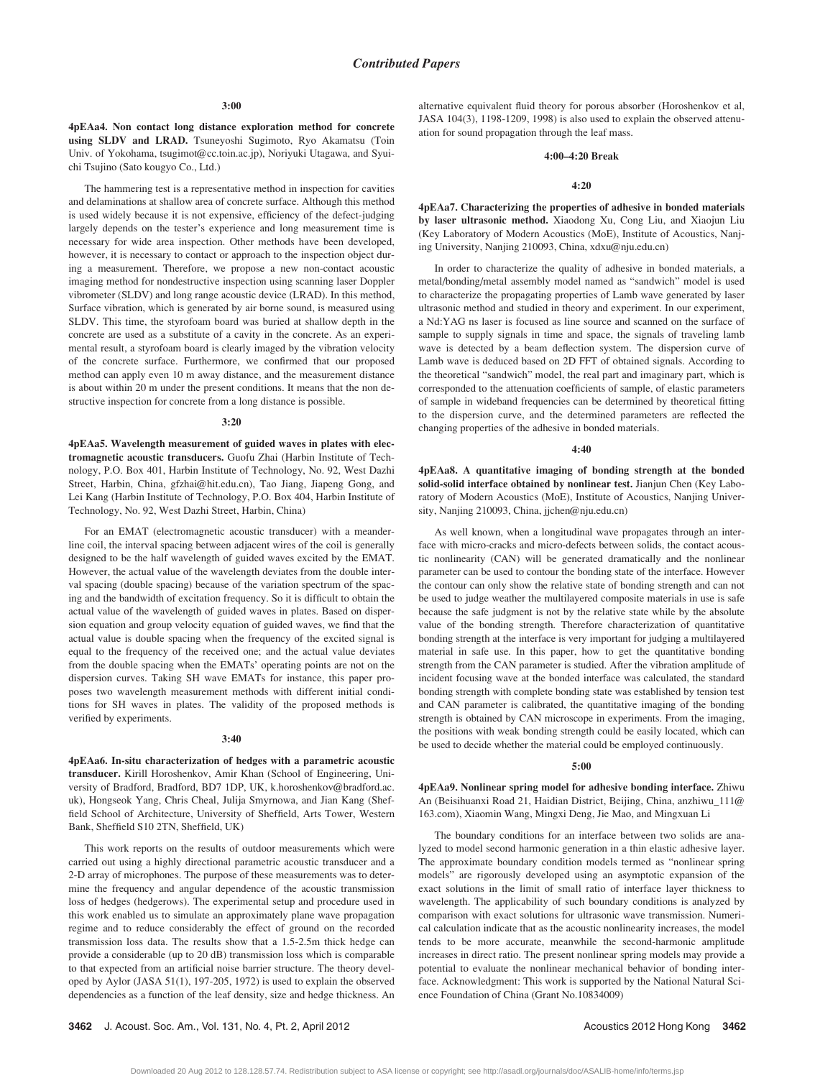4pEAa4. Non contact long distance exploration method for concrete using SLDV and LRAD. Tsuneyoshi Sugimoto, Ryo Akamatsu (Toin Univ. of Yokohama, tsugimot@cc.toin.ac.jp), Noriyuki Utagawa, and Syuichi Tsujino (Sato kougyo Co., Ltd.)

The hammering test is a representative method in inspection for cavities and delaminations at shallow area of concrete surface. Although this method is used widely because it is not expensive, efficiency of the defect-judging largely depends on the tester's experience and long measurement time is necessary for wide area inspection. Other methods have been developed, however, it is necessary to contact or approach to the inspection object during a measurement. Therefore, we propose a new non-contact acoustic imaging method for nondestructive inspection using scanning laser Doppler vibrometer (SLDV) and long range acoustic device (LRAD). In this method, Surface vibration, which is generated by air borne sound, is measured using SLDV. This time, the styrofoam board was buried at shallow depth in the concrete are used as a substitute of a cavity in the concrete. As an experimental result, a styrofoam board is clearly imaged by the vibration velocity of the concrete surface. Furthermore, we confirmed that our proposed method can apply even 10 m away distance, and the measurement distance is about within 20 m under the present conditions. It means that the non destructive inspection for concrete from a long distance is possible.

#### 3:20

4pEAa5. Wavelength measurement of guided waves in plates with electromagnetic acoustic transducers. Guofu Zhai (Harbin Institute of Technology, P.O. Box 401, Harbin Institute of Technology, No. 92, West Dazhi Street, Harbin, China, gfzhai@hit.edu.cn), Tao Jiang, Jiapeng Gong, and Lei Kang (Harbin Institute of Technology, P.O. Box 404, Harbin Institute of Technology, No. 92, West Dazhi Street, Harbin, China)

For an EMAT (electromagnetic acoustic transducer) with a meanderline coil, the interval spacing between adjacent wires of the coil is generally designed to be the half wavelength of guided waves excited by the EMAT. However, the actual value of the wavelength deviates from the double interval spacing (double spacing) because of the variation spectrum of the spacing and the bandwidth of excitation frequency. So it is difficult to obtain the actual value of the wavelength of guided waves in plates. Based on dispersion equation and group velocity equation of guided waves, we find that the actual value is double spacing when the frequency of the excited signal is equal to the frequency of the received one; and the actual value deviates from the double spacing when the EMATs' operating points are not on the dispersion curves. Taking SH wave EMATs for instance, this paper proposes two wavelength measurement methods with different initial conditions for SH waves in plates. The validity of the proposed methods is verified by experiments.

#### 3:40

## 4pEAa6. In-situ characterization of hedges with a parametric acoustic transducer. Kirill Horoshenkov, Amir Khan (School of Engineering, University of Bradford, Bradford, BD7 1DP, UK, k.horoshenkov@bradford.ac. uk), Hongseok Yang, Chris Cheal, Julija Smyrnowa, and Jian Kang (Sheffield School of Architecture, University of Sheffield, Arts Tower, Western Bank, Sheffield S10 2TN, Sheffield, UK)

This work reports on the results of outdoor measurements which were carried out using a highly directional parametric acoustic transducer and a 2-D array of microphones. The purpose of these measurements was to determine the frequency and angular dependence of the acoustic transmission loss of hedges (hedgerows). The experimental setup and procedure used in this work enabled us to simulate an approximately plane wave propagation regime and to reduce considerably the effect of ground on the recorded transmission loss data. The results show that a 1.5-2.5m thick hedge can provide a considerable (up to 20 dB) transmission loss which is comparable to that expected from an artificial noise barrier structure. The theory developed by Aylor (JASA 51(1), 197-205, 1972) is used to explain the observed dependencies as a function of the leaf density, size and hedge thickness. An alternative equivalent fluid theory for porous absorber (Horoshenkov et al, JASA 104(3), 1198-1209, 1998) is also used to explain the observed attenuation for sound propagation through the leaf mass.

## 4:00–4:20 Break

## 4:20

4pEAa7. Characterizing the properties of adhesive in bonded materials by laser ultrasonic method. Xiaodong Xu, Cong Liu, and Xiaojun Liu (Key Laboratory of Modern Acoustics (MoE), Institute of Acoustics, Nanjing University, Nanjing 210093, China, xdxu@nju.edu.cn)

In order to characterize the quality of adhesive in bonded materials, a metal/bonding/metal assembly model named as "sandwich" model is used to characterize the propagating properties of Lamb wave generated by laser ultrasonic method and studied in theory and experiment. In our experiment, a Nd:YAG ns laser is focused as line source and scanned on the surface of sample to supply signals in time and space, the signals of traveling lamb wave is detected by a beam deflection system. The dispersion curve of Lamb wave is deduced based on 2D FFT of obtained signals. According to the theoretical "sandwich" model, the real part and imaginary part, which is corresponded to the attenuation coefficients of sample, of elastic parameters of sample in wideband frequencies can be determined by theoretical fitting to the dispersion curve, and the determined parameters are reflected the changing properties of the adhesive in bonded materials.

## 4:40

4pEAa8. A quantitative imaging of bonding strength at the bonded solid-solid interface obtained by nonlinear test. Jianjun Chen (Key Laboratory of Modern Acoustics (MoE), Institute of Acoustics, Nanjing University, Nanjing 210093, China, jjchen@nju.edu.cn)

As well known, when a longitudinal wave propagates through an interface with micro-cracks and micro-defects between solids, the contact acoustic nonlinearity (CAN) will be generated dramatically and the nonlinear parameter can be used to contour the bonding state of the interface. However the contour can only show the relative state of bonding strength and can not be used to judge weather the multilayered composite materials in use is safe because the safe judgment is not by the relative state while by the absolute value of the bonding strength. Therefore characterization of quantitative bonding strength at the interface is very important for judging a multilayered material in safe use. In this paper, how to get the quantitative bonding strength from the CAN parameter is studied. After the vibration amplitude of incident focusing wave at the bonded interface was calculated, the standard bonding strength with complete bonding state was established by tension test and CAN parameter is calibrated, the quantitative imaging of the bonding strength is obtained by CAN microscope in experiments. From the imaging, the positions with weak bonding strength could be easily located, which can be used to decide whether the material could be employed continuously.

## 5:00

4pEAa9. Nonlinear spring model for adhesive bonding interface. Zhiwu An (Beisihuanxi Road 21, Haidian District, Beijing, China, anzhiwu\_111@ 163.com), Xiaomin Wang, Mingxi Deng, Jie Mao, and Mingxuan Li

The boundary conditions for an interface between two solids are analyzed to model second harmonic generation in a thin elastic adhesive layer. The approximate boundary condition models termed as "nonlinear spring models" are rigorously developed using an asymptotic expansion of the exact solutions in the limit of small ratio of interface layer thickness to wavelength. The applicability of such boundary conditions is analyzed by comparison with exact solutions for ultrasonic wave transmission. Numerical calculation indicate that as the acoustic nonlinearity increases, the model tends to be more accurate, meanwhile the second-harmonic amplitude increases in direct ratio. The present nonlinear spring models may provide a potential to evaluate the nonlinear mechanical behavior of bonding interface. Acknowledgment: This work is supported by the National Natural Science Foundation of China (Grant No.10834009)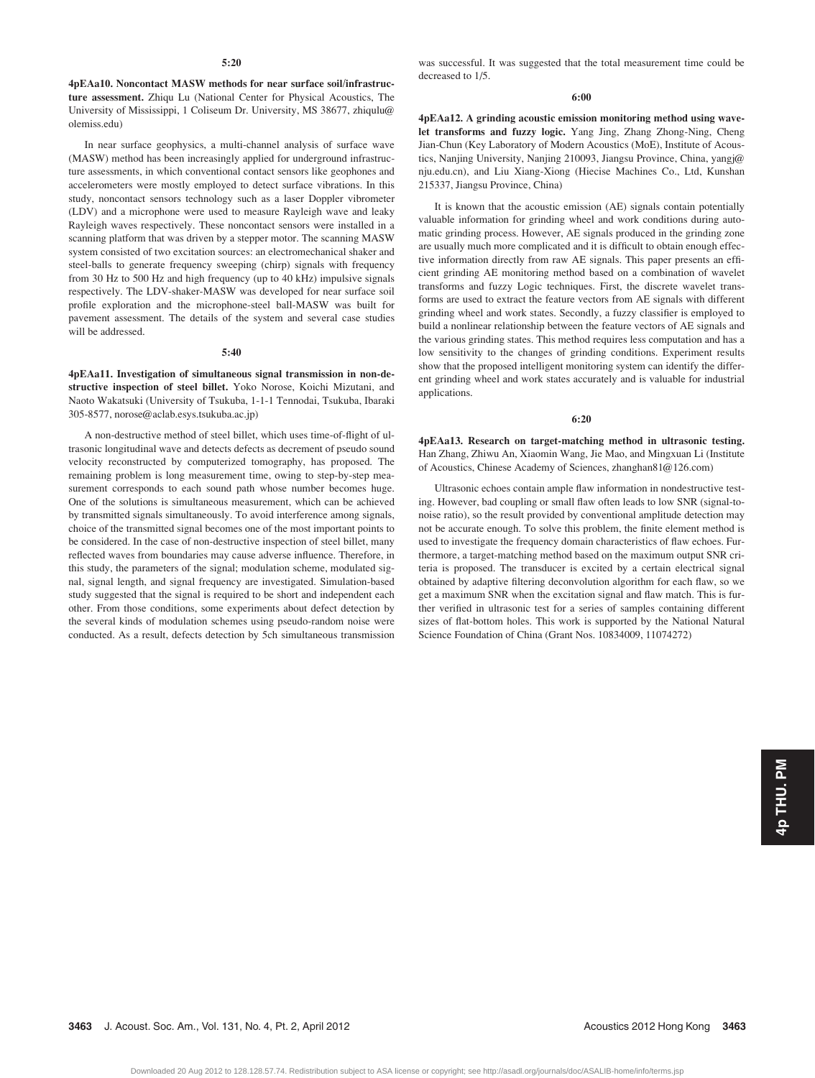4pEAa10. Noncontact MASW methods for near surface soil/infrastructure assessment. Zhiqu Lu (National Center for Physical Acoustics, The University of Mississippi, 1 Coliseum Dr. University, MS 38677, zhiqulu@ olemiss.edu)

In near surface geophysics, a multi-channel analysis of surface wave (MASW) method has been increasingly applied for underground infrastructure assessments, in which conventional contact sensors like geophones and accelerometers were mostly employed to detect surface vibrations. In this study, noncontact sensors technology such as a laser Doppler vibrometer (LDV) and a microphone were used to measure Rayleigh wave and leaky Rayleigh waves respectively. These noncontact sensors were installed in a scanning platform that was driven by a stepper motor. The scanning MASW system consisted of two excitation sources: an electromechanical shaker and steel-balls to generate frequency sweeping (chirp) signals with frequency from 30 Hz to 500 Hz and high frequency (up to 40 kHz) impulsive signals respectively. The LDV-shaker-MASW was developed for near surface soil profile exploration and the microphone-steel ball-MASW was built for pavement assessment. The details of the system and several case studies will be addressed.

## 5:40

4pEAa11. Investigation of simultaneous signal transmission in non-destructive inspection of steel billet. Yoko Norose, Koichi Mizutani, and Naoto Wakatsuki (University of Tsukuba, 1-1-1 Tennodai, Tsukuba, Ibaraki 305-8577, norose@aclab.esys.tsukuba.ac.jp)

A non-destructive method of steel billet, which uses time-of-flight of ultrasonic longitudinal wave and detects defects as decrement of pseudo sound velocity reconstructed by computerized tomography, has proposed. The remaining problem is long measurement time, owing to step-by-step measurement corresponds to each sound path whose number becomes huge. One of the solutions is simultaneous measurement, which can be achieved by transmitted signals simultaneously. To avoid interference among signals, choice of the transmitted signal becomes one of the most important points to be considered. In the case of non-destructive inspection of steel billet, many reflected waves from boundaries may cause adverse influence. Therefore, in this study, the parameters of the signal; modulation scheme, modulated signal, signal length, and signal frequency are investigated. Simulation-based study suggested that the signal is required to be short and independent each other. From those conditions, some experiments about defect detection by the several kinds of modulation schemes using pseudo-random noise were conducted. As a result, defects detection by 5ch simultaneous transmission was successful. It was suggested that the total measurement time could be decreased to 1/5.

## 6:00

4pEAa12. A grinding acoustic emission monitoring method using wavelet transforms and fuzzy logic. Yang Jing, Zhang Zhong-Ning, Cheng Jian-Chun (Key Laboratory of Modern Acoustics (MoE), Institute of Acoustics, Nanjing University, Nanjing 210093, Jiangsu Province, China, yangj@ nju.edu.cn), and Liu Xiang-Xiong (Hiecise Machines Co., Ltd, Kunshan 215337, Jiangsu Province, China)

It is known that the acoustic emission (AE) signals contain potentially valuable information for grinding wheel and work conditions during automatic grinding process. However, AE signals produced in the grinding zone are usually much more complicated and it is difficult to obtain enough effective information directly from raw AE signals. This paper presents an efficient grinding AE monitoring method based on a combination of wavelet transforms and fuzzy Logic techniques. First, the discrete wavelet transforms are used to extract the feature vectors from AE signals with different grinding wheel and work states. Secondly, a fuzzy classifier is employed to build a nonlinear relationship between the feature vectors of AE signals and the various grinding states. This method requires less computation and has a low sensitivity to the changes of grinding conditions. Experiment results show that the proposed intelligent monitoring system can identify the different grinding wheel and work states accurately and is valuable for industrial applications.

## 6:20

4pEAa13. Research on target-matching method in ultrasonic testing. Han Zhang, Zhiwu An, Xiaomin Wang, Jie Mao, and Mingxuan Li (Institute of Acoustics, Chinese Academy of Sciences, zhanghan81@126.com)

Ultrasonic echoes contain ample flaw information in nondestructive testing. However, bad coupling or small flaw often leads to low SNR (signal-tonoise ratio), so the result provided by conventional amplitude detection may not be accurate enough. To solve this problem, the finite element method is used to investigate the frequency domain characteristics of flaw echoes. Furthermore, a target-matching method based on the maximum output SNR criteria is proposed. The transducer is excited by a certain electrical signal obtained by adaptive filtering deconvolution algorithm for each flaw, so we get a maximum SNR when the excitation signal and flaw match. This is further verified in ultrasonic test for a series of samples containing different sizes of flat-bottom holes. This work is supported by the National Natural Science Foundation of China (Grant Nos. 10834009, 11074272)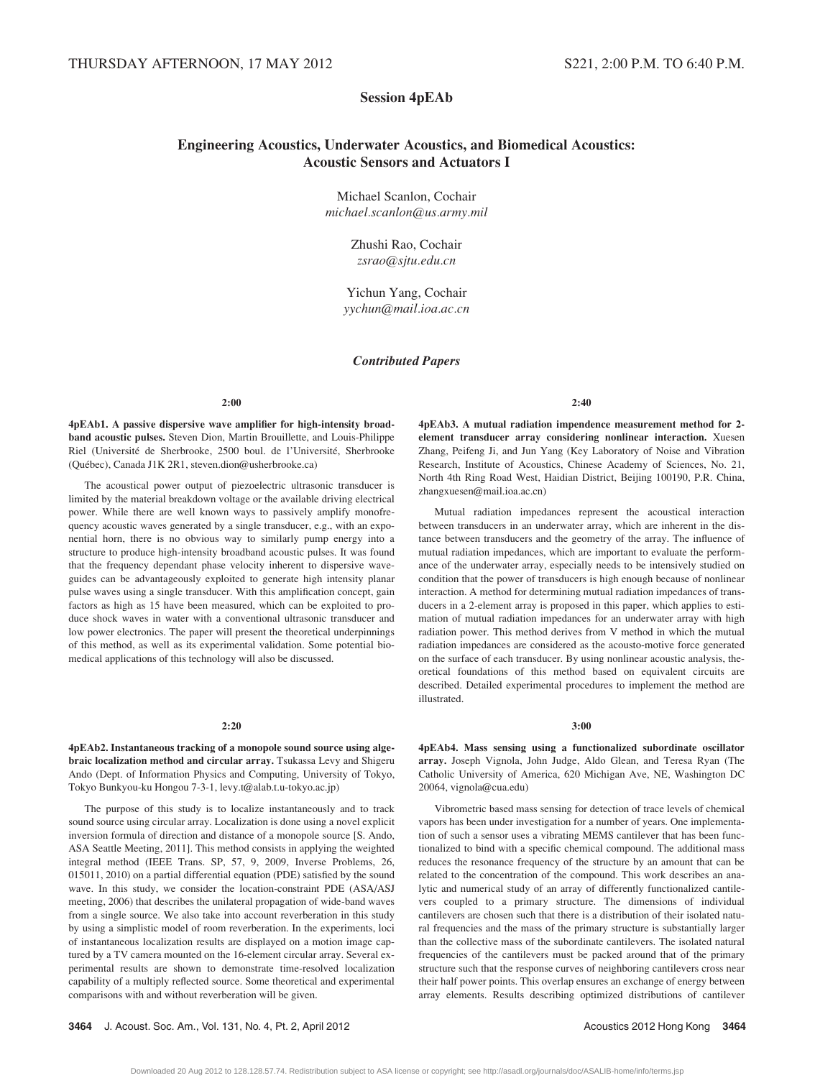# Session 4pEAb

# Engineering Acoustics, Underwater Acoustics, and Biomedical Acoustics: Acoustic Sensors and Actuators I

Michael Scanlon, Cochair michael.scanlon@us.army.mil

> Zhushi Rao, Cochair zsrao@sjtu.edu.cn

Yichun Yang, Cochair yychun@mail.ioa.ac.cn

## Contributed Papers

## 2:00

4pEAb1. A passive dispersive wave amplifier for high-intensity broadband acoustic pulses. Steven Dion, Martin Brouillette, and Louis-Philippe Riel (Université de Sherbrooke, 2500 boul. de l'Université, Sherbrooke (Que´bec), Canada J1K 2R1, steven.dion@usherbrooke.ca)

The acoustical power output of piezoelectric ultrasonic transducer is limited by the material breakdown voltage or the available driving electrical power. While there are well known ways to passively amplify monofrequency acoustic waves generated by a single transducer, e.g., with an exponential horn, there is no obvious way to similarly pump energy into a structure to produce high-intensity broadband acoustic pulses. It was found that the frequency dependant phase velocity inherent to dispersive waveguides can be advantageously exploited to generate high intensity planar pulse waves using a single transducer. With this amplification concept, gain factors as high as 15 have been measured, which can be exploited to produce shock waves in water with a conventional ultrasonic transducer and low power electronics. The paper will present the theoretical underpinnings of this method, as well as its experimental validation. Some potential biomedical applications of this technology will also be discussed.

## 2:20

4pEAb2. Instantaneous tracking of a monopole sound source using algebraic localization method and circular array. Tsukassa Levy and Shigeru Ando (Dept. of Information Physics and Computing, University of Tokyo, Tokyo Bunkyou-ku Hongou 7-3-1, levy.t@alab.t.u-tokyo.ac.jp)

The purpose of this study is to localize instantaneously and to track sound source using circular array. Localization is done using a novel explicit inversion formula of direction and distance of a monopole source [S. Ando, ASA Seattle Meeting, 2011]. This method consists in applying the weighted integral method (IEEE Trans. SP, 57, 9, 2009, Inverse Problems, 26, 015011, 2010) on a partial differential equation (PDE) satisfied by the sound wave. In this study, we consider the location-constraint PDE (ASA/ASJ meeting, 2006) that describes the unilateral propagation of wide-band waves from a single source. We also take into account reverberation in this study by using a simplistic model of room reverberation. In the experiments, loci of instantaneous localization results are displayed on a motion image captured by a TV camera mounted on the 16-element circular array. Several experimental results are shown to demonstrate time-resolved localization capability of a multiply reflected source. Some theoretical and experimental comparisons with and without reverberation will be given.

 $2:40$ 

4pEAb3. A mutual radiation impendence measurement method for 2 element transducer array considering nonlinear interaction. Xuesen Zhang, Peifeng Ji, and Jun Yang (Key Laboratory of Noise and Vibration Research, Institute of Acoustics, Chinese Academy of Sciences, No. 21, North 4th Ring Road West, Haidian District, Beijing 100190, P.R. China, zhangxuesen@mail.ioa.ac.cn)

Mutual radiation impedances represent the acoustical interaction between transducers in an underwater array, which are inherent in the distance between transducers and the geometry of the array. The influence of mutual radiation impedances, which are important to evaluate the performance of the underwater array, especially needs to be intensively studied on condition that the power of transducers is high enough because of nonlinear interaction. A method for determining mutual radiation impedances of transducers in a 2-element array is proposed in this paper, which applies to estimation of mutual radiation impedances for an underwater array with high radiation power. This method derives from V method in which the mutual radiation impedances are considered as the acousto-motive force generated on the surface of each transducer. By using nonlinear acoustic analysis, theoretical foundations of this method based on equivalent circuits are described. Detailed experimental procedures to implement the method are illustrated.

## 3:00

4pEAb4. Mass sensing using a functionalized subordinate oscillator array. Joseph Vignola, John Judge, Aldo Glean, and Teresa Ryan (The Catholic University of America, 620 Michigan Ave, NE, Washington DC 20064, vignola@cua.edu)

Vibrometric based mass sensing for detection of trace levels of chemical vapors has been under investigation for a number of years. One implementation of such a sensor uses a vibrating MEMS cantilever that has been functionalized to bind with a specific chemical compound. The additional mass reduces the resonance frequency of the structure by an amount that can be related to the concentration of the compound. This work describes an analytic and numerical study of an array of differently functionalized cantilevers coupled to a primary structure. The dimensions of individual cantilevers are chosen such that there is a distribution of their isolated natural frequencies and the mass of the primary structure is substantially larger than the collective mass of the subordinate cantilevers. The isolated natural frequencies of the cantilevers must be packed around that of the primary structure such that the response curves of neighboring cantilevers cross near their half power points. This overlap ensures an exchange of energy between array elements. Results describing optimized distributions of cantilever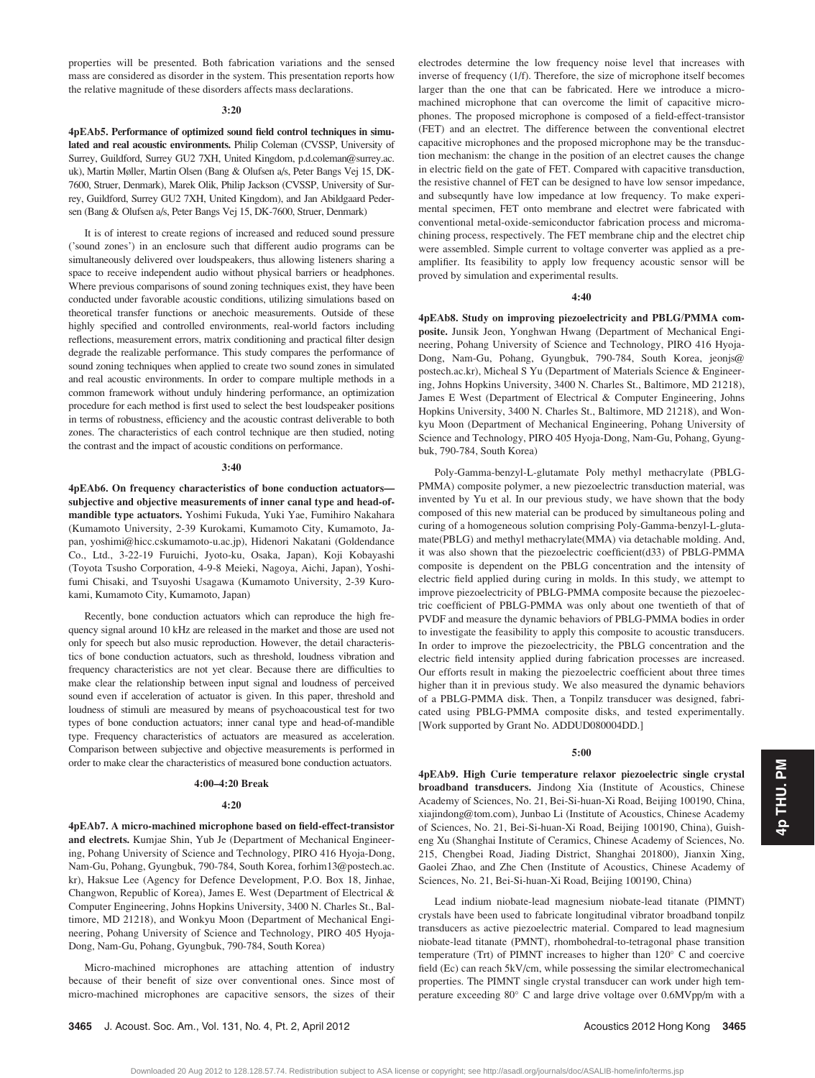properties will be presented. Both fabrication variations and the sensed mass are considered as disorder in the system. This presentation reports how the relative magnitude of these disorders affects mass declarations.

## 3:20

4pEAb5. Performance of optimized sound field control techniques in simulated and real acoustic environments. Philip Coleman (CVSSP, University of Surrey, Guildford, Surrey GU2 7XH, United Kingdom, p.d.coleman@surrey.ac. uk), Martin Møller, Martin Olsen (Bang & Olufsen a/s, Peter Bangs Vej 15, DK-7600, Struer, Denmark), Marek Olik, Philip Jackson (CVSSP, University of Surrey, Guildford, Surrey GU2 7XH, United Kingdom), and Jan Abildgaard Pedersen (Bang & Olufsen a/s, Peter Bangs Vej 15, DK-7600, Struer, Denmark)

It is of interest to create regions of increased and reduced sound pressure ('sound zones') in an enclosure such that different audio programs can be simultaneously delivered over loudspeakers, thus allowing listeners sharing a space to receive independent audio without physical barriers or headphones. Where previous comparisons of sound zoning techniques exist, they have been conducted under favorable acoustic conditions, utilizing simulations based on theoretical transfer functions or anechoic measurements. Outside of these highly specified and controlled environments, real-world factors including reflections, measurement errors, matrix conditioning and practical filter design degrade the realizable performance. This study compares the performance of sound zoning techniques when applied to create two sound zones in simulated and real acoustic environments. In order to compare multiple methods in a common framework without unduly hindering performance, an optimization procedure for each method is first used to select the best loudspeaker positions in terms of robustness, efficiency and the acoustic contrast deliverable to both zones. The characteristics of each control technique are then studied, noting the contrast and the impact of acoustic conditions on performance.

## 3:40

4pEAb6. On frequency characteristics of bone conduction actuators subjective and objective measurements of inner canal type and head-ofmandible type actuators. Yoshimi Fukuda, Yuki Yae, Fumihiro Nakahara (Kumamoto University, 2-39 Kurokami, Kumamoto City, Kumamoto, Japan, yoshimi@hicc.cskumamoto-u.ac.jp), Hidenori Nakatani (Goldendance Co., Ltd., 3-22-19 Furuichi, Jyoto-ku, Osaka, Japan), Koji Kobayashi (Toyota Tsusho Corporation, 4-9-8 Meieki, Nagoya, Aichi, Japan), Yoshifumi Chisaki, and Tsuyoshi Usagawa (Kumamoto University, 2-39 Kurokami, Kumamoto City, Kumamoto, Japan)

Recently, bone conduction actuators which can reproduce the high frequency signal around 10 kHz are released in the market and those are used not only for speech but also music reproduction. However, the detail characteristics of bone conduction actuators, such as threshold, loudness vibration and frequency characteristics are not yet clear. Because there are difficulties to make clear the relationship between input signal and loudness of perceived sound even if acceleration of actuator is given. In this paper, threshold and loudness of stimuli are measured by means of psychoacoustical test for two types of bone conduction actuators; inner canal type and head-of-mandible type. Frequency characteristics of actuators are measured as acceleration. Comparison between subjective and objective measurements is performed in order to make clear the characteristics of measured bone conduction actuators.

#### 4:00–4:20 Break

## 4:20

4pEAb7. A micro-machined microphone based on field-effect-transistor and electrets. Kumjae Shin, Yub Je (Department of Mechanical Engineering, Pohang University of Science and Technology, PIRO 416 Hyoja-Dong, Nam-Gu, Pohang, Gyungbuk, 790-784, South Korea, forhim13@postech.ac. kr), Haksue Lee (Agency for Defence Development, P.O. Box 18, Jinhae, Changwon, Republic of Korea), James E. West (Department of Electrical & Computer Engineering, Johns Hopkins University, 3400 N. Charles St., Baltimore, MD 21218), and Wonkyu Moon (Department of Mechanical Engineering, Pohang University of Science and Technology, PIRO 405 Hyoja-Dong, Nam-Gu, Pohang, Gyungbuk, 790-784, South Korea)

Micro-machined microphones are attaching attention of industry because of their benefit of size over conventional ones. Since most of micro-machined microphones are capacitive sensors, the sizes of their electrodes determine the low frequency noise level that increases with inverse of frequency (1/f). Therefore, the size of microphone itself becomes larger than the one that can be fabricated. Here we introduce a micromachined microphone that can overcome the limit of capacitive microphones. The proposed microphone is composed of a field-effect-transistor (FET) and an electret. The difference between the conventional electret capacitive microphones and the proposed microphone may be the transduction mechanism: the change in the position of an electret causes the change in electric field on the gate of FET. Compared with capacitive transduction, the resistive channel of FET can be designed to have low sensor impedance, and subsequntly have low impedance at low frequency. To make experimental specimen, FET onto membrane and electret were fabricated with conventional metal-oxide-semiconductor fabrication process and micromachining process, respectively. The FET membrane chip and the electret chip were assembled. Simple current to voltage converter was applied as a preamplifier. Its feasibility to apply low frequency acoustic sensor will be proved by simulation and experimental results.

#### 4:40

4pEAb8. Study on improving piezoelectricity and PBLG/PMMA composite. Junsik Jeon, Yonghwan Hwang (Department of Mechanical Engineering, Pohang University of Science and Technology, PIRO 416 Hyoja-Dong, Nam-Gu, Pohang, Gyungbuk, 790-784, South Korea, jeonjs@ postech.ac.kr), Micheal S Yu (Department of Materials Science & Engineering, Johns Hopkins University, 3400 N. Charles St., Baltimore, MD 21218), James E West (Department of Electrical & Computer Engineering, Johns Hopkins University, 3400 N. Charles St., Baltimore, MD 21218), and Wonkyu Moon (Department of Mechanical Engineering, Pohang University of Science and Technology, PIRO 405 Hyoja-Dong, Nam-Gu, Pohang, Gyungbuk, 790-784, South Korea)

Poly-Gamma-benzyl-L-glutamate Poly methyl methacrylate (PBLG-PMMA) composite polymer, a new piezoelectric transduction material, was invented by Yu et al. In our previous study, we have shown that the body composed of this new material can be produced by simultaneous poling and curing of a homogeneous solution comprising Poly-Gamma-benzyl-L-glutamate(PBLG) and methyl methacrylate(MMA) via detachable molding. And, it was also shown that the piezoelectric coefficient(d33) of PBLG-PMMA composite is dependent on the PBLG concentration and the intensity of electric field applied during curing in molds. In this study, we attempt to improve piezoelectricity of PBLG-PMMA composite because the piezoelectric coefficient of PBLG-PMMA was only about one twentieth of that of PVDF and measure the dynamic behaviors of PBLG-PMMA bodies in order to investigate the feasibility to apply this composite to acoustic transducers. In order to improve the piezoelectricity, the PBLG concentration and the electric field intensity applied during fabrication processes are increased. Our efforts result in making the piezoelectric coefficient about three times higher than it in previous study. We also measured the dynamic behaviors of a PBLG-PMMA disk. Then, a Tonpilz transducer was designed, fabricated using PBLG-PMMA composite disks, and tested experimentally. [Work supported by Grant No. ADDUD080004DD.]

## 5:00

4pEAb9. High Curie temperature relaxor piezoelectric single crystal broadband transducers. Jindong Xia (Institute of Acoustics, Chinese Academy of Sciences, No. 21, Bei-Si-huan-Xi Road, Beijing 100190, China, xiajindong@tom.com), Junbao Li (Institute of Acoustics, Chinese Academy of Sciences, No. 21, Bei-Si-huan-Xi Road, Beijing 100190, China), Guisheng Xu (Shanghai Institute of Ceramics, Chinese Academy of Sciences, No. 215, Chengbei Road, Jiading District, Shanghai 201800), Jianxin Xing, Gaolei Zhao, and Zhe Chen (Institute of Acoustics, Chinese Academy of Sciences, No. 21, Bei-Si-huan-Xi Road, Beijing 100190, China)

Lead indium niobate-lead magnesium niobate-lead titanate (PIMNT) crystals have been used to fabricate longitudinal vibrator broadband tonpilz transducers as active piezoelectric material. Compared to lead magnesium niobate-lead titanate (PMNT), rhombohedral-to-tetragonal phase transition temperature (Trt) of PIMNT increases to higher than  $120^{\circ}$  C and coercive field (Ec) can reach 5kV/cm, while possessing the similar electromechanical properties. The PIMNT single crystal transducer can work under high temperature exceeding  $80^\circ$  C and large drive voltage over 0.6MVpp/m with a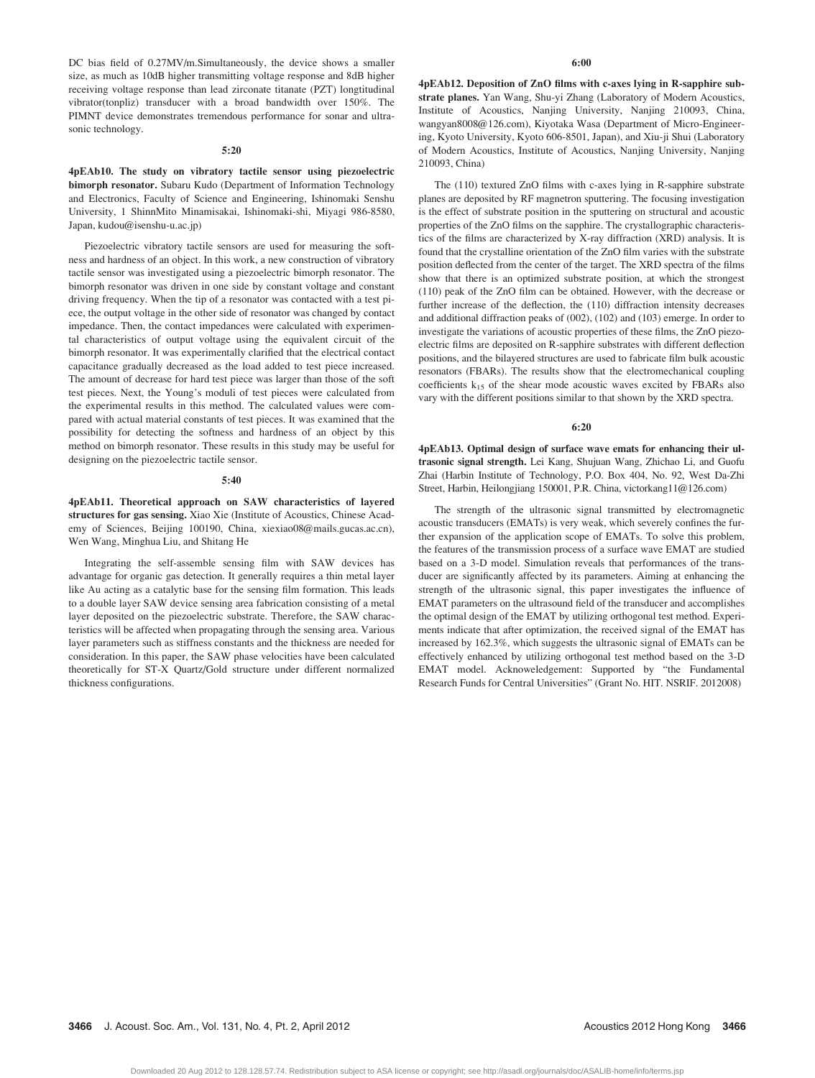DC bias field of 0.27MV/m.Simultaneously, the device shows a smaller size, as much as 10dB higher transmitting voltage response and 8dB higher receiving voltage response than lead zirconate titanate (PZT) longtitudinal vibrator(tonpliz) transducer with a broad bandwidth over 150%. The PIMNT device demonstrates tremendous performance for sonar and ultrasonic technology.

## 5:20

4pEAb10. The study on vibratory tactile sensor using piezoelectric bimorph resonator. Subaru Kudo (Department of Information Technology and Electronics, Faculty of Science and Engineering, Ishinomaki Senshu University, 1 ShinnMito Minamisakai, Ishinomaki-shi, Miyagi 986-8580, Japan, kudou@isenshu-u.ac.jp)

Piezoelectric vibratory tactile sensors are used for measuring the softness and hardness of an object. In this work, a new construction of vibratory tactile sensor was investigated using a piezoelectric bimorph resonator. The bimorph resonator was driven in one side by constant voltage and constant driving frequency. When the tip of a resonator was contacted with a test piece, the output voltage in the other side of resonator was changed by contact impedance. Then, the contact impedances were calculated with experimental characteristics of output voltage using the equivalent circuit of the bimorph resonator. It was experimentally clarified that the electrical contact capacitance gradually decreased as the load added to test piece increased. The amount of decrease for hard test piece was larger than those of the soft test pieces. Next, the Young's moduli of test pieces were calculated from the experimental results in this method. The calculated values were compared with actual material constants of test pieces. It was examined that the possibility for detecting the softness and hardness of an object by this method on bimorph resonator. These results in this study may be useful for designing on the piezoelectric tactile sensor.

#### 5:40

4pEAb11. Theoretical approach on SAW characteristics of layered structures for gas sensing. Xiao Xie (Institute of Acoustics, Chinese Academy of Sciences, Beijing 100190, China, xiexiao08@mails.gucas.ac.cn), Wen Wang, Minghua Liu, and Shitang He

Integrating the self-assemble sensing film with SAW devices has advantage for organic gas detection. It generally requires a thin metal layer like Au acting as a catalytic base for the sensing film formation. This leads to a double layer SAW device sensing area fabrication consisting of a metal layer deposited on the piezoelectric substrate. Therefore, the SAW characteristics will be affected when propagating through the sensing area. Various layer parameters such as stiffness constants and the thickness are needed for consideration. In this paper, the SAW phase velocities have been calculated theoretically for ST-X Quartz/Gold structure under different normalized thickness configurations.

## 6:00

4pEAb12. Deposition of ZnO films with c-axes lying in R-sapphire substrate planes. Yan Wang, Shu-yi Zhang (Laboratory of Modern Acoustics, Institute of Acoustics, Nanjing University, Nanjing 210093, China, wangyan8008@126.com), Kiyotaka Wasa (Department of Micro-Engineering, Kyoto University, Kyoto 606-8501, Japan), and Xiu-ji Shui (Laboratory of Modern Acoustics, Institute of Acoustics, Nanjing University, Nanjing 210093, China)

The (110) textured ZnO films with c-axes lying in R-sapphire substrate planes are deposited by RF magnetron sputtering. The focusing investigation is the effect of substrate position in the sputtering on structural and acoustic properties of the ZnO films on the sapphire. The crystallographic characteristics of the films are characterized by X-ray diffraction (XRD) analysis. It is found that the crystalline orientation of the ZnO film varies with the substrate position deflected from the center of the target. The XRD spectra of the films show that there is an optimized substrate position, at which the strongest (110) peak of the ZnO film can be obtained. However, with the decrease or further increase of the deflection, the (110) diffraction intensity decreases and additional diffraction peaks of (002), (102) and (103) emerge. In order to investigate the variations of acoustic properties of these films, the ZnO piezoelectric films are deposited on R-sapphire substrates with different deflection positions, and the bilayered structures are used to fabricate film bulk acoustic resonators (FBARs). The results show that the electromechanical coupling coefficients  $k_{15}$  of the shear mode acoustic waves excited by FBARs also vary with the different positions similar to that shown by the XRD spectra.

## 6:20

4pEAb13. Optimal design of surface wave emats for enhancing their ultrasonic signal strength. Lei Kang, Shujuan Wang, Zhichao Li, and Guofu Zhai (Harbin Institute of Technology, P.O. Box 404, No. 92, West Da-Zhi Street, Harbin, Heilongjiang 150001, P.R. China, victorkang11@126.com)

The strength of the ultrasonic signal transmitted by electromagnetic acoustic transducers (EMATs) is very weak, which severely confines the further expansion of the application scope of EMATs. To solve this problem, the features of the transmission process of a surface wave EMAT are studied based on a 3-D model. Simulation reveals that performances of the transducer are significantly affected by its parameters. Aiming at enhancing the strength of the ultrasonic signal, this paper investigates the influence of EMAT parameters on the ultrasound field of the transducer and accomplishes the optimal design of the EMAT by utilizing orthogonal test method. Experiments indicate that after optimization, the received signal of the EMAT has increased by 162.3%, which suggests the ultrasonic signal of EMATs can be effectively enhanced by utilizing orthogonal test method based on the 3-D EMAT model. Acknoweledgement: Supported by "the Fundamental Research Funds for Central Universities" (Grant No. HIT. NSRIF. 2012008)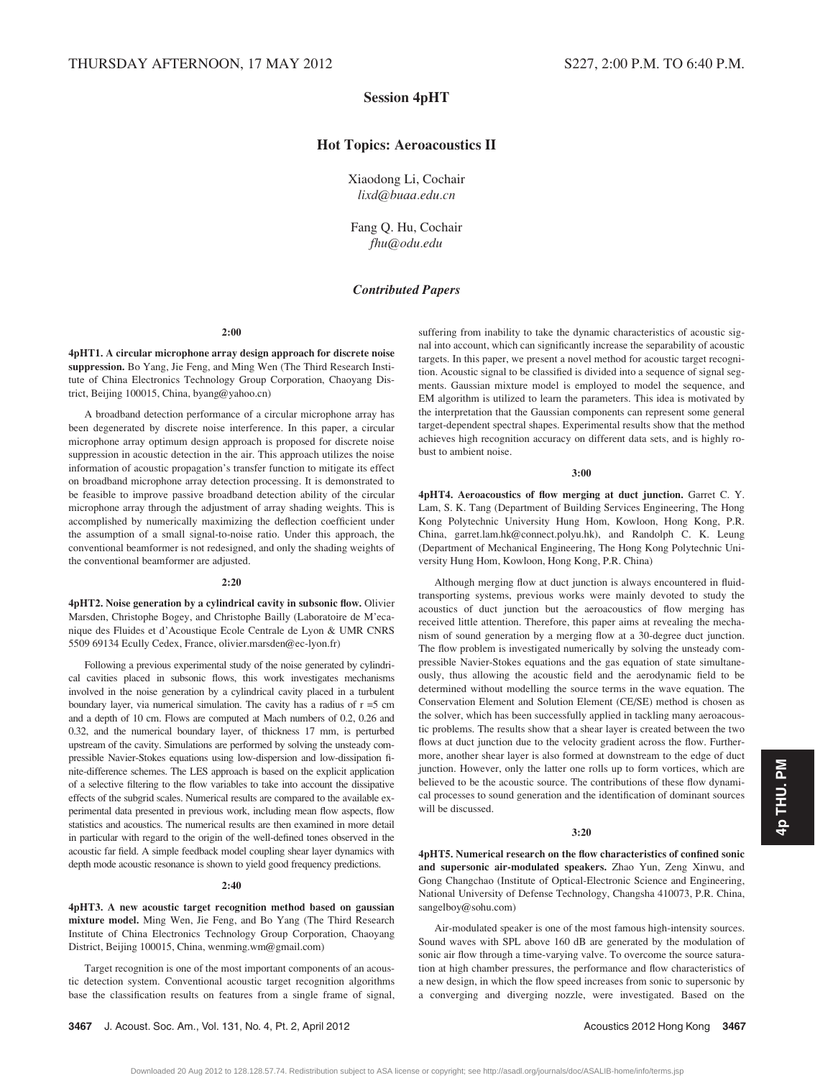# Session 4pHT

# Hot Topics: Aeroacoustics II

Xiaodong Li, Cochair lixd@buaa.edu.cn

Fang Q. Hu, Cochair fhu@odu.edu

## Contributed Papers

## 2:00

4pHT1. A circular microphone array design approach for discrete noise suppression. Bo Yang, Jie Feng, and Ming Wen (The Third Research Institute of China Electronics Technology Group Corporation, Chaoyang District, Beijing 100015, China, byang@yahoo.cn)

A broadband detection performance of a circular microphone array has been degenerated by discrete noise interference. In this paper, a circular microphone array optimum design approach is proposed for discrete noise suppression in acoustic detection in the air. This approach utilizes the noise information of acoustic propagation's transfer function to mitigate its effect on broadband microphone array detection processing. It is demonstrated to be feasible to improve passive broadband detection ability of the circular microphone array through the adjustment of array shading weights. This is accomplished by numerically maximizing the deflection coefficient under the assumption of a small signal-to-noise ratio. Under this approach, the conventional beamformer is not redesigned, and only the shading weights of the conventional beamformer are adjusted.

## 2:20

4pHT2. Noise generation by a cylindrical cavity in subsonic flow. Olivier Marsden, Christophe Bogey, and Christophe Bailly (Laboratoire de M'ecanique des Fluides et d'Acoustique Ecole Centrale de Lyon & UMR CNRS 5509 69134 Ecully Cedex, France, olivier.marsden@ec-lyon.fr)

Following a previous experimental study of the noise generated by cylindrical cavities placed in subsonic flows, this work investigates mechanisms involved in the noise generation by a cylindrical cavity placed in a turbulent boundary layer, via numerical simulation. The cavity has a radius of  $r = 5$  cm and a depth of 10 cm. Flows are computed at Mach numbers of 0.2, 0.26 and 0.32, and the numerical boundary layer, of thickness 17 mm, is perturbed upstream of the cavity. Simulations are performed by solving the unsteady compressible Navier-Stokes equations using low-dispersion and low-dissipation finite-difference schemes. The LES approach is based on the explicit application of a selective filtering to the flow variables to take into account the dissipative effects of the subgrid scales. Numerical results are compared to the available experimental data presented in previous work, including mean flow aspects, flow statistics and acoustics. The numerical results are then examined in more detail in particular with regard to the origin of the well-defined tones observed in the acoustic far field. A simple feedback model coupling shear layer dynamics with depth mode acoustic resonance is shown to yield good frequency predictions.

## 2:40

4pHT3. A new acoustic target recognition method based on gaussian mixture model. Ming Wen, Jie Feng, and Bo Yang (The Third Research Institute of China Electronics Technology Group Corporation, Chaoyang District, Beijing 100015, China, wenming.wm@gmail.com)

Target recognition is one of the most important components of an acoustic detection system. Conventional acoustic target recognition algorithms base the classification results on features from a single frame of signal, suffering from inability to take the dynamic characteristics of acoustic signal into account, which can significantly increase the separability of acoustic targets. In this paper, we present a novel method for acoustic target recognition. Acoustic signal to be classified is divided into a sequence of signal segments. Gaussian mixture model is employed to model the sequence, and EM algorithm is utilized to learn the parameters. This idea is motivated by the interpretation that the Gaussian components can represent some general target-dependent spectral shapes. Experimental results show that the method achieves high recognition accuracy on different data sets, and is highly robust to ambient noise.

#### 3:00

4pHT4. Aeroacoustics of flow merging at duct junction. Garret C. Y. Lam, S. K. Tang (Department of Building Services Engineering, The Hong Kong Polytechnic University Hung Hom, Kowloon, Hong Kong, P.R. China, garret.lam.hk@connect.polyu.hk), and Randolph C. K. Leung (Department of Mechanical Engineering, The Hong Kong Polytechnic University Hung Hom, Kowloon, Hong Kong, P.R. China)

Although merging flow at duct junction is always encountered in fluidtransporting systems, previous works were mainly devoted to study the acoustics of duct junction but the aeroacoustics of flow merging has received little attention. Therefore, this paper aims at revealing the mechanism of sound generation by a merging flow at a 30-degree duct junction. The flow problem is investigated numerically by solving the unsteady compressible Navier-Stokes equations and the gas equation of state simultaneously, thus allowing the acoustic field and the aerodynamic field to be determined without modelling the source terms in the wave equation. The Conservation Element and Solution Element (CE/SE) method is chosen as the solver, which has been successfully applied in tackling many aeroacoustic problems. The results show that a shear layer is created between the two flows at duct junction due to the velocity gradient across the flow. Furthermore, another shear layer is also formed at downstream to the edge of duct junction. However, only the latter one rolls up to form vortices, which are believed to be the acoustic source. The contributions of these flow dynamical processes to sound generation and the identification of dominant sources will be discussed.

## 3:20

4pHT5. Numerical research on the flow characteristics of confined sonic and supersonic air-modulated speakers. Zhao Yun, Zeng Xinwu, and Gong Changchao (Institute of Optical-Electronic Science and Engineering, National University of Defense Technology, Changsha 410073, P.R. China, sangelboy@sohu.com)

Air-modulated speaker is one of the most famous high-intensity sources. Sound waves with SPL above 160 dB are generated by the modulation of sonic air flow through a time-varying valve. To overcome the source saturation at high chamber pressures, the performance and flow characteristics of a new design, in which the flow speed increases from sonic to supersonic by a converging and diverging nozzle, were investigated. Based on the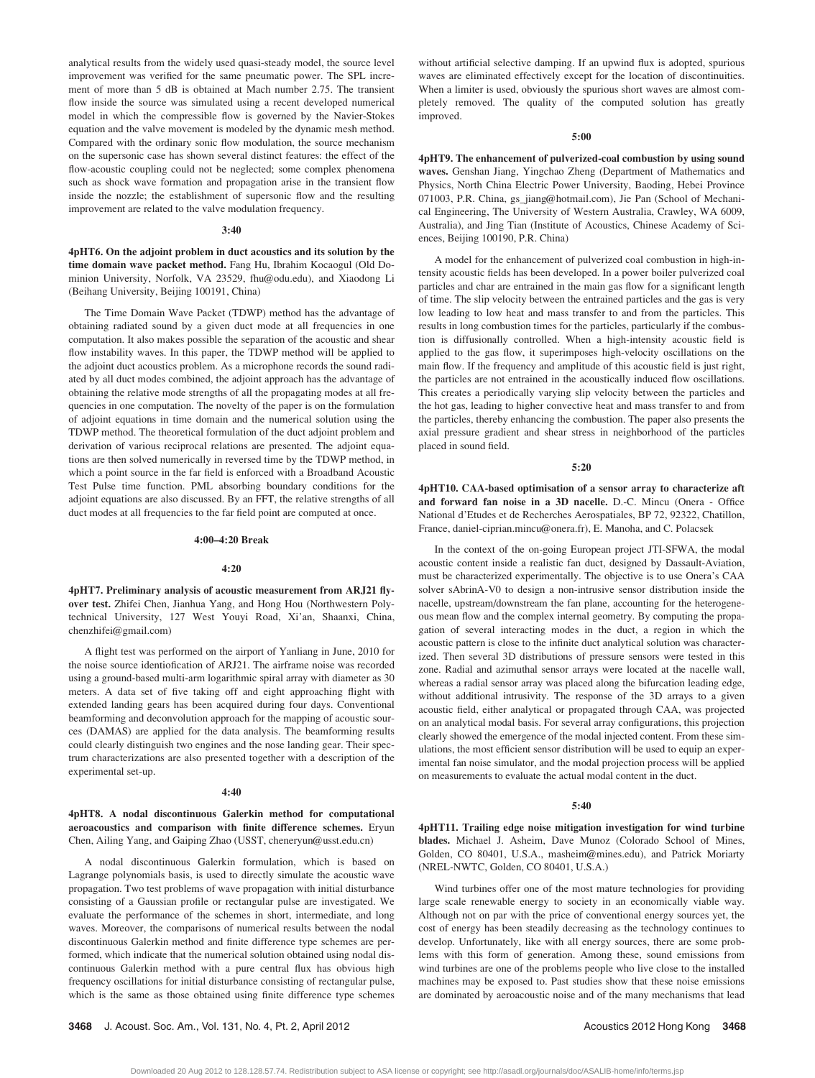analytical results from the widely used quasi-steady model, the source level improvement was verified for the same pneumatic power. The SPL increment of more than 5 dB is obtained at Mach number 2.75. The transient flow inside the source was simulated using a recent developed numerical model in which the compressible flow is governed by the Navier-Stokes equation and the valve movement is modeled by the dynamic mesh method. Compared with the ordinary sonic flow modulation, the source mechanism on the supersonic case has shown several distinct features: the effect of the flow-acoustic coupling could not be neglected; some complex phenomena such as shock wave formation and propagation arise in the transient flow inside the nozzle; the establishment of supersonic flow and the resulting improvement are related to the valve modulation frequency.

## 3:40

4pHT6. On the adjoint problem in duct acoustics and its solution by the time domain wave packet method. Fang Hu, Ibrahim Kocaogul (Old Dominion University, Norfolk, VA 23529, fhu@odu.edu), and Xiaodong Li (Beihang University, Beijing 100191, China)

The Time Domain Wave Packet (TDWP) method has the advantage of obtaining radiated sound by a given duct mode at all frequencies in one computation. It also makes possible the separation of the acoustic and shear flow instability waves. In this paper, the TDWP method will be applied to the adjoint duct acoustics problem. As a microphone records the sound radiated by all duct modes combined, the adjoint approach has the advantage of obtaining the relative mode strengths of all the propagating modes at all frequencies in one computation. The novelty of the paper is on the formulation of adjoint equations in time domain and the numerical solution using the TDWP method. The theoretical formulation of the duct adjoint problem and derivation of various reciprocal relations are presented. The adjoint equations are then solved numerically in reversed time by the TDWP method, in which a point source in the far field is enforced with a Broadband Acoustic Test Pulse time function. PML absorbing boundary conditions for the adjoint equations are also discussed. By an FFT, the relative strengths of all duct modes at all frequencies to the far field point are computed at once.

## 4:00–4:20 Break

## 4:20

4pHT7. Preliminary analysis of acoustic measurement from ARJ21 flyover test. Zhifei Chen, Jianhua Yang, and Hong Hou (Northwestern Polytechnical University, 127 West Youyi Road, Xi'an, Shaanxi, China, chenzhifei@gmail.com)

A flight test was performed on the airport of Yanliang in June, 2010 for the noise source identiofication of ARJ21. The airframe noise was recorded using a ground-based multi-arm logarithmic spiral array with diameter as 30 meters. A data set of five taking off and eight approaching flight with extended landing gears has been acquired during four days. Conventional beamforming and deconvolution approach for the mapping of acoustic sources (DAMAS) are applied for the data analysis. The beamforming results could clearly distinguish two engines and the nose landing gear. Their spectrum characterizations are also presented together with a description of the experimental set-up.

#### 4:40

4pHT8. A nodal discontinuous Galerkin method for computational aeroacoustics and comparison with finite difference schemes. Eryun Chen, Ailing Yang, and Gaiping Zhao (USST, cheneryun@usst.edu.cn)

A nodal discontinuous Galerkin formulation, which is based on Lagrange polynomials basis, is used to directly simulate the acoustic wave propagation. Two test problems of wave propagation with initial disturbance consisting of a Gaussian profile or rectangular pulse are investigated. We evaluate the performance of the schemes in short, intermediate, and long waves. Moreover, the comparisons of numerical results between the nodal discontinuous Galerkin method and finite difference type schemes are performed, which indicate that the numerical solution obtained using nodal discontinuous Galerkin method with a pure central flux has obvious high frequency oscillations for initial disturbance consisting of rectangular pulse, which is the same as those obtained using finite difference type schemes without artificial selective damping. If an upwind flux is adopted, spurious waves are eliminated effectively except for the location of discontinuities. When a limiter is used, obviously the spurious short waves are almost completely removed. The quality of the computed solution has greatly improved.

#### 5:00

4pHT9. The enhancement of pulverized-coal combustion by using sound waves. Genshan Jiang, Yingchao Zheng (Department of Mathematics and Physics, North China Electric Power University, Baoding, Hebei Province 071003, P.R. China, gs\_jiang@hotmail.com), Jie Pan (School of Mechanical Engineering, The University of Western Australia, Crawley, WA 6009, Australia), and Jing Tian (Institute of Acoustics, Chinese Academy of Sciences, Beijing 100190, P.R. China)

A model for the enhancement of pulverized coal combustion in high-intensity acoustic fields has been developed. In a power boiler pulverized coal particles and char are entrained in the main gas flow for a significant length of time. The slip velocity between the entrained particles and the gas is very low leading to low heat and mass transfer to and from the particles. This results in long combustion times for the particles, particularly if the combustion is diffusionally controlled. When a high-intensity acoustic field is applied to the gas flow, it superimposes high-velocity oscillations on the main flow. If the frequency and amplitude of this acoustic field is just right, the particles are not entrained in the acoustically induced flow oscillations. This creates a periodically varying slip velocity between the particles and the hot gas, leading to higher convective heat and mass transfer to and from the particles, thereby enhancing the combustion. The paper also presents the axial pressure gradient and shear stress in neighborhood of the particles placed in sound field.

## 5:20

4pHT10. CAA-based optimisation of a sensor array to characterize aft and forward fan noise in a 3D nacelle. D.-C. Mincu (Onera - Office National d'Etudes et de Recherches Aerospatiales, BP 72, 92322, Chatillon, France, daniel-ciprian.mincu@onera.fr), E. Manoha, and C. Polacsek

In the context of the on-going European project JTI-SFWA, the modal acoustic content inside a realistic fan duct, designed by Dassault-Aviation, must be characterized experimentally. The objective is to use Onera's CAA solver sAbrinA-V0 to design a non-intrusive sensor distribution inside the nacelle, upstream/downstream the fan plane, accounting for the heterogeneous mean flow and the complex internal geometry. By computing the propagation of several interacting modes in the duct, a region in which the acoustic pattern is close to the infinite duct analytical solution was characterized. Then several 3D distributions of pressure sensors were tested in this zone. Radial and azimuthal sensor arrays were located at the nacelle wall, whereas a radial sensor array was placed along the bifurcation leading edge, without additional intrusivity. The response of the 3D arrays to a given acoustic field, either analytical or propagated through CAA, was projected on an analytical modal basis. For several array configurations, this projection clearly showed the emergence of the modal injected content. From these simulations, the most efficient sensor distribution will be used to equip an experimental fan noise simulator, and the modal projection process will be applied on measurements to evaluate the actual modal content in the duct.

## 5:40

4pHT11. Trailing edge noise mitigation investigation for wind turbine blades. Michael J. Asheim, Dave Munoz (Colorado School of Mines, Golden, CO 80401, U.S.A., masheim@mines.edu), and Patrick Moriarty (NREL-NWTC, Golden, CO 80401, U.S.A.)

Wind turbines offer one of the most mature technologies for providing large scale renewable energy to society in an economically viable way. Although not on par with the price of conventional energy sources yet, the cost of energy has been steadily decreasing as the technology continues to develop. Unfortunately, like with all energy sources, there are some problems with this form of generation. Among these, sound emissions from wind turbines are one of the problems people who live close to the installed machines may be exposed to. Past studies show that these noise emissions are dominated by aeroacoustic noise and of the many mechanisms that lead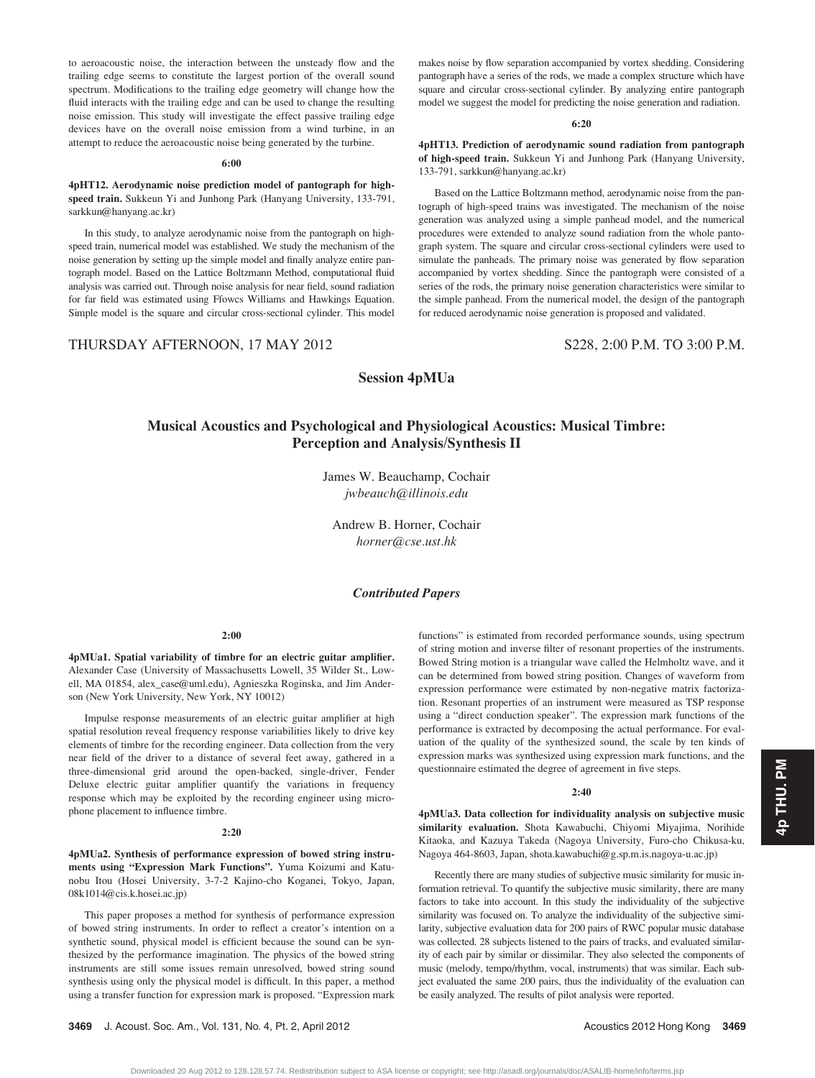to aeroacoustic noise, the interaction between the unsteady flow and the trailing edge seems to constitute the largest portion of the overall sound spectrum. Modifications to the trailing edge geometry will change how the fluid interacts with the trailing edge and can be used to change the resulting noise emission. This study will investigate the effect passive trailing edge devices have on the overall noise emission from a wind turbine, in an attempt to reduce the aeroacoustic noise being generated by the turbine.

## 6:00

4pHT12. Aerodynamic noise prediction model of pantograph for highspeed train. Sukkeun Yi and Junhong Park (Hanyang University, 133-791, sarkkun@hanyang.ac.kr)

In this study, to analyze aerodynamic noise from the pantograph on highspeed train, numerical model was established. We study the mechanism of the noise generation by setting up the simple model and finally analyze entire pantograph model. Based on the Lattice Boltzmann Method, computational fluid analysis was carried out. Through noise analysis for near field, sound radiation for far field was estimated using Ffowcs Williams and Hawkings Equation. Simple model is the square and circular cross-sectional cylinder. This model

## THURSDAY AFTERNOON, 17 MAY 2012 S228, 2:00 P.M. TO 3:00 P.M.

makes noise by flow separation accompanied by vortex shedding. Considering pantograph have a series of the rods, we made a complex structure which have square and circular cross-sectional cylinder. By analyzing entire pantograph model we suggest the model for predicting the noise generation and radiation.

## 6:20

4pHT13. Prediction of aerodynamic sound radiation from pantograph of high-speed train. Sukkeun Yi and Junhong Park (Hanyang University, 133-791, sarkkun@hanyang.ac.kr)

Based on the Lattice Boltzmann method, aerodynamic noise from the pantograph of high-speed trains was investigated. The mechanism of the noise generation was analyzed using a simple panhead model, and the numerical procedures were extended to analyze sound radiation from the whole pantograph system. The square and circular cross-sectional cylinders were used to simulate the panheads. The primary noise was generated by flow separation accompanied by vortex shedding. Since the pantograph were consisted of a series of the rods, the primary noise generation characteristics were similar to the simple panhead. From the numerical model, the design of the pantograph for reduced aerodynamic noise generation is proposed and validated.

# Session 4pMUa

# Musical Acoustics and Psychological and Physiological Acoustics: Musical Timbre: Perception and Analysis/Synthesis II

James W. Beauchamp, Cochair jwbeauch@illinois.edu

Andrew B. Horner, Cochair horner@cse.ust.hk

## Contributed Papers

## 2:00

4pMUa1. Spatial variability of timbre for an electric guitar amplifier. Alexander Case (University of Massachusetts Lowell, 35 Wilder St., Lowell, MA 01854, alex\_case@uml.edu), Agnieszka Roginska, and Jim Anderson (New York University, New York, NY 10012)

Impulse response measurements of an electric guitar amplifier at high spatial resolution reveal frequency response variabilities likely to drive key elements of timbre for the recording engineer. Data collection from the very near field of the driver to a distance of several feet away, gathered in a three-dimensional grid around the open-backed, single-driver, Fender Deluxe electric guitar amplifier quantify the variations in frequency response which may be exploited by the recording engineer using microphone placement to influence timbre.

## 2:20

4pMUa2. Synthesis of performance expression of bowed string instruments using "Expression Mark Functions". Yuma Koizumi and Katunobu Itou (Hosei University, 3-7-2 Kajino-cho Koganei, Tokyo, Japan, 08k1014@cis.k.hosei.ac.jp)

This paper proposes a method for synthesis of performance expression of bowed string instruments. In order to reflect a creator's intention on a synthetic sound, physical model is efficient because the sound can be synthesized by the performance imagination. The physics of the bowed string instruments are still some issues remain unresolved, bowed string sound synthesis using only the physical model is difficult. In this paper, a method using a transfer function for expression mark is proposed. "Expression mark functions" is estimated from recorded performance sounds, using spectrum of string motion and inverse filter of resonant properties of the instruments. Bowed String motion is a triangular wave called the Helmholtz wave, and it can be determined from bowed string position. Changes of waveform from expression performance were estimated by non-negative matrix factorization. Resonant properties of an instrument were measured as TSP response using a "direct conduction speaker". The expression mark functions of the performance is extracted by decomposing the actual performance. For evaluation of the quality of the synthesized sound, the scale by ten kinds of expression marks was synthesized using expression mark functions, and the questionnaire estimated the degree of agreement in five steps.

#### 2:40

4pMUa3. Data collection for individuality analysis on subjective music similarity evaluation. Shota Kawabuchi, Chiyomi Miyajima, Norihide Kitaoka, and Kazuya Takeda (Nagoya University, Furo-cho Chikusa-ku, Nagoya 464-8603, Japan, shota.kawabuchi@g.sp.m.is.nagoya-u.ac.jp)

Recently there are many studies of subjective music similarity for music information retrieval. To quantify the subjective music similarity, there are many factors to take into account. In this study the individuality of the subjective similarity was focused on. To analyze the individuality of the subjective similarity, subjective evaluation data for 200 pairs of RWC popular music database was collected. 28 subjects listened to the pairs of tracks, and evaluated similarity of each pair by similar or dissimilar. They also selected the components of music (melody, tempo/rhythm, vocal, instruments) that was similar. Each subject evaluated the same 200 pairs, thus the individuality of the evaluation can be easily analyzed. The results of pilot analysis were reported.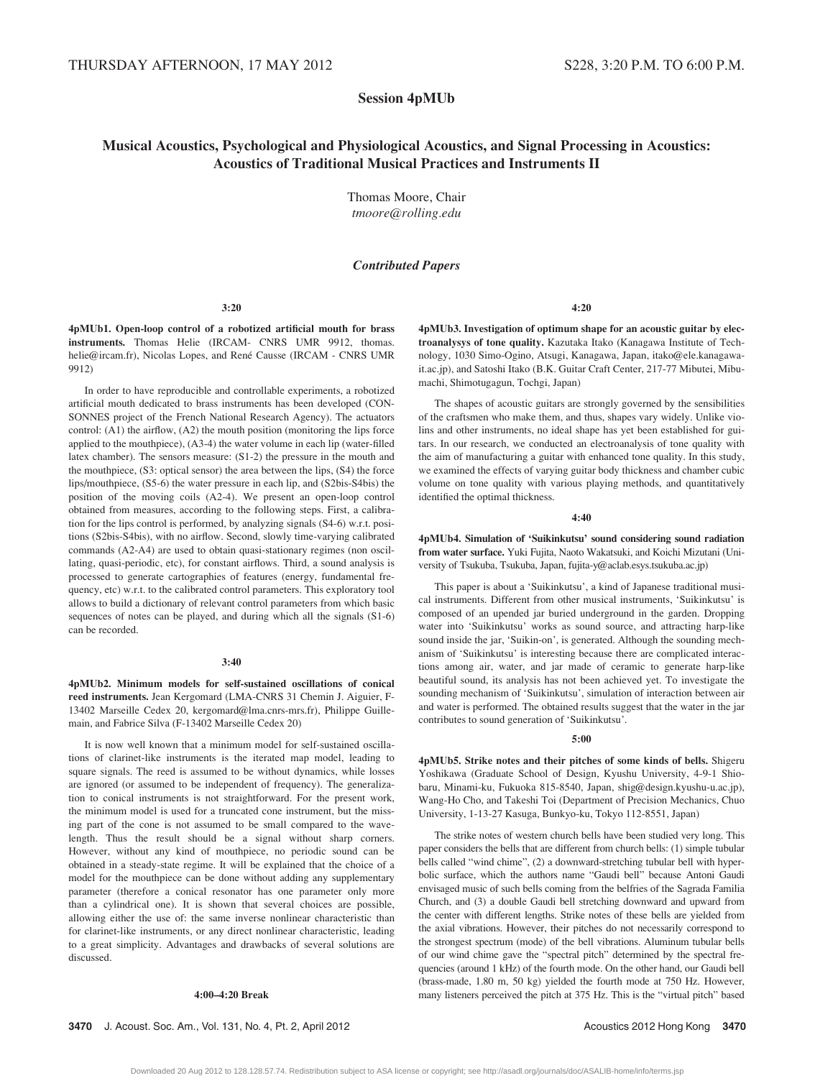# Session 4pMUb

# Musical Acoustics, Psychological and Physiological Acoustics, and Signal Processing in Acoustics: Acoustics of Traditional Musical Practices and Instruments II

Thomas Moore, Chair tmoore@rolling.edu

## Contributed Papers

#### 3:20

4pMUb1. Open-loop control of a robotized artificial mouth for brass instruments. Thomas Helie (IRCAM- CNRS UMR 9912, thomas. helie@ircam.fr), Nicolas Lopes, and René Causse (IRCAM - CNRS UMR 9912)

In order to have reproducible and controllable experiments, a robotized artificial mouth dedicated to brass instruments has been developed (CON-SONNES project of the French National Research Agency). The actuators control: (A1) the airflow, (A2) the mouth position (monitoring the lips force applied to the mouthpiece), (A3-4) the water volume in each lip (water-filled latex chamber). The sensors measure: (S1-2) the pressure in the mouth and the mouthpiece, (S3: optical sensor) the area between the lips, (S4) the force lips/mouthpiece, (S5-6) the water pressure in each lip, and (S2bis-S4bis) the position of the moving coils (A2-4). We present an open-loop control obtained from measures, according to the following steps. First, a calibration for the lips control is performed, by analyzing signals (S4-6) w.r.t. positions (S2bis-S4bis), with no airflow. Second, slowly time-varying calibrated commands (A2-A4) are used to obtain quasi-stationary regimes (non oscillating, quasi-periodic, etc), for constant airflows. Third, a sound analysis is processed to generate cartographies of features (energy, fundamental frequency, etc) w.r.t. to the calibrated control parameters. This exploratory tool allows to build a dictionary of relevant control parameters from which basic sequences of notes can be played, and during which all the signals (S1-6) can be recorded.

## 3:40

4pMUb2. Minimum models for self-sustained oscillations of conical reed instruments. Jean Kergomard (LMA-CNRS 31 Chemin J. Aiguier, F-13402 Marseille Cedex 20, kergomard@lma.cnrs-mrs.fr), Philippe Guillemain, and Fabrice Silva (F-13402 Marseille Cedex 20)

It is now well known that a minimum model for self-sustained oscillations of clarinet-like instruments is the iterated map model, leading to square signals. The reed is assumed to be without dynamics, while losses are ignored (or assumed to be independent of frequency). The generalization to conical instruments is not straightforward. For the present work, the minimum model is used for a truncated cone instrument, but the missing part of the cone is not assumed to be small compared to the wavelength. Thus the result should be a signal without sharp corners. However, without any kind of mouthpiece, no periodic sound can be obtained in a steady-state regime. It will be explained that the choice of a model for the mouthpiece can be done without adding any supplementary parameter (therefore a conical resonator has one parameter only more than a cylindrical one). It is shown that several choices are possible, allowing either the use of: the same inverse nonlinear characteristic than for clarinet-like instruments, or any direct nonlinear characteristic, leading to a great simplicity. Advantages and drawbacks of several solutions are discussed.

#### 4:00–4:20 Break

4:20

4pMUb3. Investigation of optimum shape for an acoustic guitar by electroanalysys of tone quality. Kazutaka Itako (Kanagawa Institute of Technology, 1030 Simo-Ogino, Atsugi, Kanagawa, Japan, itako@ele.kanagawait.ac.jp), and Satoshi Itako (B.K. Guitar Craft Center, 217-77 Mibutei, Mibumachi, Shimotugagun, Tochgi, Japan)

The shapes of acoustic guitars are strongly governed by the sensibilities of the craftsmen who make them, and thus, shapes vary widely. Unlike violins and other instruments, no ideal shape has yet been established for guitars. In our research, we conducted an electroanalysis of tone quality with the aim of manufacturing a guitar with enhanced tone quality. In this study, we examined the effects of varying guitar body thickness and chamber cubic volume on tone quality with various playing methods, and quantitatively identified the optimal thickness.

#### 4:40

4pMUb4. Simulation of 'Suikinkutsu' sound considering sound radiation from water surface. Yuki Fujita, Naoto Wakatsuki, and Koichi Mizutani (University of Tsukuba, Tsukuba, Japan, fujita-y@aclab.esys.tsukuba.ac.jp)

This paper is about a 'Suikinkutsu', a kind of Japanese traditional musical instruments. Different from other musical instruments, 'Suikinkutsu' is composed of an upended jar buried underground in the garden. Dropping water into 'Suikinkutsu' works as sound source, and attracting harp-like sound inside the jar, 'Suikin-on', is generated. Although the sounding mechanism of 'Suikinkutsu' is interesting because there are complicated interactions among air, water, and jar made of ceramic to generate harp-like beautiful sound, its analysis has not been achieved yet. To investigate the sounding mechanism of 'Suikinkutsu', simulation of interaction between air and water is performed. The obtained results suggest that the water in the jar contributes to sound generation of 'Suikinkutsu'.

#### 5:00

4pMUb5. Strike notes and their pitches of some kinds of bells. Shigeru Yoshikawa (Graduate School of Design, Kyushu University, 4-9-1 Shiobaru, Minami-ku, Fukuoka 815-8540, Japan, shig@design.kyushu-u.ac.jp), Wang-Ho Cho, and Takeshi Toi (Department of Precision Mechanics, Chuo University, 1-13-27 Kasuga, Bunkyo-ku, Tokyo 112-8551, Japan)

The strike notes of western church bells have been studied very long. This paper considers the bells that are different from church bells: (1) simple tubular bells called "wind chime", (2) a downward-stretching tubular bell with hyperbolic surface, which the authors name "Gaudi bell" because Antoni Gaudi envisaged music of such bells coming from the belfries of the Sagrada Familia Church, and (3) a double Gaudi bell stretching downward and upward from the center with different lengths. Strike notes of these bells are yielded from the axial vibrations. However, their pitches do not necessarily correspond to the strongest spectrum (mode) of the bell vibrations. Aluminum tubular bells of our wind chime gave the "spectral pitch" determined by the spectral frequencies (around 1 kHz) of the fourth mode. On the other hand, our Gaudi bell (brass-made, 1.80 m, 50 kg) yielded the fourth mode at 750 Hz. However, many listeners perceived the pitch at 375 Hz. This is the "virtual pitch" based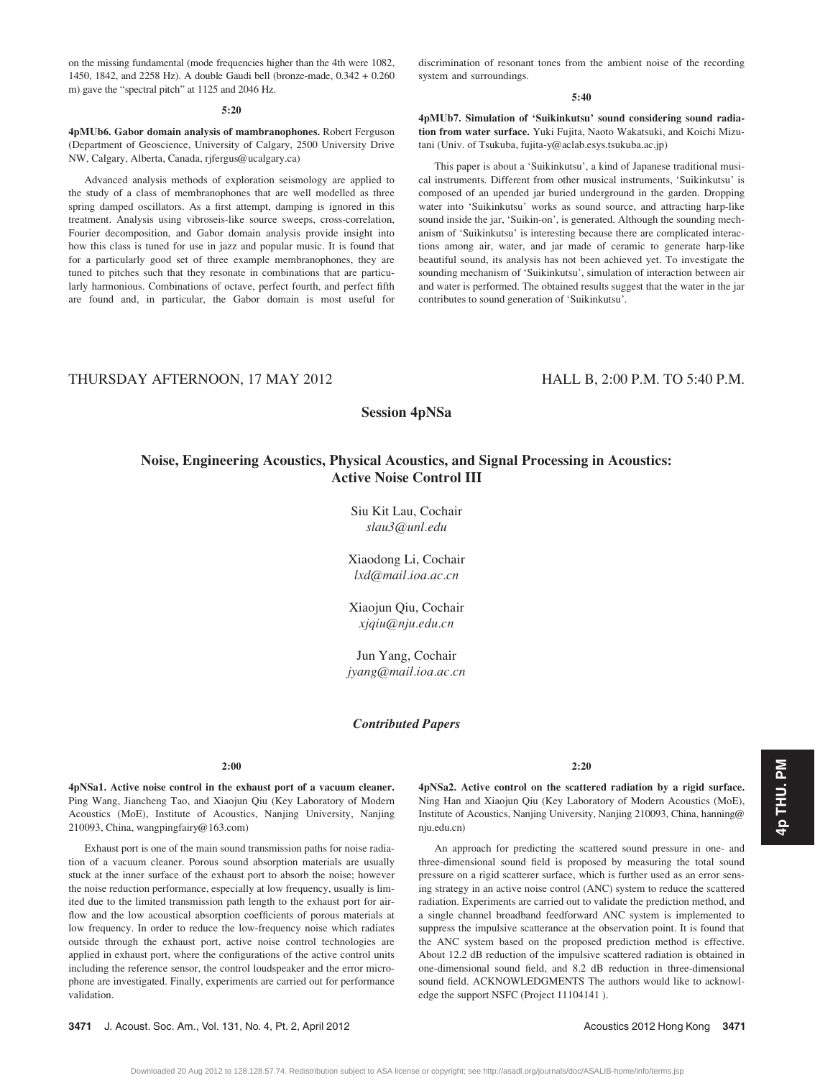on the missing fundamental (mode frequencies higher than the 4th were 1082, 1450, 1842, and 2258 Hz). A double Gaudi bell (bronze-made, 0.342 + 0.260 m) gave the "spectral pitch" at 1125 and 2046 Hz.

## 5:20

4pMUb6. Gabor domain analysis of mambranophones. Robert Ferguson (Department of Geoscience, University of Calgary, 2500 University Drive NW, Calgary, Alberta, Canada, rjfergus@ucalgary.ca)

Advanced analysis methods of exploration seismology are applied to the study of a class of membranophones that are well modelled as three spring damped oscillators. As a first attempt, damping is ignored in this treatment. Analysis using vibroseis-like source sweeps, cross-correlation, Fourier decomposition, and Gabor domain analysis provide insight into how this class is tuned for use in jazz and popular music. It is found that for a particularly good set of three example membranophones, they are tuned to pitches such that they resonate in combinations that are particularly harmonious. Combinations of octave, perfect fourth, and perfect fifth are found and, in particular, the Gabor domain is most useful for discrimination of resonant tones from the ambient noise of the recording system and surroundings.

## 5:40

4pMUb7. Simulation of 'Suikinkutsu' sound considering sound radiation from water surface. Yuki Fujita, Naoto Wakatsuki, and Koichi Mizutani (Univ. of Tsukuba, fujita-y@aclab.esys.tsukuba.ac.jp)

This paper is about a 'Suikinkutsu', a kind of Japanese traditional musical instruments. Different from other musical instruments, 'Suikinkutsu' is composed of an upended jar buried underground in the garden. Dropping water into 'Suikinkutsu' works as sound source, and attracting harp-like sound inside the jar, 'Suikin-on', is generated. Although the sounding mechanism of 'Suikinkutsu' is interesting because there are complicated interactions among air, water, and jar made of ceramic to generate harp-like beautiful sound, its analysis has not been achieved yet. To investigate the sounding mechanism of 'Suikinkutsu', simulation of interaction between air and water is performed. The obtained results suggest that the water in the jar contributes to sound generation of 'Suikinkutsu'.

# THURSDAY AFTERNOON, 17 MAY 2012 HALL B, 2:00 P.M. TO 5:40 P.M.

# Session 4pNSa

# Noise, Engineering Acoustics, Physical Acoustics, and Signal Processing in Acoustics: Active Noise Control III

Siu Kit Lau, Cochair slau3@unl.edu

Xiaodong Li, Cochair lxd@mail.ioa.ac.cn

Xiaojun Qiu, Cochair xjqiu@nju.edu.cn

Jun Yang, Cochair jyang@mail.ioa.ac.cn

## Contributed Papers

## 2:00

4pNSa1. Active noise control in the exhaust port of a vacuum cleaner. Ping Wang, Jiancheng Tao, and Xiaojun Qiu (Key Laboratory of Modern Acoustics (MoE), Institute of Acoustics, Nanjing University, Nanjing 210093, China, wangpingfairy@163.com)

Exhaust port is one of the main sound transmission paths for noise radiation of a vacuum cleaner. Porous sound absorption materials are usually stuck at the inner surface of the exhaust port to absorb the noise; however the noise reduction performance, especially at low frequency, usually is limited due to the limited transmission path length to the exhaust port for airflow and the low acoustical absorption coefficients of porous materials at low frequency. In order to reduce the low-frequency noise which radiates outside through the exhaust port, active noise control technologies are applied in exhaust port, where the configurations of the active control units including the reference sensor, the control loudspeaker and the error microphone are investigated. Finally, experiments are carried out for performance validation.

2:20

4pNSa2. Active control on the scattered radiation by a rigid surface. Ning Han and Xiaojun Qiu (Key Laboratory of Modern Acoustics (MoE), Institute of Acoustics, Nanjing University, Nanjing 210093, China, hanning@ nju.edu.cn)

An approach for predicting the scattered sound pressure in one- and three-dimensional sound field is proposed by measuring the total sound pressure on a rigid scatterer surface, which is further used as an error sensing strategy in an active noise control (ANC) system to reduce the scattered radiation. Experiments are carried out to validate the prediction method, and a single channel broadband feedforward ANC system is implemented to suppress the impulsive scatterance at the observation point. It is found that the ANC system based on the proposed prediction method is effective. About 12.2 dB reduction of the impulsive scattered radiation is obtained in one-dimensional sound field, and 8.2 dB reduction in three-dimensional sound field. ACKNOWLEDGMENTS The authors would like to acknowledge the support NSFC (Project 11104141 ).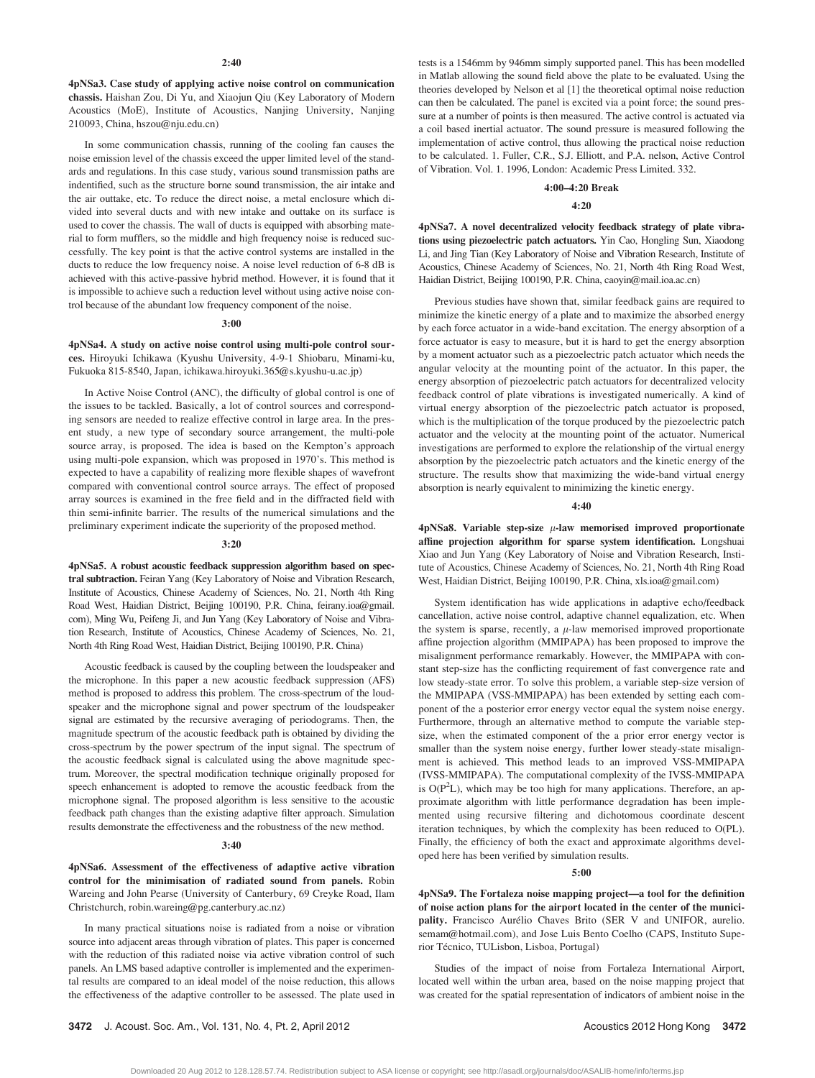4pNSa3. Case study of applying active noise control on communication chassis. Haishan Zou, Di Yu, and Xiaojun Qiu (Key Laboratory of Modern Acoustics (MoE), Institute of Acoustics, Nanjing University, Nanjing 210093, China, hszou@nju.edu.cn)

In some communication chassis, running of the cooling fan causes the noise emission level of the chassis exceed the upper limited level of the standards and regulations. In this case study, various sound transmission paths are indentified, such as the structure borne sound transmission, the air intake and the air outtake, etc. To reduce the direct noise, a metal enclosure which divided into several ducts and with new intake and outtake on its surface is used to cover the chassis. The wall of ducts is equipped with absorbing material to form mufflers, so the middle and high frequency noise is reduced successfully. The key point is that the active control systems are installed in the ducts to reduce the low frequency noise. A noise level reduction of 6-8 dB is achieved with this active-passive hybrid method. However, it is found that it is impossible to achieve such a reduction level without using active noise control because of the abundant low frequency component of the noise.

## 3:00

4pNSa4. A study on active noise control using multi-pole control sources. Hiroyuki Ichikawa (Kyushu University, 4-9-1 Shiobaru, Minami-ku, Fukuoka 815-8540, Japan, ichikawa.hiroyuki.365@s.kyushu-u.ac.jp)

In Active Noise Control (ANC), the difficulty of global control is one of the issues to be tackled. Basically, a lot of control sources and corresponding sensors are needed to realize effective control in large area. In the present study, a new type of secondary source arrangement, the multi-pole source array, is proposed. The idea is based on the Kempton's approach using multi-pole expansion, which was proposed in 1970's. This method is expected to have a capability of realizing more flexible shapes of wavefront compared with conventional control source arrays. The effect of proposed array sources is examined in the free field and in the diffracted field with thin semi-infinite barrier. The results of the numerical simulations and the preliminary experiment indicate the superiority of the proposed method.

#### 3:20

4pNSa5. A robust acoustic feedback suppression algorithm based on spectral subtraction. Feiran Yang (Key Laboratory of Noise and Vibration Research, Institute of Acoustics, Chinese Academy of Sciences, No. 21, North 4th Ring Road West, Haidian District, Beijing 100190, P.R. China, feirany.ioa@gmail. com), Ming Wu, Peifeng Ji, and Jun Yang (Key Laboratory of Noise and Vibration Research, Institute of Acoustics, Chinese Academy of Sciences, No. 21, North 4th Ring Road West, Haidian District, Beijing 100190, P.R. China)

Acoustic feedback is caused by the coupling between the loudspeaker and the microphone. In this paper a new acoustic feedback suppression (AFS) method is proposed to address this problem. The cross-spectrum of the loudspeaker and the microphone signal and power spectrum of the loudspeaker signal are estimated by the recursive averaging of periodograms. Then, the magnitude spectrum of the acoustic feedback path is obtained by dividing the cross-spectrum by the power spectrum of the input signal. The spectrum of the acoustic feedback signal is calculated using the above magnitude spectrum. Moreover, the spectral modification technique originally proposed for speech enhancement is adopted to remove the acoustic feedback from the microphone signal. The proposed algorithm is less sensitive to the acoustic feedback path changes than the existing adaptive filter approach. Simulation results demonstrate the effectiveness and the robustness of the new method.

## 3:40

4pNSa6. Assessment of the effectiveness of adaptive active vibration control for the minimisation of radiated sound from panels. Robin Wareing and John Pearse (University of Canterbury, 69 Creyke Road, Ilam Christchurch, robin.wareing@pg.canterbury.ac.nz)

In many practical situations noise is radiated from a noise or vibration source into adjacent areas through vibration of plates. This paper is concerned with the reduction of this radiated noise via active vibration control of such panels. An LMS based adaptive controller is implemented and the experimental results are compared to an ideal model of the noise reduction, this allows the effectiveness of the adaptive controller to be assessed. The plate used in tests is a 1546mm by 946mm simply supported panel. This has been modelled in Matlab allowing the sound field above the plate to be evaluated. Using the theories developed by Nelson et al [1] the theoretical optimal noise reduction can then be calculated. The panel is excited via a point force; the sound pressure at a number of points is then measured. The active control is actuated via a coil based inertial actuator. The sound pressure is measured following the implementation of active control, thus allowing the practical noise reduction to be calculated. 1. Fuller, C.R., S.J. Elliott, and P.A. nelson, Active Control of Vibration. Vol. 1. 1996, London: Academic Press Limited. 332.

#### 4:00–4:20 Break

## 4:20

4pNSa7. A novel decentralized velocity feedback strategy of plate vibrations using piezoelectric patch actuators. Yin Cao, Hongling Sun, Xiaodong Li, and Jing Tian (Key Laboratory of Noise and Vibration Research, Institute of Acoustics, Chinese Academy of Sciences, No. 21, North 4th Ring Road West, Haidian District, Beijing 100190, P.R. China, caoyin@mail.ioa.ac.cn)

Previous studies have shown that, similar feedback gains are required to minimize the kinetic energy of a plate and to maximize the absorbed energy by each force actuator in a wide-band excitation. The energy absorption of a force actuator is easy to measure, but it is hard to get the energy absorption by a moment actuator such as a piezoelectric patch actuator which needs the angular velocity at the mounting point of the actuator. In this paper, the energy absorption of piezoelectric patch actuators for decentralized velocity feedback control of plate vibrations is investigated numerically. A kind of virtual energy absorption of the piezoelectric patch actuator is proposed, which is the multiplication of the torque produced by the piezoelectric patch actuator and the velocity at the mounting point of the actuator. Numerical investigations are performed to explore the relationship of the virtual energy absorption by the piezoelectric patch actuators and the kinetic energy of the structure. The results show that maximizing the wide-band virtual energy absorption is nearly equivalent to minimizing the kinetic energy.

#### 4:40

 $4p$ NSa8. Variable step-size  $\mu$ -law memorised improved proportionate affine projection algorithm for sparse system identification. Longshuai Xiao and Jun Yang (Key Laboratory of Noise and Vibration Research, Institute of Acoustics, Chinese Academy of Sciences, No. 21, North 4th Ring Road West, Haidian District, Beijing 100190, P.R. China, xls.ioa@gmail.com)

System identification has wide applications in adaptive echo/feedback cancellation, active noise control, adaptive channel equalization, etc. When the system is sparse, recently, a  $\mu$ -law memorised improved proportionate affine projection algorithm (MMIPAPA) has been proposed to improve the misalignment performance remarkably. However, the MMIPAPA with constant step-size has the conflicting requirement of fast convergence rate and low steady-state error. To solve this problem, a variable step-size version of the MMIPAPA (VSS-MMIPAPA) has been extended by setting each component of the a posterior error energy vector equal the system noise energy. Furthermore, through an alternative method to compute the variable stepsize, when the estimated component of the a prior error energy vector is smaller than the system noise energy, further lower steady-state misalignment is achieved. This method leads to an improved VSS-MMIPAPA (IVSS-MMIPAPA). The computational complexity of the IVSS-MMIPAPA is  $O(P<sup>2</sup>L)$ , which may be too high for many applications. Therefore, an approximate algorithm with little performance degradation has been implemented using recursive filtering and dichotomous coordinate descent iteration techniques, by which the complexity has been reduced to O(PL). Finally, the efficiency of both the exact and approximate algorithms developed here has been verified by simulation results.

#### 5:00

4pNSa9. The Fortaleza noise mapping project—a tool for the definition of noise action plans for the airport located in the center of the municipality. Francisco Aurélio Chaves Brito (SER V and UNIFOR, aurelio. semam@hotmail.com), and Jose Luis Bento Coelho (CAPS, Instituto Superior Técnico, TULisbon, Lisboa, Portugal)

Studies of the impact of noise from Fortaleza International Airport, located well within the urban area, based on the noise mapping project that was created for the spatial representation of indicators of ambient noise in the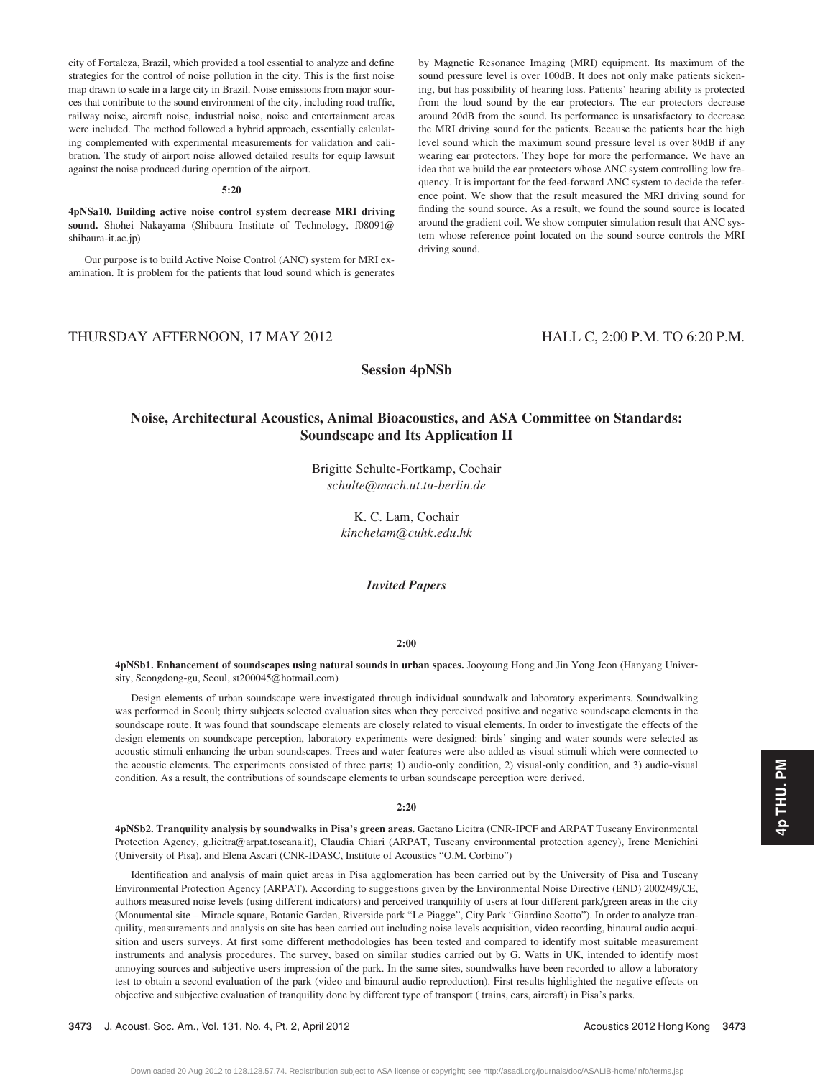city of Fortaleza, Brazil, which provided a tool essential to analyze and define strategies for the control of noise pollution in the city. This is the first noise map drawn to scale in a large city in Brazil. Noise emissions from major sources that contribute to the sound environment of the city, including road traffic, railway noise, aircraft noise, industrial noise, noise and entertainment areas were included. The method followed a hybrid approach, essentially calculating complemented with experimental measurements for validation and calibration. The study of airport noise allowed detailed results for equip lawsuit against the noise produced during operation of the airport.

#### 5:20

4pNSa10. Building active noise control system decrease MRI driving sound. Shohei Nakayama (Shibaura Institute of Technology, f08091@ shibaura-it.ac.jp)

Our purpose is to build Active Noise Control (ANC) system for MRI examination. It is problem for the patients that loud sound which is generates by Magnetic Resonance Imaging (MRI) equipment. Its maximum of the sound pressure level is over 100dB. It does not only make patients sickening, but has possibility of hearing loss. Patients' hearing ability is protected from the loud sound by the ear protectors. The ear protectors decrease around 20dB from the sound. Its performance is unsatisfactory to decrease the MRI driving sound for the patients. Because the patients hear the high level sound which the maximum sound pressure level is over 80dB if any wearing ear protectors. They hope for more the performance. We have an idea that we build the ear protectors whose ANC system controlling low frequency. It is important for the feed-forward ANC system to decide the reference point. We show that the result measured the MRI driving sound for finding the sound source. As a result, we found the sound source is located around the gradient coil. We show computer simulation result that ANC system whose reference point located on the sound source controls the MRI driving sound.

# THURSDAY AFTERNOON, 17 MAY 2012 HALL C, 2:00 P.M. TO 6:20 P.M.

Session 4pNSb

# Noise, Architectural Acoustics, Animal Bioacoustics, and ASA Committee on Standards: Soundscape and Its Application II

Brigitte Schulte-Fortkamp, Cochair schulte@mach.ut.tu-berlin.de

> K. C. Lam, Cochair kinchelam@cuhk.edu.hk

# Invited Papers

2:00

4pNSb1. Enhancement of soundscapes using natural sounds in urban spaces. Jooyoung Hong and Jin Yong Jeon (Hanyang University, Seongdong-gu, Seoul, st200045@hotmail.com)

Design elements of urban soundscape were investigated through individual soundwalk and laboratory experiments. Soundwalking was performed in Seoul; thirty subjects selected evaluation sites when they perceived positive and negative soundscape elements in the soundscape route. It was found that soundscape elements are closely related to visual elements. In order to investigate the effects of the design elements on soundscape perception, laboratory experiments were designed: birds' singing and water sounds were selected as acoustic stimuli enhancing the urban soundscapes. Trees and water features were also added as visual stimuli which were connected to the acoustic elements. The experiments consisted of three parts; 1) audio-only condition, 2) visual-only condition, and 3) audio-visual condition. As a result, the contributions of soundscape elements to urban soundscape perception were derived.

## 2:20

4pNSb2. Tranquility analysis by soundwalks in Pisa's green areas. Gaetano Licitra (CNR-IPCF and ARPAT Tuscany Environmental Protection Agency, g.licitra@arpat.toscana.it), Claudia Chiari (ARPAT, Tuscany environmental protection agency), Irene Menichini (University of Pisa), and Elena Ascari (CNR-IDASC, Institute of Acoustics "O.M. Corbino")

Identification and analysis of main quiet areas in Pisa agglomeration has been carried out by the University of Pisa and Tuscany Environmental Protection Agency (ARPAT). According to suggestions given by the Environmental Noise Directive (END) 2002/49/CE, authors measured noise levels (using different indicators) and perceived tranquility of users at four different park/green areas in the city (Monumental site – Miracle square, Botanic Garden, Riverside park "Le Piagge", City Park "Giardino Scotto"). In order to analyze tranquility, measurements and analysis on site has been carried out including noise levels acquisition, video recording, binaural audio acquisition and users surveys. At first some different methodologies has been tested and compared to identify most suitable measurement instruments and analysis procedures. The survey, based on similar studies carried out by G. Watts in UK, intended to identify most annoying sources and subjective users impression of the park. In the same sites, soundwalks have been recorded to allow a laboratory test to obtain a second evaluation of the park (video and binaural audio reproduction). First results highlighted the negative effects on objective and subjective evaluation of tranquility done by different type of transport ( trains, cars, aircraft) in Pisa's parks.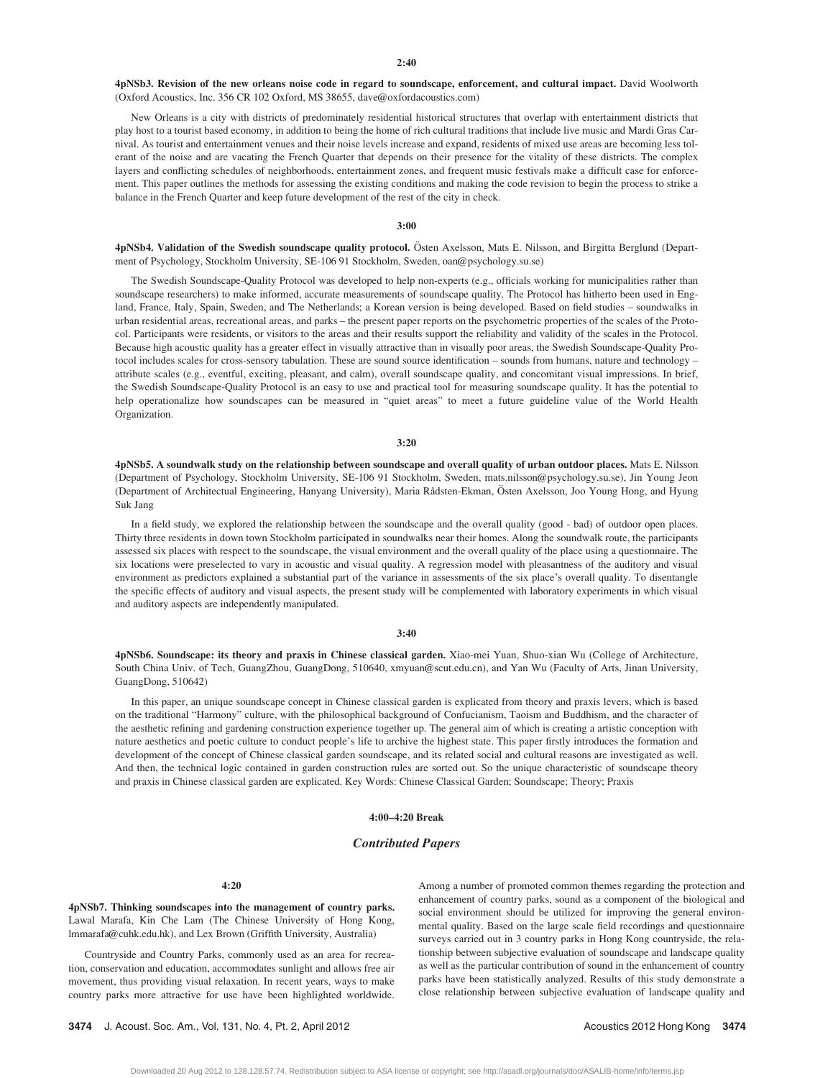4pNSb3. Revision of the new orleans noise code in regard to soundscape, enforcement, and cultural impact. David Woolworth (Oxford Acoustics, Inc. 356 CR 102 Oxford, MS 38655, dave@oxfordacoustics.com)

New Orleans is a city with districts of predominately residential historical structures that overlap with entertainment districts that play host to a tourist based economy, in addition to being the home of rich cultural traditions that include live music and Mardi Gras Carnival. As tourist and entertainment venues and their noise levels increase and expand, residents of mixed use areas are becoming less tolerant of the noise and are vacating the French Quarter that depends on their presence for the vitality of these districts. The complex layers and conflicting schedules of neighborhoods, entertainment zones, and frequent music festivals make a difficult case for enforcement. This paper outlines the methods for assessing the existing conditions and making the code revision to begin the process to strike a balance in the French Quarter and keep future development of the rest of the city in check.

## 3:00

4pNSb4. Validation of the Swedish soundscape quality protocol. Östen Axelsson, Mats E. Nilsson, and Birgitta Berglund (Department of Psychology, Stockholm University, SE-106 91 Stockholm, Sweden, oan@psychology.su.se)

The Swedish Soundscape-Quality Protocol was developed to help non-experts (e.g., officials working for municipalities rather than soundscape researchers) to make informed, accurate measurements of soundscape quality. The Protocol has hitherto been used in England, France, Italy, Spain, Sweden, and The Netherlands; a Korean version is being developed. Based on field studies – soundwalks in urban residential areas, recreational areas, and parks – the present paper reports on the psychometric properties of the scales of the Protocol. Participants were residents, or visitors to the areas and their results support the reliability and validity of the scales in the Protocol. Because high acoustic quality has a greater effect in visually attractive than in visually poor areas, the Swedish Soundscape-Quality Protocol includes scales for cross-sensory tabulation. These are sound source identification – sounds from humans, nature and technology – attribute scales (e.g., eventful, exciting, pleasant, and calm), overall soundscape quality, and concomitant visual impressions. In brief, the Swedish Soundscape-Quality Protocol is an easy to use and practical tool for measuring soundscape quality. It has the potential to help operationalize how soundscapes can be measured in "quiet areas" to meet a future guideline value of the World Health Organization.

#### 3:20

4pNSb5. A soundwalk study on the relationship between soundscape and overall quality of urban outdoor places. Mats E. Nilsson (Department of Psychology, Stockholm University, SE-106 91 Stockholm, Sweden, mats.nilsson@psychology.su.se), Jin Young Jeon (Department of Architectual Engineering, Hanyang University), Maria Rådsten-Ekman, Östen Axelsson, Joo Young Hong, and Hyung Suk Jang

In a field study, we explored the relationship between the soundscape and the overall quality (good - bad) of outdoor open places. Thirty three residents in down town Stockholm participated in soundwalks near their homes. Along the soundwalk route, the participants assessed six places with respect to the soundscape, the visual environment and the overall quality of the place using a questionnaire. The six locations were preselected to vary in acoustic and visual quality. A regression model with pleasantness of the auditory and visual environment as predictors explained a substantial part of the variance in assessments of the six place's overall quality. To disentangle the specific effects of auditory and visual aspects, the present study will be complemented with laboratory experiments in which visual and auditory aspects are independently manipulated.

#### 3:40

4pNSb6. Soundscape: its theory and praxis in Chinese classical garden. Xiao-mei Yuan, Shuo-xian Wu (College of Architecture, South China Univ. of Tech, GuangZhou, GuangDong, 510640, xmyuan@scut.edu.cn), and Yan Wu (Faculty of Arts, Jinan University, GuangDong, 510642)

In this paper, an unique soundscape concept in Chinese classical garden is explicated from theory and praxis levers, which is based on the traditional "Harmony" culture, with the philosophical background of Confucianism, Taoism and Buddhism, and the character of the aesthetic refining and gardening construction experience together up. The general aim of which is creating a artistic conception with nature aesthetics and poetic culture to conduct people's life to archive the highest state. This paper firstly introduces the formation and development of the concept of Chinese classical garden soundscape, and its related social and cultural reasons are investigated as well. And then, the technical logic contained in garden construction rules are sorted out. So the unique characteristic of soundscape theory and praxis in Chinese classical garden are explicated. Key Words: Chinese Classical Garden; Soundscape; Theory; Praxis

## 4:00–4:20 Break

## Contributed Papers

#### 4:20

4pNSb7. Thinking soundscapes into the management of country parks. Lawal Marafa, Kin Che Lam (The Chinese University of Hong Kong, lmmarafa@cuhk.edu.hk), and Lex Brown (Griffith University, Australia)

Countryside and Country Parks, commonly used as an area for recreation, conservation and education, accommodates sunlight and allows free air movement, thus providing visual relaxation. In recent years, ways to make country parks more attractive for use have been highlighted worldwide. Among a number of promoted common themes regarding the protection and enhancement of country parks, sound as a component of the biological and social environment should be utilized for improving the general environmental quality. Based on the large scale field recordings and questionnaire surveys carried out in 3 country parks in Hong Kong countryside, the relationship between subjective evaluation of soundscape and landscape quality as well as the particular contribution of sound in the enhancement of country parks have been statistically analyzed. Results of this study demonstrate a close relationship between subjective evaluation of landscape quality and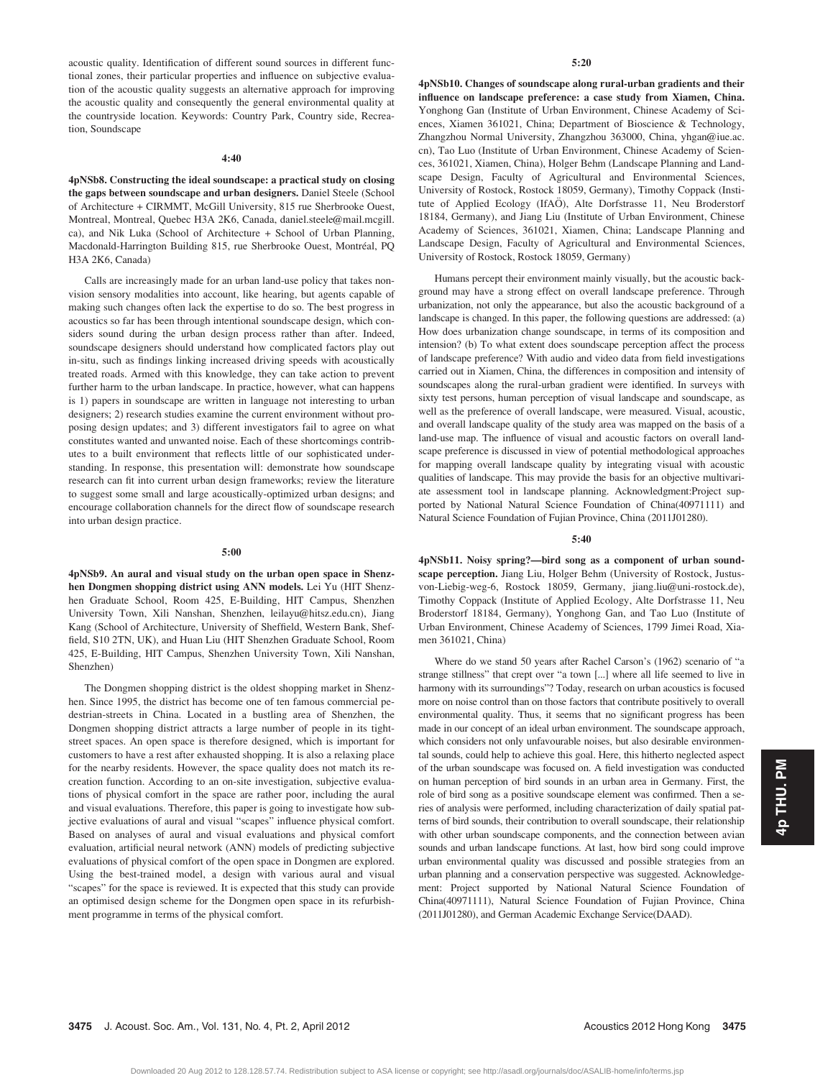acoustic quality. Identification of different sound sources in different functional zones, their particular properties and influence on subjective evaluation of the acoustic quality suggests an alternative approach for improving the acoustic quality and consequently the general environmental quality at the countryside location. Keywords: Country Park, Country side, Recreation, Soundscape

## 4:40

4pNSb8. Constructing the ideal soundscape: a practical study on closing the gaps between soundscape and urban designers. Daniel Steele (School of Architecture + CIRMMT, McGill University, 815 rue Sherbrooke Ouest, Montreal, Montreal, Quebec H3A 2K6, Canada, daniel.steele@mail.mcgill. ca), and Nik Luka (School of Architecture + School of Urban Planning, Macdonald-Harrington Building 815, rue Sherbrooke Ouest, Montréal, PQ H3A 2K6, Canada)

Calls are increasingly made for an urban land-use policy that takes nonvision sensory modalities into account, like hearing, but agents capable of making such changes often lack the expertise to do so. The best progress in acoustics so far has been through intentional soundscape design, which considers sound during the urban design process rather than after. Indeed, soundscape designers should understand how complicated factors play out in-situ, such as findings linking increased driving speeds with acoustically treated roads. Armed with this knowledge, they can take action to prevent further harm to the urban landscape. In practice, however, what can happens is 1) papers in soundscape are written in language not interesting to urban designers; 2) research studies examine the current environment without proposing design updates; and 3) different investigators fail to agree on what constitutes wanted and unwanted noise. Each of these shortcomings contributes to a built environment that reflects little of our sophisticated understanding. In response, this presentation will: demonstrate how soundscape research can fit into current urban design frameworks; review the literature to suggest some small and large acoustically-optimized urban designs; and encourage collaboration channels for the direct flow of soundscape research into urban design practice.

#### 5:00

4pNSb9. An aural and visual study on the urban open space in Shenzhen Dongmen shopping district using ANN models. Lei Yu (HIT Shenzhen Graduate School, Room 425, E-Building, HIT Campus, Shenzhen University Town, Xili Nanshan, Shenzhen, leilayu@hitsz.edu.cn), Jiang Kang (School of Architecture, University of Sheffield, Western Bank, Sheffield, S10 2TN, UK), and Huan Liu (HIT Shenzhen Graduate School, Room 425, E-Building, HIT Campus, Shenzhen University Town, Xili Nanshan, Shenzhen)

The Dongmen shopping district is the oldest shopping market in Shenzhen. Since 1995, the district has become one of ten famous commercial pedestrian-streets in China. Located in a bustling area of Shenzhen, the Dongmen shopping district attracts a large number of people in its tightstreet spaces. An open space is therefore designed, which is important for customers to have a rest after exhausted shopping. It is also a relaxing place for the nearby residents. However, the space quality does not match its recreation function. According to an on-site investigation, subjective evaluations of physical comfort in the space are rather poor, including the aural and visual evaluations. Therefore, this paper is going to investigate how subjective evaluations of aural and visual "scapes" influence physical comfort. Based on analyses of aural and visual evaluations and physical comfort evaluation, artificial neural network (ANN) models of predicting subjective evaluations of physical comfort of the open space in Dongmen are explored. Using the best-trained model, a design with various aural and visual "scapes" for the space is reviewed. It is expected that this study can provide an optimised design scheme for the Dongmen open space in its refurbishment programme in terms of the physical comfort.

4pNSb10. Changes of soundscape along rural-urban gradients and their influence on landscape preference: a case study from Xiamen, China. Yonghong Gan (Institute of Urban Environment, Chinese Academy of Sciences, Xiamen 361021, China; Department of Bioscience & Technology, Zhangzhou Normal University, Zhangzhou 363000, China, yhgan@iue.ac. cn), Tao Luo (Institute of Urban Environment, Chinese Academy of Sciences, 361021, Xiamen, China), Holger Behm (Landscape Planning and Landscape Design, Faculty of Agricultural and Environmental Sciences, University of Rostock, Rostock 18059, Germany), Timothy Coppack (Institute of Applied Ecology (IfAÖ), Alte Dorfstrasse 11, Neu Broderstorf 18184, Germany), and Jiang Liu (Institute of Urban Environment, Chinese Academy of Sciences, 361021, Xiamen, China; Landscape Planning and Landscape Design, Faculty of Agricultural and Environmental Sciences, University of Rostock, Rostock 18059, Germany)

Humans percept their environment mainly visually, but the acoustic background may have a strong effect on overall landscape preference. Through urbanization, not only the appearance, but also the acoustic background of a landscape is changed. In this paper, the following questions are addressed: (a) How does urbanization change soundscape, in terms of its composition and intension? (b) To what extent does soundscape perception affect the process of landscape preference? With audio and video data from field investigations carried out in Xiamen, China, the differences in composition and intensity of soundscapes along the rural-urban gradient were identified. In surveys with sixty test persons, human perception of visual landscape and soundscape, as well as the preference of overall landscape, were measured. Visual, acoustic, and overall landscape quality of the study area was mapped on the basis of a land-use map. The influence of visual and acoustic factors on overall landscape preference is discussed in view of potential methodological approaches for mapping overall landscape quality by integrating visual with acoustic qualities of landscape. This may provide the basis for an objective multivariate assessment tool in landscape planning. Acknowledgment:Project supported by National Natural Science Foundation of China(40971111) and Natural Science Foundation of Fujian Province, China (2011J01280).

## 5:40

4pNSb11. Noisy spring?—bird song as a component of urban soundscape perception. Jiang Liu, Holger Behm (University of Rostock, Justusvon-Liebig-weg-6, Rostock 18059, Germany, jiang.liu@uni-rostock.de), Timothy Coppack (Institute of Applied Ecology, Alte Dorfstrasse 11, Neu Broderstorf 18184, Germany), Yonghong Gan, and Tao Luo (Institute of Urban Environment, Chinese Academy of Sciences, 1799 Jimei Road, Xiamen 361021, China)

Where do we stand 50 years after Rachel Carson's (1962) scenario of "a strange stillness" that crept over "a town [...] where all life seemed to live in harmony with its surroundings"? Today, research on urban acoustics is focused more on noise control than on those factors that contribute positively to overall environmental quality. Thus, it seems that no significant progress has been made in our concept of an ideal urban environment. The soundscape approach, which considers not only unfavourable noises, but also desirable environmental sounds, could help to achieve this goal. Here, this hitherto neglected aspect of the urban soundscape was focused on. A field investigation was conducted on human perception of bird sounds in an urban area in Germany. First, the role of bird song as a positive soundscape element was confirmed. Then a series of analysis were performed, including characterization of daily spatial patterns of bird sounds, their contribution to overall soundscape, their relationship with other urban soundscape components, and the connection between avian sounds and urban landscape functions. At last, how bird song could improve urban environmental quality was discussed and possible strategies from an urban planning and a conservation perspective was suggested. Acknowledgement: Project supported by National Natural Science Foundation of China(40971111), Natural Science Foundation of Fujian Province, China (2011J01280), and German Academic Exchange Service(DAAD).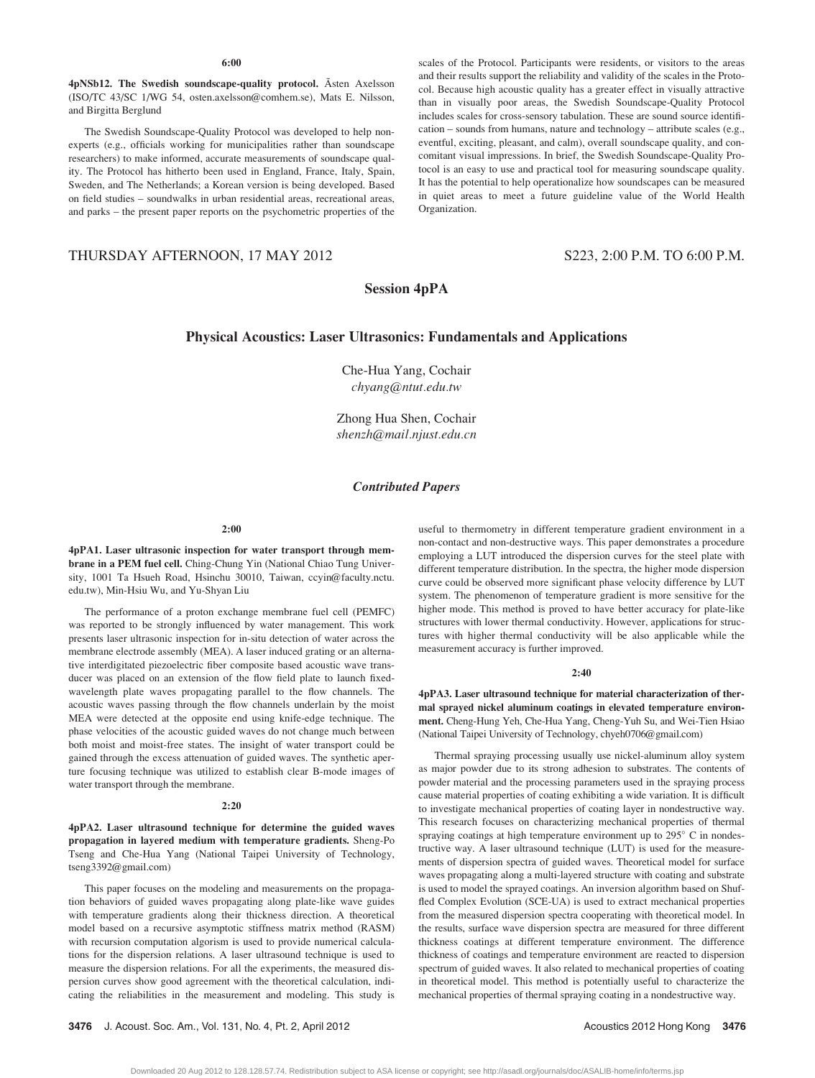#### 6:00

4pNSb12. The Swedish soundscape-quality protocol. Asten Axelsson (ISO/TC 43/SC 1/WG 54, osten.axelsson@comhem.se), Mats E. Nilsson, and Birgitta Berglund

The Swedish Soundscape-Quality Protocol was developed to help nonexperts (e.g., officials working for municipalities rather than soundscape researchers) to make informed, accurate measurements of soundscape quality. The Protocol has hitherto been used in England, France, Italy, Spain, Sweden, and The Netherlands; a Korean version is being developed. Based on field studies – soundwalks in urban residential areas, recreational areas, and parks – the present paper reports on the psychometric properties of the scales of the Protocol. Participants were residents, or visitors to the areas and their results support the reliability and validity of the scales in the Protocol. Because high acoustic quality has a greater effect in visually attractive than in visually poor areas, the Swedish Soundscape-Quality Protocol includes scales for cross-sensory tabulation. These are sound source identification – sounds from humans, nature and technology – attribute scales (e.g., eventful, exciting, pleasant, and calm), overall soundscape quality, and concomitant visual impressions. In brief, the Swedish Soundscape-Quality Protocol is an easy to use and practical tool for measuring soundscape quality. It has the potential to help operationalize how soundscapes can be measured in quiet areas to meet a future guideline value of the World Health Organization.

# THURSDAY AFTERNOON, 17 MAY 2012 S223, 2:00 P.M. TO 6:00 P.M.

# Session 4pPA

## Physical Acoustics: Laser Ultrasonics: Fundamentals and Applications

Che-Hua Yang, Cochair chyang@ntut.edu.tw

Zhong Hua Shen, Cochair shenzh@mail.njust.edu.cn

## Contributed Papers

## 2:00

4pPA1. Laser ultrasonic inspection for water transport through membrane in a PEM fuel cell. Ching-Chung Yin (National Chiao Tung University, 1001 Ta Hsueh Road, Hsinchu 30010, Taiwan, ccyin@faculty.nctu. edu.tw), Min-Hsiu Wu, and Yu-Shyan Liu

The performance of a proton exchange membrane fuel cell (PEMFC) was reported to be strongly influenced by water management. This work presents laser ultrasonic inspection for in-situ detection of water across the membrane electrode assembly (MEA). A laser induced grating or an alternative interdigitated piezoelectric fiber composite based acoustic wave transducer was placed on an extension of the flow field plate to launch fixedwavelength plate waves propagating parallel to the flow channels. The acoustic waves passing through the flow channels underlain by the moist MEA were detected at the opposite end using knife-edge technique. The phase velocities of the acoustic guided waves do not change much between both moist and moist-free states. The insight of water transport could be gained through the excess attenuation of guided waves. The synthetic aperture focusing technique was utilized to establish clear B-mode images of water transport through the membrane.

## 2:20

4pPA2. Laser ultrasound technique for determine the guided waves propagation in layered medium with temperature gradients. Sheng-Po Tseng and Che-Hua Yang (National Taipei University of Technology, tseng3392@gmail.com)

This paper focuses on the modeling and measurements on the propagation behaviors of guided waves propagating along plate-like wave guides with temperature gradients along their thickness direction. A theoretical model based on a recursive asymptotic stiffness matrix method (RASM) with recursion computation algorism is used to provide numerical calculations for the dispersion relations. A laser ultrasound technique is used to measure the dispersion relations. For all the experiments, the measured dispersion curves show good agreement with the theoretical calculation, indicating the reliabilities in the measurement and modeling. This study is useful to thermometry in different temperature gradient environment in a non-contact and non-destructive ways. This paper demonstrates a procedure employing a LUT introduced the dispersion curves for the steel plate with different temperature distribution. In the spectra, the higher mode dispersion curve could be observed more significant phase velocity difference by LUT system. The phenomenon of temperature gradient is more sensitive for the higher mode. This method is proved to have better accuracy for plate-like structures with lower thermal conductivity. However, applications for structures with higher thermal conductivity will be also applicable while the measurement accuracy is further improved.

## 2:40

4pPA3. Laser ultrasound technique for material characterization of thermal sprayed nickel aluminum coatings in elevated temperature environment. Cheng-Hung Yeh, Che-Hua Yang, Cheng-Yuh Su, and Wei-Tien Hsiao (National Taipei University of Technology, chyeh0706@gmail.com)

Thermal spraying processing usually use nickel-aluminum alloy system as major powder due to its strong adhesion to substrates. The contents of powder material and the processing parameters used in the spraying process cause material properties of coating exhibiting a wide variation. It is difficult to investigate mechanical properties of coating layer in nondestructive way. This research focuses on characterizing mechanical properties of thermal spraying coatings at high temperature environment up to 295° C in nondestructive way. A laser ultrasound technique (LUT) is used for the measurements of dispersion spectra of guided waves. Theoretical model for surface waves propagating along a multi-layered structure with coating and substrate is used to model the sprayed coatings. An inversion algorithm based on Shuffled Complex Evolution (SCE-UA) is used to extract mechanical properties from the measured dispersion spectra cooperating with theoretical model. In the results, surface wave dispersion spectra are measured for three different thickness coatings at different temperature environment. The difference thickness of coatings and temperature environment are reacted to dispersion spectrum of guided waves. It also related to mechanical properties of coating in theoretical model. This method is potentially useful to characterize the mechanical properties of thermal spraying coating in a nondestructive way.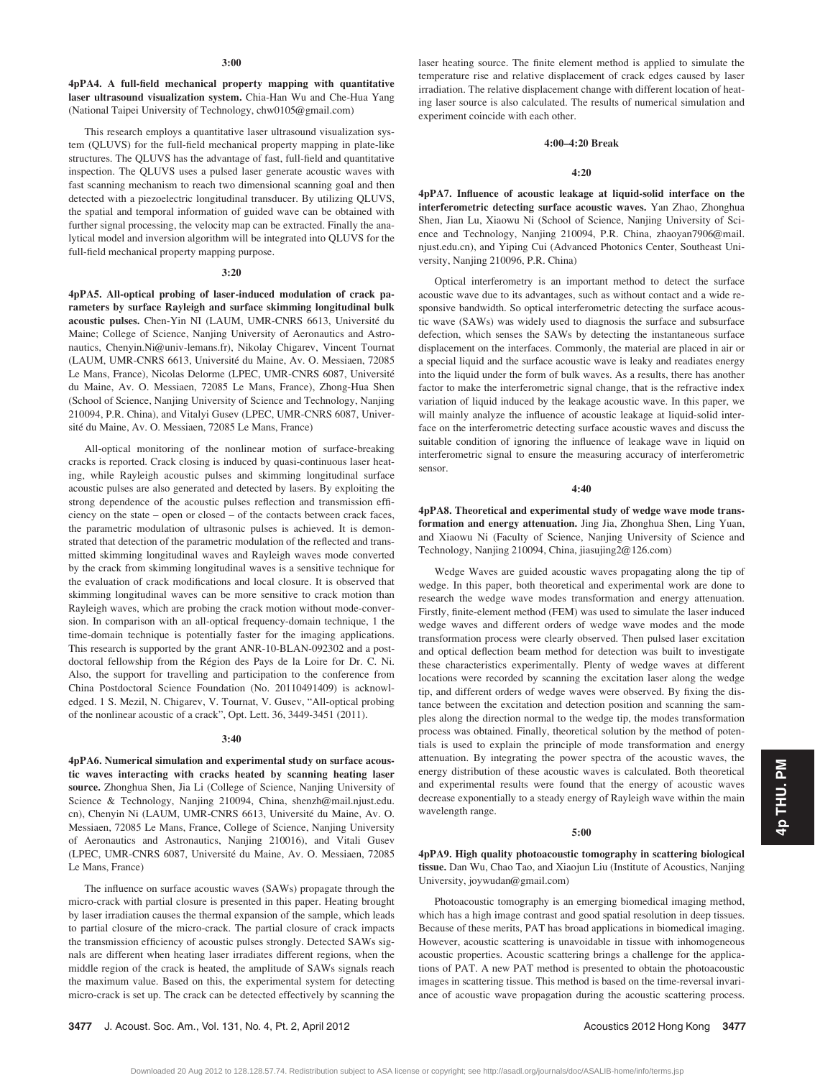4pPA4. A full-field mechanical property mapping with quantitative laser ultrasound visualization system. Chia-Han Wu and Che-Hua Yang (National Taipei University of Technology, chw0105@gmail.com)

This research employs a quantitative laser ultrasound visualization system (QLUVS) for the full-field mechanical property mapping in plate-like structures. The QLUVS has the advantage of fast, full-field and quantitative inspection. The QLUVS uses a pulsed laser generate acoustic waves with fast scanning mechanism to reach two dimensional scanning goal and then detected with a piezoelectric longitudinal transducer. By utilizing QLUVS, the spatial and temporal information of guided wave can be obtained with further signal processing, the velocity map can be extracted. Finally the analytical model and inversion algorithm will be integrated into QLUVS for the full-field mechanical property mapping purpose.

#### 3:20

4pPA5. All-optical probing of laser-induced modulation of crack parameters by surface Rayleigh and surface skimming longitudinal bulk acoustic pulses. Chen-Yin NI (LAUM, UMR-CNRS 6613, Université du Maine; College of Science, Nanjing University of Aeronautics and Astronautics, Chenyin.Ni@univ-lemans.fr), Nikolay Chigarev, Vincent Tournat (LAUM, UMR-CNRS 6613, Universite´ du Maine, Av. O. Messiaen, 72085 Le Mans, France), Nicolas Delorme (LPEC, UMR-CNRS 6087, Université du Maine, Av. O. Messiaen, 72085 Le Mans, France), Zhong-Hua Shen (School of Science, Nanjing University of Science and Technology, Nanjing 210094, P.R. China), and Vitalyi Gusev (LPEC, UMR-CNRS 6087, Université du Maine, Av. O. Messiaen, 72085 Le Mans, France)

All-optical monitoring of the nonlinear motion of surface-breaking cracks is reported. Crack closing is induced by quasi-continuous laser heating, while Rayleigh acoustic pulses and skimming longitudinal surface acoustic pulses are also generated and detected by lasers. By exploiting the strong dependence of the acoustic pulses reflection and transmission efficiency on the state – open or closed – of the contacts between crack faces, the parametric modulation of ultrasonic pulses is achieved. It is demonstrated that detection of the parametric modulation of the reflected and transmitted skimming longitudinal waves and Rayleigh waves mode converted by the crack from skimming longitudinal waves is a sensitive technique for the evaluation of crack modifications and local closure. It is observed that skimming longitudinal waves can be more sensitive to crack motion than Rayleigh waves, which are probing the crack motion without mode-conversion. In comparison with an all-optical frequency-domain technique, 1 the time-domain technique is potentially faster for the imaging applications. This research is supported by the grant ANR-10-BLAN-092302 and a postdoctoral fellowship from the Région des Pays de la Loire for Dr. C. Ni. Also, the support for travelling and participation to the conference from China Postdoctoral Science Foundation (No. 20110491409) is acknowledged. 1 S. Mezil, N. Chigarev, V. Tournat, V. Gusev, "All-optical probing of the nonlinear acoustic of a crack", Opt. Lett. 36, 3449-3451 (2011).

## 3:40

4pPA6. Numerical simulation and experimental study on surface acoustic waves interacting with cracks heated by scanning heating laser source. Zhonghua Shen, Jia Li (College of Science, Nanjing University of Science & Technology, Nanjing 210094, China, shenzh@mail.njust.edu. cn), Chenyin Ni (LAUM, UMR-CNRS 6613, Université du Maine, Av. O. Messiaen, 72085 Le Mans, France, College of Science, Nanjing University of Aeronautics and Astronautics, Nanjing 210016), and Vitali Gusev (LPEC, UMR-CNRS 6087, Université du Maine, Av. O. Messiaen, 72085 Le Mans, France)

The influence on surface acoustic waves (SAWs) propagate through the micro-crack with partial closure is presented in this paper. Heating brought by laser irradiation causes the thermal expansion of the sample, which leads to partial closure of the micro-crack. The partial closure of crack impacts the transmission efficiency of acoustic pulses strongly. Detected SAWs signals are different when heating laser irradiates different regions, when the middle region of the crack is heated, the amplitude of SAWs signals reach the maximum value. Based on this, the experimental system for detecting micro-crack is set up. The crack can be detected effectively by scanning the laser heating source. The finite element method is applied to simulate the temperature rise and relative displacement of crack edges caused by laser irradiation. The relative displacement change with different location of heating laser source is also calculated. The results of numerical simulation and experiment coincide with each other.

## 4:00–4:20 Break

#### 4:20

4pPA7. Influence of acoustic leakage at liquid-solid interface on the interferometric detecting surface acoustic waves. Yan Zhao, Zhonghua Shen, Jian Lu, Xiaowu Ni (School of Science, Nanjing University of Science and Technology, Nanjing 210094, P.R. China, zhaoyan7906@mail. njust.edu.cn), and Yiping Cui (Advanced Photonics Center, Southeast University, Nanjing 210096, P.R. China)

Optical interferometry is an important method to detect the surface acoustic wave due to its advantages, such as without contact and a wide responsive bandwidth. So optical interferometric detecting the surface acoustic wave (SAWs) was widely used to diagnosis the surface and subsurface defection, which senses the SAWs by detecting the instantaneous surface displacement on the interfaces. Commonly, the material are placed in air or a special liquid and the surface acoustic wave is leaky and readiates energy into the liquid under the form of bulk waves. As a results, there has another factor to make the interferometric signal change, that is the refractive index variation of liquid induced by the leakage acoustic wave. In this paper, we will mainly analyze the influence of acoustic leakage at liquid-solid interface on the interferometric detecting surface acoustic waves and discuss the suitable condition of ignoring the influence of leakage wave in liquid on interferometric signal to ensure the measuring accuracy of interferometric sensor.

#### 4:40

4pPA8. Theoretical and experimental study of wedge wave mode transformation and energy attenuation. Jing Jia, Zhonghua Shen, Ling Yuan, and Xiaowu Ni (Faculty of Science, Nanjing University of Science and Technology, Nanjing 210094, China, jiasujing2@126.com)

Wedge Waves are guided acoustic waves propagating along the tip of wedge. In this paper, both theoretical and experimental work are done to research the wedge wave modes transformation and energy attenuation. Firstly, finite-element method (FEM) was used to simulate the laser induced wedge waves and different orders of wedge wave modes and the mode transformation process were clearly observed. Then pulsed laser excitation and optical deflection beam method for detection was built to investigate these characteristics experimentally. Plenty of wedge waves at different locations were recorded by scanning the excitation laser along the wedge tip, and different orders of wedge waves were observed. By fixing the distance between the excitation and detection position and scanning the samples along the direction normal to the wedge tip, the modes transformation process was obtained. Finally, theoretical solution by the method of potentials is used to explain the principle of mode transformation and energy attenuation. By integrating the power spectra of the acoustic waves, the energy distribution of these acoustic waves is calculated. Both theoretical and experimental results were found that the energy of acoustic waves decrease exponentially to a steady energy of Rayleigh wave within the main wavelength range.

## 5:00

4pPA9. High quality photoacoustic tomography in scattering biological tissue. Dan Wu, Chao Tao, and Xiaojun Liu (Institute of Acoustics, Nanjing University, joywudan@gmail.com)

Photoacoustic tomography is an emerging biomedical imaging method, which has a high image contrast and good spatial resolution in deep tissues. Because of these merits, PAT has broad applications in biomedical imaging. However, acoustic scattering is unavoidable in tissue with inhomogeneous acoustic properties. Acoustic scattering brings a challenge for the applications of PAT. A new PAT method is presented to obtain the photoacoustic images in scattering tissue. This method is based on the time-reversal invariance of acoustic wave propagation during the acoustic scattering process.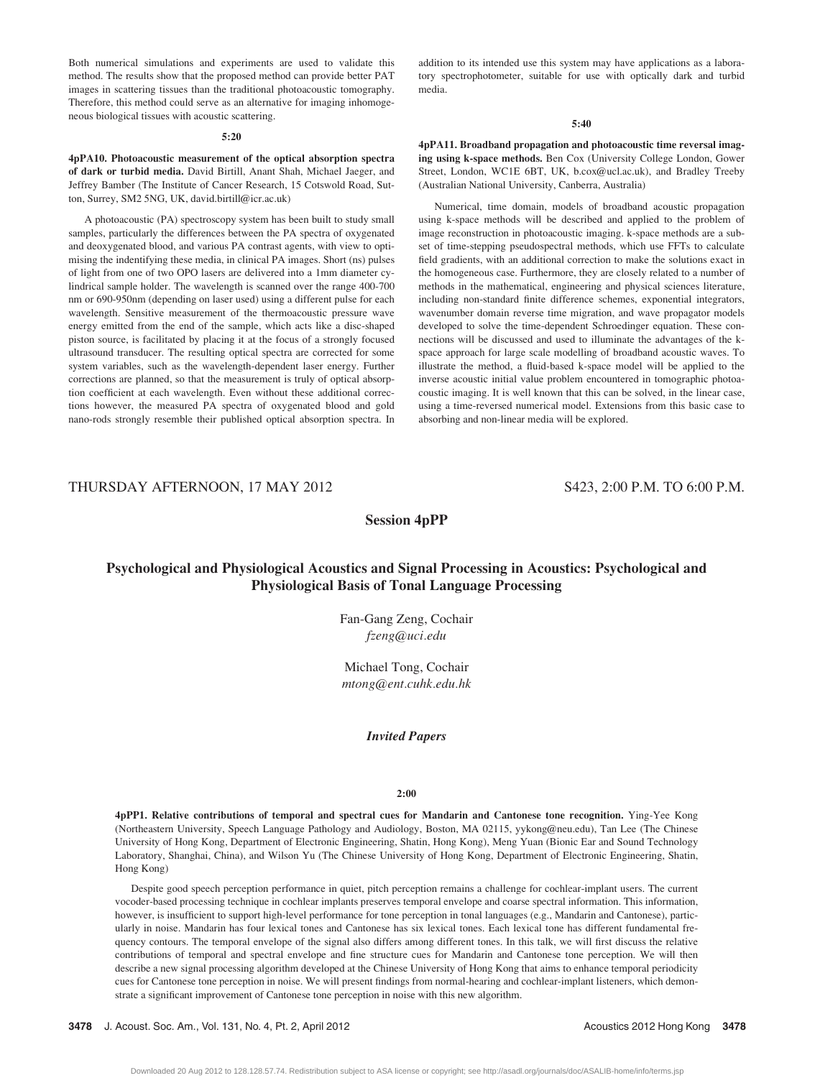Both numerical simulations and experiments are used to validate this method. The results show that the proposed method can provide better PAT images in scattering tissues than the traditional photoacoustic tomography. Therefore, this method could serve as an alternative for imaging inhomogeneous biological tissues with acoustic scattering.

## 5:20

4pPA10. Photoacoustic measurement of the optical absorption spectra of dark or turbid media. David Birtill, Anant Shah, Michael Jaeger, and Jeffrey Bamber (The Institute of Cancer Research, 15 Cotswold Road, Sutton, Surrey, SM2 5NG, UK, david.birtill@icr.ac.uk)

A photoacoustic (PA) spectroscopy system has been built to study small samples, particularly the differences between the PA spectra of oxygenated and deoxygenated blood, and various PA contrast agents, with view to optimising the indentifying these media, in clinical PA images. Short (ns) pulses of light from one of two OPO lasers are delivered into a 1mm diameter cylindrical sample holder. The wavelength is scanned over the range 400-700 nm or 690-950nm (depending on laser used) using a different pulse for each wavelength. Sensitive measurement of the thermoacoustic pressure wave energy emitted from the end of the sample, which acts like a disc-shaped piston source, is facilitated by placing it at the focus of a strongly focused ultrasound transducer. The resulting optical spectra are corrected for some system variables, such as the wavelength-dependent laser energy. Further corrections are planned, so that the measurement is truly of optical absorption coefficient at each wavelength. Even without these additional corrections however, the measured PA spectra of oxygenated blood and gold nano-rods strongly resemble their published optical absorption spectra. In addition to its intended use this system may have applications as a laboratory spectrophotometer, suitable for use with optically dark and turbid media.

## 5:40

4pPA11. Broadband propagation and photoacoustic time reversal imaging using k-space methods. Ben Cox (University College London, Gower Street, London, WC1E 6BT, UK, b.cox@ucl.ac.uk), and Bradley Treeby (Australian National University, Canberra, Australia)

Numerical, time domain, models of broadband acoustic propagation using k-space methods will be described and applied to the problem of image reconstruction in photoacoustic imaging. k-space methods are a subset of time-stepping pseudospectral methods, which use FFTs to calculate field gradients, with an additional correction to make the solutions exact in the homogeneous case. Furthermore, they are closely related to a number of methods in the mathematical, engineering and physical sciences literature, including non-standard finite difference schemes, exponential integrators, wavenumber domain reverse time migration, and wave propagator models developed to solve the time-dependent Schroedinger equation. These connections will be discussed and used to illuminate the advantages of the kspace approach for large scale modelling of broadband acoustic waves. To illustrate the method, a fluid-based k-space model will be applied to the inverse acoustic initial value problem encountered in tomographic photoacoustic imaging. It is well known that this can be solved, in the linear case, using a time-reversed numerical model. Extensions from this basic case to absorbing and non-linear media will be explored.

# THURSDAY AFTERNOON, 17 MAY 2012 S423, 2:00 P.M. TO 6:00 P.M.

## Session 4pPP

# Psychological and Physiological Acoustics and Signal Processing in Acoustics: Psychological and Physiological Basis of Tonal Language Processing

Fan-Gang Zeng, Cochair fzeng@uci.edu

Michael Tong, Cochair mtong@ent.cuhk.edu.hk

Invited Papers

## 2:00

4pPP1. Relative contributions of temporal and spectral cues for Mandarin and Cantonese tone recognition. Ying-Yee Kong (Northeastern University, Speech Language Pathology and Audiology, Boston, MA 02115, yykong@neu.edu), Tan Lee (The Chinese University of Hong Kong, Department of Electronic Engineering, Shatin, Hong Kong), Meng Yuan (Bionic Ear and Sound Technology Laboratory, Shanghai, China), and Wilson Yu (The Chinese University of Hong Kong, Department of Electronic Engineering, Shatin, Hong Kong)

Despite good speech perception performance in quiet, pitch perception remains a challenge for cochlear-implant users. The current vocoder-based processing technique in cochlear implants preserves temporal envelope and coarse spectral information. This information, however, is insufficient to support high-level performance for tone perception in tonal languages (e.g., Mandarin and Cantonese), particularly in noise. Mandarin has four lexical tones and Cantonese has six lexical tones. Each lexical tone has different fundamental frequency contours. The temporal envelope of the signal also differs among different tones. In this talk, we will first discuss the relative contributions of temporal and spectral envelope and fine structure cues for Mandarin and Cantonese tone perception. We will then describe a new signal processing algorithm developed at the Chinese University of Hong Kong that aims to enhance temporal periodicity cues for Cantonese tone perception in noise. We will present findings from normal-hearing and cochlear-implant listeners, which demonstrate a significant improvement of Cantonese tone perception in noise with this new algorithm.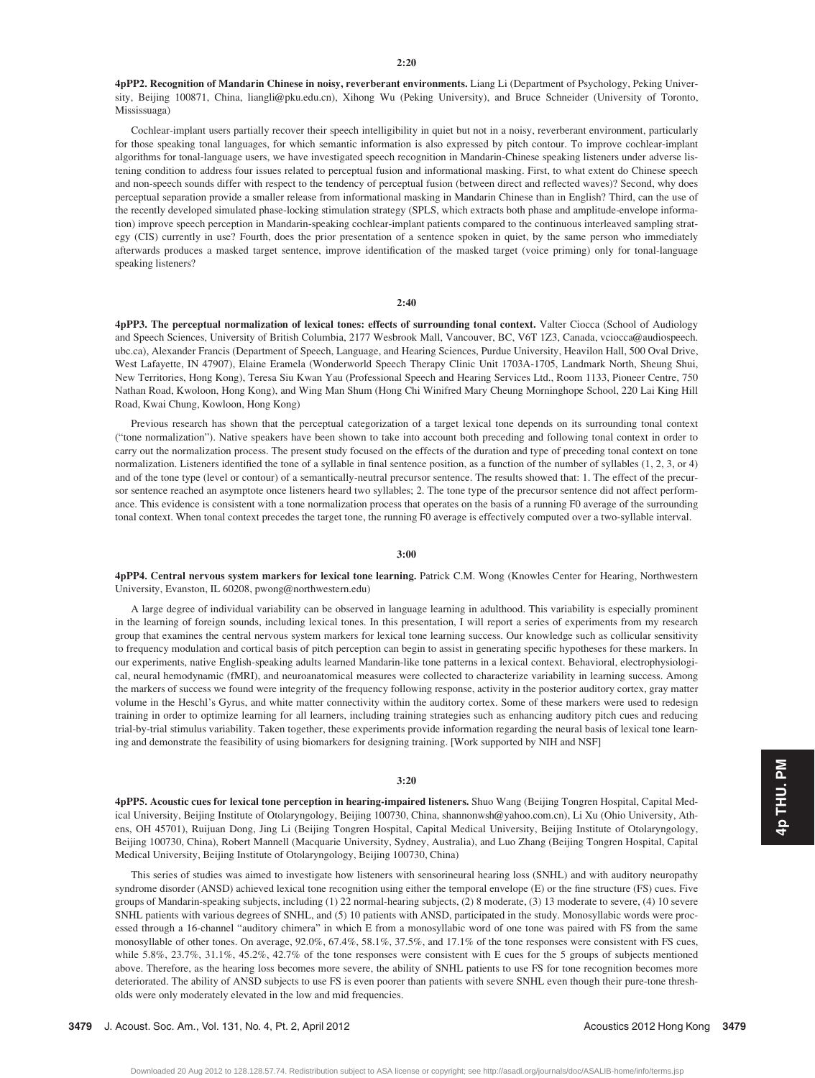4pPP2. Recognition of Mandarin Chinese in noisy, reverberant environments. Liang Li (Department of Psychology, Peking University, Beijing 100871, China, liangli@pku.edu.cn), Xihong Wu (Peking University), and Bruce Schneider (University of Toronto, Mississuaga)

Cochlear-implant users partially recover their speech intelligibility in quiet but not in a noisy, reverberant environment, particularly for those speaking tonal languages, for which semantic information is also expressed by pitch contour. To improve cochlear-implant algorithms for tonal-language users, we have investigated speech recognition in Mandarin-Chinese speaking listeners under adverse listening condition to address four issues related to perceptual fusion and informational masking. First, to what extent do Chinese speech and non-speech sounds differ with respect to the tendency of perceptual fusion (between direct and reflected waves)? Second, why does perceptual separation provide a smaller release from informational masking in Mandarin Chinese than in English? Third, can the use of the recently developed simulated phase-locking stimulation strategy (SPLS, which extracts both phase and amplitude-envelope information) improve speech perception in Mandarin-speaking cochlear-implant patients compared to the continuous interleaved sampling strategy (CIS) currently in use? Fourth, does the prior presentation of a sentence spoken in quiet, by the same person who immediately afterwards produces a masked target sentence, improve identification of the masked target (voice priming) only for tonal-language speaking listeners?

## $2:40$

4pPP3. The perceptual normalization of lexical tones: effects of surrounding tonal context. Valter Ciocca (School of Audiology and Speech Sciences, University of British Columbia, 2177 Wesbrook Mall, Vancouver, BC, V6T 1Z3, Canada, vciocca@audiospeech. ubc.ca), Alexander Francis (Department of Speech, Language, and Hearing Sciences, Purdue University, Heavilon Hall, 500 Oval Drive, West Lafayette, IN 47907), Elaine Eramela (Wonderworld Speech Therapy Clinic Unit 1703A-1705, Landmark North, Sheung Shui, New Territories, Hong Kong), Teresa Siu Kwan Yau (Professional Speech and Hearing Services Ltd., Room 1133, Pioneer Centre, 750 Nathan Road, Kwoloon, Hong Kong), and Wing Man Shum (Hong Chi Winifred Mary Cheung Morninghope School, 220 Lai King Hill Road, Kwai Chung, Kowloon, Hong Kong)

Previous research has shown that the perceptual categorization of a target lexical tone depends on its surrounding tonal context ("tone normalization"). Native speakers have been shown to take into account both preceding and following tonal context in order to carry out the normalization process. The present study focused on the effects of the duration and type of preceding tonal context on tone normalization. Listeners identified the tone of a syllable in final sentence position, as a function of the number of syllables (1, 2, 3, or 4) and of the tone type (level or contour) of a semantically-neutral precursor sentence. The results showed that: 1. The effect of the precursor sentence reached an asymptote once listeners heard two syllables; 2. The tone type of the precursor sentence did not affect performance. This evidence is consistent with a tone normalization process that operates on the basis of a running F0 average of the surrounding tonal context. When tonal context precedes the target tone, the running F0 average is effectively computed over a two-syllable interval.

## 3:00

4pPP4. Central nervous system markers for lexical tone learning. Patrick C.M. Wong (Knowles Center for Hearing, Northwestern University, Evanston, IL 60208, pwong@northwestern.edu)

A large degree of individual variability can be observed in language learning in adulthood. This variability is especially prominent in the learning of foreign sounds, including lexical tones. In this presentation, I will report a series of experiments from my research group that examines the central nervous system markers for lexical tone learning success. Our knowledge such as collicular sensitivity to frequency modulation and cortical basis of pitch perception can begin to assist in generating specific hypotheses for these markers. In our experiments, native English-speaking adults learned Mandarin-like tone patterns in a lexical context. Behavioral, electrophysiological, neural hemodynamic (fMRI), and neuroanatomical measures were collected to characterize variability in learning success. Among the markers of success we found were integrity of the frequency following response, activity in the posterior auditory cortex, gray matter volume in the Heschl's Gyrus, and white matter connectivity within the auditory cortex. Some of these markers were used to redesign training in order to optimize learning for all learners, including training strategies such as enhancing auditory pitch cues and reducing trial-by-trial stimulus variability. Taken together, these experiments provide information regarding the neural basis of lexical tone learning and demonstrate the feasibility of using biomarkers for designing training. [Work supported by NIH and NSF]

## 3:20

4pPP5. Acoustic cues for lexical tone perception in hearing-impaired listeners. Shuo Wang (Beijing Tongren Hospital, Capital Medical University, Beijing Institute of Otolaryngology, Beijing 100730, China, shannonwsh@yahoo.com.cn), Li Xu (Ohio University, Athens, OH 45701), Ruijuan Dong, Jing Li (Beijing Tongren Hospital, Capital Medical University, Beijing Institute of Otolaryngology, Beijing 100730, China), Robert Mannell (Macquarie University, Sydney, Australia), and Luo Zhang (Beijing Tongren Hospital, Capital Medical University, Beijing Institute of Otolaryngology, Beijing 100730, China)

This series of studies was aimed to investigate how listeners with sensorineural hearing loss (SNHL) and with auditory neuropathy syndrome disorder (ANSD) achieved lexical tone recognition using either the temporal envelope (E) or the fine structure (FS) cues. Five groups of Mandarin-speaking subjects, including (1) 22 normal-hearing subjects, (2) 8 moderate, (3) 13 moderate to severe, (4) 10 severe SNHL patients with various degrees of SNHL, and (5) 10 patients with ANSD, participated in the study. Monosyllabic words were processed through a 16-channel "auditory chimera" in which E from a monosyllabic word of one tone was paired with FS from the same monosyllable of other tones. On average, 92.0%, 67.4%, 58.1%, 37.5%, and 17.1% of the tone responses were consistent with FS cues, while 5.8%, 23.7%, 31.1%, 45.2%, 42.7% of the tone responses were consistent with E cues for the 5 groups of subjects mentioned above. Therefore, as the hearing loss becomes more severe, the ability of SNHL patients to use FS for tone recognition becomes more deteriorated. The ability of ANSD subjects to use FS is even poorer than patients with severe SNHL even though their pure-tone thresholds were only moderately elevated in the low and mid frequencies.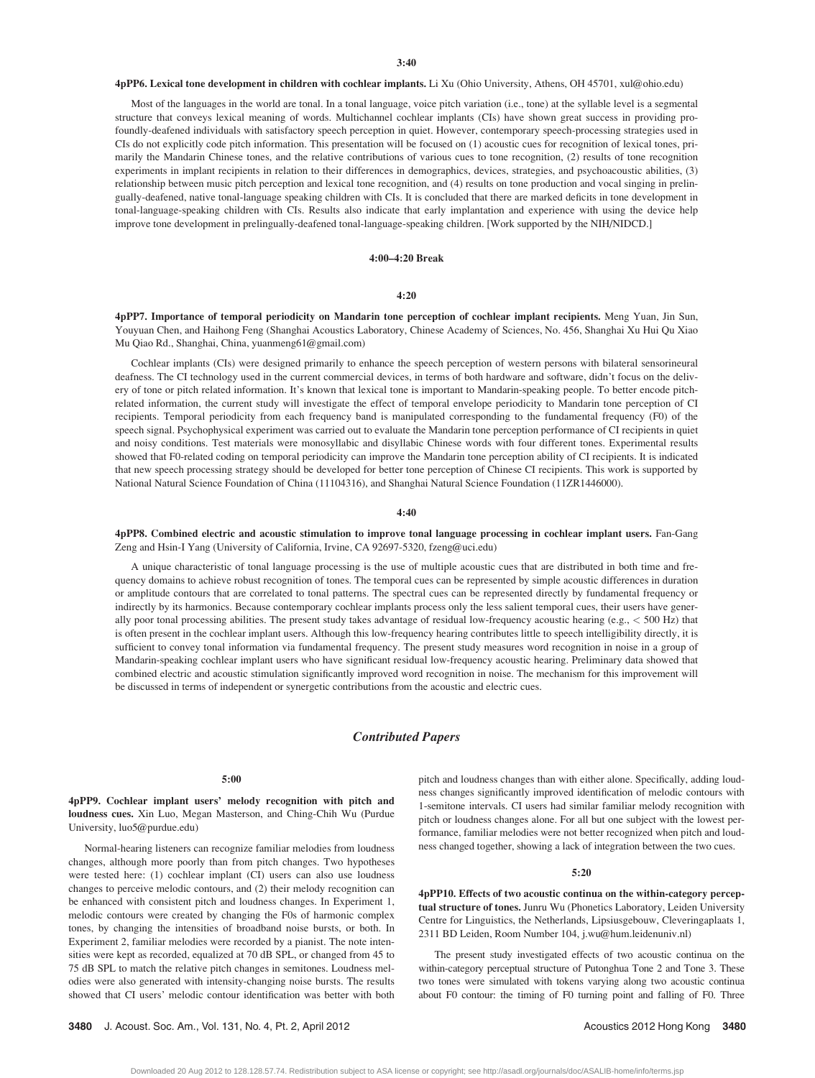#### 4pPP6. Lexical tone development in children with cochlear implants. Li Xu (Ohio University, Athens, OH 45701, xul@ohio.edu)

Most of the languages in the world are tonal. In a tonal language, voice pitch variation (i.e., tone) at the syllable level is a segmental structure that conveys lexical meaning of words. Multichannel cochlear implants (CIs) have shown great success in providing profoundly-deafened individuals with satisfactory speech perception in quiet. However, contemporary speech-processing strategies used in CIs do not explicitly code pitch information. This presentation will be focused on (1) acoustic cues for recognition of lexical tones, primarily the Mandarin Chinese tones, and the relative contributions of various cues to tone recognition, (2) results of tone recognition experiments in implant recipients in relation to their differences in demographics, devices, strategies, and psychoacoustic abilities, (3) relationship between music pitch perception and lexical tone recognition, and (4) results on tone production and vocal singing in prelingually-deafened, native tonal-language speaking children with CIs. It is concluded that there are marked deficits in tone development in tonal-language-speaking children with CIs. Results also indicate that early implantation and experience with using the device help improve tone development in prelingually-deafened tonal-language-speaking children. [Work supported by the NIH/NIDCD.]

## 4:00–4:20 Break

## 4:20

4pPP7. Importance of temporal periodicity on Mandarin tone perception of cochlear implant recipients. Meng Yuan, Jin Sun, Youyuan Chen, and Haihong Feng (Shanghai Acoustics Laboratory, Chinese Academy of Sciences, No. 456, Shanghai Xu Hui Qu Xiao Mu Qiao Rd., Shanghai, China, yuanmeng61@gmail.com)

Cochlear implants (CIs) were designed primarily to enhance the speech perception of western persons with bilateral sensorineural deafness. The CI technology used in the current commercial devices, in terms of both hardware and software, didn't focus on the delivery of tone or pitch related information. It's known that lexical tone is important to Mandarin-speaking people. To better encode pitchrelated information, the current study will investigate the effect of temporal envelope periodicity to Mandarin tone perception of CI recipients. Temporal periodicity from each frequency band is manipulated corresponding to the fundamental frequency (F0) of the speech signal. Psychophysical experiment was carried out to evaluate the Mandarin tone perception performance of CI recipients in quiet and noisy conditions. Test materials were monosyllabic and disyllabic Chinese words with four different tones. Experimental results showed that F0-related coding on temporal periodicity can improve the Mandarin tone perception ability of CI recipients. It is indicated that new speech processing strategy should be developed for better tone perception of Chinese CI recipients. This work is supported by National Natural Science Foundation of China (11104316), and Shanghai Natural Science Foundation (11ZR1446000).

#### 4:40

4pPP8. Combined electric and acoustic stimulation to improve tonal language processing in cochlear implant users. Fan-Gang Zeng and Hsin-I Yang (University of California, Irvine, CA 92697-5320, fzeng@uci.edu)

A unique characteristic of tonal language processing is the use of multiple acoustic cues that are distributed in both time and frequency domains to achieve robust recognition of tones. The temporal cues can be represented by simple acoustic differences in duration or amplitude contours that are correlated to tonal patterns. The spectral cues can be represented directly by fundamental frequency or indirectly by its harmonics. Because contemporary cochlear implants process only the less salient temporal cues, their users have generally poor tonal processing abilities. The present study takes advantage of residual low-frequency acoustic hearing (e.g., < 500 Hz) that is often present in the cochlear implant users. Although this low-frequency hearing contributes little to speech intelligibility directly, it is sufficient to convey tonal information via fundamental frequency. The present study measures word recognition in noise in a group of Mandarin-speaking cochlear implant users who have significant residual low-frequency acoustic hearing. Preliminary data showed that combined electric and acoustic stimulation significantly improved word recognition in noise. The mechanism for this improvement will be discussed in terms of independent or synergetic contributions from the acoustic and electric cues.

## Contributed Papers

## 5:00

4pPP9. Cochlear implant users' melody recognition with pitch and loudness cues. Xin Luo, Megan Masterson, and Ching-Chih Wu (Purdue University, luo5@purdue.edu)

Normal-hearing listeners can recognize familiar melodies from loudness changes, although more poorly than from pitch changes. Two hypotheses were tested here: (1) cochlear implant (CI) users can also use loudness changes to perceive melodic contours, and (2) their melody recognition can be enhanced with consistent pitch and loudness changes. In Experiment 1, melodic contours were created by changing the F0s of harmonic complex tones, by changing the intensities of broadband noise bursts, or both. In Experiment 2, familiar melodies were recorded by a pianist. The note intensities were kept as recorded, equalized at 70 dB SPL, or changed from 45 to 75 dB SPL to match the relative pitch changes in semitones. Loudness melodies were also generated with intensity-changing noise bursts. The results showed that CI users' melodic contour identification was better with both pitch and loudness changes than with either alone. Specifically, adding loudness changes significantly improved identification of melodic contours with 1-semitone intervals. CI users had similar familiar melody recognition with pitch or loudness changes alone. For all but one subject with the lowest performance, familiar melodies were not better recognized when pitch and loudness changed together, showing a lack of integration between the two cues.

## 5:20

4pPP10. Effects of two acoustic continua on the within-category perceptual structure of tones. Junru Wu (Phonetics Laboratory, Leiden University Centre for Linguistics, the Netherlands, Lipsiusgebouw, Cleveringaplaats 1, 2311 BD Leiden, Room Number 104, j.wu@hum.leidenuniv.nl)

The present study investigated effects of two acoustic continua on the within-category perceptual structure of Putonghua Tone 2 and Tone 3. These two tones were simulated with tokens varying along two acoustic continua about F0 contour: the timing of F0 turning point and falling of F0. Three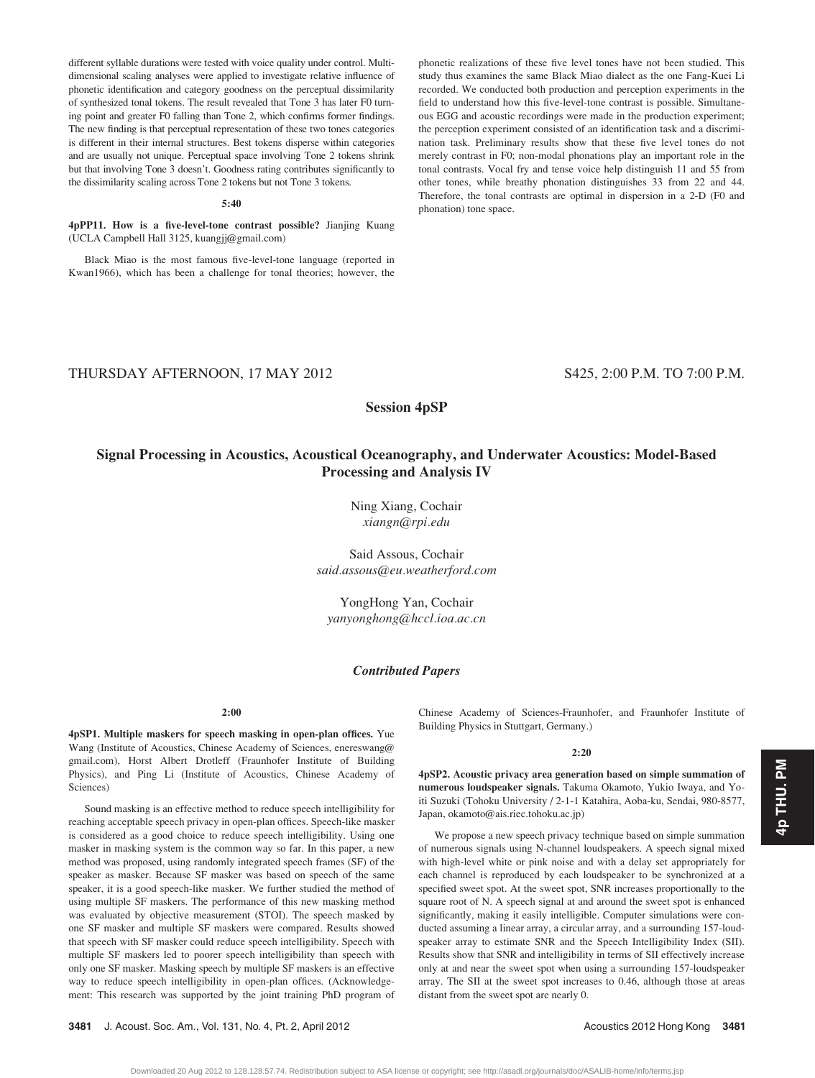different syllable durations were tested with voice quality under control. Multidimensional scaling analyses were applied to investigate relative influence of phonetic identification and category goodness on the perceptual dissimilarity of synthesized tonal tokens. The result revealed that Tone 3 has later F0 turning point and greater F0 falling than Tone 2, which confirms former findings. The new finding is that perceptual representation of these two tones categories is different in their internal structures. Best tokens disperse within categories and are usually not unique. Perceptual space involving Tone 2 tokens shrink but that involving Tone 3 doesn't. Goodness rating contributes significantly to the dissimilarity scaling across Tone 2 tokens but not Tone 3 tokens.

## 5:40

4pPP11. How is a five-level-tone contrast possible? Jianjing Kuang (UCLA Campbell Hall 3125, kuangjj@gmail.com)

Black Miao is the most famous five-level-tone language (reported in Kwan1966), which has been a challenge for tonal theories; however, the phonetic realizations of these five level tones have not been studied. This study thus examines the same Black Miao dialect as the one Fang-Kuei Li recorded. We conducted both production and perception experiments in the field to understand how this five-level-tone contrast is possible. Simultaneous EGG and acoustic recordings were made in the production experiment; the perception experiment consisted of an identification task and a discrimination task. Preliminary results show that these five level tones do not merely contrast in F0; non-modal phonations play an important role in the tonal contrasts. Vocal fry and tense voice help distinguish 11 and 55 from other tones, while breathy phonation distinguishes 33 from 22 and 44. Therefore, the tonal contrasts are optimal in dispersion in a 2-D (F0 and phonation) tone space.

# THURSDAY AFTERNOON, 17 MAY 2012 S425, 2:00 P.M. TO 7:00 P.M.

Session 4pSP

# Signal Processing in Acoustics, Acoustical Oceanography, and Underwater Acoustics: Model-Based Processing and Analysis IV

Ning Xiang, Cochair xiangn@rpi.edu

Said Assous, Cochair said.assous@eu.weatherford.com

YongHong Yan, Cochair yanyonghong@hccl.ioa.ac.cn

## Contributed Papers

2:00

4pSP1. Multiple maskers for speech masking in open-plan offices. Yue Wang (Institute of Acoustics, Chinese Academy of Sciences, enereswang@ gmail.com), Horst Albert Drotleff (Fraunhofer Institute of Building Physics), and Ping Li (Institute of Acoustics, Chinese Academy of Sciences)

Sound masking is an effective method to reduce speech intelligibility for reaching acceptable speech privacy in open-plan offices. Speech-like masker is considered as a good choice to reduce speech intelligibility. Using one masker in masking system is the common way so far. In this paper, a new method was proposed, using randomly integrated speech frames (SF) of the speaker as masker. Because SF masker was based on speech of the same speaker, it is a good speech-like masker. We further studied the method of using multiple SF maskers. The performance of this new masking method was evaluated by objective measurement (STOI). The speech masked by one SF masker and multiple SF maskers were compared. Results showed that speech with SF masker could reduce speech intelligibility. Speech with multiple SF maskers led to poorer speech intelligibility than speech with only one SF masker. Masking speech by multiple SF maskers is an effective way to reduce speech intelligibility in open-plan offices. (Acknowledgement: This research was supported by the joint training PhD program of Chinese Academy of Sciences-Fraunhofer, and Fraunhofer Institute of Building Physics in Stuttgart, Germany.)

## 2:20

4pSP2. Acoustic privacy area generation based on simple summation of numerous loudspeaker signals. Takuma Okamoto, Yukio Iwaya, and Yoiti Suzuki (Tohoku University / 2-1-1 Katahira, Aoba-ku, Sendai, 980-8577, Japan, okamoto@ais.riec.tohoku.ac.jp)

We propose a new speech privacy technique based on simple summation of numerous signals using N-channel loudspeakers. A speech signal mixed with high-level white or pink noise and with a delay set appropriately for each channel is reproduced by each loudspeaker to be synchronized at a specified sweet spot. At the sweet spot, SNR increases proportionally to the square root of N. A speech signal at and around the sweet spot is enhanced significantly, making it easily intelligible. Computer simulations were conducted assuming a linear array, a circular array, and a surrounding 157-loudspeaker array to estimate SNR and the Speech Intelligibility Index (SII). Results show that SNR and intelligibility in terms of SII effectively increase only at and near the sweet spot when using a surrounding 157-loudspeaker array. The SII at the sweet spot increases to 0.46, although those at areas distant from the sweet spot are nearly 0.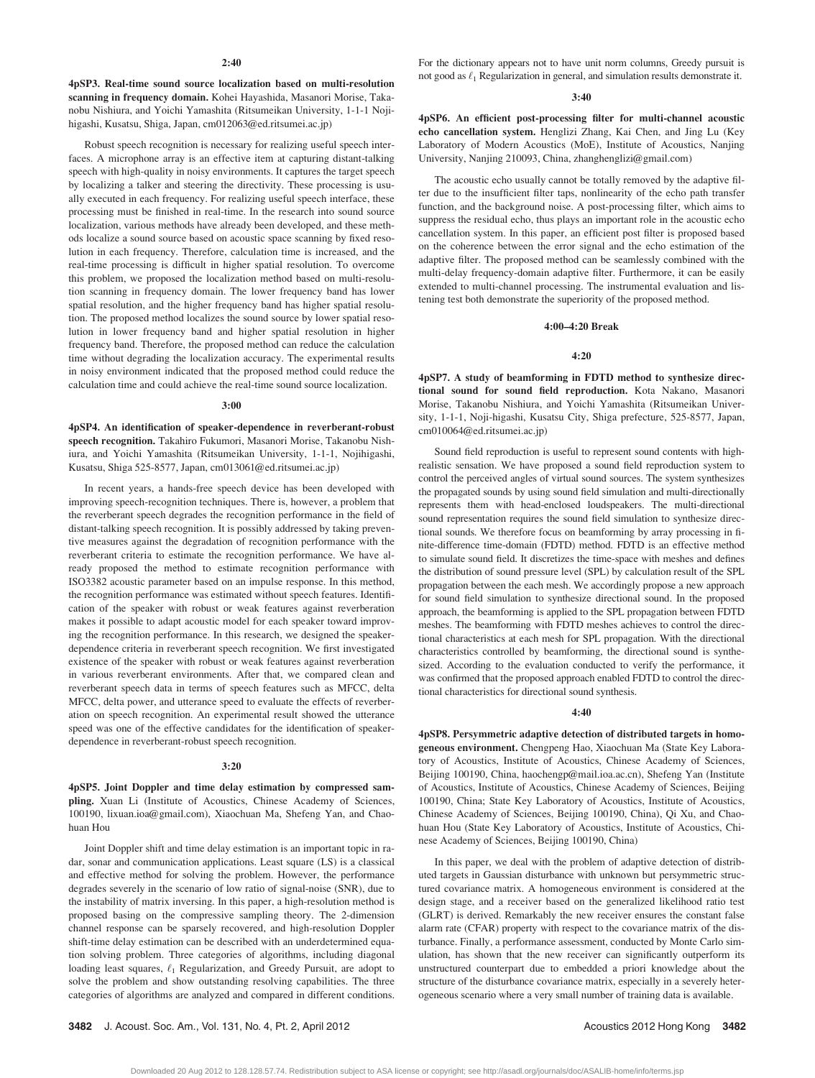4pSP3. Real-time sound source localization based on multi-resolution scanning in frequency domain. Kohei Hayashida, Masanori Morise, Takanobu Nishiura, and Yoichi Yamashita (Ritsumeikan University, 1-1-1 Nojihigashi, Kusatsu, Shiga, Japan, cm012063@ed.ritsumei.ac.jp)

Robust speech recognition is necessary for realizing useful speech interfaces. A microphone array is an effective item at capturing distant-talking speech with high-quality in noisy environments. It captures the target speech by localizing a talker and steering the directivity. These processing is usually executed in each frequency. For realizing useful speech interface, these processing must be finished in real-time. In the research into sound source localization, various methods have already been developed, and these methods localize a sound source based on acoustic space scanning by fixed resolution in each frequency. Therefore, calculation time is increased, and the real-time processing is difficult in higher spatial resolution. To overcome this problem, we proposed the localization method based on multi-resolution scanning in frequency domain. The lower frequency band has lower spatial resolution, and the higher frequency band has higher spatial resolution. The proposed method localizes the sound source by lower spatial resolution in lower frequency band and higher spatial resolution in higher frequency band. Therefore, the proposed method can reduce the calculation time without degrading the localization accuracy. The experimental results in noisy environment indicated that the proposed method could reduce the calculation time and could achieve the real-time sound source localization.

#### 3:00

4pSP4. An identification of speaker-dependence in reverberant-robust speech recognition. Takahiro Fukumori, Masanori Morise, Takanobu Nishiura, and Yoichi Yamashita (Ritsumeikan University, 1-1-1, Nojihigashi, Kusatsu, Shiga 525-8577, Japan, cm013061@ed.ritsumei.ac.jp)

In recent years, a hands-free speech device has been developed with improving speech-recognition techniques. There is, however, a problem that the reverberant speech degrades the recognition performance in the field of distant-talking speech recognition. It is possibly addressed by taking preventive measures against the degradation of recognition performance with the reverberant criteria to estimate the recognition performance. We have already proposed the method to estimate recognition performance with ISO3382 acoustic parameter based on an impulse response. In this method, the recognition performance was estimated without speech features. Identification of the speaker with robust or weak features against reverberation makes it possible to adapt acoustic model for each speaker toward improving the recognition performance. In this research, we designed the speakerdependence criteria in reverberant speech recognition. We first investigated existence of the speaker with robust or weak features against reverberation in various reverberant environments. After that, we compared clean and reverberant speech data in terms of speech features such as MFCC, delta MFCC, delta power, and utterance speed to evaluate the effects of reverberation on speech recognition. An experimental result showed the utterance speed was one of the effective candidates for the identification of speakerdependence in reverberant-robust speech recognition.

## 3:20

4pSP5. Joint Doppler and time delay estimation by compressed sampling. Xuan Li (Institute of Acoustics, Chinese Academy of Sciences, 100190, lixuan.ioa@gmail.com), Xiaochuan Ma, Shefeng Yan, and Chaohuan Hou

Joint Doppler shift and time delay estimation is an important topic in radar, sonar and communication applications. Least square (LS) is a classical and effective method for solving the problem. However, the performance degrades severely in the scenario of low ratio of signal-noise (SNR), due to the instability of matrix inversing. In this paper, a high-resolution method is proposed basing on the compressive sampling theory. The 2-dimension channel response can be sparsely recovered, and high-resolution Doppler shift-time delay estimation can be described with an underdetermined equation solving problem. Three categories of algorithms, including diagonal loading least squares,  $\ell_1$  Regularization, and Greedy Pursuit, are adopt to solve the problem and show outstanding resolving capabilities. The three categories of algorithms are analyzed and compared in different conditions. For the dictionary appears not to have unit norm columns, Greedy pursuit is not good as  $\ell_1$  Regularization in general, and simulation results demonstrate it.

#### 3:40

4pSP6. An efficient post-processing filter for multi-channel acoustic echo cancellation system. Henglizi Zhang, Kai Chen, and Jing Lu (Key Laboratory of Modern Acoustics (MoE), Institute of Acoustics, Nanjing University, Nanjing 210093, China, zhanghenglizi@gmail.com)

The acoustic echo usually cannot be totally removed by the adaptive filter due to the insufficient filter taps, nonlinearity of the echo path transfer function, and the background noise. A post-processing filter, which aims to suppress the residual echo, thus plays an important role in the acoustic echo cancellation system. In this paper, an efficient post filter is proposed based on the coherence between the error signal and the echo estimation of the adaptive filter. The proposed method can be seamlessly combined with the multi-delay frequency-domain adaptive filter. Furthermore, it can be easily extended to multi-channel processing. The instrumental evaluation and listening test both demonstrate the superiority of the proposed method.

#### 4:00–4:20 Break

## 4:20

4pSP7. A study of beamforming in FDTD method to synthesize directional sound for sound field reproduction. Kota Nakano, Masanori Morise, Takanobu Nishiura, and Yoichi Yamashita (Ritsumeikan University, 1-1-1, Noji-higashi, Kusatsu City, Shiga prefecture, 525-8577, Japan, cm010064@ed.ritsumei.ac.jp)

Sound field reproduction is useful to represent sound contents with highrealistic sensation. We have proposed a sound field reproduction system to control the perceived angles of virtual sound sources. The system synthesizes the propagated sounds by using sound field simulation and multi-directionally represents them with head-enclosed loudspeakers. The multi-directional sound representation requires the sound field simulation to synthesize directional sounds. We therefore focus on beamforming by array processing in finite-difference time-domain (FDTD) method. FDTD is an effective method to simulate sound field. It discretizes the time-space with meshes and defines the distribution of sound pressure level (SPL) by calculation result of the SPL propagation between the each mesh. We accordingly propose a new approach for sound field simulation to synthesize directional sound. In the proposed approach, the beamforming is applied to the SPL propagation between FDTD meshes. The beamforming with FDTD meshes achieves to control the directional characteristics at each mesh for SPL propagation. With the directional characteristics controlled by beamforming, the directional sound is synthesized. According to the evaluation conducted to verify the performance, it was confirmed that the proposed approach enabled FDTD to control the directional characteristics for directional sound synthesis.

## 4:40

4pSP8. Persymmetric adaptive detection of distributed targets in homogeneous environment. Chengpeng Hao, Xiaochuan Ma (State Key Laboratory of Acoustics, Institute of Acoustics, Chinese Academy of Sciences, Beijing 100190, China, haochengp@mail.ioa.ac.cn), Shefeng Yan (Institute of Acoustics, Institute of Acoustics, Chinese Academy of Sciences, Beijing 100190, China; State Key Laboratory of Acoustics, Institute of Acoustics, Chinese Academy of Sciences, Beijing 100190, China), Qi Xu, and Chaohuan Hou (State Key Laboratory of Acoustics, Institute of Acoustics, Chinese Academy of Sciences, Beijing 100190, China)

In this paper, we deal with the problem of adaptive detection of distributed targets in Gaussian disturbance with unknown but persymmetric structured covariance matrix. A homogeneous environment is considered at the design stage, and a receiver based on the generalized likelihood ratio test (GLRT) is derived. Remarkably the new receiver ensures the constant false alarm rate (CFAR) property with respect to the covariance matrix of the disturbance. Finally, a performance assessment, conducted by Monte Carlo simulation, has shown that the new receiver can significantly outperform its unstructured counterpart due to embedded a priori knowledge about the structure of the disturbance covariance matrix, especially in a severely heterogeneous scenario where a very small number of training data is available.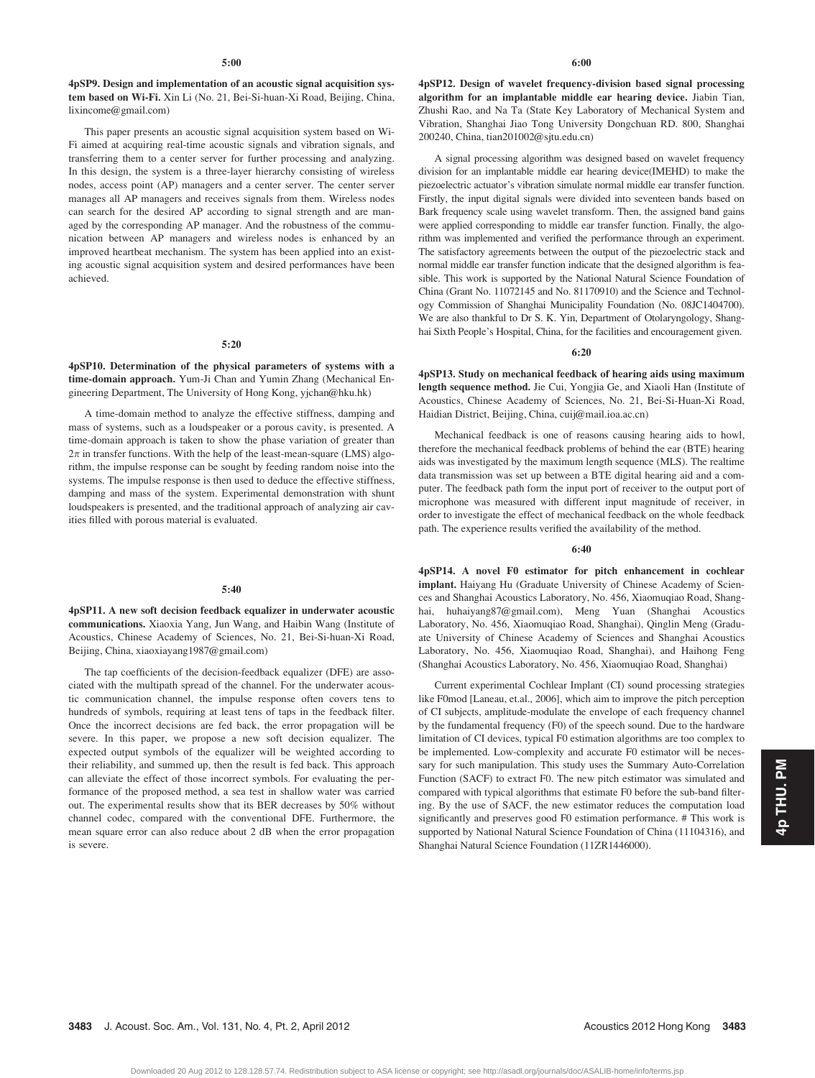4pSP9. Design and implementation of an acoustic signal acquisition system based on Wi-Fi. Xin Li (No. 21, Bei-Si-huan-Xi Road, Beijing, China, lixincome@gmail.com)

This paper presents an acoustic signal acquisition system based on Wi-Fi aimed at acquiring real-time acoustic signals and vibration signals, and transferring them to a center server for further processing and analyzing. In this design, the system is a three-layer hierarchy consisting of wireless nodes, access point (AP) managers and a center server. The center server manages all AP managers and receives signals from them. Wireless nodes can search for the desired AP according to signal strength and are managed by the corresponding AP manager. And the robustness of the communication between AP managers and wireless nodes is enhanced by an improved heartbeat mechanism. The system has been applied into an existing acoustic signal acquisition system and desired performances have been achieved.

#### 5:20

4pSP10. Determination of the physical parameters of systems with a time-domain approach. Yum-Ji Chan and Yumin Zhang (Mechanical Engineering Department, The University of Hong Kong, yjchan@hku.hk)

A time-domain method to analyze the effective stiffness, damping and mass of systems, such as a loudspeaker or a porous cavity, is presented. A time-domain approach is taken to show the phase variation of greater than  $2\pi$  in transfer functions. With the help of the least-mean-square (LMS) algorithm, the impulse response can be sought by feeding random noise into the systems. The impulse response is then used to deduce the effective stiffness, damping and mass of the system. Experimental demonstration with shunt loudspeakers is presented, and the traditional approach of analyzing air cavities filled with porous material is evaluated.

## 5:40

4pSP11. A new soft decision feedback equalizer in underwater acoustic communications. Xiaoxia Yang, Jun Wang, and Haibin Wang (Institute of Acoustics, Chinese Academy of Sciences, No. 21, Bei-Si-huan-Xi Road, Beijing, China, xiaoxiayang1987@gmail.com)

The tap coefficients of the decision-feedback equalizer (DFE) are associated with the multipath spread of the channel. For the underwater acoustic communication channel, the impulse response often covers tens to hundreds of symbols, requiring at least tens of taps in the feedback filter. Once the incorrect decisions are fed back, the error propagation will be severe. In this paper, we propose a new soft decision equalizer. The expected output symbols of the equalizer will be weighted according to their reliability, and summed up, then the result is fed back. This approach can alleviate the effect of those incorrect symbols. For evaluating the performance of the proposed method, a sea test in shallow water was carried out. The experimental results show that its BER decreases by 50% without channel codec, compared with the conventional DFE. Furthermore, the mean square error can also reduce about 2 dB when the error propagation is severe.

4pSP12. Design of wavelet frequency-division based signal processing algorithm for an implantable middle ear hearing device. Jiabin Tian, Zhushi Rao, and Na Ta (State Key Laboratory of Mechanical System and Vibration, Shanghai Jiao Tong University Dongchuan RD. 800, Shanghai 200240, China, tian201002@sjtu.edu.cn)

A signal processing algorithm was designed based on wavelet frequency division for an implantable middle ear hearing device(IMEHD) to make the piezoelectric actuator's vibration simulate normal middle ear transfer function. Firstly, the input digital signals were divided into seventeen bands based on Bark frequency scale using wavelet transform. Then, the assigned band gains were applied corresponding to middle ear transfer function. Finally, the algorithm was implemented and verified the performance through an experiment. The satisfactory agreements between the output of the piezoelectric stack and normal middle ear transfer function indicate that the designed algorithm is feasible. This work is supported by the National Natural Science Foundation of China (Grant No. 11072145 and No. 81170910) and the Science and Technology Commission of Shanghai Municipality Foundation (No. 08JC1404700). We are also thankful to Dr S. K. Yin, Department of Otolaryngology, Shanghai Sixth People's Hospital, China, for the facilities and encouragement given.

## 6:20

4pSP13. Study on mechanical feedback of hearing aids using maximum length sequence method. Jie Cui, Yongjia Ge, and Xiaoli Han (Institute of Acoustics, Chinese Academy of Sciences, No. 21, Bei-Si-Huan-Xi Road, Haidian District, Beijing, China, cuij@mail.ioa.ac.cn)

Mechanical feedback is one of reasons causing hearing aids to howl, therefore the mechanical feedback problems of behind the ear (BTE) hearing aids was investigated by the maximum length sequence (MLS). The realtime data transmission was set up between a BTE digital hearing aid and a computer. The feedback path form the input port of receiver to the output port of microphone was measured with different input magnitude of receiver, in order to investigate the effect of mechanical feedback on the whole feedback path. The experience results verified the availability of the method.

## 6:40

4pSP14. A novel F0 estimator for pitch enhancement in cochlear implant. Haiyang Hu (Graduate University of Chinese Academy of Sciences and Shanghai Acoustics Laboratory, No. 456, Xiaomuqiao Road, Shanghai, huhaiyang87@gmail.com), Meng Yuan (Shanghai Acoustics Laboratory, No. 456, Xiaomuqiao Road, Shanghai), Qinglin Meng (Graduate University of Chinese Academy of Sciences and Shanghai Acoustics Laboratory, No. 456, Xiaomuqiao Road, Shanghai), and Haihong Feng (Shanghai Acoustics Laboratory, No. 456, Xiaomuqiao Road, Shanghai)

Current experimental Cochlear Implant (CI) sound processing strategies like F0mod [Laneau, et.al., 2006], which aim to improve the pitch perception of CI subjects, amplitude-modulate the envelope of each frequency channel by the fundamental frequency (F0) of the speech sound. Due to the hardware limitation of CI devices, typical F0 estimation algorithms are too complex to be implemented. Low-complexity and accurate F0 estimator will be necessary for such manipulation. This study uses the Summary Auto-Correlation Function (SACF) to extract F0. The new pitch estimator was simulated and compared with typical algorithms that estimate F0 before the sub-band filtering. By the use of SACF, the new estimator reduces the computation load significantly and preserves good F0 estimation performance. # This work is supported by National Natural Science Foundation of China (11104316), and Shanghai Natural Science Foundation (11ZR1446000).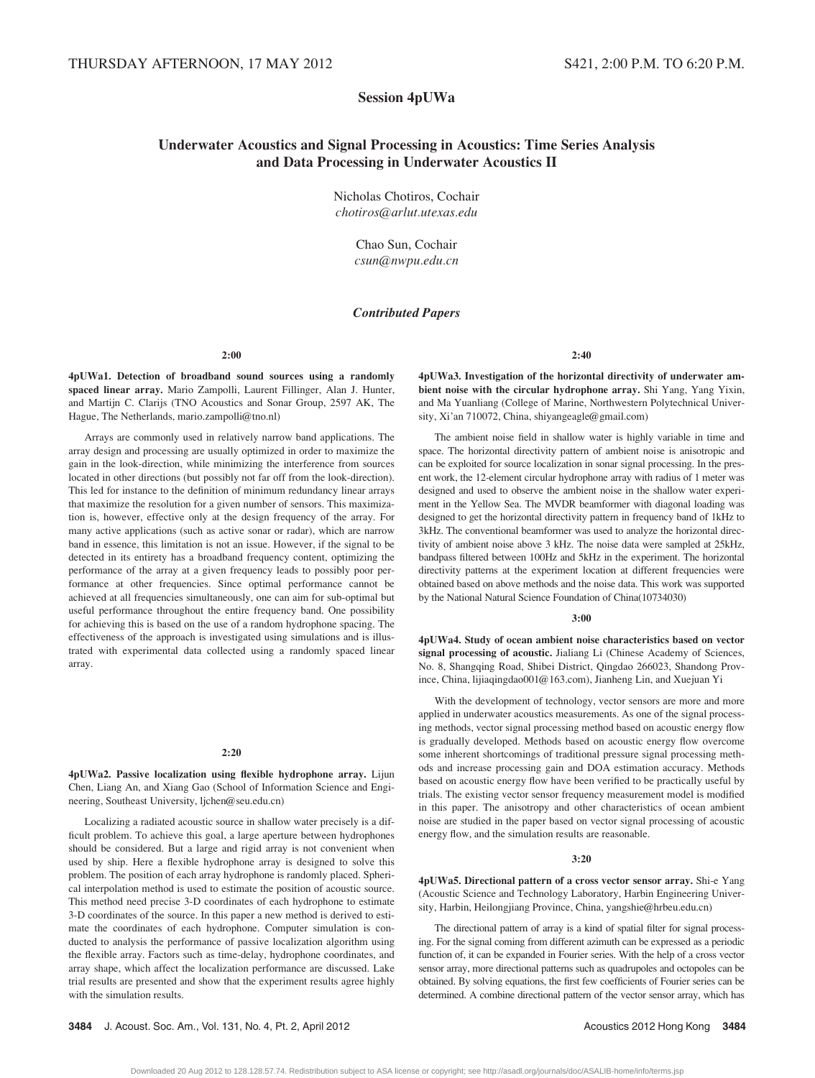# Session 4pUWa

# Underwater Acoustics and Signal Processing in Acoustics: Time Series Analysis and Data Processing in Underwater Acoustics II

Nicholas Chotiros, Cochair chotiros@arlut.utexas.edu

> Chao Sun, Cochair csun@nwpu.edu.cn

## Contributed Papers

2:00

4pUWa1. Detection of broadband sound sources using a randomly spaced linear array. Mario Zampolli, Laurent Fillinger, Alan J. Hunter, and Martijn C. Clarijs (TNO Acoustics and Sonar Group, 2597 AK, The Hague, The Netherlands, mario.zampolli@tno.nl)

Arrays are commonly used in relatively narrow band applications. The array design and processing are usually optimized in order to maximize the gain in the look-direction, while minimizing the interference from sources located in other directions (but possibly not far off from the look-direction). This led for instance to the definition of minimum redundancy linear arrays that maximize the resolution for a given number of sensors. This maximization is, however, effective only at the design frequency of the array. For many active applications (such as active sonar or radar), which are narrow band in essence, this limitation is not an issue. However, if the signal to be detected in its entirety has a broadband frequency content, optimizing the performance of the array at a given frequency leads to possibly poor performance at other frequencies. Since optimal performance cannot be achieved at all frequencies simultaneously, one can aim for sub-optimal but useful performance throughout the entire frequency band. One possibility for achieving this is based on the use of a random hydrophone spacing. The effectiveness of the approach is investigated using simulations and is illustrated with experimental data collected using a randomly spaced linear array.

#### 2:20

4pUWa2. Passive localization using flexible hydrophone array. Lijun Chen, Liang An, and Xiang Gao (School of Information Science and Engineering, Southeast University, ljchen@seu.edu.cn)

Localizing a radiated acoustic source in shallow water precisely is a difficult problem. To achieve this goal, a large aperture between hydrophones should be considered. But a large and rigid array is not convenient when used by ship. Here a flexible hydrophone array is designed to solve this problem. The position of each array hydrophone is randomly placed. Spherical interpolation method is used to estimate the position of acoustic source. This method need precise 3-D coordinates of each hydrophone to estimate 3-D coordinates of the source. In this paper a new method is derived to estimate the coordinates of each hydrophone. Computer simulation is conducted to analysis the performance of passive localization algorithm using the flexible array. Factors such as time-delay, hydrophone coordinates, and array shape, which affect the localization performance are discussed. Lake trial results are presented and show that the experiment results agree highly with the simulation results.

2:40

4pUWa3. Investigation of the horizontal directivity of underwater ambient noise with the circular hydrophone array. Shi Yang, Yang Yixin, and Ma Yuanliang (College of Marine, Northwestern Polytechnical University, Xi'an 710072, China, shiyangeagle@gmail.com)

The ambient noise field in shallow water is highly variable in time and space. The horizontal directivity pattern of ambient noise is anisotropic and can be exploited for source localization in sonar signal processing. In the present work, the 12-element circular hydrophone array with radius of 1 meter was designed and used to observe the ambient noise in the shallow water experiment in the Yellow Sea. The MVDR beamformer with diagonal loading was designed to get the horizontal directivity pattern in frequency band of 1kHz to 3kHz. The conventional beamformer was used to analyze the horizontal directivity of ambient noise above 3 kHz. The noise data were sampled at 25kHz, bandpass filtered between 100Hz and 5kHz in the experiment. The horizontal directivity patterns at the experiment location at different frequencies were obtained based on above methods and the noise data. This work was supported by the National Natural Science Foundation of China(10734030)

## 3:00

4pUWa4. Study of ocean ambient noise characteristics based on vector signal processing of acoustic. Jialiang Li (Chinese Academy of Sciences, No. 8, Shangqing Road, Shibei District, Qingdao 266023, Shandong Province, China, lijiaqingdao001@163.com), Jianheng Lin, and Xuejuan Yi

With the development of technology, vector sensors are more and more applied in underwater acoustics measurements. As one of the signal processing methods, vector signal processing method based on acoustic energy flow is gradually developed. Methods based on acoustic energy flow overcome some inherent shortcomings of traditional pressure signal processing methods and increase processing gain and DOA estimation accuracy. Methods based on acoustic energy flow have been verified to be practically useful by trials. The existing vector sensor frequency measurement model is modified in this paper. The anisotropy and other characteristics of ocean ambient noise are studied in the paper based on vector signal processing of acoustic energy flow, and the simulation results are reasonable.

#### 3:20

4pUWa5. Directional pattern of a cross vector sensor array. Shi-e Yang (Acoustic Science and Technology Laboratory, Harbin Engineering University, Harbin, Heilongjiang Province, China, yangshie@hrbeu.edu.cn)

The directional pattern of array is a kind of spatial filter for signal processing. For the signal coming from different azimuth can be expressed as a periodic function of, it can be expanded in Fourier series. With the help of a cross vector sensor array, more directional patterns such as quadrupoles and octopoles can be obtained. By solving equations, the first few coefficients of Fourier series can be determined. A combine directional pattern of the vector sensor array, which has

3484 J. Acoust. Soc. Am., Vol. 131, No. 4, Pt. 2, April 2012 Acoustics 2012 Hong Kong 3484 J. Acoustics 2012 Hong Kong 3484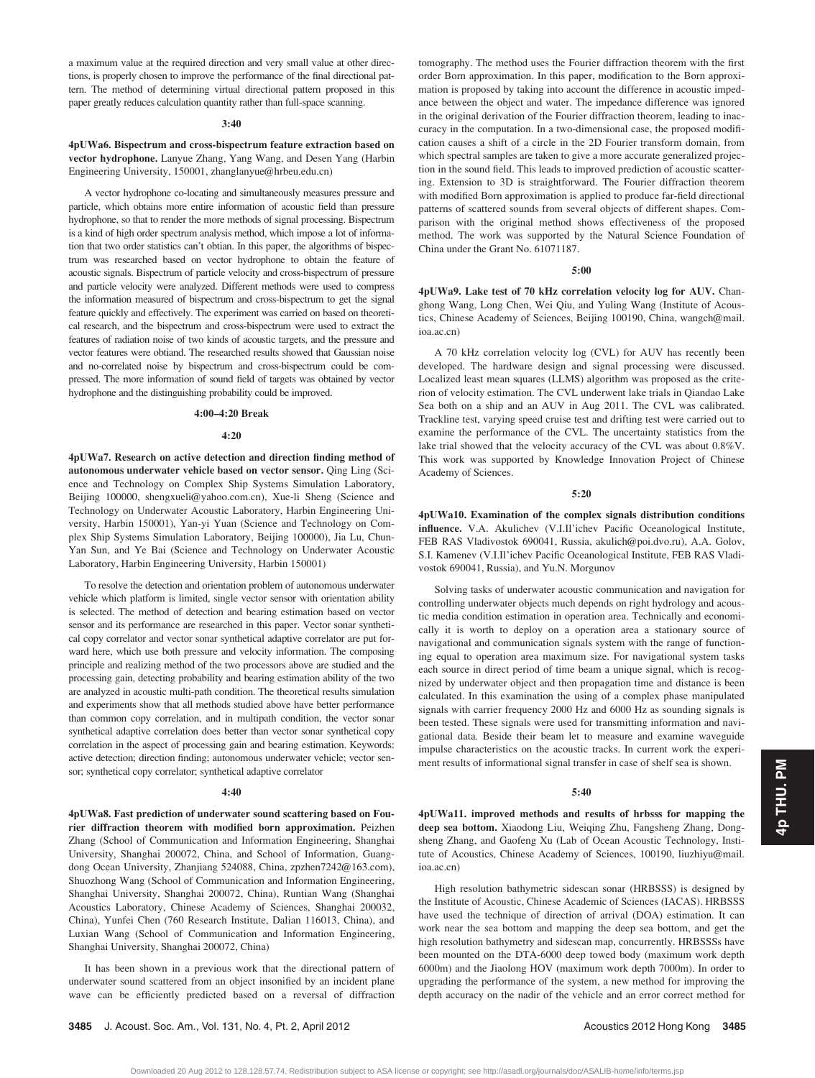a maximum value at the required direction and very small value at other directions, is properly chosen to improve the performance of the final directional pattern. The method of determining virtual directional pattern proposed in this paper greatly reduces calculation quantity rather than full-space scanning.

#### 3:40

4pUWa6. Bispectrum and cross-bispectrum feature extraction based on vector hydrophone. Lanyue Zhang, Yang Wang, and Desen Yang (Harbin Engineering University, 150001, zhanglanyue@hrbeu.edu.cn)

A vector hydrophone co-locating and simultaneously measures pressure and particle, which obtains more entire information of acoustic field than pressure hydrophone, so that to render the more methods of signal processing. Bispectrum is a kind of high order spectrum analysis method, which impose a lot of information that two order statistics can't obtian. In this paper, the algorithms of bispectrum was researched based on vector hydrophone to obtain the feature of acoustic signals. Bispectrum of particle velocity and cross-bispectrum of pressure and particle velocity were analyzed. Different methods were used to compress the information measured of bispectrum and cross-bispectrum to get the signal feature quickly and effectively. The experiment was carried on based on theoretical research, and the bispectrum and cross-bispectrum were used to extract the features of radiation noise of two kinds of acoustic targets, and the pressure and vector features were obtiand. The researched results showed that Gaussian noise and no-correlated noise by bispectrum and cross-bispectrum could be compressed. The more information of sound field of targets was obtained by vector hydrophone and the distinguishing probability could be improved.

## 4:00–4:20 Break

## 4:20

4pUWa7. Research on active detection and direction finding method of autonomous underwater vehicle based on vector sensor. Qing Ling (Science and Technology on Complex Ship Systems Simulation Laboratory, Beijing 100000, shengxueli@yahoo.com.cn), Xue-li Sheng (Science and Technology on Underwater Acoustic Laboratory, Harbin Engineering University, Harbin 150001), Yan-yi Yuan (Science and Technology on Complex Ship Systems Simulation Laboratory, Beijing 100000), Jia Lu, Chun-Yan Sun, and Ye Bai (Science and Technology on Underwater Acoustic Laboratory, Harbin Engineering University, Harbin 150001)

To resolve the detection and orientation problem of autonomous underwater vehicle which platform is limited, single vector sensor with orientation ability is selected. The method of detection and bearing estimation based on vector sensor and its performance are researched in this paper. Vector sonar synthetical copy correlator and vector sonar synthetical adaptive correlator are put forward here, which use both pressure and velocity information. The composing principle and realizing method of the two processors above are studied and the processing gain, detecting probability and bearing estimation ability of the two are analyzed in acoustic multi-path condition. The theoretical results simulation and experiments show that all methods studied above have better performance than common copy correlation, and in multipath condition, the vector sonar synthetical adaptive correlation does better than vector sonar synthetical copy correlation in the aspect of processing gain and bearing estimation. Keywords: active detection; direction finding; autonomous underwater vehicle; vector sensor; synthetical copy correlator; synthetical adaptive correlator

#### 4:40

4pUWa8. Fast prediction of underwater sound scattering based on Fourier diffraction theorem with modified born approximation. Peizhen Zhang (School of Communication and Information Engineering, Shanghai University, Shanghai 200072, China, and School of Information, Guangdong Ocean University, Zhanjiang 524088, China, zpzhen7242@163.com), Shuozhong Wang (School of Communication and Information Engineering, Shanghai University, Shanghai 200072, China), Runtian Wang (Shanghai Acoustics Laboratory, Chinese Academy of Sciences, Shanghai 200032, China), Yunfei Chen (760 Research Institute, Dalian 116013, China), and Luxian Wang (School of Communication and Information Engineering, Shanghai University, Shanghai 200072, China)

It has been shown in a previous work that the directional pattern of underwater sound scattered from an object insonified by an incident plane wave can be efficiently predicted based on a reversal of diffraction tomography. The method uses the Fourier diffraction theorem with the first order Born approximation. In this paper, modification to the Born approximation is proposed by taking into account the difference in acoustic impedance between the object and water. The impedance difference was ignored in the original derivation of the Fourier diffraction theorem, leading to inaccuracy in the computation. In a two-dimensional case, the proposed modification causes a shift of a circle in the 2D Fourier transform domain, from which spectral samples are taken to give a more accurate generalized projection in the sound field. This leads to improved prediction of acoustic scattering. Extension to 3D is straightforward. The Fourier diffraction theorem with modified Born approximation is applied to produce far-field directional patterns of scattered sounds from several objects of different shapes. Comparison with the original method shows effectiveness of the proposed method. The work was supported by the Natural Science Foundation of China under the Grant No. 61071187.

## 5:00

4pUWa9. Lake test of 70 kHz correlation velocity log for AUV. Changhong Wang, Long Chen, Wei Qiu, and Yuling Wang (Institute of Acoustics, Chinese Academy of Sciences, Beijing 100190, China, wangch@mail. ioa.ac.cn)

A 70 kHz correlation velocity log (CVL) for AUV has recently been developed. The hardware design and signal processing were discussed. Localized least mean squares (LLMS) algorithm was proposed as the criterion of velocity estimation. The CVL underwent lake trials in Qiandao Lake Sea both on a ship and an AUV in Aug 2011. The CVL was calibrated. Trackline test, varying speed cruise test and drifting test were carried out to examine the performance of the CVL. The uncertainty statistics from the lake trial showed that the velocity accuracy of the CVL was about 0.8%V. This work was supported by Knowledge Innovation Project of Chinese Academy of Sciences.

#### 5:20

4pUWa10. Examination of the complex signals distribution conditions influence. V.A. Akulichev (V.I.Il'ichev Pacific Oceanological Institute, FEB RAS Vladivostok 690041, Russia, akulich@poi.dvo.ru), A.A. Golov, S.I. Kamenev (V.I.Il'ichev Pacific Oceanological Institute, FEB RAS Vladivostok 690041, Russia), and Yu.N. Morgunov

Solving tasks of underwater acoustic communication and navigation for controlling underwater objects much depends on right hydrology and acoustic media condition estimation in operation area. Technically and economically it is worth to deploy on a operation area a stationary source of navigational and communication signals system with the range of functioning equal to operation area maximum size. For navigational system tasks each source in direct period of time beam a unique signal, which is recognized by underwater object and then propagation time and distance is been calculated. In this examination the using of a complex phase manipulated signals with carrier frequency 2000 Hz and 6000 Hz as sounding signals is been tested. These signals were used for transmitting information and navigational data. Beside their beam let to measure and examine waveguide impulse characteristics on the acoustic tracks. In current work the experiment results of informational signal transfer in case of shelf sea is shown.

#### 5:40

4pUWa11. improved methods and results of hrbsss for mapping the deep sea bottom. Xiaodong Liu, Weiqing Zhu, Fangsheng Zhang, Dongsheng Zhang, and Gaofeng Xu (Lab of Ocean Acoustic Technology, Institute of Acoustics, Chinese Academy of Sciences, 100190, liuzhiyu@mail. ioa.ac.cn)

High resolution bathymetric sidescan sonar (HRBSSS) is designed by the Institute of Acoustic, Chinese Academic of Sciences (IACAS). HRBSSS have used the technique of direction of arrival (DOA) estimation. It can work near the sea bottom and mapping the deep sea bottom, and get the high resolution bathymetry and sidescan map, concurrently. HRBSSSs have been mounted on the DTA-6000 deep towed body (maximum work depth 6000m) and the Jiaolong HOV (maximum work depth 7000m). In order to upgrading the performance of the system, a new method for improving the depth accuracy on the nadir of the vehicle and an error correct method for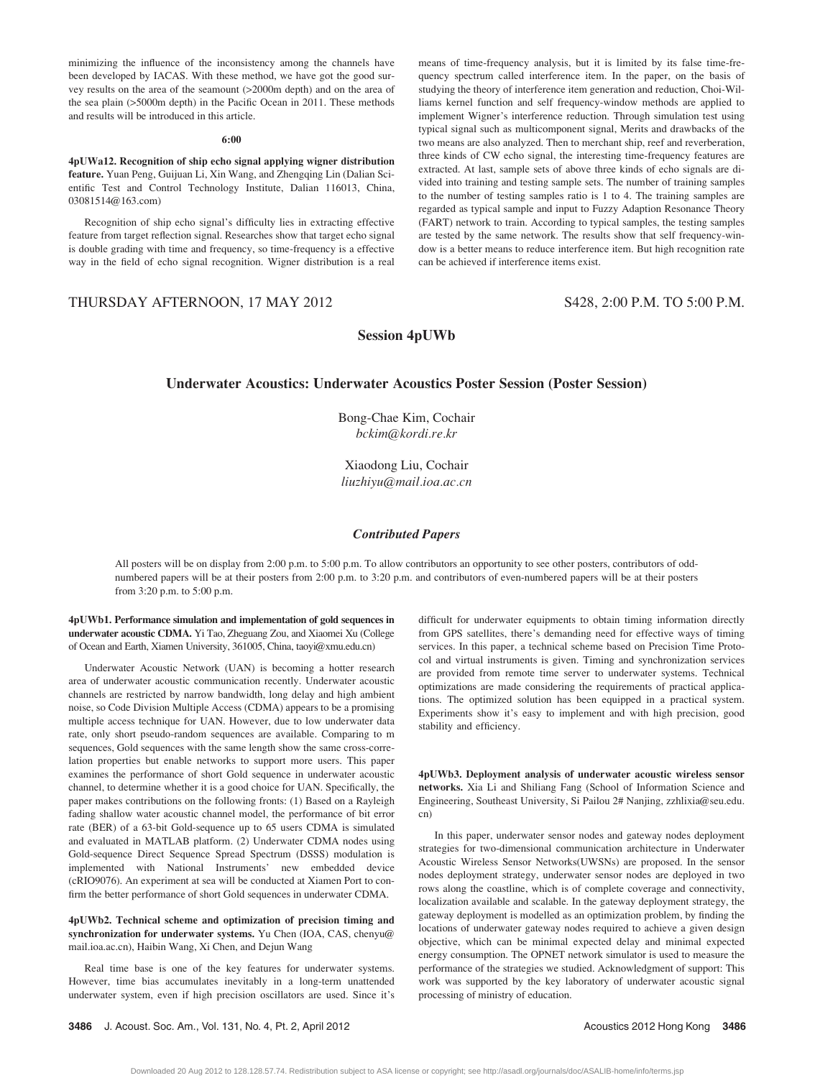minimizing the influence of the inconsistency among the channels have been developed by IACAS. With these method, we have got the good survey results on the area of the seamount (>2000m depth) and on the area of the sea plain (>5000m depth) in the Pacific Ocean in 2011. These methods and results will be introduced in this article.

## 6:00

4pUWa12. Recognition of ship echo signal applying wigner distribution feature. Yuan Peng, Guijuan Li, Xin Wang, and Zhengqing Lin (Dalian Scientific Test and Control Technology Institute, Dalian 116013, China, 03081514@163.com)

Recognition of ship echo signal's difficulty lies in extracting effective feature from target reflection signal. Researches show that target echo signal is double grading with time and frequency, so time-frequency is a effective way in the field of echo signal recognition. Wigner distribution is a real means of time-frequency analysis, but it is limited by its false time-frequency spectrum called interference item. In the paper, on the basis of studying the theory of interference item generation and reduction, Choi-Williams kernel function and self frequency-window methods are applied to implement Wigner's interference reduction. Through simulation test using typical signal such as multicomponent signal, Merits and drawbacks of the two means are also analyzed. Then to merchant ship, reef and reverberation, three kinds of CW echo signal, the interesting time-frequency features are extracted. At last, sample sets of above three kinds of echo signals are divided into training and testing sample sets. The number of training samples to the number of testing samples ratio is 1 to 4. The training samples are regarded as typical sample and input to Fuzzy Adaption Resonance Theory (FART) network to train. According to typical samples, the testing samples are tested by the same network. The results show that self frequency-window is a better means to reduce interference item. But high recognition rate can be achieved if interference items exist.

# THURSDAY AFTERNOON, 17 MAY 2012 S428, 2:00 P.M. TO 5:00 P.M.

## Session 4pUWb

## Underwater Acoustics: Underwater Acoustics Poster Session (Poster Session)

Bong-Chae Kim, Cochair bckim@kordi.re.kr

Xiaodong Liu, Cochair liuzhiyu@mail.ioa.ac.cn

## Contributed Papers

All posters will be on display from 2:00 p.m. to 5:00 p.m. To allow contributors an opportunity to see other posters, contributors of oddnumbered papers will be at their posters from 2:00 p.m. to 3:20 p.m. and contributors of even-numbered papers will be at their posters from 3:20 p.m. to 5:00 p.m.

4pUWb1. Performance simulation and implementation of gold sequences in underwater acoustic CDMA. Yi Tao, Zheguang Zou, and Xiaomei Xu (College of Ocean and Earth, Xiamen University, 361005, China, taoyi@xmu.edu.cn)

Underwater Acoustic Network (UAN) is becoming a hotter research area of underwater acoustic communication recently. Underwater acoustic channels are restricted by narrow bandwidth, long delay and high ambient noise, so Code Division Multiple Access (CDMA) appears to be a promising multiple access technique for UAN. However, due to low underwater data rate, only short pseudo-random sequences are available. Comparing to m sequences, Gold sequences with the same length show the same cross-correlation properties but enable networks to support more users. This paper examines the performance of short Gold sequence in underwater acoustic channel, to determine whether it is a good choice for UAN. Specifically, the paper makes contributions on the following fronts: (1) Based on a Rayleigh fading shallow water acoustic channel model, the performance of bit error rate (BER) of a 63-bit Gold-sequence up to 65 users CDMA is simulated and evaluated in MATLAB platform. (2) Underwater CDMA nodes using Gold-sequence Direct Sequence Spread Spectrum (DSSS) modulation is implemented with National Instruments' new embedded device (cRIO9076). An experiment at sea will be conducted at Xiamen Port to confirm the better performance of short Gold sequences in underwater CDMA.

4pUWb2. Technical scheme and optimization of precision timing and synchronization for underwater systems. Yu Chen (IOA, CAS, chenyu@ mail.ioa.ac.cn), Haibin Wang, Xi Chen, and Dejun Wang

Real time base is one of the key features for underwater systems. However, time bias accumulates inevitably in a long-term unattended underwater system, even if high precision oscillators are used. Since it's difficult for underwater equipments to obtain timing information directly from GPS satellites, there's demanding need for effective ways of timing services. In this paper, a technical scheme based on Precision Time Protocol and virtual instruments is given. Timing and synchronization services are provided from remote time server to underwater systems. Technical optimizations are made considering the requirements of practical applications. The optimized solution has been equipped in a practical system. Experiments show it's easy to implement and with high precision, good stability and efficiency.

4pUWb3. Deployment analysis of underwater acoustic wireless sensor networks. Xia Li and Shiliang Fang (School of Information Science and Engineering, Southeast University, Si Pailou 2# Nanjing, zzhlixia@seu.edu. cn)

In this paper, underwater sensor nodes and gateway nodes deployment strategies for two-dimensional communication architecture in Underwater Acoustic Wireless Sensor Networks(UWSNs) are proposed. In the sensor nodes deployment strategy, underwater sensor nodes are deployed in two rows along the coastline, which is of complete coverage and connectivity, localization available and scalable. In the gateway deployment strategy, the gateway deployment is modelled as an optimization problem, by finding the locations of underwater gateway nodes required to achieve a given design objective, which can be minimal expected delay and minimal expected energy consumption. The OPNET network simulator is used to measure the performance of the strategies we studied. Acknowledgment of support: This work was supported by the key laboratory of underwater acoustic signal processing of ministry of education.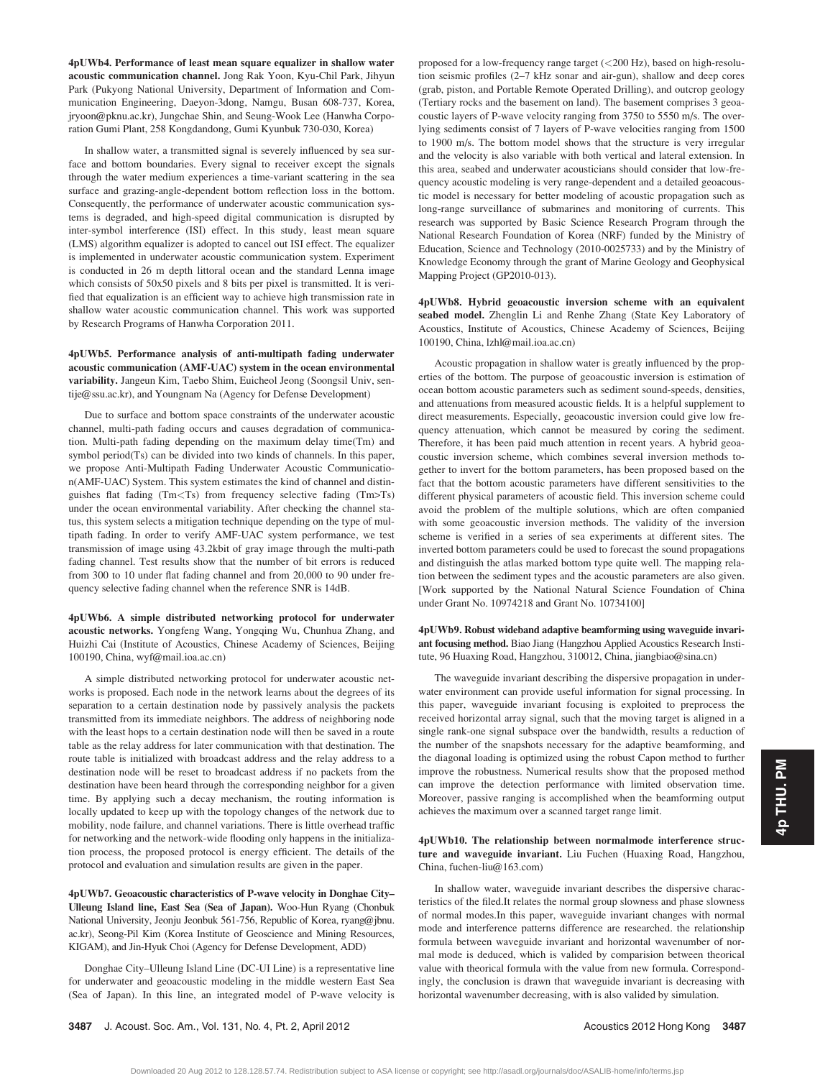4pUWb4. Performance of least mean square equalizer in shallow water acoustic communication channel. Jong Rak Yoon, Kyu-Chil Park, Jihyun Park (Pukyong National University, Department of Information and Communication Engineering, Daeyon-3dong, Namgu, Busan 608-737, Korea, jryoon@pknu.ac.kr), Jungchae Shin, and Seung-Wook Lee (Hanwha Corporation Gumi Plant, 258 Kongdandong, Gumi Kyunbuk 730-030, Korea)

In shallow water, a transmitted signal is severely influenced by sea surface and bottom boundaries. Every signal to receiver except the signals through the water medium experiences a time-variant scattering in the sea surface and grazing-angle-dependent bottom reflection loss in the bottom. Consequently, the performance of underwater acoustic communication systems is degraded, and high-speed digital communication is disrupted by inter-symbol interference (ISI) effect. In this study, least mean square (LMS) algorithm equalizer is adopted to cancel out ISI effect. The equalizer is implemented in underwater acoustic communication system. Experiment is conducted in 26 m depth littoral ocean and the standard Lenna image which consists of 50x50 pixels and 8 bits per pixel is transmitted. It is verified that equalization is an efficient way to achieve high transmission rate in shallow water acoustic communication channel. This work was supported by Research Programs of Hanwha Corporation 2011.

## 4pUWb5. Performance analysis of anti-multipath fading underwater acoustic communication (AMF-UAC) system in the ocean environmental variability. Jangeun Kim, Taebo Shim, Euicheol Jeong (Soongsil Univ, sentije@ssu.ac.kr), and Youngnam Na (Agency for Defense Development)

Due to surface and bottom space constraints of the underwater acoustic channel, multi-path fading occurs and causes degradation of communication. Multi-path fading depending on the maximum delay time(Tm) and symbol period(Ts) can be divided into two kinds of channels. In this paper, we propose Anti-Multipath Fading Underwater Acoustic Communication(AMF-UAC) System. This system estimates the kind of channel and distinguishes flat fading (Tm<Ts) from frequency selective fading (Tm>Ts) under the ocean environmental variability. After checking the channel status, this system selects a mitigation technique depending on the type of multipath fading. In order to verify AMF-UAC system performance, we test transmission of image using 43.2kbit of gray image through the multi-path fading channel. Test results show that the number of bit errors is reduced from 300 to 10 under flat fading channel and from 20,000 to 90 under frequency selective fading channel when the reference SNR is 14dB.

## 4pUWb6. A simple distributed networking protocol for underwater acoustic networks. Yongfeng Wang, Yongqing Wu, Chunhua Zhang, and Huizhi Cai (Institute of Acoustics, Chinese Academy of Sciences, Beijing 100190, China, wyf@mail.ioa.ac.cn)

A simple distributed networking protocol for underwater acoustic networks is proposed. Each node in the network learns about the degrees of its separation to a certain destination node by passively analysis the packets transmitted from its immediate neighbors. The address of neighboring node with the least hops to a certain destination node will then be saved in a route table as the relay address for later communication with that destination. The route table is initialized with broadcast address and the relay address to a destination node will be reset to broadcast address if no packets from the destination have been heard through the corresponding neighbor for a given time. By applying such a decay mechanism, the routing information is locally updated to keep up with the topology changes of the network due to mobility, node failure, and channel variations. There is little overhead traffic for networking and the network-wide flooding only happens in the initialization process, the proposed protocol is energy efficient. The details of the protocol and evaluation and simulation results are given in the paper.

4pUWb7. Geoacoustic characteristics of P-wave velocity in Donghae City– Ulleung Island line, East Sea (Sea of Japan). Woo-Hun Ryang (Chonbuk National University, Jeonju Jeonbuk 561-756, Republic of Korea, ryang@jbnu. ac.kr), Seong-Pil Kim (Korea Institute of Geoscience and Mining Resources, KIGAM), and Jin-Hyuk Choi (Agency for Defense Development, ADD)

Donghae City–Ulleung Island Line (DC-UI Line) is a representative line for underwater and geoacoustic modeling in the middle western East Sea (Sea of Japan). In this line, an integrated model of P-wave velocity is proposed for a low-frequency range target (<200 Hz), based on high-resolution seismic profiles (2–7 kHz sonar and air-gun), shallow and deep cores (grab, piston, and Portable Remote Operated Drilling), and outcrop geology (Tertiary rocks and the basement on land). The basement comprises 3 geoacoustic layers of P-wave velocity ranging from 3750 to 5550 m/s. The overlying sediments consist of 7 layers of P-wave velocities ranging from 1500 to 1900 m/s. The bottom model shows that the structure is very irregular and the velocity is also variable with both vertical and lateral extension. In this area, seabed and underwater acousticians should consider that low-frequency acoustic modeling is very range-dependent and a detailed geoacoustic model is necessary for better modeling of acoustic propagation such as long-range surveillance of submarines and monitoring of currents. This research was supported by Basic Science Research Program through the National Research Foundation of Korea (NRF) funded by the Ministry of Education, Science and Technology (2010-0025733) and by the Ministry of Knowledge Economy through the grant of Marine Geology and Geophysical Mapping Project (GP2010-013).

4pUWb8. Hybrid geoacoustic inversion scheme with an equivalent seabed model. Zhenglin Li and Renhe Zhang (State Key Laboratory of Acoustics, Institute of Acoustics, Chinese Academy of Sciences, Beijing 100190, China, lzhl@mail.ioa.ac.cn)

Acoustic propagation in shallow water is greatly influenced by the properties of the bottom. The purpose of geoacoustic inversion is estimation of ocean bottom acoustic parameters such as sediment sound-speeds, densities, and attenuations from measured acoustic fields. It is a helpful supplement to direct measurements. Especially, geoacoustic inversion could give low frequency attenuation, which cannot be measured by coring the sediment. Therefore, it has been paid much attention in recent years. A hybrid geoacoustic inversion scheme, which combines several inversion methods together to invert for the bottom parameters, has been proposed based on the fact that the bottom acoustic parameters have different sensitivities to the different physical parameters of acoustic field. This inversion scheme could avoid the problem of the multiple solutions, which are often companied with some geoacoustic inversion methods. The validity of the inversion scheme is verified in a series of sea experiments at different sites. The inverted bottom parameters could be used to forecast the sound propagations and distinguish the atlas marked bottom type quite well. The mapping relation between the sediment types and the acoustic parameters are also given. [Work supported by the National Natural Science Foundation of China under Grant No. 10974218 and Grant No. 10734100]

## 4pUWb9. Robust wideband adaptive beamforming using waveguide invariant focusing method. Biao Jiang (Hangzhou Applied Acoustics Research Institute, 96 Huaxing Road, Hangzhou, 310012, China, jiangbiao@sina.cn)

The waveguide invariant describing the dispersive propagation in underwater environment can provide useful information for signal processing. In this paper, waveguide invariant focusing is exploited to preprocess the received horizontal array signal, such that the moving target is aligned in a single rank-one signal subspace over the bandwidth, results a reduction of the number of the snapshots necessary for the adaptive beamforming, and the diagonal loading is optimized using the robust Capon method to further improve the robustness. Numerical results show that the proposed method can improve the detection performance with limited observation time. Moreover, passive ranging is accomplished when the beamforming output achieves the maximum over a scanned target range limit.

## 4pUWb10. The relationship between normalmode interference structure and waveguide invariant. Liu Fuchen (Huaxing Road, Hangzhou, China, fuchen-liu@163.com)

In shallow water, waveguide invariant describes the dispersive characteristics of the filed.It relates the normal group slowness and phase slowness of normal modes.In this paper, waveguide invariant changes with normal mode and interference patterns difference are researched. the relationship formula between waveguide invariant and horizontal wavenumber of normal mode is deduced, which is valided by comparision between theorical value with theorical formula with the value from new formula. Correspondingly, the conclusion is drawn that waveguide invariant is decreasing with horizontal wavenumber decreasing, with is also valided by simulation.

4p THU. PM

4p THU. PM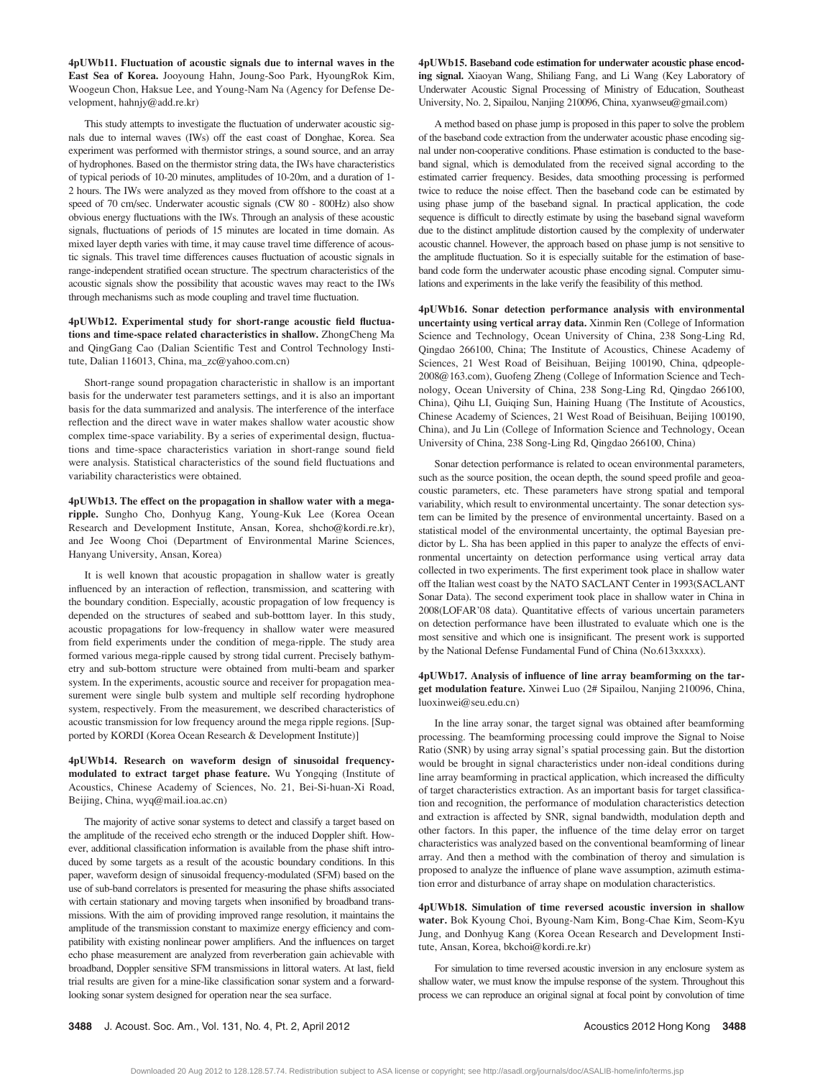4pUWb11. Fluctuation of acoustic signals due to internal waves in the East Sea of Korea. Jooyoung Hahn, Joung-Soo Park, HyoungRok Kim, Woogeun Chon, Haksue Lee, and Young-Nam Na (Agency for Defense Development, hahnjy@add.re.kr)

This study attempts to investigate the fluctuation of underwater acoustic signals due to internal waves (IWs) off the east coast of Donghae, Korea. Sea experiment was performed with thermistor strings, a sound source, and an array of hydrophones. Based on the thermistor string data, the IWs have characteristics of typical periods of 10-20 minutes, amplitudes of 10-20m, and a duration of 1- 2 hours. The IWs were analyzed as they moved from offshore to the coast at a speed of 70 cm/sec. Underwater acoustic signals (CW 80 - 800Hz) also show obvious energy fluctuations with the IWs. Through an analysis of these acoustic signals, fluctuations of periods of 15 minutes are located in time domain. As mixed layer depth varies with time, it may cause travel time difference of acoustic signals. This travel time differences causes fluctuation of acoustic signals in range-independent stratified ocean structure. The spectrum characteristics of the acoustic signals show the possibility that acoustic waves may react to the IWs through mechanisms such as mode coupling and travel time fluctuation.

4pUWb12. Experimental study for short-range acoustic field fluctuations and time-space related characteristics in shallow. ZhongCheng Ma and QingGang Cao (Dalian Scientific Test and Control Technology Institute, Dalian 116013, China, ma\_zc@yahoo.com.cn)

Short-range sound propagation characteristic in shallow is an important basis for the underwater test parameters settings, and it is also an important basis for the data summarized and analysis. The interference of the interface reflection and the direct wave in water makes shallow water acoustic show complex time-space variability. By a series of experimental design, fluctuations and time-space characteristics variation in short-range sound field were analysis. Statistical characteristics of the sound field fluctuations and variability characteristics were obtained.

4pUWb13. The effect on the propagation in shallow water with a megaripple. Sungho Cho, Donhyug Kang, Young-Kuk Lee (Korea Ocean Research and Development Institute, Ansan, Korea, shcho@kordi.re.kr), and Jee Woong Choi (Department of Environmental Marine Sciences, Hanyang University, Ansan, Korea)

It is well known that acoustic propagation in shallow water is greatly influenced by an interaction of reflection, transmission, and scattering with the boundary condition. Especially, acoustic propagation of low frequency is depended on the structures of seabed and sub-botttom layer. In this study, acoustic propagations for low-frequency in shallow water were measured from field experiments under the condition of mega-ripple. The study area formed various mega-ripple caused by strong tidal current. Precisely bathymetry and sub-bottom structure were obtained from multi-beam and sparker system. In the experiments, acoustic source and receiver for propagation measurement were single bulb system and multiple self recording hydrophone system, respectively. From the measurement, we described characteristics of acoustic transmission for low frequency around the mega ripple regions. [Supported by KORDI (Korea Ocean Research & Development Institute)]

## 4pUWb14. Research on waveform design of sinusoidal frequencymodulated to extract target phase feature. Wu Yongqing (Institute of Acoustics, Chinese Academy of Sciences, No. 21, Bei-Si-huan-Xi Road, Beijing, China, wyq@mail.ioa.ac.cn)

The majority of active sonar systems to detect and classify a target based on the amplitude of the received echo strength or the induced Doppler shift. However, additional classification information is available from the phase shift introduced by some targets as a result of the acoustic boundary conditions. In this paper, waveform design of sinusoidal frequency-modulated (SFM) based on the use of sub-band correlators is presented for measuring the phase shifts associated with certain stationary and moving targets when insonified by broadband transmissions. With the aim of providing improved range resolution, it maintains the amplitude of the transmission constant to maximize energy efficiency and compatibility with existing nonlinear power amplifiers. And the influences on target echo phase measurement are analyzed from reverberation gain achievable with broadband, Doppler sensitive SFM transmissions in littoral waters. At last, field trial results are given for a mine-like classification sonar system and a forwardlooking sonar system designed for operation near the sea surface.

4pUWb15. Baseband code estimation for underwater acoustic phase encoding signal. Xiaoyan Wang, Shiliang Fang, and Li Wang (Key Laboratory of Underwater Acoustic Signal Processing of Ministry of Education, Southeast University, No. 2, Sipailou, Nanjing 210096, China, xyanwseu@gmail.com)

A method based on phase jump is proposed in this paper to solve the problem of the baseband code extraction from the underwater acoustic phase encoding signal under non-cooperative conditions. Phase estimation is conducted to the baseband signal, which is demodulated from the received signal according to the estimated carrier frequency. Besides, data smoothing processing is performed twice to reduce the noise effect. Then the baseband code can be estimated by using phase jump of the baseband signal. In practical application, the code sequence is difficult to directly estimate by using the baseband signal waveform due to the distinct amplitude distortion caused by the complexity of underwater acoustic channel. However, the approach based on phase jump is not sensitive to the amplitude fluctuation. So it is especially suitable for the estimation of baseband code form the underwater acoustic phase encoding signal. Computer simulations and experiments in the lake verify the feasibility of this method.

4pUWb16. Sonar detection performance analysis with environmental uncertainty using vertical array data. Xinmin Ren (College of Information Science and Technology, Ocean University of China, 238 Song-Ling Rd, Qingdao 266100, China; The Institute of Acoustics, Chinese Academy of Sciences, 21 West Road of Beisihuan, Beijing 100190, China, qdpeople-2008@163.com), Guofeng Zheng (College of Information Science and Technology, Ocean University of China, 238 Song-Ling Rd, Qingdao 266100, China), Qihu LI, Guiqing Sun, Haining Huang (The Institute of Acoustics, Chinese Academy of Sciences, 21 West Road of Beisihuan, Beijing 100190, China), and Ju Lin (College of Information Science and Technology, Ocean University of China, 238 Song-Ling Rd, Qingdao 266100, China)

Sonar detection performance is related to ocean environmental parameters, such as the source position, the ocean depth, the sound speed profile and geoacoustic parameters, etc. These parameters have strong spatial and temporal variability, which result to environmental uncertainty. The sonar detection system can be limited by the presence of environmental uncertainty. Based on a statistical model of the environmental uncertainty, the optimal Bayesian predictor by L. Sha has been applied in this paper to analyze the effects of environmental uncertainty on detection performance using vertical array data collected in two experiments. The first experiment took place in shallow water off the Italian west coast by the NATO SACLANT Center in 1993(SACLANT Sonar Data). The second experiment took place in shallow water in China in 2008(LOFAR'08 data). Quantitative effects of various uncertain parameters on detection performance have been illustrated to evaluate which one is the most sensitive and which one is insignificant. The present work is supported by the National Defense Fundamental Fund of China (No.613xxxxx).

4pUWb17. Analysis of influence of line array beamforming on the target modulation feature. Xinwei Luo (2# Sipailou, Nanjing 210096, China, luoxinwei@seu.edu.cn)

In the line array sonar, the target signal was obtained after beamforming processing. The beamforming processing could improve the Signal to Noise Ratio (SNR) by using array signal's spatial processing gain. But the distortion would be brought in signal characteristics under non-ideal conditions during line array beamforming in practical application, which increased the difficulty of target characteristics extraction. As an important basis for target classification and recognition, the performance of modulation characteristics detection and extraction is affected by SNR, signal bandwidth, modulation depth and other factors. In this paper, the influence of the time delay error on target characteristics was analyzed based on the conventional beamforming of linear array. And then a method with the combination of theroy and simulation is proposed to analyze the influence of plane wave assumption, azimuth estimation error and disturbance of array shape on modulation characteristics.

4pUWb18. Simulation of time reversed acoustic inversion in shallow water. Bok Kyoung Choi, Byoung-Nam Kim, Bong-Chae Kim, Seom-Kyu Jung, and Donhyug Kang (Korea Ocean Research and Development Institute, Ansan, Korea, bkchoi@kordi.re.kr)

For simulation to time reversed acoustic inversion in any enclosure system as shallow water, we must know the impulse response of the system. Throughout this process we can reproduce an original signal at focal point by convolution of time